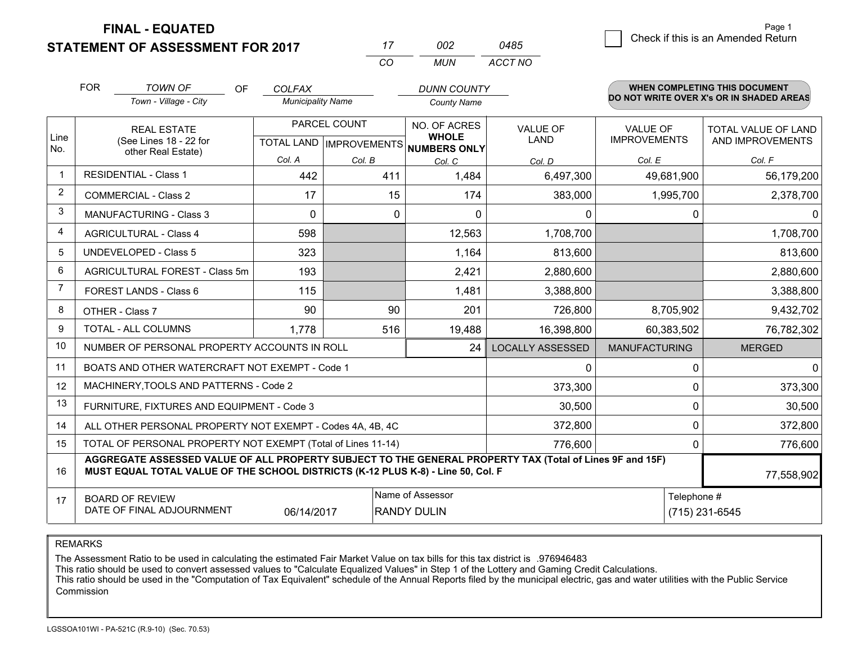**FINAL - EQUATED**

|                | <b>STATEMENT OF ASSESSMENT FOR 2017</b>                                                                                                                                                      |                          |                           | 002<br>17                           | 0485                    |                      | Crieck if this is an American Return     |
|----------------|----------------------------------------------------------------------------------------------------------------------------------------------------------------------------------------------|--------------------------|---------------------------|-------------------------------------|-------------------------|----------------------|------------------------------------------|
|                |                                                                                                                                                                                              |                          | CO                        | <b>MUN</b>                          | ACCT NO                 |                      |                                          |
|                | <b>FOR</b><br><b>TOWN OF</b><br>OF.                                                                                                                                                          | <b>COLFAX</b>            |                           | <b>DUNN COUNTY</b>                  |                         |                      | WHEN COMPLETING THIS DOCUMENT            |
|                | Town - Village - City                                                                                                                                                                        | <b>Municipality Name</b> |                           | <b>County Name</b>                  |                         |                      | DO NOT WRITE OVER X's OR IN SHADED AREAS |
|                | <b>REAL ESTATE</b>                                                                                                                                                                           | PARCEL COUNT             |                           | NO. OF ACRES                        | <b>VALUE OF</b>         | VALUE OF             | TOTAL VALUE OF LAND                      |
| Line<br>No.    | (See Lines 18 - 22 for                                                                                                                                                                       |                          | TOTAL LAND   IMPROVEMENTS | <b>WHOLE</b><br><b>NUMBERS ONLY</b> | LAND                    | <b>IMPROVEMENTS</b>  | AND IMPROVEMENTS                         |
|                | other Real Estate)                                                                                                                                                                           | Col. A                   | Col. B                    | Col. C                              | Col. D                  | Col. E               | Col. F                                   |
| $\mathbf{1}$   | <b>RESIDENTIAL - Class 1</b>                                                                                                                                                                 | 442                      |                           | 411<br>1,484                        | 6,497,300               | 49,681,900           | 56,179,200                               |
| 2              | <b>COMMERCIAL - Class 2</b>                                                                                                                                                                  | 17                       |                           | 15<br>174                           | 383,000                 | 1,995,700            | 2,378,700                                |
| 3              | <b>MANUFACTURING - Class 3</b>                                                                                                                                                               | $\Omega$                 |                           | 0<br>$\mathbf 0$                    | 0                       | 0                    | $\mathbf{0}$                             |
| 4              | <b>AGRICULTURAL - Class 4</b>                                                                                                                                                                | 598                      |                           | 12,563                              | 1,708,700               |                      | 1,708,700                                |
| 5              | <b>UNDEVELOPED - Class 5</b>                                                                                                                                                                 | 323                      |                           | 1,164                               | 813,600                 |                      | 813,600                                  |
| 6              | AGRICULTURAL FOREST - Class 5m                                                                                                                                                               | 193                      |                           | 2,421                               | 2,880,600               |                      | 2,880,600                                |
| $\overline{7}$ | FOREST LANDS - Class 6                                                                                                                                                                       | 115                      |                           | 1,481                               | 3,388,800               |                      | 3,388,800                                |
| 8              | OTHER - Class 7                                                                                                                                                                              | 90                       |                           | 90<br>201                           | 726,800                 | 8,705,902            | 9,432,702                                |
| 9              | TOTAL - ALL COLUMNS                                                                                                                                                                          | 1,778                    |                           | 516<br>19,488                       | 16,398,800              | 60,383,502           | 76,782,302                               |
| 10             | NUMBER OF PERSONAL PROPERTY ACCOUNTS IN ROLL                                                                                                                                                 |                          |                           | 24                                  | <b>LOCALLY ASSESSED</b> | <b>MANUFACTURING</b> | <b>MERGED</b>                            |
| 11             | BOATS AND OTHER WATERCRAFT NOT EXEMPT - Code 1                                                                                                                                               |                          |                           |                                     | 0                       | 0                    | $\mathbf{0}$                             |
| 12             | MACHINERY, TOOLS AND PATTERNS - Code 2                                                                                                                                                       |                          |                           |                                     | 373,300                 | 0                    | 373,300                                  |
| 13             | FURNITURE, FIXTURES AND EQUIPMENT - Code 3                                                                                                                                                   |                          |                           |                                     | 30,500                  | 0                    | 30,500                                   |
| 14             | ALL OTHER PERSONAL PROPERTY NOT EXEMPT - Codes 4A, 4B, 4C                                                                                                                                    |                          |                           |                                     | 372,800                 | $\Omega$             | 372,800                                  |
| 15             | TOTAL OF PERSONAL PROPERTY NOT EXEMPT (Total of Lines 11-14)                                                                                                                                 |                          |                           |                                     | 776,600                 | 0                    | 776,600                                  |
| 16             | AGGREGATE ASSESSED VALUE OF ALL PROPERTY SUBJECT TO THE GENERAL PROPERTY TAX (Total of Lines 9F and 15F)<br>MUST EQUAL TOTAL VALUE OF THE SCHOOL DISTRICTS (K-12 PLUS K-8) - Line 50, Col. F |                          |                           |                                     |                         |                      | 77,558,902                               |
| 17             | <b>BOARD OF REVIEW</b>                                                                                                                                                                       |                          |                           | Name of Assessor                    |                         | Telephone #          |                                          |
|                | DATE OF FINAL ADJOURNMENT                                                                                                                                                                    | 06/14/2017               |                           | <b>RANDY DULIN</b>                  |                         | (715) 231-6545       |                                          |

REMARKS

The Assessment Ratio to be used in calculating the estimated Fair Market Value on tax bills for this tax district is .976946483<br>This ratio should be used to convert assessed values to "Calculate Equalized Values" in Step 1 Commission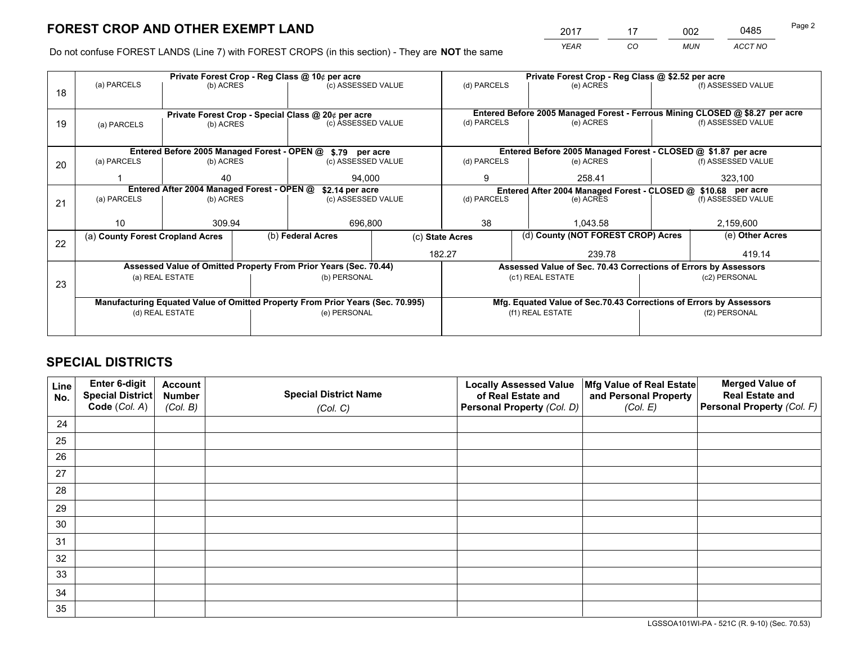*YEAR CO MUN ACCT NO* <sup>2017</sup> <sup>17</sup> <sup>002</sup> <sup>0485</sup>

Do not confuse FOREST LANDS (Line 7) with FOREST CROPS (in this section) - They are **NOT** the same

|    |                                                               | Private Forest Crop - Reg Class @ 10¢ per acre                                 |              |                    |                                                               | Private Forest Crop - Reg Class @ \$2.52 per acre                            |                                                               |                                                                    |                    |                    |
|----|---------------------------------------------------------------|--------------------------------------------------------------------------------|--------------|--------------------|---------------------------------------------------------------|------------------------------------------------------------------------------|---------------------------------------------------------------|--------------------------------------------------------------------|--------------------|--------------------|
| 18 | (a) PARCELS                                                   | (b) ACRES                                                                      |              | (c) ASSESSED VALUE |                                                               | (d) PARCELS                                                                  |                                                               | (e) ACRES                                                          |                    | (f) ASSESSED VALUE |
|    |                                                               |                                                                                |              |                    |                                                               |                                                                              |                                                               |                                                                    |                    |                    |
|    | Private Forest Crop - Special Class @ 20¢ per acre            |                                                                                |              |                    |                                                               | Entered Before 2005 Managed Forest - Ferrous Mining CLOSED @ \$8.27 per acre |                                                               |                                                                    |                    |                    |
| 19 | (a) PARCELS                                                   | (c) ASSESSED VALUE<br>(b) ACRES                                                |              |                    | (d) PARCELS                                                   |                                                                              | (e) ACRES                                                     |                                                                    | (f) ASSESSED VALUE |                    |
|    |                                                               |                                                                                |              |                    |                                                               |                                                                              |                                                               |                                                                    |                    |                    |
|    |                                                               | Entered Before 2005 Managed Forest - OPEN @ \$.79 per acre                     |              |                    | Entered Before 2005 Managed Forest - CLOSED @ \$1.87 per acre |                                                                              |                                                               |                                                                    |                    |                    |
| 20 | (a) PARCELS                                                   | (b) ACRES                                                                      |              | (c) ASSESSED VALUE |                                                               | (d) PARCELS                                                                  |                                                               | (e) ACRES                                                          |                    | (f) ASSESSED VALUE |
|    |                                                               | 40                                                                             |              | 94,000             |                                                               | 9                                                                            |                                                               | 258.41                                                             | 323,100            |                    |
|    | Entered After 2004 Managed Forest - OPEN @<br>\$2.14 per acre |                                                                                |              |                    |                                                               |                                                                              | Entered After 2004 Managed Forest - CLOSED @ \$10.68 per acre |                                                                    |                    |                    |
| 21 | (a) PARCELS                                                   | (b) ACRES                                                                      |              | (c) ASSESSED VALUE |                                                               | (d) PARCELS                                                                  |                                                               | (e) ACRES                                                          |                    | (f) ASSESSED VALUE |
|    |                                                               |                                                                                |              |                    |                                                               |                                                                              |                                                               |                                                                    |                    |                    |
|    | 10 <sup>1</sup>                                               | 309.94                                                                         |              | 696,800            |                                                               | 38                                                                           |                                                               | 1,043.58                                                           |                    | 2,159,600          |
| 22 | (a) County Forest Cropland Acres                              |                                                                                |              | (b) Federal Acres  | (c) State Acres                                               |                                                                              | (d) County (NOT FOREST CROP) Acres                            |                                                                    |                    | (e) Other Acres    |
|    |                                                               |                                                                                |              |                    | 182.27                                                        |                                                                              | 239.78                                                        |                                                                    | 419.14             |                    |
|    |                                                               | Assessed Value of Omitted Property From Prior Years (Sec. 70.44)               |              |                    |                                                               |                                                                              |                                                               | Assessed Value of Sec. 70.43 Corrections of Errors by Assessors    |                    |                    |
| 23 |                                                               | (a) REAL ESTATE                                                                |              | (b) PERSONAL       |                                                               |                                                                              |                                                               | (c1) REAL ESTATE                                                   |                    | (c2) PERSONAL      |
|    |                                                               |                                                                                |              |                    |                                                               |                                                                              |                                                               |                                                                    |                    |                    |
|    |                                                               | Manufacturing Equated Value of Omitted Property From Prior Years (Sec. 70.995) |              |                    |                                                               |                                                                              |                                                               | Mfg. Equated Value of Sec.70.43 Corrections of Errors by Assessors |                    |                    |
|    | (d) REAL ESTATE                                               |                                                                                | (e) PERSONAL |                    | (f1) REAL ESTATE                                              |                                                                              |                                                               | (f2) PERSONAL                                                      |                    |                    |
|    |                                                               |                                                                                |              |                    |                                                               |                                                                              |                                                               |                                                                    |                    |                    |

## **SPECIAL DISTRICTS**

| Line<br>No. | Enter 6-digit<br><b>Special District</b> | <b>Account</b><br><b>Number</b> | <b>Special District Name</b> | <b>Locally Assessed Value</b><br>of Real Estate and | Mfg Value of Real Estate<br>and Personal Property | <b>Merged Value of</b><br><b>Real Estate and</b> |
|-------------|------------------------------------------|---------------------------------|------------------------------|-----------------------------------------------------|---------------------------------------------------|--------------------------------------------------|
|             | Code (Col. A)                            | (Col. B)                        | (Col. C)                     | Personal Property (Col. D)                          | (Col. E)                                          | Personal Property (Col. F)                       |
| 24          |                                          |                                 |                              |                                                     |                                                   |                                                  |
| 25          |                                          |                                 |                              |                                                     |                                                   |                                                  |
| 26          |                                          |                                 |                              |                                                     |                                                   |                                                  |
| 27          |                                          |                                 |                              |                                                     |                                                   |                                                  |
| 28          |                                          |                                 |                              |                                                     |                                                   |                                                  |
| 29          |                                          |                                 |                              |                                                     |                                                   |                                                  |
| 30          |                                          |                                 |                              |                                                     |                                                   |                                                  |
| 31          |                                          |                                 |                              |                                                     |                                                   |                                                  |
| 32          |                                          |                                 |                              |                                                     |                                                   |                                                  |
| 33          |                                          |                                 |                              |                                                     |                                                   |                                                  |
| 34          |                                          |                                 |                              |                                                     |                                                   |                                                  |
| 35          |                                          |                                 |                              |                                                     |                                                   |                                                  |

LGSSOA101WI-PA - 521C (R. 9-10) (Sec. 70.53)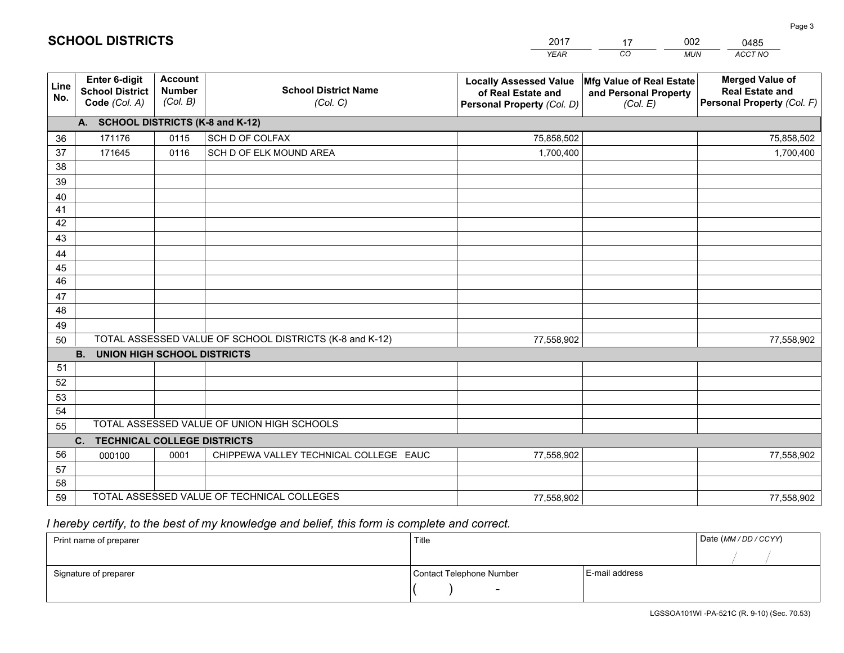|                       |                                                          |                                             |                                                         | YEAR                                                                              | CO.<br><b>MUN</b>                                             | ACCT NO                                                                        |
|-----------------------|----------------------------------------------------------|---------------------------------------------|---------------------------------------------------------|-----------------------------------------------------------------------------------|---------------------------------------------------------------|--------------------------------------------------------------------------------|
| Line<br>No.           | Enter 6-digit<br><b>School District</b><br>Code (Col. A) | <b>Account</b><br><b>Number</b><br>(Col. B) | <b>School District Name</b><br>(Col. C)                 | <b>Locally Assessed Value</b><br>of Real Estate and<br>Personal Property (Col. D) | Mfg Value of Real Estate<br>and Personal Property<br>(Col. E) | <b>Merged Value of</b><br><b>Real Estate and</b><br>Personal Property (Col. F) |
|                       | A. SCHOOL DISTRICTS (K-8 and K-12)                       |                                             |                                                         |                                                                                   |                                                               |                                                                                |
| 36                    | 171176                                                   | 0115                                        | SCH D OF COLFAX                                         | 75,858,502                                                                        |                                                               | 75,858,502                                                                     |
| 37                    | 171645                                                   | 0116                                        | SCH D OF ELK MOUND AREA                                 | 1,700,400                                                                         |                                                               | 1,700,400                                                                      |
| 38                    |                                                          |                                             |                                                         |                                                                                   |                                                               |                                                                                |
| 39                    |                                                          |                                             |                                                         |                                                                                   |                                                               |                                                                                |
| 40                    |                                                          |                                             |                                                         |                                                                                   |                                                               |                                                                                |
| 41                    |                                                          |                                             |                                                         |                                                                                   |                                                               |                                                                                |
| 42                    |                                                          |                                             |                                                         |                                                                                   |                                                               |                                                                                |
| 43                    |                                                          |                                             |                                                         |                                                                                   |                                                               |                                                                                |
| 44                    |                                                          |                                             |                                                         |                                                                                   |                                                               |                                                                                |
| 45<br>$\overline{46}$ |                                                          |                                             |                                                         |                                                                                   |                                                               |                                                                                |
| 47                    |                                                          |                                             |                                                         |                                                                                   |                                                               |                                                                                |
| 48                    |                                                          |                                             |                                                         |                                                                                   |                                                               |                                                                                |
| 49                    |                                                          |                                             |                                                         |                                                                                   |                                                               |                                                                                |
| 50                    |                                                          |                                             | TOTAL ASSESSED VALUE OF SCHOOL DISTRICTS (K-8 and K-12) | 77,558,902                                                                        |                                                               | 77,558,902                                                                     |
|                       | <b>UNION HIGH SCHOOL DISTRICTS</b><br><b>B.</b>          |                                             |                                                         |                                                                                   |                                                               |                                                                                |
| 51                    |                                                          |                                             |                                                         |                                                                                   |                                                               |                                                                                |
| 52                    |                                                          |                                             |                                                         |                                                                                   |                                                               |                                                                                |
| 53                    |                                                          |                                             |                                                         |                                                                                   |                                                               |                                                                                |
| 54                    |                                                          |                                             |                                                         |                                                                                   |                                                               |                                                                                |
| 55                    |                                                          |                                             | TOTAL ASSESSED VALUE OF UNION HIGH SCHOOLS              |                                                                                   |                                                               |                                                                                |
|                       | C.<br><b>TECHNICAL COLLEGE DISTRICTS</b>                 |                                             |                                                         |                                                                                   |                                                               |                                                                                |
| 56                    | 000100                                                   | 0001                                        | CHIPPEWA VALLEY TECHNICAL COLLEGE EAUC                  | 77,558,902                                                                        |                                                               | 77,558,902                                                                     |
| 57                    |                                                          |                                             |                                                         |                                                                                   |                                                               |                                                                                |
| 58                    |                                                          |                                             |                                                         |                                                                                   |                                                               |                                                                                |
| 59                    |                                                          |                                             | TOTAL ASSESSED VALUE OF TECHNICAL COLLEGES              | 77,558,902                                                                        |                                                               | 77,558,902                                                                     |

17

002

 *I hereby certify, to the best of my knowledge and belief, this form is complete and correct.*

**SCHOOL DISTRICTS**

| Print name of preparer | Title                    | Date (MM / DD / CCYY) |  |
|------------------------|--------------------------|-----------------------|--|
|                        |                          |                       |  |
| Signature of preparer  | Contact Telephone Number | E-mail address        |  |
|                        | $\sim$                   |                       |  |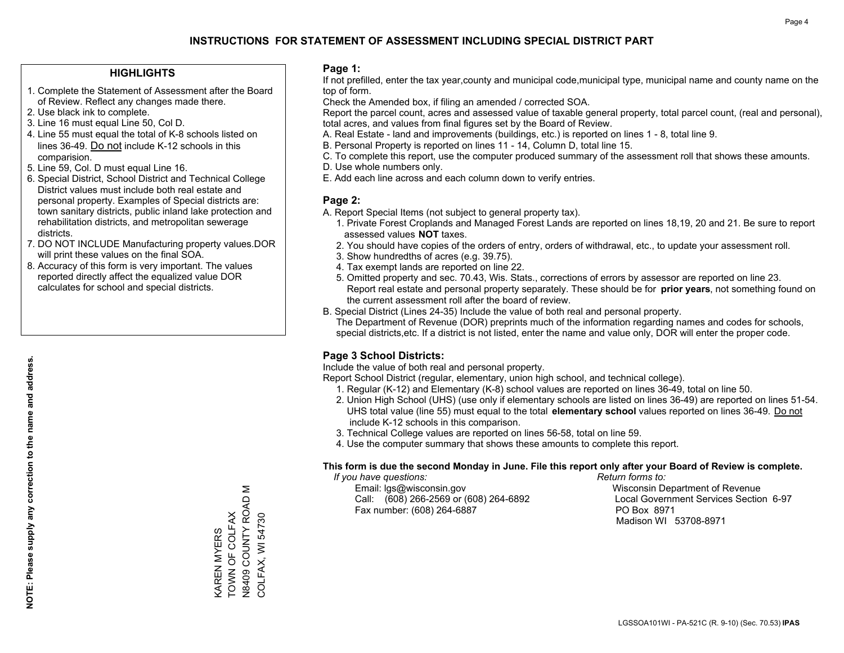### **HIGHLIGHTS**

- 1. Complete the Statement of Assessment after the Board of Review. Reflect any changes made there.
- 2. Use black ink to complete.
- 3. Line 16 must equal Line 50, Col D.
- 4. Line 55 must equal the total of K-8 schools listed on lines 36-49. Do not include K-12 schools in this comparision.
- 5. Line 59, Col. D must equal Line 16.
- 6. Special District, School District and Technical College District values must include both real estate and personal property. Examples of Special districts are: town sanitary districts, public inland lake protection and rehabilitation districts, and metropolitan sewerage districts.
- 7. DO NOT INCLUDE Manufacturing property values.DOR will print these values on the final SOA.
- 8. Accuracy of this form is very important. The values reported directly affect the equalized value DOR calculates for school and special districts.

### **Page 1:**

 If not prefilled, enter the tax year,county and municipal code,municipal type, municipal name and county name on the top of form.

Check the Amended box, if filing an amended / corrected SOA.

 Report the parcel count, acres and assessed value of taxable general property, total parcel count, (real and personal), total acres, and values from final figures set by the Board of Review.

- A. Real Estate land and improvements (buildings, etc.) is reported on lines 1 8, total line 9.
- B. Personal Property is reported on lines 11 14, Column D, total line 15.
- C. To complete this report, use the computer produced summary of the assessment roll that shows these amounts.
- D. Use whole numbers only.
- E. Add each line across and each column down to verify entries.

### **Page 2:**

- A. Report Special Items (not subject to general property tax).
- 1. Private Forest Croplands and Managed Forest Lands are reported on lines 18,19, 20 and 21. Be sure to report assessed values **NOT** taxes.
- 2. You should have copies of the orders of entry, orders of withdrawal, etc., to update your assessment roll.
	- 3. Show hundredths of acres (e.g. 39.75).
- 4. Tax exempt lands are reported on line 22.
- 5. Omitted property and sec. 70.43, Wis. Stats., corrections of errors by assessor are reported on line 23. Report real estate and personal property separately. These should be for **prior years**, not something found on the current assessment roll after the board of review.
- B. Special District (Lines 24-35) Include the value of both real and personal property.
- The Department of Revenue (DOR) preprints much of the information regarding names and codes for schools, special districts,etc. If a district is not listed, enter the name and value only, DOR will enter the proper code.

## **Page 3 School Districts:**

Include the value of both real and personal property.

Report School District (regular, elementary, union high school, and technical college).

- 1. Regular (K-12) and Elementary (K-8) school values are reported on lines 36-49, total on line 50.
- 2. Union High School (UHS) (use only if elementary schools are listed on lines 36-49) are reported on lines 51-54. UHS total value (line 55) must equal to the total **elementary school** values reported on lines 36-49. Do notinclude K-12 schools in this comparison.
- 3. Technical College values are reported on lines 56-58, total on line 59.
- 4. Use the computer summary that shows these amounts to complete this report.

#### **This form is due the second Monday in June. File this report only after your Board of Review is complete.**

 *If you have questions: Return forms to:*

 Email: lgs@wisconsin.gov Wisconsin Department of RevenueCall:  $(608)$  266-2569 or  $(608)$  264-6892 Fax number: (608) 264-6887 PO Box 8971

Local Government Services Section 6-97 Madison WI 53708-8971

Σ N8409 COUNTY ROAD M KAREN MYERS<br>TOWN OF COLFAX<br>N8409 COUNTY ROAD M TOWN OF COLFAX COLFAX, WI 54730 KAREN MYERS

COLFAX, WI 54730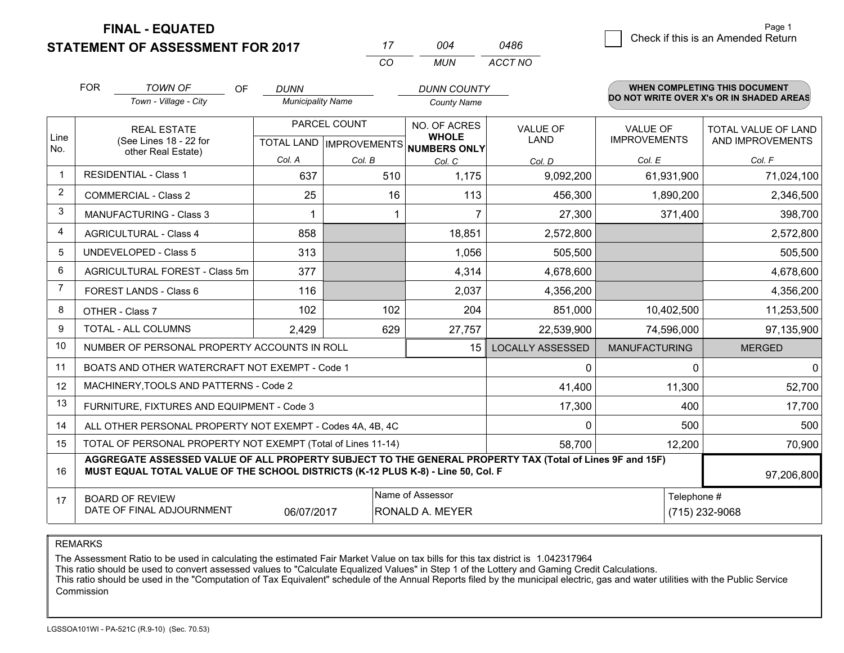**FINAL - EQUATED**

**STATEMENT OF ASSESSMENT FOR 2017** 

 $\overline{6}$  Check if this is an Amended Return Page 1

|                | <b>FOR</b> | <b>TOWN OF</b><br>OF                                                                                                                                                                         | <b>DUNN</b>              |                           | <b>DUNN COUNTY</b>                  |                         |                      | WHEN COMPLETING THIS DOCUMENT            |
|----------------|------------|----------------------------------------------------------------------------------------------------------------------------------------------------------------------------------------------|--------------------------|---------------------------|-------------------------------------|-------------------------|----------------------|------------------------------------------|
|                |            | Town - Village - City                                                                                                                                                                        | <b>Municipality Name</b> |                           | <b>County Name</b>                  |                         |                      | DO NOT WRITE OVER X's OR IN SHADED AREAS |
|                |            | <b>REAL ESTATE</b>                                                                                                                                                                           |                          | PARCEL COUNT              | NO. OF ACRES                        | <b>VALUE OF</b>         | <b>VALUE OF</b>      | <b>TOTAL VALUE OF LAND</b>               |
| Line<br>No.    |            | (See Lines 18 - 22 for<br>other Real Estate)                                                                                                                                                 |                          | TOTAL LAND   IMPROVEMENTS | <b>WHOLE</b><br><b>NUMBERS ONLY</b> | <b>LAND</b>             | <b>IMPROVEMENTS</b>  | AND IMPROVEMENTS                         |
|                |            |                                                                                                                                                                                              | Col. A                   | Col. B                    | Col. C                              | Col. D                  | Col. E               | Col. F                                   |
| $\mathbf 1$    |            | <b>RESIDENTIAL - Class 1</b>                                                                                                                                                                 | 637                      | 510                       | 1,175                               | 9,092,200               | 61,931,900           | 71,024,100                               |
| 2              |            | <b>COMMERCIAL - Class 2</b>                                                                                                                                                                  | 25                       | 16                        | 113                                 | 456,300                 | 1,890,200            | 2,346,500                                |
| 3              |            | <b>MANUFACTURING - Class 3</b>                                                                                                                                                               |                          |                           | 7                                   | 27,300                  | 371,400              | 398,700                                  |
| 4              |            | <b>AGRICULTURAL - Class 4</b>                                                                                                                                                                | 858                      |                           | 18,851                              | 2,572,800               |                      | 2,572,800                                |
| 5              |            | UNDEVELOPED - Class 5                                                                                                                                                                        | 313                      |                           | 1,056                               | 505,500                 |                      | 505,500                                  |
| 6              |            | AGRICULTURAL FOREST - Class 5m                                                                                                                                                               | 377                      |                           | 4,314                               | 4,678,600               |                      | 4,678,600                                |
| $\overline{7}$ |            | FOREST LANDS - Class 6                                                                                                                                                                       | 116                      |                           | 2,037                               | 4,356,200               |                      | 4,356,200                                |
| 8              |            | OTHER - Class 7                                                                                                                                                                              | 102                      | 102                       | 204                                 | 851,000                 | 10,402,500           | 11,253,500                               |
| 9              |            | <b>TOTAL - ALL COLUMNS</b>                                                                                                                                                                   | 2,429                    | 629                       | 27,757                              | 22,539,900              | 74,596,000           | 97,135,900                               |
| 10             |            | NUMBER OF PERSONAL PROPERTY ACCOUNTS IN ROLL                                                                                                                                                 |                          |                           | 15                                  | <b>LOCALLY ASSESSED</b> | <b>MANUFACTURING</b> | <b>MERGED</b>                            |
| 11             |            | BOATS AND OTHER WATERCRAFT NOT EXEMPT - Code 1                                                                                                                                               |                          |                           |                                     | 0                       | 0                    | 0                                        |
| 12             |            | MACHINERY, TOOLS AND PATTERNS - Code 2                                                                                                                                                       |                          |                           |                                     | 41,400                  | 11,300               | 52,700                                   |
| 13             |            | FURNITURE, FIXTURES AND EQUIPMENT - Code 3                                                                                                                                                   |                          |                           |                                     | 17,300                  | 400                  | 17,700                                   |
| 14             |            | ALL OTHER PERSONAL PROPERTY NOT EXEMPT - Codes 4A, 4B, 4C                                                                                                                                    |                          |                           |                                     | 0                       | 500                  | 500                                      |
| 15             |            | TOTAL OF PERSONAL PROPERTY NOT EXEMPT (Total of Lines 11-14)                                                                                                                                 |                          |                           |                                     | 58,700                  | 12,200               | 70,900                                   |
| 16             |            | AGGREGATE ASSESSED VALUE OF ALL PROPERTY SUBJECT TO THE GENERAL PROPERTY TAX (Total of Lines 9F and 15F)<br>MUST EQUAL TOTAL VALUE OF THE SCHOOL DISTRICTS (K-12 PLUS K-8) - Line 50, Col. F |                          |                           |                                     |                         |                      | 97,206,800                               |
| 17             |            | <b>BOARD OF REVIEW</b>                                                                                                                                                                       |                          |                           | Name of Assessor                    |                         | Telephone #          |                                          |
|                |            | DATE OF FINAL ADJOURNMENT                                                                                                                                                                    | 06/07/2017               |                           | RONALD A. MEYER                     |                         |                      | (715) 232-9068                           |

*CO*

*MUN*

*ACCT NO0486*

*<sup>17</sup> <sup>004</sup>*

REMARKS

The Assessment Ratio to be used in calculating the estimated Fair Market Value on tax bills for this tax district is 1.042317964<br>This ratio should be used to convert assessed values to "Calculate Equalized Values" in Step Commission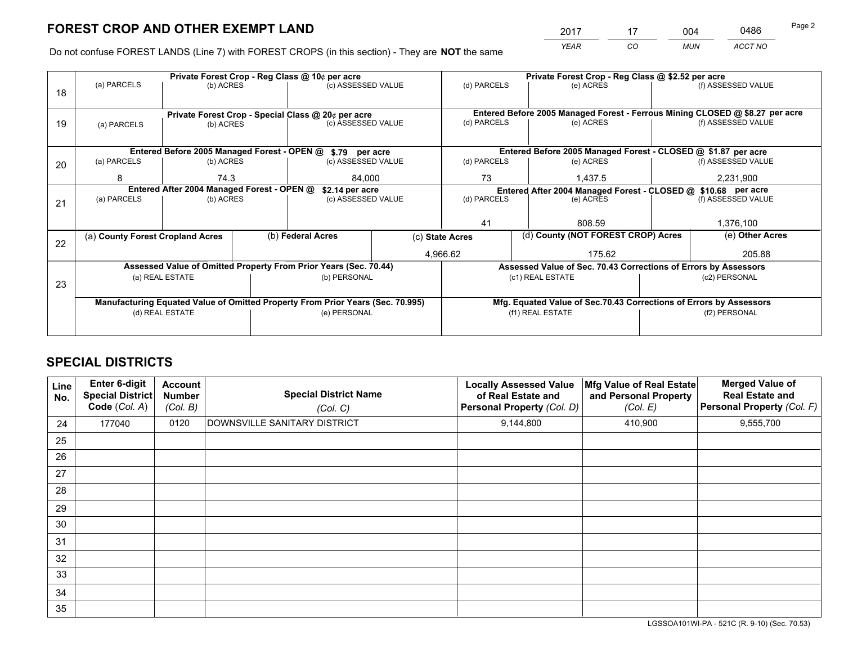*YEAR CO MUN ACCT NO* <sup>2017</sup> <sup>17</sup> <sup>004</sup> <sup>0486</sup>

Do not confuse FOREST LANDS (Line 7) with FOREST CROPS (in this section) - They are **NOT** the same

|    |                                                                 |                                             |  | Private Forest Crop - Reg Class @ 10¢ per acre                                 |    |                                                                                                          | Private Forest Crop - Reg Class @ \$2.52 per acre                  |               |                    |  |
|----|-----------------------------------------------------------------|---------------------------------------------|--|--------------------------------------------------------------------------------|----|----------------------------------------------------------------------------------------------------------|--------------------------------------------------------------------|---------------|--------------------|--|
| 18 | (a) PARCELS                                                     | (b) ACRES                                   |  | (c) ASSESSED VALUE                                                             |    | (d) PARCELS                                                                                              | (e) ACRES                                                          |               | (f) ASSESSED VALUE |  |
|    |                                                                 |                                             |  |                                                                                |    |                                                                                                          |                                                                    |               |                    |  |
| 19 | Private Forest Crop - Special Class @ 20¢ per acre<br>(b) ACRES |                                             |  | (c) ASSESSED VALUE                                                             |    | Entered Before 2005 Managed Forest - Ferrous Mining CLOSED @ \$8.27 per acre<br>(d) PARCELS<br>(e) ACRES |                                                                    |               | (f) ASSESSED VALUE |  |
|    | (a) PARCELS                                                     |                                             |  |                                                                                |    |                                                                                                          |                                                                    |               |                    |  |
|    |                                                                 |                                             |  |                                                                                |    |                                                                                                          |                                                                    |               |                    |  |
|    |                                                                 | Entered Before 2005 Managed Forest - OPEN @ |  | \$.79 per acre                                                                 |    |                                                                                                          | Entered Before 2005 Managed Forest - CLOSED @ \$1.87 per acre      |               |                    |  |
| 20 | (a) PARCELS                                                     | (b) ACRES                                   |  | (c) ASSESSED VALUE                                                             |    | (d) PARCELS                                                                                              | (e) ACRES                                                          |               | (f) ASSESSED VALUE |  |
|    |                                                                 |                                             |  |                                                                                |    |                                                                                                          |                                                                    |               |                    |  |
|    | 74.3<br>8                                                       |                                             |  | 84,000                                                                         | 73 |                                                                                                          | 1,437.5                                                            |               | 2,231,900          |  |
|    | Entered After 2004 Managed Forest - OPEN @                      |                                             |  | \$2.14 per acre                                                                |    |                                                                                                          | Entered After 2004 Managed Forest - CLOSED @ \$10.68 per acre      |               |                    |  |
| 21 | (a) PARCELS                                                     | (b) ACRES                                   |  | (c) ASSESSED VALUE                                                             |    | (d) PARCELS                                                                                              | (e) ACRES                                                          |               | (f) ASSESSED VALUE |  |
|    |                                                                 |                                             |  |                                                                                |    |                                                                                                          |                                                                    |               |                    |  |
|    |                                                                 |                                             |  |                                                                                |    | 41                                                                                                       | 808.59                                                             |               |                    |  |
|    | (a) County Forest Cropland Acres                                |                                             |  | (b) Federal Acres<br>(c) State Acres                                           |    | (d) County (NOT FOREST CROP) Acres                                                                       |                                                                    |               | (e) Other Acres    |  |
| 22 |                                                                 |                                             |  |                                                                                |    |                                                                                                          |                                                                    |               |                    |  |
|    |                                                                 |                                             |  |                                                                                |    | 4,966.62                                                                                                 | 175.62                                                             |               | 205.88             |  |
|    |                                                                 |                                             |  | Assessed Value of Omitted Property From Prior Years (Sec. 70.44)               |    |                                                                                                          | Assessed Value of Sec. 70.43 Corrections of Errors by Assessors    |               |                    |  |
|    |                                                                 | (a) REAL ESTATE                             |  | (b) PERSONAL                                                                   |    |                                                                                                          | (c1) REAL ESTATE                                                   |               | (c2) PERSONAL      |  |
| 23 |                                                                 |                                             |  |                                                                                |    |                                                                                                          |                                                                    |               |                    |  |
|    |                                                                 |                                             |  | Manufacturing Equated Value of Omitted Property From Prior Years (Sec. 70.995) |    |                                                                                                          | Mfg. Equated Value of Sec.70.43 Corrections of Errors by Assessors |               |                    |  |
|    |                                                                 | (d) REAL ESTATE                             |  | (e) PERSONAL                                                                   |    |                                                                                                          | (f1) REAL ESTATE                                                   | (f2) PERSONAL |                    |  |
|    |                                                                 |                                             |  |                                                                                |    |                                                                                                          |                                                                    |               |                    |  |
|    |                                                                 |                                             |  |                                                                                |    |                                                                                                          |                                                                    |               |                    |  |

## **SPECIAL DISTRICTS**

| Line<br>No. | Enter 6-digit<br><b>Special District</b><br>Code (Col. A) | <b>Account</b><br><b>Number</b><br>(Col. B) | <b>Special District Name</b><br>(Col. C) | <b>Locally Assessed Value</b><br>of Real Estate and<br><b>Personal Property (Col. D)</b> | Mfg Value of Real Estate<br>and Personal Property<br>(Col. E) | <b>Merged Value of</b><br><b>Real Estate and</b><br>Personal Property (Col. F) |
|-------------|-----------------------------------------------------------|---------------------------------------------|------------------------------------------|------------------------------------------------------------------------------------------|---------------------------------------------------------------|--------------------------------------------------------------------------------|
| 24          | 177040                                                    | 0120                                        | DOWNSVILLE SANITARY DISTRICT             | 9,144,800                                                                                | 410,900                                                       | 9,555,700                                                                      |
| 25          |                                                           |                                             |                                          |                                                                                          |                                                               |                                                                                |
| 26          |                                                           |                                             |                                          |                                                                                          |                                                               |                                                                                |
| 27          |                                                           |                                             |                                          |                                                                                          |                                                               |                                                                                |
| 28          |                                                           |                                             |                                          |                                                                                          |                                                               |                                                                                |
| 29          |                                                           |                                             |                                          |                                                                                          |                                                               |                                                                                |
| 30          |                                                           |                                             |                                          |                                                                                          |                                                               |                                                                                |
| 31          |                                                           |                                             |                                          |                                                                                          |                                                               |                                                                                |
| 32          |                                                           |                                             |                                          |                                                                                          |                                                               |                                                                                |
| 33          |                                                           |                                             |                                          |                                                                                          |                                                               |                                                                                |
| 34          |                                                           |                                             |                                          |                                                                                          |                                                               |                                                                                |
| 35          |                                                           |                                             |                                          |                                                                                          |                                                               |                                                                                |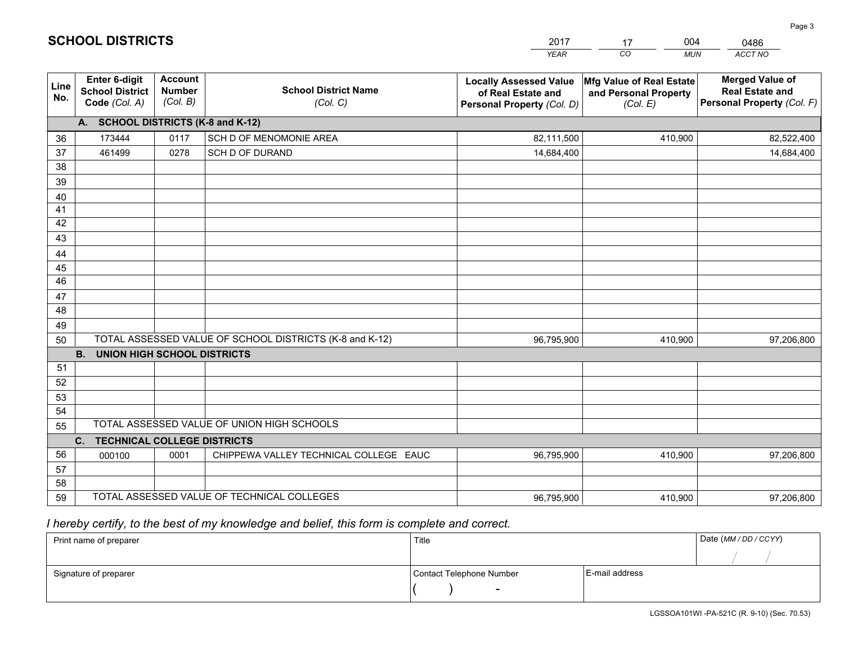|                 |                                                                 |                                             |                                                         | <b>YEAR</b>                                                                       | CO<br><b>MUN</b>                                              | ACCT NO                                                                        |  |  |  |  |  |
|-----------------|-----------------------------------------------------------------|---------------------------------------------|---------------------------------------------------------|-----------------------------------------------------------------------------------|---------------------------------------------------------------|--------------------------------------------------------------------------------|--|--|--|--|--|
| Line<br>No.     | <b>Enter 6-digit</b><br><b>School District</b><br>Code (Col. A) | <b>Account</b><br><b>Number</b><br>(Col. B) | <b>School District Name</b><br>(Col. C)                 | <b>Locally Assessed Value</b><br>of Real Estate and<br>Personal Property (Col. D) | Mfg Value of Real Estate<br>and Personal Property<br>(Col. E) | <b>Merged Value of</b><br><b>Real Estate and</b><br>Personal Property (Col. F) |  |  |  |  |  |
|                 | A. SCHOOL DISTRICTS (K-8 and K-12)                              |                                             |                                                         |                                                                                   |                                                               |                                                                                |  |  |  |  |  |
| 36              | 173444                                                          | 0117                                        | SCH D OF MENOMONIE AREA                                 | 82,111,500                                                                        | 410,900                                                       | 82,522,400                                                                     |  |  |  |  |  |
| 37              | 461499                                                          | 0278                                        | SCH D OF DURAND                                         | 14,684,400                                                                        |                                                               | 14,684,400                                                                     |  |  |  |  |  |
| 38              |                                                                 |                                             |                                                         |                                                                                   |                                                               |                                                                                |  |  |  |  |  |
| 39              |                                                                 |                                             |                                                         |                                                                                   |                                                               |                                                                                |  |  |  |  |  |
| 40              |                                                                 |                                             |                                                         |                                                                                   |                                                               |                                                                                |  |  |  |  |  |
| 41              |                                                                 |                                             |                                                         |                                                                                   |                                                               |                                                                                |  |  |  |  |  |
| 42              |                                                                 |                                             |                                                         |                                                                                   |                                                               |                                                                                |  |  |  |  |  |
| 43              |                                                                 |                                             |                                                         |                                                                                   |                                                               |                                                                                |  |  |  |  |  |
| 44<br>45        |                                                                 |                                             |                                                         |                                                                                   |                                                               |                                                                                |  |  |  |  |  |
| $\overline{46}$ |                                                                 |                                             |                                                         |                                                                                   |                                                               |                                                                                |  |  |  |  |  |
| 47              |                                                                 |                                             |                                                         |                                                                                   |                                                               |                                                                                |  |  |  |  |  |
| 48              |                                                                 |                                             |                                                         |                                                                                   |                                                               |                                                                                |  |  |  |  |  |
| 49              |                                                                 |                                             |                                                         |                                                                                   |                                                               |                                                                                |  |  |  |  |  |
| 50              |                                                                 |                                             | TOTAL ASSESSED VALUE OF SCHOOL DISTRICTS (K-8 and K-12) | 96,795,900                                                                        | 410,900                                                       | 97,206,800                                                                     |  |  |  |  |  |
|                 | <b>B.</b><br>UNION HIGH SCHOOL DISTRICTS                        |                                             |                                                         |                                                                                   |                                                               |                                                                                |  |  |  |  |  |
| 51              |                                                                 |                                             |                                                         |                                                                                   |                                                               |                                                                                |  |  |  |  |  |
| 52              |                                                                 |                                             |                                                         |                                                                                   |                                                               |                                                                                |  |  |  |  |  |
| 53              |                                                                 |                                             |                                                         |                                                                                   |                                                               |                                                                                |  |  |  |  |  |
| 54              |                                                                 |                                             |                                                         |                                                                                   |                                                               |                                                                                |  |  |  |  |  |
| 55              |                                                                 |                                             | TOTAL ASSESSED VALUE OF UNION HIGH SCHOOLS              |                                                                                   |                                                               |                                                                                |  |  |  |  |  |
|                 | C.<br><b>TECHNICAL COLLEGE DISTRICTS</b>                        |                                             |                                                         |                                                                                   |                                                               |                                                                                |  |  |  |  |  |
| 56              | 000100                                                          | 0001                                        | CHIPPEWA VALLEY TECHNICAL COLLEGE EAUC                  | 96,795,900                                                                        | 410,900                                                       | 97,206,800                                                                     |  |  |  |  |  |
| 57              |                                                                 |                                             |                                                         |                                                                                   |                                                               |                                                                                |  |  |  |  |  |
| 58<br>59        |                                                                 |                                             | TOTAL ASSESSED VALUE OF TECHNICAL COLLEGES              |                                                                                   |                                                               |                                                                                |  |  |  |  |  |
|                 |                                                                 |                                             |                                                         | 96,795,900                                                                        | 410,900                                                       | 97,206,800                                                                     |  |  |  |  |  |

17

004

 *I hereby certify, to the best of my knowledge and belief, this form is complete and correct.*

**SCHOOL DISTRICTS**

| Print name of preparer | Title                    | Date (MM / DD / CCYY) |  |
|------------------------|--------------------------|-----------------------|--|
|                        |                          |                       |  |
| Signature of preparer  | Contact Telephone Number | E-mail address        |  |
|                        | $\sim$                   |                       |  |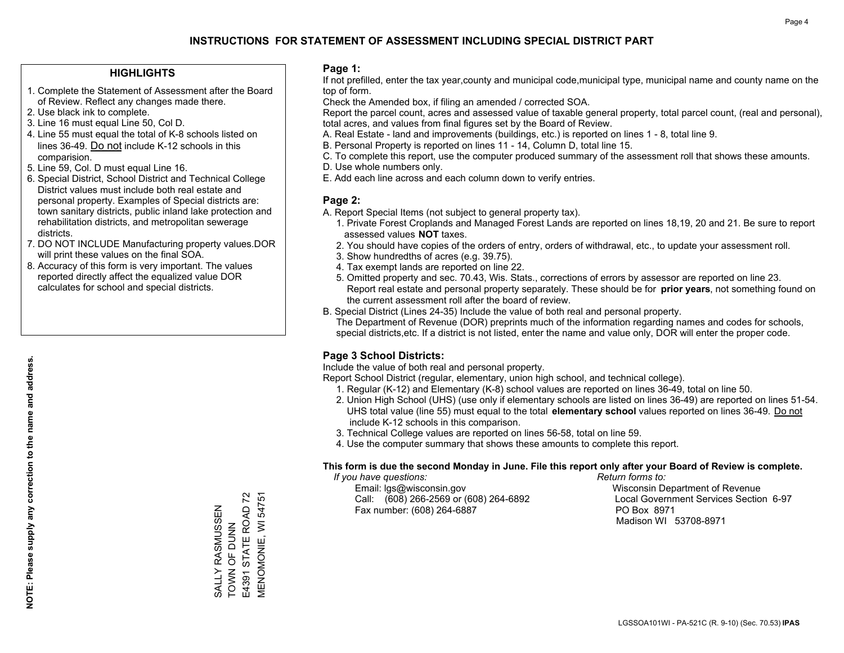### **HIGHLIGHTS**

- 1. Complete the Statement of Assessment after the Board of Review. Reflect any changes made there.
- 2. Use black ink to complete.
- 3. Line 16 must equal Line 50, Col D.
- 4. Line 55 must equal the total of K-8 schools listed on lines 36-49. Do not include K-12 schools in this comparision.
- 5. Line 59, Col. D must equal Line 16.
- 6. Special District, School District and Technical College District values must include both real estate and personal property. Examples of Special districts are: town sanitary districts, public inland lake protection and rehabilitation districts, and metropolitan sewerage districts.
- 7. DO NOT INCLUDE Manufacturing property values.DOR will print these values on the final SOA.

SALLY RASMUSSEN TOWN OF DUNN E4391 STATE ROAD 72 MENOMONIE, WI 54751

SALLY RASMUSSEN<br>TOWN OF DUNN

E4391 STATE ROAD 72 **MENOMONIE, WI 54751** 

 8. Accuracy of this form is very important. The values reported directly affect the equalized value DOR calculates for school and special districts.

### **Page 1:**

 If not prefilled, enter the tax year,county and municipal code,municipal type, municipal name and county name on the top of form.

Check the Amended box, if filing an amended / corrected SOA.

 Report the parcel count, acres and assessed value of taxable general property, total parcel count, (real and personal), total acres, and values from final figures set by the Board of Review.

- A. Real Estate land and improvements (buildings, etc.) is reported on lines 1 8, total line 9.
- B. Personal Property is reported on lines 11 14, Column D, total line 15.
- C. To complete this report, use the computer produced summary of the assessment roll that shows these amounts.
- D. Use whole numbers only.
- E. Add each line across and each column down to verify entries.

### **Page 2:**

- A. Report Special Items (not subject to general property tax).
- 1. Private Forest Croplands and Managed Forest Lands are reported on lines 18,19, 20 and 21. Be sure to report assessed values **NOT** taxes.
- 2. You should have copies of the orders of entry, orders of withdrawal, etc., to update your assessment roll.
	- 3. Show hundredths of acres (e.g. 39.75).
- 4. Tax exempt lands are reported on line 22.
- 5. Omitted property and sec. 70.43, Wis. Stats., corrections of errors by assessor are reported on line 23. Report real estate and personal property separately. These should be for **prior years**, not something found on the current assessment roll after the board of review.
- B. Special District (Lines 24-35) Include the value of both real and personal property.
- The Department of Revenue (DOR) preprints much of the information regarding names and codes for schools, special districts,etc. If a district is not listed, enter the name and value only, DOR will enter the proper code.

## **Page 3 School Districts:**

Include the value of both real and personal property.

Report School District (regular, elementary, union high school, and technical college).

- 1. Regular (K-12) and Elementary (K-8) school values are reported on lines 36-49, total on line 50.
- 2. Union High School (UHS) (use only if elementary schools are listed on lines 36-49) are reported on lines 51-54. UHS total value (line 55) must equal to the total **elementary school** values reported on lines 36-49. Do notinclude K-12 schools in this comparison.
- 3. Technical College values are reported on lines 56-58, total on line 59.
- 4. Use the computer summary that shows these amounts to complete this report.

### **This form is due the second Monday in June. File this report only after your Board of Review is complete.**

 *If you have questions: Return forms to:*

 Email: lgs@wisconsin.gov Wisconsin Department of RevenueCall:  $(608)$  266-2569 or  $(608)$  264-6892 Fax number: (608) 264-6887 PO Box 8971

Local Government Services Section 6-97 Madison WI 53708-8971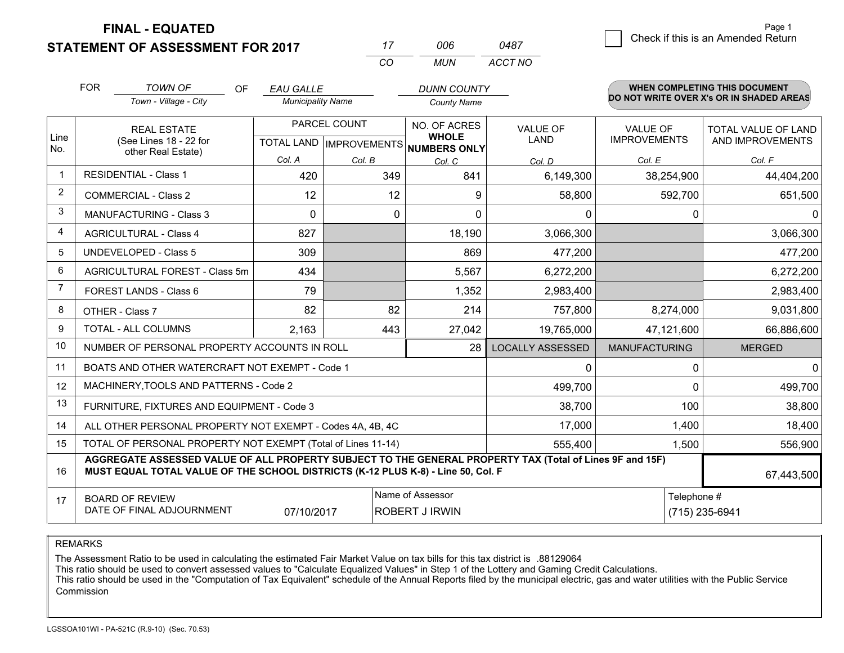**FINAL - EQUATED**

**STATEMENT OF ASSESSMENT FOR 2017** 

| Page 1                             |
|------------------------------------|
| Check if this is an Amended Return |
|                                    |

|             | <b>FOR</b>                     | <b>TOWN OF</b><br><b>OF</b>                                                                                                                                                                  | <b>EAU GALLE</b> |                          | <b>DUNN COUNTY</b>                                       |                         |                      | <b>WHEN COMPLETING THIS DOCUMENT</b>     |  |
|-------------|--------------------------------|----------------------------------------------------------------------------------------------------------------------------------------------------------------------------------------------|------------------|--------------------------|----------------------------------------------------------|-------------------------|----------------------|------------------------------------------|--|
|             |                                | Town - Village - City                                                                                                                                                                        |                  | <b>Municipality Name</b> |                                                          |                         |                      | DO NOT WRITE OVER X's OR IN SHADED AREAS |  |
|             |                                | <b>REAL ESTATE</b>                                                                                                                                                                           |                  | PARCEL COUNT             | NO. OF ACRES                                             | <b>VALUE OF</b>         | <b>VALUE OF</b>      | TOTAL VALUE OF LAND                      |  |
| Line<br>No. |                                | (See Lines 18 - 22 for<br>other Real Estate)                                                                                                                                                 |                  |                          | <b>WHOLE</b><br>TOTAL LAND   IMPROVEMENTS   NUMBERS ONLY | <b>LAND</b>             | <b>IMPROVEMENTS</b>  | AND IMPROVEMENTS                         |  |
|             |                                |                                                                                                                                                                                              | Col. A           | Col. B                   | Col. C                                                   | Col. D                  | Col. E               | Col. F                                   |  |
|             |                                | <b>RESIDENTIAL - Class 1</b>                                                                                                                                                                 | 420              | 349                      | 841                                                      | 6,149,300               | 38,254,900           | 44,404,200                               |  |
| 2           | <b>COMMERCIAL - Class 2</b>    |                                                                                                                                                                                              | 12               | 12                       | 9                                                        | 58,800                  | 592,700              | 651,500                                  |  |
| 3           | <b>MANUFACTURING - Class 3</b> |                                                                                                                                                                                              | 0                | 0                        | $\Omega$                                                 | 0                       | 0                    | $\mathbf{0}$                             |  |
| 4           | <b>AGRICULTURAL - Class 4</b>  |                                                                                                                                                                                              | 827              |                          | 18,190                                                   | 3,066,300               |                      | 3,066,300                                |  |
| 5           | <b>UNDEVELOPED - Class 5</b>   |                                                                                                                                                                                              | 309              |                          | 869                                                      | 477,200                 |                      | 477,200                                  |  |
| 6           | AGRICULTURAL FOREST - Class 5m |                                                                                                                                                                                              | 434              |                          | 5,567                                                    | 6,272,200               |                      | 6,272,200                                |  |
| 7           |                                | FOREST LANDS - Class 6                                                                                                                                                                       | 79               |                          | 1,352                                                    | 2,983,400               |                      | 2,983,400                                |  |
| 8           |                                | OTHER - Class 7                                                                                                                                                                              | 82               | 82                       | 214                                                      | 757,800                 | 8,274,000            | 9,031,800                                |  |
| 9           |                                | TOTAL - ALL COLUMNS                                                                                                                                                                          | 2,163            | 443                      | 27,042                                                   | 19,765,000              | 47,121,600           | 66,886,600                               |  |
| 10          |                                | NUMBER OF PERSONAL PROPERTY ACCOUNTS IN ROLL                                                                                                                                                 |                  |                          | 28                                                       | <b>LOCALLY ASSESSED</b> | <b>MANUFACTURING</b> | <b>MERGED</b>                            |  |
| 11          |                                | BOATS AND OTHER WATERCRAFT NOT EXEMPT - Code 1                                                                                                                                               |                  |                          |                                                          | $\Omega$                | $\Omega$             | $\mathbf{0}$                             |  |
| 12          |                                | MACHINERY, TOOLS AND PATTERNS - Code 2                                                                                                                                                       |                  |                          |                                                          | 499,700                 | $\Omega$             | 499,700                                  |  |
| 13          |                                | FURNITURE, FIXTURES AND EQUIPMENT - Code 3                                                                                                                                                   |                  |                          |                                                          | 38,700                  | 100                  | 38,800                                   |  |
| 14          |                                | ALL OTHER PERSONAL PROPERTY NOT EXEMPT - Codes 4A, 4B, 4C                                                                                                                                    |                  |                          |                                                          | 17,000                  | 1,400                | 18,400                                   |  |
| 15          |                                | TOTAL OF PERSONAL PROPERTY NOT EXEMPT (Total of Lines 11-14)                                                                                                                                 |                  |                          |                                                          | 555,400                 | 1,500                | 556,900                                  |  |
| 16          |                                | AGGREGATE ASSESSED VALUE OF ALL PROPERTY SUBJECT TO THE GENERAL PROPERTY TAX (Total of Lines 9F and 15F)<br>MUST EQUAL TOTAL VALUE OF THE SCHOOL DISTRICTS (K-12 PLUS K-8) - Line 50, Col. F |                  |                          |                                                          |                         |                      | 67,443,500                               |  |
| 17          |                                | <b>BOARD OF REVIEW</b><br>DATE OF FINAL ADJOURNMENT                                                                                                                                          | 07/10/2017       |                          | Name of Assessor<br><b>ROBERT J IRWIN</b>                |                         |                      | Telephone #<br>(715) 235-6941            |  |

*CO*

*MUN*

*ACCT NO0487*

*<sup>17</sup> <sup>006</sup>*

REMARKS

The Assessment Ratio to be used in calculating the estimated Fair Market Value on tax bills for this tax district is .88129064<br>This ratio should be used to convert assessed values to "Calculate Equalized Values" in Step 1 Commission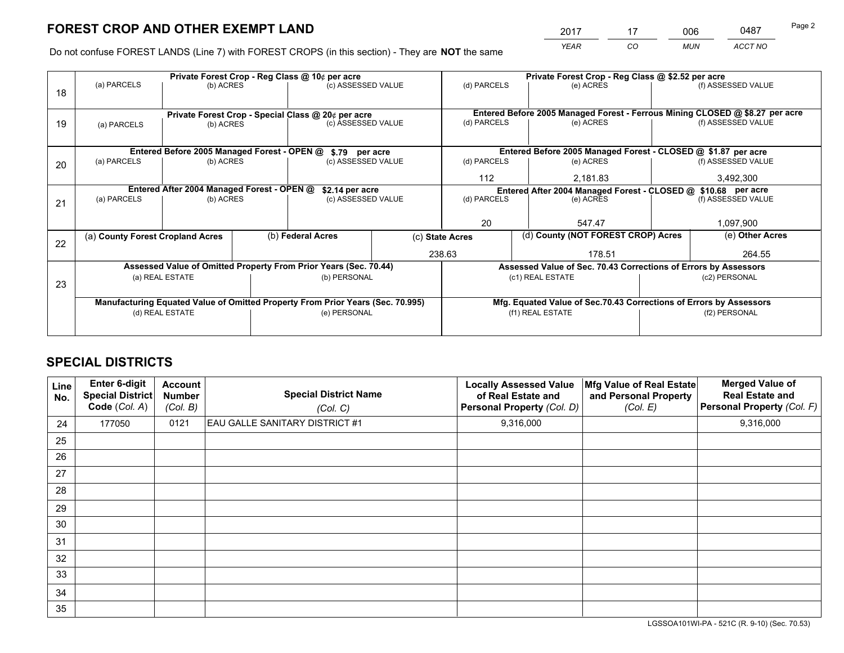*YEAR CO MUN ACCT NO* 2017 <u>17 006 0487</u> Page 2

Do not confuse FOREST LANDS (Line 7) with FOREST CROPS (in this section) - They are **NOT** the same

|    |                                                                                |                                             |  | Private Forest Crop - Reg Class @ 10¢ per acre                   |  |                                                               | Private Forest Crop - Reg Class @ \$2.52 per acre                            |               |                    |  |
|----|--------------------------------------------------------------------------------|---------------------------------------------|--|------------------------------------------------------------------|--|---------------------------------------------------------------|------------------------------------------------------------------------------|---------------|--------------------|--|
| 18 | (a) PARCELS                                                                    | (b) ACRES                                   |  | (c) ASSESSED VALUE                                               |  | (d) PARCELS                                                   | (e) ACRES                                                                    |               | (f) ASSESSED VALUE |  |
|    |                                                                                |                                             |  |                                                                  |  |                                                               |                                                                              |               |                    |  |
|    |                                                                                |                                             |  | Private Forest Crop - Special Class @ 20¢ per acre               |  |                                                               | Entered Before 2005 Managed Forest - Ferrous Mining CLOSED @ \$8.27 per acre |               |                    |  |
| 19 | (b) ACRES<br>(a) PARCELS                                                       |                                             |  | (c) ASSESSED VALUE                                               |  | (d) PARCELS                                                   | (e) ACRES                                                                    |               | (f) ASSESSED VALUE |  |
|    |                                                                                |                                             |  |                                                                  |  |                                                               |                                                                              |               |                    |  |
|    |                                                                                | Entered Before 2005 Managed Forest - OPEN @ |  | \$.79 per acre                                                   |  |                                                               | Entered Before 2005 Managed Forest - CLOSED @ \$1.87 per acre                |               |                    |  |
| 20 | (a) PARCELS<br>(b) ACRES                                                       |                                             |  | (c) ASSESSED VALUE                                               |  | (d) PARCELS                                                   | (e) ACRES                                                                    |               | (f) ASSESSED VALUE |  |
|    |                                                                                |                                             |  |                                                                  |  | 112                                                           | 2,181.83                                                                     |               | 3,492,300          |  |
|    | Entered After 2004 Managed Forest - OPEN @                                     |                                             |  | \$2.14 per acre                                                  |  | Entered After 2004 Managed Forest - CLOSED @ \$10.68 per acre |                                                                              |               |                    |  |
| 21 | (a) PARCELS                                                                    | (b) ACRES                                   |  | (c) ASSESSED VALUE                                               |  | (d) PARCELS                                                   | (e) ACRES                                                                    |               | (f) ASSESSED VALUE |  |
|    |                                                                                |                                             |  |                                                                  |  |                                                               |                                                                              |               |                    |  |
|    |                                                                                |                                             |  |                                                                  |  | 20                                                            | 547.47                                                                       |               | 1,097,900          |  |
| 22 | (a) County Forest Cropland Acres                                               |                                             |  | (b) Federal Acres                                                |  | (c) State Acres                                               | (d) County (NOT FOREST CROP) Acres                                           |               | (e) Other Acres    |  |
|    |                                                                                |                                             |  |                                                                  |  | 238.63                                                        | 178.51                                                                       |               | 264.55             |  |
|    |                                                                                |                                             |  | Assessed Value of Omitted Property From Prior Years (Sec. 70.44) |  |                                                               | Assessed Value of Sec. 70.43 Corrections of Errors by Assessors              |               |                    |  |
| 23 |                                                                                | (a) REAL ESTATE                             |  | (b) PERSONAL                                                     |  |                                                               | (c1) REAL ESTATE                                                             |               | (c2) PERSONAL      |  |
|    |                                                                                |                                             |  |                                                                  |  |                                                               |                                                                              |               |                    |  |
|    | Manufacturing Equated Value of Omitted Property From Prior Years (Sec. 70.995) |                                             |  |                                                                  |  |                                                               | Mfg. Equated Value of Sec.70.43 Corrections of Errors by Assessors           |               |                    |  |
|    |                                                                                | (d) REAL ESTATE                             |  | (e) PERSONAL                                                     |  | (f1) REAL ESTATE                                              |                                                                              | (f2) PERSONAL |                    |  |
|    |                                                                                |                                             |  |                                                                  |  |                                                               |                                                                              |               |                    |  |

## **SPECIAL DISTRICTS**

| Line<br>No. | Enter 6-digit<br><b>Special District</b><br>Code (Col. A) | <b>Account</b><br><b>Number</b><br>(Col. B) | <b>Special District Name</b><br>(Col. C) | <b>Locally Assessed Value</b><br>of Real Estate and<br>Personal Property (Col. D) | Mfg Value of Real Estate<br>and Personal Property<br>(Col. E) | <b>Merged Value of</b><br><b>Real Estate and</b><br>Personal Property (Col. F) |
|-------------|-----------------------------------------------------------|---------------------------------------------|------------------------------------------|-----------------------------------------------------------------------------------|---------------------------------------------------------------|--------------------------------------------------------------------------------|
| 24          | 177050                                                    | 0121                                        | <b>EAU GALLE SANITARY DISTRICT #1</b>    | 9,316,000                                                                         |                                                               | 9,316,000                                                                      |
| 25          |                                                           |                                             |                                          |                                                                                   |                                                               |                                                                                |
| 26          |                                                           |                                             |                                          |                                                                                   |                                                               |                                                                                |
| 27          |                                                           |                                             |                                          |                                                                                   |                                                               |                                                                                |
| 28          |                                                           |                                             |                                          |                                                                                   |                                                               |                                                                                |
| 29          |                                                           |                                             |                                          |                                                                                   |                                                               |                                                                                |
| 30          |                                                           |                                             |                                          |                                                                                   |                                                               |                                                                                |
| 31          |                                                           |                                             |                                          |                                                                                   |                                                               |                                                                                |
| 32          |                                                           |                                             |                                          |                                                                                   |                                                               |                                                                                |
| 33          |                                                           |                                             |                                          |                                                                                   |                                                               |                                                                                |
| 34          |                                                           |                                             |                                          |                                                                                   |                                                               |                                                                                |
| 35          |                                                           |                                             |                                          |                                                                                   |                                                               |                                                                                |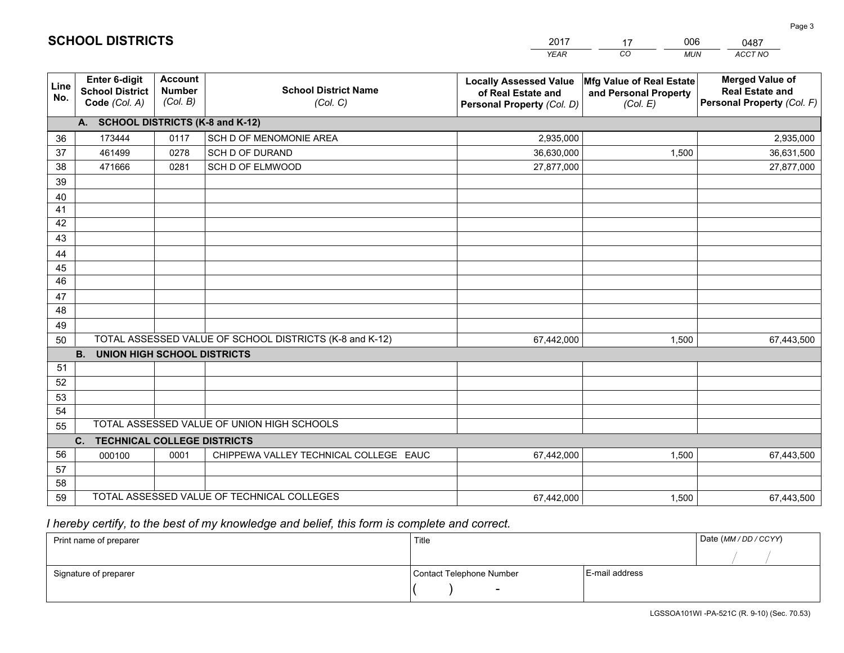|             |                                                                 |                                             |                                                         | <b>YEAR</b>                                                                       | CO<br><b>MUN</b>                                              | ACCT NO                                                                        |  |  |  |
|-------------|-----------------------------------------------------------------|---------------------------------------------|---------------------------------------------------------|-----------------------------------------------------------------------------------|---------------------------------------------------------------|--------------------------------------------------------------------------------|--|--|--|
| Line<br>No. | <b>Enter 6-digit</b><br><b>School District</b><br>Code (Col. A) | <b>Account</b><br><b>Number</b><br>(Col. B) | <b>School District Name</b><br>(Col. C)                 | <b>Locally Assessed Value</b><br>of Real Estate and<br>Personal Property (Col. D) | Mfg Value of Real Estate<br>and Personal Property<br>(Col. E) | <b>Merged Value of</b><br><b>Real Estate and</b><br>Personal Property (Col. F) |  |  |  |
|             | A. SCHOOL DISTRICTS (K-8 and K-12)                              |                                             |                                                         |                                                                                   |                                                               |                                                                                |  |  |  |
| 36          | 173444                                                          | 0117                                        | SCH D OF MENOMONIE AREA                                 | 2,935,000                                                                         |                                                               | 2,935,000                                                                      |  |  |  |
| 37          | 461499                                                          | 0278                                        | <b>SCH D OF DURAND</b>                                  | 36,630,000                                                                        | 1,500                                                         | 36,631,500                                                                     |  |  |  |
| 38          | 471666                                                          | 0281                                        | SCH D OF ELMWOOD                                        | 27,877,000                                                                        |                                                               | 27,877,000                                                                     |  |  |  |
| 39          |                                                                 |                                             |                                                         |                                                                                   |                                                               |                                                                                |  |  |  |
| 40          |                                                                 |                                             |                                                         |                                                                                   |                                                               |                                                                                |  |  |  |
| 41          |                                                                 |                                             |                                                         |                                                                                   |                                                               |                                                                                |  |  |  |
| 42          |                                                                 |                                             |                                                         |                                                                                   |                                                               |                                                                                |  |  |  |
| 43          |                                                                 |                                             |                                                         |                                                                                   |                                                               |                                                                                |  |  |  |
| 44          |                                                                 |                                             |                                                         |                                                                                   |                                                               |                                                                                |  |  |  |
| 45<br>46    |                                                                 |                                             |                                                         |                                                                                   |                                                               |                                                                                |  |  |  |
| 47          |                                                                 |                                             |                                                         |                                                                                   |                                                               |                                                                                |  |  |  |
| 48          |                                                                 |                                             |                                                         |                                                                                   |                                                               |                                                                                |  |  |  |
| 49          |                                                                 |                                             |                                                         |                                                                                   |                                                               |                                                                                |  |  |  |
| 50          |                                                                 |                                             | TOTAL ASSESSED VALUE OF SCHOOL DISTRICTS (K-8 and K-12) | 67,442,000                                                                        | 1,500                                                         | 67,443,500                                                                     |  |  |  |
|             | <b>B.</b><br>UNION HIGH SCHOOL DISTRICTS                        |                                             |                                                         |                                                                                   |                                                               |                                                                                |  |  |  |
| 51          |                                                                 |                                             |                                                         |                                                                                   |                                                               |                                                                                |  |  |  |
| 52          |                                                                 |                                             |                                                         |                                                                                   |                                                               |                                                                                |  |  |  |
| 53          |                                                                 |                                             |                                                         |                                                                                   |                                                               |                                                                                |  |  |  |
| 54          |                                                                 |                                             |                                                         |                                                                                   |                                                               |                                                                                |  |  |  |
| 55          | TOTAL ASSESSED VALUE OF UNION HIGH SCHOOLS                      |                                             |                                                         |                                                                                   |                                                               |                                                                                |  |  |  |
|             | C.<br><b>TECHNICAL COLLEGE DISTRICTS</b>                        |                                             |                                                         |                                                                                   |                                                               |                                                                                |  |  |  |
| 56          | 000100                                                          | 0001                                        | CHIPPEWA VALLEY TECHNICAL COLLEGE EAUC                  | 67,442,000                                                                        | 1,500                                                         | 67,443,500                                                                     |  |  |  |
| 57          |                                                                 |                                             |                                                         |                                                                                   |                                                               |                                                                                |  |  |  |
| 58          |                                                                 |                                             |                                                         |                                                                                   |                                                               |                                                                                |  |  |  |
| 59          |                                                                 |                                             | TOTAL ASSESSED VALUE OF TECHNICAL COLLEGES              | 67,442,000                                                                        | 1,500                                                         | 67,443,500                                                                     |  |  |  |

17

006

 *I hereby certify, to the best of my knowledge and belief, this form is complete and correct.*

**SCHOOL DISTRICTS**

| Print name of preparer | Title                    | Date (MM / DD / CCYY) |  |
|------------------------|--------------------------|-----------------------|--|
|                        |                          |                       |  |
| Signature of preparer  | Contact Telephone Number | E-mail address        |  |
|                        | $\overline{\phantom{0}}$ |                       |  |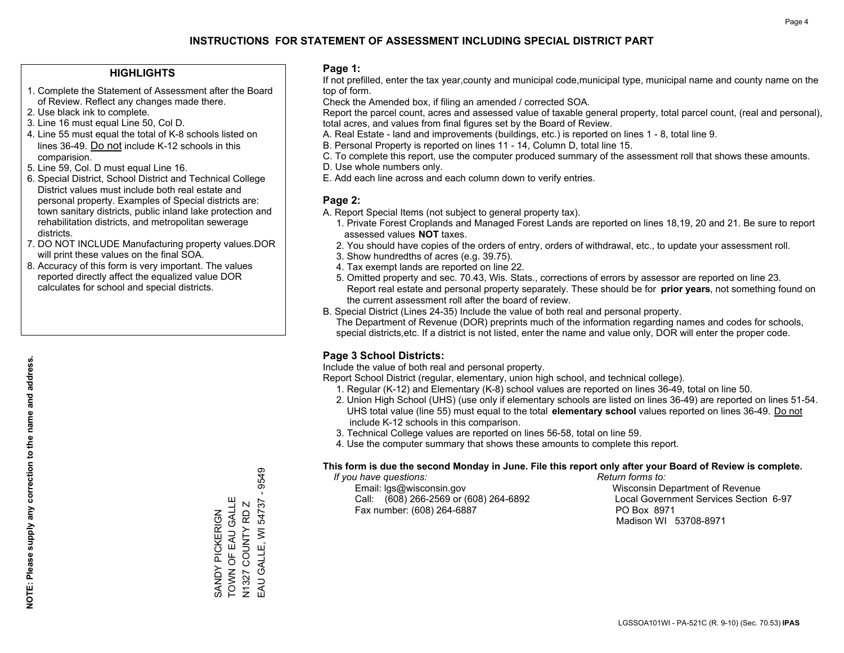### **HIGHLIGHTS**

- 1. Complete the Statement of Assessment after the Board of Review. Reflect any changes made there.
- 2. Use black ink to complete.
- 3. Line 16 must equal Line 50, Col D.
- 4. Line 55 must equal the total of K-8 schools listed on lines 36-49. Do not include K-12 schools in this comparision.
- 5. Line 59, Col. D must equal Line 16.
- 6. Special District, School District and Technical College District values must include both real estate and personal property. Examples of Special districts are: town sanitary districts, public inland lake protection and rehabilitation districts, and metropolitan sewerage districts.
- 7. DO NOT INCLUDE Manufacturing property values.DOR will print these values on the final SOA.
- 8. Accuracy of this form is very important. The values reported directly affect the equalized value DOR calculates for school and special districts.

### **Page 1:**

 If not prefilled, enter the tax year,county and municipal code,municipal type, municipal name and county name on the top of form.

Check the Amended box, if filing an amended / corrected SOA.

 Report the parcel count, acres and assessed value of taxable general property, total parcel count, (real and personal), total acres, and values from final figures set by the Board of Review.

- A. Real Estate land and improvements (buildings, etc.) is reported on lines 1 8, total line 9.
- B. Personal Property is reported on lines 11 14, Column D, total line 15.
- C. To complete this report, use the computer produced summary of the assessment roll that shows these amounts.
- D. Use whole numbers only.
- E. Add each line across and each column down to verify entries.

### **Page 2:**

- A. Report Special Items (not subject to general property tax).
- 1. Private Forest Croplands and Managed Forest Lands are reported on lines 18,19, 20 and 21. Be sure to report assessed values **NOT** taxes.
- 2. You should have copies of the orders of entry, orders of withdrawal, etc., to update your assessment roll.
	- 3. Show hundredths of acres (e.g. 39.75).
- 4. Tax exempt lands are reported on line 22.
- 5. Omitted property and sec. 70.43, Wis. Stats., corrections of errors by assessor are reported on line 23. Report real estate and personal property separately. These should be for **prior years**, not something found on the current assessment roll after the board of review.
- B. Special District (Lines 24-35) Include the value of both real and personal property.

 The Department of Revenue (DOR) preprints much of the information regarding names and codes for schools, special districts,etc. If a district is not listed, enter the name and value only, DOR will enter the proper code.

## **Page 3 School Districts:**

Include the value of both real and personal property.

Report School District (regular, elementary, union high school, and technical college).

- 1. Regular (K-12) and Elementary (K-8) school values are reported on lines 36-49, total on line 50.
- 2. Union High School (UHS) (use only if elementary schools are listed on lines 36-49) are reported on lines 51-54. UHS total value (line 55) must equal to the total **elementary school** values reported on lines 36-49. Do notinclude K-12 schools in this comparison.
- 3. Technical College values are reported on lines 56-58, total on line 59.
- 4. Use the computer summary that shows these amounts to complete this report.

#### **This form is due the second Monday in June. File this report only after your Board of Review is complete.**

 *If you have questions: Return forms to:*

 Email: lgs@wisconsin.gov Wisconsin Department of RevenueCall:  $(608)$  266-2569 or  $(608)$  264-6892 Fax number: (608) 264-6887 PO Box 8971

Local Government Services Section 6-97 Madison WI 53708-8971

9549 EAU GALLE, WI 54737 - 9549 SANDY PICKERIGN<br>TOWN OF EAU GALLE TOWN OF EAU GALLE EAU GALLE, WI 54737 N1327 COUNTY RD Z SANDY PICKERIGN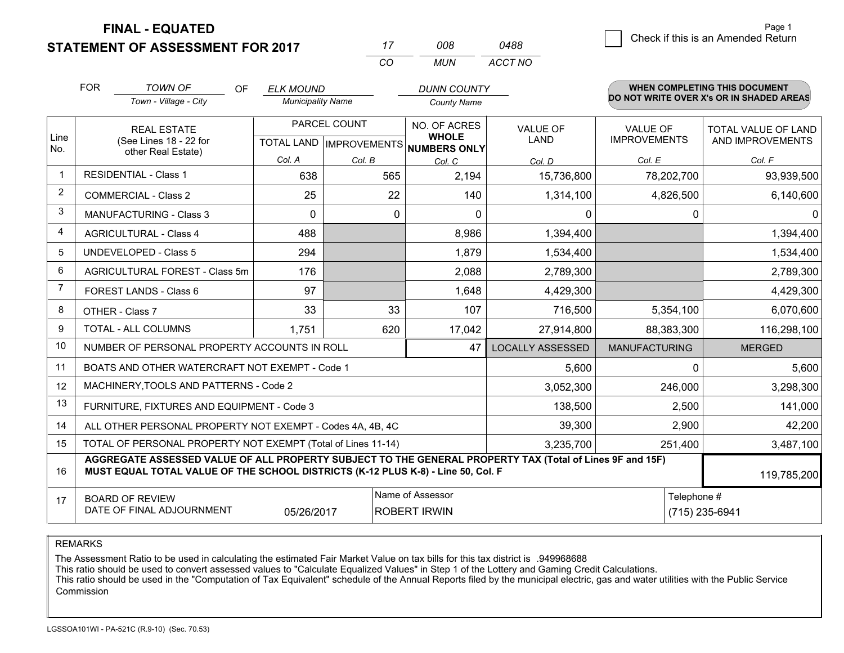**STATEMENT OF ASSESSMENT FOR 2017 FINAL - EQUATED**

 $\overline{\mathcal{B}}$  Check if this is an Amended Return Page 1

|                |                                                                                                                                                                                              | <b>STATEMENT OF ASSESSMENT FOR 2017</b>                   |           |                          |              | 17                                             | 008                          | 0488                           |                                          |            | oncent in this is an intrictious retain        |
|----------------|----------------------------------------------------------------------------------------------------------------------------------------------------------------------------------------------|-----------------------------------------------------------|-----------|--------------------------|--------------|------------------------------------------------|------------------------------|--------------------------------|------------------------------------------|------------|------------------------------------------------|
|                |                                                                                                                                                                                              |                                                           |           |                          |              | CO                                             | <b>MUN</b>                   | ACCT NO                        |                                          |            |                                                |
|                | <b>FOR</b>                                                                                                                                                                                   | <b>TOWN OF</b>                                            | <b>OF</b> | <b>ELK MOUND</b>         |              |                                                | <b>DUNN COUNTY</b>           |                                |                                          |            | <b>WHEN COMPLETING THIS DOCUMENT</b>           |
|                |                                                                                                                                                                                              | Town - Village - City                                     |           | <b>Municipality Name</b> |              | <b>County Name</b>                             |                              |                                | DO NOT WRITE OVER X's OR IN SHADED AREAS |            |                                                |
| Line           |                                                                                                                                                                                              | <b>REAL ESTATE</b><br>(See Lines 18 - 22 for              |           |                          | PARCEL COUNT |                                                | NO. OF ACRES<br><b>WHOLE</b> | <b>VALUE OF</b><br><b>LAND</b> | <b>VALUE OF</b><br><b>IMPROVEMENTS</b>   |            | <b>TOTAL VALUE OF LAND</b><br>AND IMPROVEMENTS |
| No.            |                                                                                                                                                                                              | other Real Estate)                                        |           |                          | Col. B       | TOTAL LAND IMPROVEMENTS NUMBERS ONLY<br>Col. C |                              | Col. D                         | Col. E                                   |            | Col. F                                         |
|                | <b>RESIDENTIAL - Class 1</b>                                                                                                                                                                 |                                                           |           | 638                      |              | 565                                            | 2,194                        | 15,736,800                     |                                          | 78,202,700 | 93,939,500                                     |
| 2              |                                                                                                                                                                                              | <b>COMMERCIAL - Class 2</b>                               |           | 25                       |              | 22                                             | 140                          | 1,314,100                      |                                          | 4,826,500  | 6,140,600                                      |
| 3              |                                                                                                                                                                                              | <b>MANUFACTURING - Class 3</b>                            |           | 0                        |              | 0                                              | 0                            | 0                              |                                          | 0          | $\Omega$                                       |
| 4              |                                                                                                                                                                                              | <b>AGRICULTURAL - Class 4</b>                             |           | 488                      |              |                                                | 8,986                        | 1,394,400                      |                                          |            | 1,394,400                                      |
| 5              |                                                                                                                                                                                              | <b>UNDEVELOPED - Class 5</b>                              |           | 294                      |              |                                                | 1,879                        | 1,534,400                      |                                          |            | 1,534,400                                      |
| 6              |                                                                                                                                                                                              | AGRICULTURAL FOREST - Class 5m                            |           | 176                      |              |                                                | 2,088                        | 2,789,300                      |                                          |            | 2,789,300                                      |
| $\overline{7}$ |                                                                                                                                                                                              | FOREST LANDS - Class 6                                    |           | 97                       |              |                                                | 1,648                        | 4,429,300                      |                                          |            | 4,429,300                                      |
| 8              | OTHER - Class 7                                                                                                                                                                              |                                                           |           | 33                       |              | 33                                             | 107                          | 716,500                        |                                          | 5,354,100  | 6,070,600                                      |
| 9              |                                                                                                                                                                                              | TOTAL - ALL COLUMNS                                       |           | 1,751                    |              | 620                                            | 17,042                       | 27,914,800                     |                                          | 88,383,300 | 116,298,100                                    |
| 10             |                                                                                                                                                                                              | NUMBER OF PERSONAL PROPERTY ACCOUNTS IN ROLL              |           |                          |              |                                                | 47                           | <b>LOCALLY ASSESSED</b>        | <b>MANUFACTURING</b>                     |            | <b>MERGED</b>                                  |
| 11             |                                                                                                                                                                                              | BOATS AND OTHER WATERCRAFT NOT EXEMPT - Code 1            |           |                          |              |                                                |                              | 5,600                          |                                          | $\Omega$   | 5,600                                          |
| 12             |                                                                                                                                                                                              | MACHINERY, TOOLS AND PATTERNS - Code 2                    |           |                          |              |                                                |                              | 3,052,300                      |                                          | 246,000    | 3,298,300                                      |
| 13             |                                                                                                                                                                                              | FURNITURE, FIXTURES AND EQUIPMENT - Code 3                |           |                          |              |                                                |                              | 138,500                        |                                          | 2,500      | 141,000                                        |
| 14             |                                                                                                                                                                                              | ALL OTHER PERSONAL PROPERTY NOT EXEMPT - Codes 4A, 4B, 4C |           |                          |              |                                                |                              | 39,300                         |                                          | 2,900      | 42,200                                         |
| 15             | TOTAL OF PERSONAL PROPERTY NOT EXEMPT (Total of Lines 11-14)                                                                                                                                 |                                                           |           |                          |              |                                                |                              | 3,235,700                      |                                          | 251,400    | 3,487,100                                      |
| 16             | AGGREGATE ASSESSED VALUE OF ALL PROPERTY SUBJECT TO THE GENERAL PROPERTY TAX (Total of Lines 9F and 15F)<br>MUST EQUAL TOTAL VALUE OF THE SCHOOL DISTRICTS (K-12 PLUS K-8) - Line 50, Col. F |                                                           |           |                          |              |                                                |                              |                                |                                          |            | 119,785,200                                    |
| 17             | <b>BOARD OF REVIEW</b><br>DATE OF FINAL ADJOURNMENT<br>05/26/2017                                                                                                                            |                                                           |           |                          |              | Name of Assessor<br><b>ROBERT IRWIN</b>        |                              |                                | Telephone #<br>(715) 235-6941            |            |                                                |

REMARKS

The Assessment Ratio to be used in calculating the estimated Fair Market Value on tax bills for this tax district is .949968688<br>This ratio should be used to convert assessed values to "Calculate Equalized Values" in Step 1 Commission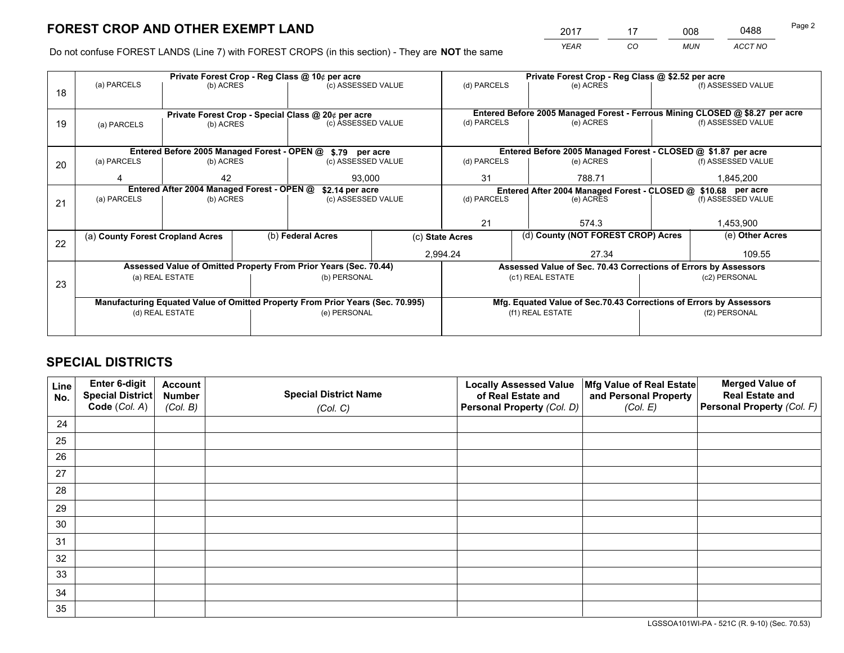*YEAR CO MUN ACCT NO* <sup>2017</sup> <sup>17</sup> <sup>008</sup> <sup>0488</sup>

Do not confuse FOREST LANDS (Line 7) with FOREST CROPS (in this section) - They are **NOT** the same

|    |                                                                                |                                            |  | Private Forest Crop - Reg Class @ 10¢ per acre                   |  | Private Forest Crop - Reg Class @ \$2.52 per acre             |                                                                              |               |                    |  |
|----|--------------------------------------------------------------------------------|--------------------------------------------|--|------------------------------------------------------------------|--|---------------------------------------------------------------|------------------------------------------------------------------------------|---------------|--------------------|--|
| 18 | (a) PARCELS                                                                    | (b) ACRES                                  |  | (c) ASSESSED VALUE                                               |  | (d) PARCELS                                                   | (e) ACRES                                                                    |               | (f) ASSESSED VALUE |  |
|    |                                                                                |                                            |  |                                                                  |  |                                                               |                                                                              |               |                    |  |
|    |                                                                                |                                            |  | Private Forest Crop - Special Class @ 20¢ per acre               |  |                                                               | Entered Before 2005 Managed Forest - Ferrous Mining CLOSED @ \$8.27 per acre |               |                    |  |
| 19 | (a) PARCELS                                                                    | (b) ACRES                                  |  | (c) ASSESSED VALUE                                               |  | (d) PARCELS                                                   | (e) ACRES                                                                    |               | (f) ASSESSED VALUE |  |
|    |                                                                                |                                            |  |                                                                  |  |                                                               |                                                                              |               |                    |  |
|    |                                                                                |                                            |  | Entered Before 2005 Managed Forest - OPEN @ \$.79 per acre       |  |                                                               | Entered Before 2005 Managed Forest - CLOSED @ \$1.87 per acre                |               |                    |  |
| 20 | (a) PARCELS                                                                    | (b) ACRES                                  |  | (c) ASSESSED VALUE                                               |  | (d) PARCELS                                                   | (e) ACRES                                                                    |               | (f) ASSESSED VALUE |  |
|    | 42                                                                             |                                            |  | 93,000                                                           |  | 31                                                            | 788.71                                                                       |               | 1,845,200          |  |
|    |                                                                                | Entered After 2004 Managed Forest - OPEN @ |  |                                                                  |  | Entered After 2004 Managed Forest - CLOSED @ \$10.68 per acre |                                                                              |               |                    |  |
|    | (a) PARCELS                                                                    | (b) ACRES                                  |  | \$2.14 per acre<br>(c) ASSESSED VALUE                            |  | (d) PARCELS                                                   |                                                                              | (e) ACRES     |                    |  |
| 21 |                                                                                |                                            |  |                                                                  |  |                                                               |                                                                              |               | (f) ASSESSED VALUE |  |
|    |                                                                                |                                            |  |                                                                  |  | 21                                                            | 574.3                                                                        |               | 1,453,900          |  |
|    |                                                                                |                                            |  |                                                                  |  |                                                               |                                                                              |               |                    |  |
| 22 | (a) County Forest Cropland Acres                                               |                                            |  | (b) Federal Acres                                                |  | (c) State Acres                                               | (d) County (NOT FOREST CROP) Acres                                           |               | (e) Other Acres    |  |
|    |                                                                                |                                            |  |                                                                  |  | 2,994.24                                                      | 27.34                                                                        |               | 109.55             |  |
|    |                                                                                |                                            |  | Assessed Value of Omitted Property From Prior Years (Sec. 70.44) |  |                                                               | Assessed Value of Sec. 70.43 Corrections of Errors by Assessors              |               |                    |  |
|    |                                                                                | (a) REAL ESTATE                            |  | (b) PERSONAL                                                     |  |                                                               | (c1) REAL ESTATE                                                             |               | (c2) PERSONAL      |  |
| 23 |                                                                                |                                            |  |                                                                  |  |                                                               |                                                                              |               |                    |  |
|    | Manufacturing Equated Value of Omitted Property From Prior Years (Sec. 70.995) |                                            |  |                                                                  |  |                                                               | Mfg. Equated Value of Sec.70.43 Corrections of Errors by Assessors           |               |                    |  |
|    | (d) REAL ESTATE                                                                |                                            |  | (e) PERSONAL                                                     |  | (f1) REAL ESTATE                                              |                                                                              | (f2) PERSONAL |                    |  |
|    |                                                                                |                                            |  |                                                                  |  |                                                               |                                                                              |               |                    |  |
|    |                                                                                |                                            |  |                                                                  |  |                                                               |                                                                              |               |                    |  |

## **SPECIAL DISTRICTS**

| Line<br>No. | Enter 6-digit<br>Special District<br>Code (Col. A) | <b>Account</b><br><b>Number</b> | <b>Special District Name</b> | <b>Locally Assessed Value</b><br>of Real Estate and | Mfg Value of Real Estate<br>and Personal Property | <b>Merged Value of</b><br><b>Real Estate and</b><br>Personal Property (Col. F) |
|-------------|----------------------------------------------------|---------------------------------|------------------------------|-----------------------------------------------------|---------------------------------------------------|--------------------------------------------------------------------------------|
|             |                                                    | (Col. B)                        | (Col. C)                     | Personal Property (Col. D)                          | (Col. E)                                          |                                                                                |
| 24          |                                                    |                                 |                              |                                                     |                                                   |                                                                                |
| 25          |                                                    |                                 |                              |                                                     |                                                   |                                                                                |
| 26          |                                                    |                                 |                              |                                                     |                                                   |                                                                                |
| 27          |                                                    |                                 |                              |                                                     |                                                   |                                                                                |
| 28          |                                                    |                                 |                              |                                                     |                                                   |                                                                                |
| 29          |                                                    |                                 |                              |                                                     |                                                   |                                                                                |
| 30          |                                                    |                                 |                              |                                                     |                                                   |                                                                                |
| 31          |                                                    |                                 |                              |                                                     |                                                   |                                                                                |
| 32          |                                                    |                                 |                              |                                                     |                                                   |                                                                                |
| 33          |                                                    |                                 |                              |                                                     |                                                   |                                                                                |
| 34          |                                                    |                                 |                              |                                                     |                                                   |                                                                                |
| 35          |                                                    |                                 |                              |                                                     |                                                   |                                                                                |

LGSSOA101WI-PA - 521C (R. 9-10) (Sec. 70.53)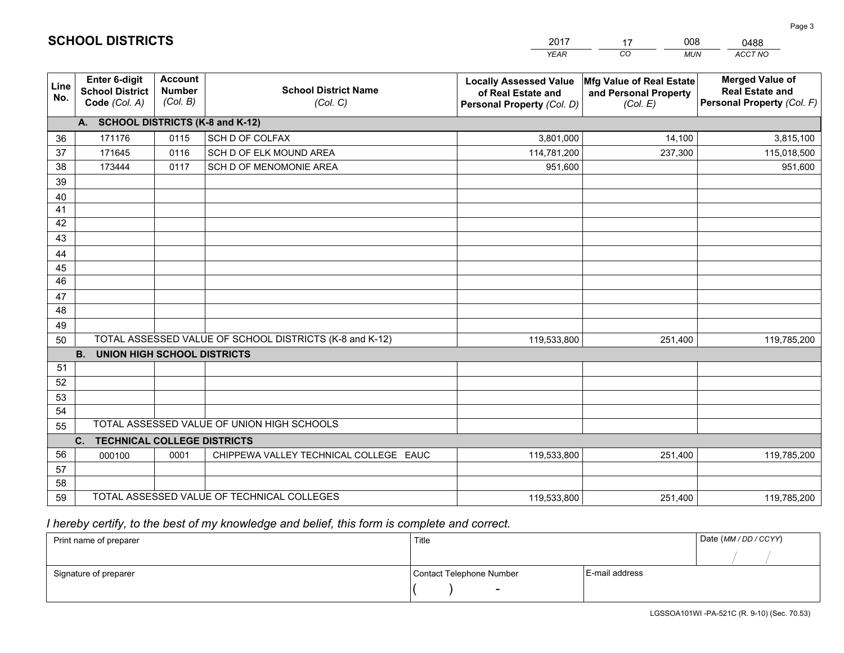|             |                                                                 |                                             |                                                         | <b>YEAR</b>                                                                       | CO.<br><b>MUN</b>                                             | ACCT NO                                                                        |  |  |  |  |
|-------------|-----------------------------------------------------------------|---------------------------------------------|---------------------------------------------------------|-----------------------------------------------------------------------------------|---------------------------------------------------------------|--------------------------------------------------------------------------------|--|--|--|--|
| Line<br>No. | <b>Enter 6-digit</b><br><b>School District</b><br>Code (Col. A) | <b>Account</b><br><b>Number</b><br>(Col. B) | <b>School District Name</b><br>(Col. C)                 | <b>Locally Assessed Value</b><br>of Real Estate and<br>Personal Property (Col. D) | Mfg Value of Real Estate<br>and Personal Property<br>(Col. E) | <b>Merged Value of</b><br><b>Real Estate and</b><br>Personal Property (Col. F) |  |  |  |  |
|             | A. SCHOOL DISTRICTS (K-8 and K-12)                              |                                             |                                                         |                                                                                   |                                                               |                                                                                |  |  |  |  |
| 36          | 171176                                                          | 0115                                        | SCH D OF COLFAX                                         | 3,801,000                                                                         | 14,100                                                        | 3,815,100                                                                      |  |  |  |  |
| 37          | 171645                                                          | 0116                                        | SCH D OF ELK MOUND AREA                                 | 114,781,200                                                                       | 237,300                                                       | 115,018,500                                                                    |  |  |  |  |
| 38          | 173444                                                          | 0117                                        | SCH D OF MENOMONIE AREA                                 | 951,600                                                                           |                                                               | 951,600                                                                        |  |  |  |  |
| 39          |                                                                 |                                             |                                                         |                                                                                   |                                                               |                                                                                |  |  |  |  |
| 40          |                                                                 |                                             |                                                         |                                                                                   |                                                               |                                                                                |  |  |  |  |
| 41          |                                                                 |                                             |                                                         |                                                                                   |                                                               |                                                                                |  |  |  |  |
| 42          |                                                                 |                                             |                                                         |                                                                                   |                                                               |                                                                                |  |  |  |  |
| 43          |                                                                 |                                             |                                                         |                                                                                   |                                                               |                                                                                |  |  |  |  |
| 44          |                                                                 |                                             |                                                         |                                                                                   |                                                               |                                                                                |  |  |  |  |
| 45          |                                                                 |                                             |                                                         |                                                                                   |                                                               |                                                                                |  |  |  |  |
| 46          |                                                                 |                                             |                                                         |                                                                                   |                                                               |                                                                                |  |  |  |  |
| 47          |                                                                 |                                             |                                                         |                                                                                   |                                                               |                                                                                |  |  |  |  |
| 48          |                                                                 |                                             |                                                         |                                                                                   |                                                               |                                                                                |  |  |  |  |
| 49          |                                                                 |                                             |                                                         |                                                                                   |                                                               |                                                                                |  |  |  |  |
| 50          |                                                                 |                                             | TOTAL ASSESSED VALUE OF SCHOOL DISTRICTS (K-8 and K-12) | 119,533,800                                                                       | 251,400                                                       | 119,785,200                                                                    |  |  |  |  |
|             | <b>B. UNION HIGH SCHOOL DISTRICTS</b>                           |                                             |                                                         |                                                                                   |                                                               |                                                                                |  |  |  |  |
| 51<br>52    |                                                                 |                                             |                                                         |                                                                                   |                                                               |                                                                                |  |  |  |  |
| 53          |                                                                 |                                             |                                                         |                                                                                   |                                                               |                                                                                |  |  |  |  |
| 54          |                                                                 |                                             |                                                         |                                                                                   |                                                               |                                                                                |  |  |  |  |
| 55          |                                                                 |                                             | TOTAL ASSESSED VALUE OF UNION HIGH SCHOOLS              |                                                                                   |                                                               |                                                                                |  |  |  |  |
|             | C.<br><b>TECHNICAL COLLEGE DISTRICTS</b>                        |                                             |                                                         |                                                                                   |                                                               |                                                                                |  |  |  |  |
| 56          | 000100                                                          | 0001                                        | CHIPPEWA VALLEY TECHNICAL COLLEGE EAUC                  | 119,533,800                                                                       | 251,400                                                       | 119,785,200                                                                    |  |  |  |  |
| 57          |                                                                 |                                             |                                                         |                                                                                   |                                                               |                                                                                |  |  |  |  |
| 58          |                                                                 |                                             |                                                         |                                                                                   |                                                               |                                                                                |  |  |  |  |
| 59          |                                                                 |                                             | TOTAL ASSESSED VALUE OF TECHNICAL COLLEGES              | 119,533,800                                                                       | 251,400                                                       | 119,785,200                                                                    |  |  |  |  |

17

008

 *I hereby certify, to the best of my knowledge and belief, this form is complete and correct.*

**SCHOOL DISTRICTS**

| Print name of preparer | Title                    |                | Date (MM / DD / CCYY) |
|------------------------|--------------------------|----------------|-----------------------|
|                        |                          |                |                       |
| Signature of preparer  | Contact Telephone Number | E-mail address |                       |
|                        | $\sim$                   |                |                       |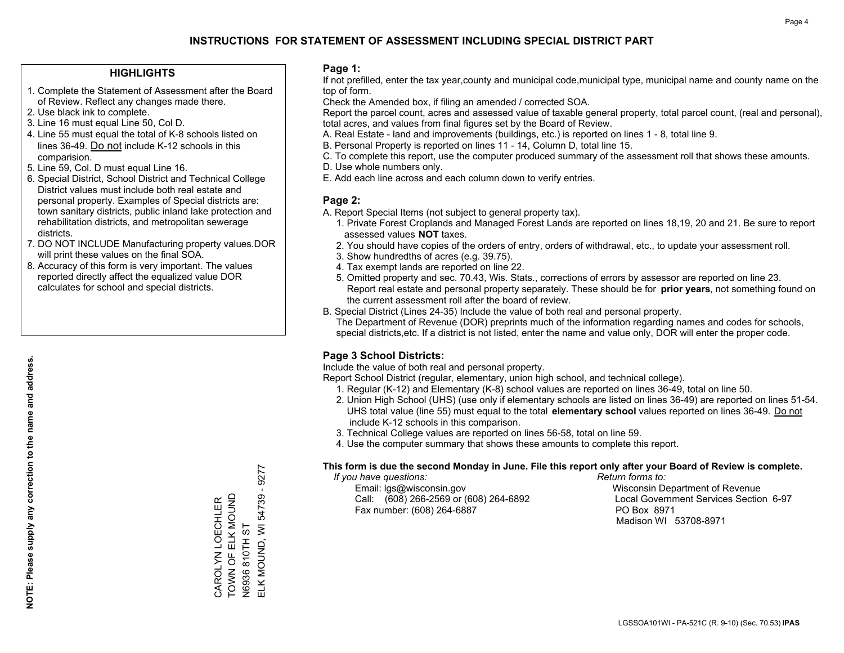### **HIGHLIGHTS**

- 1. Complete the Statement of Assessment after the Board of Review. Reflect any changes made there.
- 2. Use black ink to complete.
- 3. Line 16 must equal Line 50, Col D.
- 4. Line 55 must equal the total of K-8 schools listed on lines 36-49. Do not include K-12 schools in this comparision.
- 5. Line 59, Col. D must equal Line 16.
- 6. Special District, School District and Technical College District values must include both real estate and personal property. Examples of Special districts are: town sanitary districts, public inland lake protection and rehabilitation districts, and metropolitan sewerage districts.
- 7. DO NOT INCLUDE Manufacturing property values.DOR will print these values on the final SOA.

CAROLYN LOECHLER TOWN OF ELK MOUND

CAROLYN LOECHLER<br>TOWN OF ELK MOUND

N6936 810TH ST

ELK MOUND, WI 54739 - 9277

ELK MOUND, WI 54739

 $-9277$ 

 8. Accuracy of this form is very important. The values reported directly affect the equalized value DOR calculates for school and special districts.

### **Page 1:**

 If not prefilled, enter the tax year,county and municipal code,municipal type, municipal name and county name on the top of form.

Check the Amended box, if filing an amended / corrected SOA.

 Report the parcel count, acres and assessed value of taxable general property, total parcel count, (real and personal), total acres, and values from final figures set by the Board of Review.

- A. Real Estate land and improvements (buildings, etc.) is reported on lines 1 8, total line 9.
- B. Personal Property is reported on lines 11 14, Column D, total line 15.
- C. To complete this report, use the computer produced summary of the assessment roll that shows these amounts.
- D. Use whole numbers only.
- E. Add each line across and each column down to verify entries.

### **Page 2:**

- A. Report Special Items (not subject to general property tax).
- 1. Private Forest Croplands and Managed Forest Lands are reported on lines 18,19, 20 and 21. Be sure to report assessed values **NOT** taxes.
- 2. You should have copies of the orders of entry, orders of withdrawal, etc., to update your assessment roll.
	- 3. Show hundredths of acres (e.g. 39.75).
- 4. Tax exempt lands are reported on line 22.
- 5. Omitted property and sec. 70.43, Wis. Stats., corrections of errors by assessor are reported on line 23. Report real estate and personal property separately. These should be for **prior years**, not something found on the current assessment roll after the board of review.
- B. Special District (Lines 24-35) Include the value of both real and personal property.
- The Department of Revenue (DOR) preprints much of the information regarding names and codes for schools, special districts,etc. If a district is not listed, enter the name and value only, DOR will enter the proper code.

## **Page 3 School Districts:**

Include the value of both real and personal property.

Report School District (regular, elementary, union high school, and technical college).

- 1. Regular (K-12) and Elementary (K-8) school values are reported on lines 36-49, total on line 50.
- 2. Union High School (UHS) (use only if elementary schools are listed on lines 36-49) are reported on lines 51-54. UHS total value (line 55) must equal to the total **elementary school** values reported on lines 36-49. Do notinclude K-12 schools in this comparison.
- 3. Technical College values are reported on lines 56-58, total on line 59.
- 4. Use the computer summary that shows these amounts to complete this report.

#### **This form is due the second Monday in June. File this report only after your Board of Review is complete.**

 *If you have questions: Return forms to:*

 Email: lgs@wisconsin.gov Wisconsin Department of RevenueCall:  $(608)$  266-2569 or  $(608)$  264-6892 Fax number: (608) 264-6887 PO Box 8971

Local Government Services Section 6-97 Madison WI 53708-8971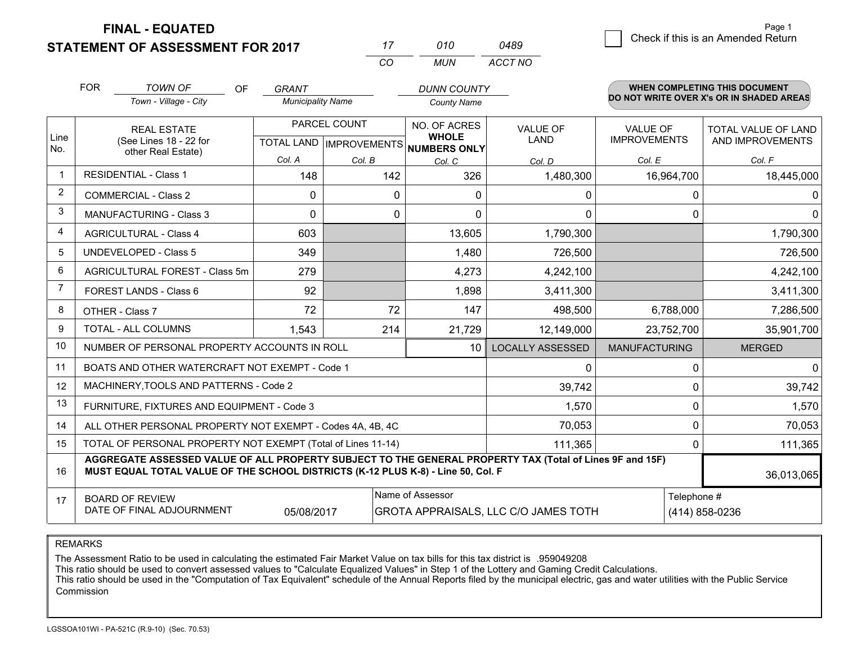**FINAL - EQUATED**

**STATEMENT OF ASSESSMENT FOR 2017** 

g **Check if this is an Amended Return** Page 1

|                | <b>FOR</b>                   | <b>TOWN OF</b><br>OF                                                                                                                                                                         | GRANT                    |              | <b>DUNN COUNTY</b>                                   |                         |                                          | <b>WHEN COMPLETING THIS DOCUMENT</b> |  |
|----------------|------------------------------|----------------------------------------------------------------------------------------------------------------------------------------------------------------------------------------------|--------------------------|--------------|------------------------------------------------------|-------------------------|------------------------------------------|--------------------------------------|--|
|                |                              | Town - Village - City                                                                                                                                                                        | <b>Municipality Name</b> |              | <b>County Name</b>                                   |                         | DO NOT WRITE OVER X's OR IN SHADED AREAS |                                      |  |
|                |                              | <b>REAL ESTATE</b>                                                                                                                                                                           |                          | PARCEL COUNT | NO. OF ACRES                                         | <b>VALUE OF</b>         | <b>VALUE OF</b>                          | <b>TOTAL VALUE OF LAND</b>           |  |
| Line<br>No.    |                              | (See Lines 18 - 22 for<br>other Real Estate)                                                                                                                                                 |                          |              | <b>WHOLE</b><br>TOTAL LAND IMPROVEMENTS NUMBERS ONLY | <b>LAND</b>             | <b>IMPROVEMENTS</b>                      | AND IMPROVEMENTS                     |  |
|                |                              |                                                                                                                                                                                              | Col. A                   | Col. B       | Col. C                                               | Col. D                  | Col. E                                   | Col. F                               |  |
| $\mathbf{1}$   | <b>RESIDENTIAL - Class 1</b> |                                                                                                                                                                                              | 148                      | 142          | 326                                                  | 1,480,300               | 16,964,700                               | 18,445,000                           |  |
| 2              | <b>COMMERCIAL - Class 2</b>  |                                                                                                                                                                                              | 0                        |              | $\mathbf{0}$<br>$\Omega$                             | 0                       | $\Omega$                                 | 0                                    |  |
| 3              |                              | <b>MANUFACTURING - Class 3</b>                                                                                                                                                               | $\Omega$                 |              | 0<br>$\Omega$                                        | $\Omega$                | $\Omega$                                 | $\Omega$                             |  |
| 4              |                              | <b>AGRICULTURAL - Class 4</b>                                                                                                                                                                | 603                      |              | 13,605                                               | 1,790,300               |                                          | 1,790,300                            |  |
| 5              |                              | <b>UNDEVELOPED - Class 5</b>                                                                                                                                                                 | 349                      |              | 1,480                                                | 726,500                 |                                          | 726,500                              |  |
| 6              |                              | AGRICULTURAL FOREST - Class 5m                                                                                                                                                               | 279                      |              | 4,273                                                | 4,242,100               |                                          | 4,242,100                            |  |
| $\overline{7}$ |                              | FOREST LANDS - Class 6                                                                                                                                                                       | 92                       |              | 1,898                                                | 3,411,300               |                                          | 3,411,300                            |  |
| 8              |                              | OTHER - Class 7                                                                                                                                                                              | 72                       | 72           | 147                                                  | 498,500                 | 6,788,000                                | 7,286,500                            |  |
| 9              |                              | TOTAL - ALL COLUMNS                                                                                                                                                                          | 1,543                    | 214          | 21,729                                               | 12,149,000              | 23,752,700                               | 35,901,700                           |  |
| 10             |                              | NUMBER OF PERSONAL PROPERTY ACCOUNTS IN ROLL                                                                                                                                                 |                          |              | 10                                                   | <b>LOCALLY ASSESSED</b> | <b>MANUFACTURING</b>                     | <b>MERGED</b>                        |  |
| 11             |                              | BOATS AND OTHER WATERCRAFT NOT EXEMPT - Code 1                                                                                                                                               |                          |              |                                                      | 0                       | $\Omega$                                 | $\Omega$                             |  |
| 12             |                              | MACHINERY, TOOLS AND PATTERNS - Code 2                                                                                                                                                       |                          |              |                                                      | 39,742                  | $\Omega$                                 | 39,742                               |  |
| 13             |                              | FURNITURE, FIXTURES AND EQUIPMENT - Code 3                                                                                                                                                   |                          |              |                                                      | 1,570                   | 0                                        | 1,570                                |  |
| 14             |                              | ALL OTHER PERSONAL PROPERTY NOT EXEMPT - Codes 4A, 4B, 4C                                                                                                                                    |                          |              |                                                      | 70,053                  | $\Omega$                                 | 70,053                               |  |
| 15             |                              | TOTAL OF PERSONAL PROPERTY NOT EXEMPT (Total of Lines 11-14)                                                                                                                                 |                          |              |                                                      | 111,365                 | 0                                        | 111,365                              |  |
| 16             |                              | AGGREGATE ASSESSED VALUE OF ALL PROPERTY SUBJECT TO THE GENERAL PROPERTY TAX (Total of Lines 9F and 15F)<br>MUST EQUAL TOTAL VALUE OF THE SCHOOL DISTRICTS (K-12 PLUS K-8) - Line 50, Col. F |                          |              |                                                      |                         |                                          | 36,013,065                           |  |
| 17             |                              | <b>BOARD OF REVIEW</b>                                                                                                                                                                       |                          |              | Name of Assessor                                     |                         | Telephone #                              |                                      |  |
|                |                              | DATE OF FINAL ADJOURNMENT                                                                                                                                                                    | 05/08/2017               |              | GROTA APPRAISALS, LLC C/O JAMES TOTH                 |                         |                                          | (414) 858-0236                       |  |

*MUN*

*ACCT NO0489*

*<sup>17</sup> <sup>010</sup>*

*CO*

REMARKS

The Assessment Ratio to be used in calculating the estimated Fair Market Value on tax bills for this tax district is .959049208<br>This ratio should be used to convert assessed values to "Calculate Equalized Values" in Step 1 Commission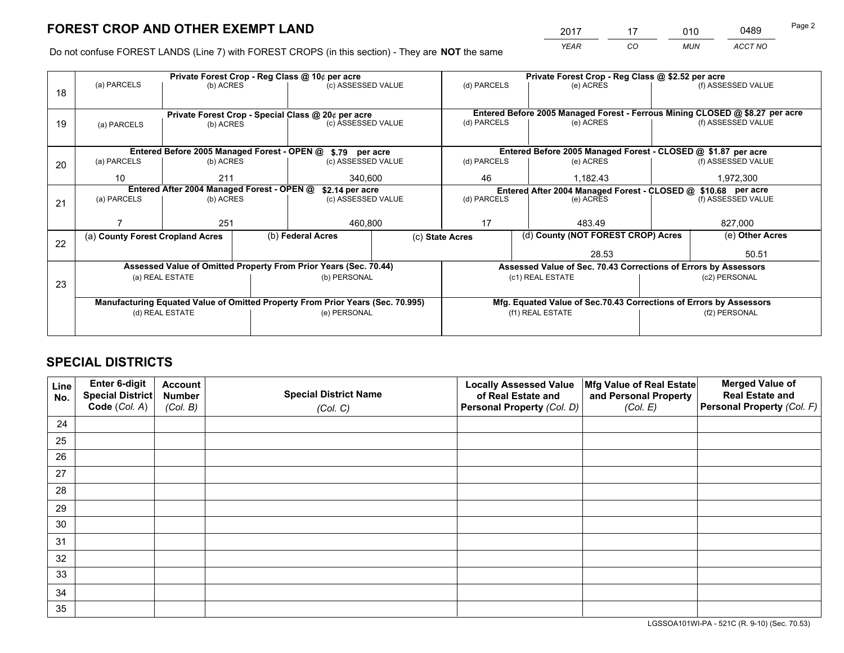*YEAR CO MUN ACCT NO* <sup>2017</sup> <sup>17</sup> <sup>010</sup> <sup>0489</sup>

Do not confuse FOREST LANDS (Line 7) with FOREST CROPS (in this section) - They are **NOT** the same

|    |                                            |                 |                   | Private Forest Crop - Reg Class @ 10¢ per acre                                 |  | Private Forest Crop - Reg Class @ \$2.52 per acre               |                                                                              |                                                                            |                                                                    |  |
|----|--------------------------------------------|-----------------|-------------------|--------------------------------------------------------------------------------|--|-----------------------------------------------------------------|------------------------------------------------------------------------------|----------------------------------------------------------------------------|--------------------------------------------------------------------|--|
| 18 | (a) PARCELS                                | (b) ACRES       |                   | (c) ASSESSED VALUE                                                             |  | (d) PARCELS                                                     | (e) ACRES                                                                    |                                                                            | (f) ASSESSED VALUE                                                 |  |
|    |                                            |                 |                   |                                                                                |  |                                                                 |                                                                              |                                                                            |                                                                    |  |
|    |                                            |                 |                   | Private Forest Crop - Special Class @ 20¢ per acre                             |  |                                                                 | Entered Before 2005 Managed Forest - Ferrous Mining CLOSED @ \$8.27 per acre |                                                                            |                                                                    |  |
| 19 | (a) PARCELS                                | (b) ACRES       |                   | (c) ASSESSED VALUE                                                             |  | (d) PARCELS                                                     | (e) ACRES                                                                    |                                                                            | (f) ASSESSED VALUE                                                 |  |
|    |                                            |                 |                   |                                                                                |  |                                                                 |                                                                              |                                                                            |                                                                    |  |
|    |                                            |                 |                   | Entered Before 2005 Managed Forest - OPEN @ \$.79 per acre                     |  |                                                                 | Entered Before 2005 Managed Forest - CLOSED @ \$1.87 per acre                |                                                                            |                                                                    |  |
| 20 | (a) PARCELS                                | (b) ACRES       |                   | (c) ASSESSED VALUE                                                             |  | (d) PARCELS                                                     | (e) ACRES                                                                    |                                                                            | (f) ASSESSED VALUE                                                 |  |
|    |                                            |                 |                   |                                                                                |  | 46                                                              | 1,182.43                                                                     |                                                                            | 1,972,300                                                          |  |
|    | 10<br>211                                  |                 |                   | 340,600                                                                        |  |                                                                 |                                                                              |                                                                            |                                                                    |  |
|    | Entered After 2004 Managed Forest - OPEN @ |                 |                   | \$2.14 per acre                                                                |  |                                                                 |                                                                              | Entered After 2004 Managed Forest - CLOSED @ \$10.68 per acre<br>(e) ACRES |                                                                    |  |
| 21 | (a) PARCELS                                | (b) ACRES       |                   | (c) ASSESSED VALUE                                                             |  | (d) PARCELS                                                     |                                                                              |                                                                            | (f) ASSESSED VALUE                                                 |  |
|    |                                            |                 |                   |                                                                                |  |                                                                 |                                                                              |                                                                            |                                                                    |  |
|    |                                            | 251             |                   | 460,800                                                                        |  | 17                                                              | 483.49                                                                       |                                                                            | 827,000                                                            |  |
|    | (a) County Forest Cropland Acres           |                 | (b) Federal Acres |                                                                                |  | (c) State Acres                                                 | (d) County (NOT FOREST CROP) Acres                                           |                                                                            | (e) Other Acres                                                    |  |
| 22 |                                            |                 |                   |                                                                                |  |                                                                 | 28.53                                                                        |                                                                            | 50.51                                                              |  |
|    |                                            |                 |                   | Assessed Value of Omitted Property From Prior Years (Sec. 70.44)               |  | Assessed Value of Sec. 70.43 Corrections of Errors by Assessors |                                                                              |                                                                            |                                                                    |  |
|    |                                            |                 |                   |                                                                                |  |                                                                 |                                                                              |                                                                            |                                                                    |  |
| 23 |                                            | (a) REAL ESTATE |                   | (b) PERSONAL                                                                   |  |                                                                 | (c1) REAL ESTATE                                                             | (c2) PERSONAL                                                              |                                                                    |  |
|    |                                            |                 |                   |                                                                                |  |                                                                 |                                                                              |                                                                            |                                                                    |  |
|    |                                            |                 |                   | Manufacturing Equated Value of Omitted Property From Prior Years (Sec. 70.995) |  |                                                                 |                                                                              |                                                                            | Mfg. Equated Value of Sec.70.43 Corrections of Errors by Assessors |  |
|    |                                            | (d) REAL ESTATE |                   | (e) PERSONAL                                                                   |  |                                                                 | (f1) REAL ESTATE                                                             |                                                                            | (f2) PERSONAL                                                      |  |
|    |                                            |                 |                   |                                                                                |  |                                                                 |                                                                              |                                                                            |                                                                    |  |
|    |                                            |                 |                   |                                                                                |  |                                                                 |                                                                              |                                                                            |                                                                    |  |

## **SPECIAL DISTRICTS**

| Line<br>No. | Enter 6-digit<br>Special District<br>Code (Col. A) | <b>Account</b><br><b>Number</b><br>(Col. B) | <b>Special District Name</b><br>(Col. C) | <b>Locally Assessed Value</b><br>of Real Estate and<br>Personal Property (Col. D) | Mfg Value of Real Estate<br>and Personal Property<br>(Col. E) | <b>Merged Value of</b><br><b>Real Estate and</b><br>Personal Property (Col. F) |
|-------------|----------------------------------------------------|---------------------------------------------|------------------------------------------|-----------------------------------------------------------------------------------|---------------------------------------------------------------|--------------------------------------------------------------------------------|
| 24          |                                                    |                                             |                                          |                                                                                   |                                                               |                                                                                |
| 25          |                                                    |                                             |                                          |                                                                                   |                                                               |                                                                                |
| 26          |                                                    |                                             |                                          |                                                                                   |                                                               |                                                                                |
| 27          |                                                    |                                             |                                          |                                                                                   |                                                               |                                                                                |
| 28          |                                                    |                                             |                                          |                                                                                   |                                                               |                                                                                |
| 29          |                                                    |                                             |                                          |                                                                                   |                                                               |                                                                                |
| 30          |                                                    |                                             |                                          |                                                                                   |                                                               |                                                                                |
| 31          |                                                    |                                             |                                          |                                                                                   |                                                               |                                                                                |
| 32          |                                                    |                                             |                                          |                                                                                   |                                                               |                                                                                |
| 33          |                                                    |                                             |                                          |                                                                                   |                                                               |                                                                                |
| 34          |                                                    |                                             |                                          |                                                                                   |                                                               |                                                                                |
| 35          |                                                    |                                             |                                          |                                                                                   |                                                               |                                                                                |

LGSSOA101WI-PA - 521C (R. 9-10) (Sec. 70.53)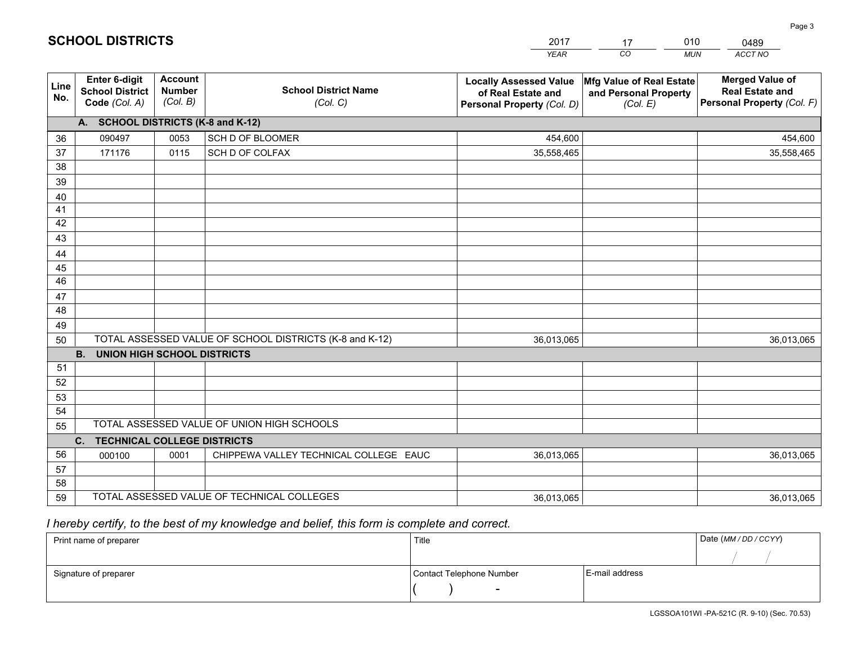|             |                                                          |                                             |                                                         | YEAR                                                                              | CO.<br><b>MUN</b>                                             | ACCT NO                                                                        |
|-------------|----------------------------------------------------------|---------------------------------------------|---------------------------------------------------------|-----------------------------------------------------------------------------------|---------------------------------------------------------------|--------------------------------------------------------------------------------|
| Line<br>No. | Enter 6-digit<br><b>School District</b><br>Code (Col. A) | <b>Account</b><br><b>Number</b><br>(Col. B) | <b>School District Name</b><br>(Col. C)                 | <b>Locally Assessed Value</b><br>of Real Estate and<br>Personal Property (Col. D) | Mfg Value of Real Estate<br>and Personal Property<br>(Col. E) | <b>Merged Value of</b><br><b>Real Estate and</b><br>Personal Property (Col. F) |
|             | A. SCHOOL DISTRICTS (K-8 and K-12)                       |                                             |                                                         |                                                                                   |                                                               |                                                                                |
| 36          | 090497                                                   | 0053                                        | <b>SCH D OF BLOOMER</b>                                 | 454,600                                                                           |                                                               | 454,600                                                                        |
| 37          | 171176                                                   | 0115                                        | SCH D OF COLFAX                                         | 35,558,465                                                                        |                                                               | 35,558,465                                                                     |
| 38          |                                                          |                                             |                                                         |                                                                                   |                                                               |                                                                                |
| 39          |                                                          |                                             |                                                         |                                                                                   |                                                               |                                                                                |
| 40          |                                                          |                                             |                                                         |                                                                                   |                                                               |                                                                                |
| 41          |                                                          |                                             |                                                         |                                                                                   |                                                               |                                                                                |
| 42          |                                                          |                                             |                                                         |                                                                                   |                                                               |                                                                                |
| 43          |                                                          |                                             |                                                         |                                                                                   |                                                               |                                                                                |
| 44          |                                                          |                                             |                                                         |                                                                                   |                                                               |                                                                                |
| 45          |                                                          |                                             |                                                         |                                                                                   |                                                               |                                                                                |
| 46          |                                                          |                                             |                                                         |                                                                                   |                                                               |                                                                                |
| 47          |                                                          |                                             |                                                         |                                                                                   |                                                               |                                                                                |
| 48          |                                                          |                                             |                                                         |                                                                                   |                                                               |                                                                                |
| 49          |                                                          |                                             | TOTAL ASSESSED VALUE OF SCHOOL DISTRICTS (K-8 and K-12) |                                                                                   |                                                               |                                                                                |
| 50          | <b>B.</b><br><b>UNION HIGH SCHOOL DISTRICTS</b>          |                                             |                                                         | 36,013,065                                                                        |                                                               | 36,013,065                                                                     |
| 51          |                                                          |                                             |                                                         |                                                                                   |                                                               |                                                                                |
| 52          |                                                          |                                             |                                                         |                                                                                   |                                                               |                                                                                |
| 53          |                                                          |                                             |                                                         |                                                                                   |                                                               |                                                                                |
| 54          |                                                          |                                             |                                                         |                                                                                   |                                                               |                                                                                |
| 55          |                                                          |                                             | TOTAL ASSESSED VALUE OF UNION HIGH SCHOOLS              |                                                                                   |                                                               |                                                                                |
|             | C <sub>1</sub><br>TECHNICAL COLLEGE DISTRICTS            |                                             |                                                         |                                                                                   |                                                               |                                                                                |
| 56          | 000100                                                   | 0001                                        | CHIPPEWA VALLEY TECHNICAL COLLEGE EAUC                  | 36,013,065                                                                        |                                                               | 36,013,065                                                                     |
| 57          |                                                          |                                             |                                                         |                                                                                   |                                                               |                                                                                |
| 58          |                                                          |                                             |                                                         |                                                                                   |                                                               |                                                                                |
| 59          |                                                          |                                             | TOTAL ASSESSED VALUE OF TECHNICAL COLLEGES              | 36,013,065                                                                        |                                                               | 36,013,065                                                                     |

17

010

 *I hereby certify, to the best of my knowledge and belief, this form is complete and correct.*

**SCHOOL DISTRICTS**

| Print name of preparer | Title                    |                | Date (MM / DD / CCYY) |
|------------------------|--------------------------|----------------|-----------------------|
|                        |                          |                |                       |
| Signature of preparer  | Contact Telephone Number | E-mail address |                       |
|                        | $\sim$                   |                |                       |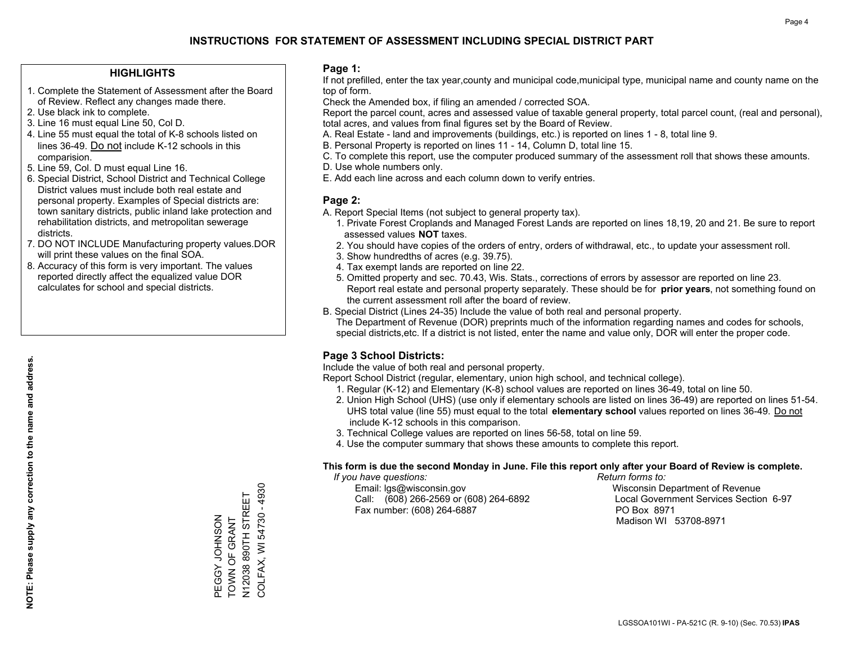### **HIGHLIGHTS**

- 1. Complete the Statement of Assessment after the Board of Review. Reflect any changes made there.
- 2. Use black ink to complete.
- 3. Line 16 must equal Line 50, Col D.
- 4. Line 55 must equal the total of K-8 schools listed on lines 36-49. Do not include K-12 schools in this comparision.
- 5. Line 59, Col. D must equal Line 16.
- 6. Special District, School District and Technical College District values must include both real estate and personal property. Examples of Special districts are: town sanitary districts, public inland lake protection and rehabilitation districts, and metropolitan sewerage districts.
- 7. DO NOT INCLUDE Manufacturing property values.DOR will print these values on the final SOA.
- 8. Accuracy of this form is very important. The values reported directly affect the equalized value DOR calculates for school and special districts.

### **Page 1:**

 If not prefilled, enter the tax year,county and municipal code,municipal type, municipal name and county name on the top of form.

Check the Amended box, if filing an amended / corrected SOA.

 Report the parcel count, acres and assessed value of taxable general property, total parcel count, (real and personal), total acres, and values from final figures set by the Board of Review.

- A. Real Estate land and improvements (buildings, etc.) is reported on lines 1 8, total line 9.
- B. Personal Property is reported on lines 11 14, Column D, total line 15.
- C. To complete this report, use the computer produced summary of the assessment roll that shows these amounts.
- D. Use whole numbers only.
- E. Add each line across and each column down to verify entries.

### **Page 2:**

- A. Report Special Items (not subject to general property tax).
- 1. Private Forest Croplands and Managed Forest Lands are reported on lines 18,19, 20 and 21. Be sure to report assessed values **NOT** taxes.
- 2. You should have copies of the orders of entry, orders of withdrawal, etc., to update your assessment roll.
	- 3. Show hundredths of acres (e.g. 39.75).
- 4. Tax exempt lands are reported on line 22.
- 5. Omitted property and sec. 70.43, Wis. Stats., corrections of errors by assessor are reported on line 23. Report real estate and personal property separately. These should be for **prior years**, not something found on the current assessment roll after the board of review.
- B. Special District (Lines 24-35) Include the value of both real and personal property.

 The Department of Revenue (DOR) preprints much of the information regarding names and codes for schools, special districts,etc. If a district is not listed, enter the name and value only, DOR will enter the proper code.

## **Page 3 School Districts:**

Include the value of both real and personal property.

Report School District (regular, elementary, union high school, and technical college).

- 1. Regular (K-12) and Elementary (K-8) school values are reported on lines 36-49, total on line 50.
- 2. Union High School (UHS) (use only if elementary schools are listed on lines 36-49) are reported on lines 51-54. UHS total value (line 55) must equal to the total **elementary school** values reported on lines 36-49. Do notinclude K-12 schools in this comparison.
- 3. Technical College values are reported on lines 56-58, total on line 59.
- 4. Use the computer summary that shows these amounts to complete this report.

#### **This form is due the second Monday in June. File this report only after your Board of Review is complete.**

 *If you have questions: Return forms to:*

 Email: lgs@wisconsin.gov Wisconsin Department of RevenueCall:  $(608)$  266-2569 or  $(608)$  264-6892 Fax number: (608) 264-6887 PO Box 8971

Local Government Services Section 6-97 Madison WI 53708-8971

COLFAX, WI 54730 - 4930 COLFAX, WI 54730 - 4930 N12038 890TH STREET N12038 890TH STREET PEGGY JOHNSON<br>TOWN OF GRANT TOWN OF GRANT PEGGY JOHNSON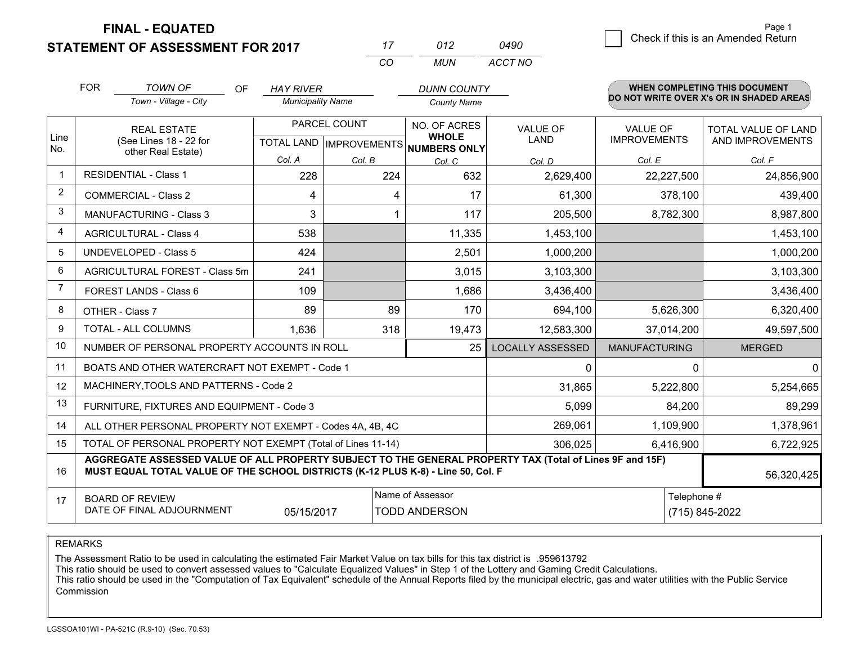**FINAL - EQUATED**

**STATEMENT OF ASSESSMENT FOR 2017** 

| 17  | 012 | 0490    |
|-----|-----|---------|
| -CO | MUN | ACCT NO |

|                | <b>FOR</b>                                                                                                                                                                                                 | <b>TOWN OF</b><br>OF                                         | <b>HAY RIVER</b>         |                           | <b>DUNN COUNTY</b>                  |                         |                                          | <b>WHEN COMPLETING THIS DOCUMENT</b> |  |
|----------------|------------------------------------------------------------------------------------------------------------------------------------------------------------------------------------------------------------|--------------------------------------------------------------|--------------------------|---------------------------|-------------------------------------|-------------------------|------------------------------------------|--------------------------------------|--|
|                |                                                                                                                                                                                                            | Town - Village - City                                        | <b>Municipality Name</b> |                           | <b>County Name</b>                  |                         | DO NOT WRITE OVER X's OR IN SHADED AREAS |                                      |  |
|                | <b>REAL ESTATE</b>                                                                                                                                                                                         |                                                              |                          | PARCEL COUNT              | NO. OF ACRES                        | <b>VALUE OF</b>         | VALUE OF                                 | TOTAL VALUE OF LAND                  |  |
| Line<br>No.    |                                                                                                                                                                                                            | (See Lines 18 - 22 for<br>other Real Estate)                 |                          | TOTAL LAND   IMPROVEMENTS | <b>WHOLE</b><br><b>NUMBERS ONLY</b> | LAND                    | <b>IMPROVEMENTS</b>                      | AND IMPROVEMENTS                     |  |
|                |                                                                                                                                                                                                            |                                                              | Col. A                   | Col. B                    | Col. C                              | Col. D                  | Col. E                                   | Col. F                               |  |
| $\mathbf 1$    |                                                                                                                                                                                                            | <b>RESIDENTIAL - Class 1</b>                                 | 228                      | 224                       | 632                                 | 2,629,400               | 22,227,500                               | 24,856,900                           |  |
| $\overline{2}$ |                                                                                                                                                                                                            | <b>COMMERCIAL - Class 2</b>                                  | 4                        | 4                         | 17                                  | 61,300                  | 378,100                                  | 439,400                              |  |
| 3              |                                                                                                                                                                                                            | <b>MANUFACTURING - Class 3</b>                               | 3                        | 1                         | 117                                 | 205,500                 | 8,782,300                                | 8,987,800                            |  |
| 4              |                                                                                                                                                                                                            | <b>AGRICULTURAL - Class 4</b>                                | 538                      |                           | 11,335                              | 1,453,100               |                                          | 1,453,100                            |  |
| 5              |                                                                                                                                                                                                            | <b>UNDEVELOPED - Class 5</b>                                 | 424                      |                           | 2,501                               | 1,000,200               |                                          | 1,000,200                            |  |
| 6              |                                                                                                                                                                                                            | AGRICULTURAL FOREST - Class 5m                               | 241                      |                           | 3,015                               | 3,103,300               |                                          | 3,103,300                            |  |
| 7              |                                                                                                                                                                                                            | FOREST LANDS - Class 6                                       | 109                      |                           | 1,686                               | 3,436,400               |                                          | 3,436,400                            |  |
| 8              |                                                                                                                                                                                                            | OTHER - Class 7                                              | 89                       | 89                        | 170                                 | 694,100                 | 5,626,300                                | 6,320,400                            |  |
| 9              |                                                                                                                                                                                                            | TOTAL - ALL COLUMNS                                          | 1,636                    | 318                       | 19,473                              | 12,583,300              | 37,014,200                               | 49,597,500                           |  |
| 10             |                                                                                                                                                                                                            | NUMBER OF PERSONAL PROPERTY ACCOUNTS IN ROLL                 |                          |                           | 25                                  | <b>LOCALLY ASSESSED</b> | <b>MANUFACTURING</b>                     | <b>MERGED</b>                        |  |
| 11             |                                                                                                                                                                                                            | BOATS AND OTHER WATERCRAFT NOT EXEMPT - Code 1               |                          |                           |                                     | 0                       | 0                                        | 0                                    |  |
| 12             |                                                                                                                                                                                                            | MACHINERY, TOOLS AND PATTERNS - Code 2                       |                          |                           |                                     | 31,865                  | 5,222,800                                | 5,254,665                            |  |
| 13             |                                                                                                                                                                                                            | FURNITURE, FIXTURES AND EQUIPMENT - Code 3                   |                          |                           |                                     | 5,099                   | 84,200                                   | 89,299                               |  |
| 14             |                                                                                                                                                                                                            | ALL OTHER PERSONAL PROPERTY NOT EXEMPT - Codes 4A, 4B, 4C    |                          |                           |                                     | 269,061                 | 1,109,900                                | 1,378,961                            |  |
| 15             |                                                                                                                                                                                                            | TOTAL OF PERSONAL PROPERTY NOT EXEMPT (Total of Lines 11-14) |                          |                           |                                     | 306,025                 | 6,416,900                                | 6,722,925                            |  |
| 16             | AGGREGATE ASSESSED VALUE OF ALL PROPERTY SUBJECT TO THE GENERAL PROPERTY TAX (Total of Lines 9F and 15F)<br>MUST EQUAL TOTAL VALUE OF THE SCHOOL DISTRICTS (K-12 PLUS K-8) - Line 50, Col. F<br>56,320,425 |                                                              |                          |                           |                                     |                         |                                          |                                      |  |
| 17             | Name of Assessor<br><b>BOARD OF REVIEW</b><br>DATE OF FINAL ADJOURNMENT<br>05/15/2017<br><b>TODD ANDERSON</b>                                                                                              |                                                              |                          |                           |                                     | Telephone #             |                                          |                                      |  |
|                |                                                                                                                                                                                                            |                                                              |                          |                           |                                     |                         |                                          | (715) 845-2022                       |  |

REMARKS

The Assessment Ratio to be used in calculating the estimated Fair Market Value on tax bills for this tax district is .959613792

This ratio should be used to convert assessed values to "Calculate Equalized Values" in Step 1 of the Lottery and Gaming Credit Calculations.<br>This ratio should be used in the "Computation of Tax Equivalent" schedule of the Commission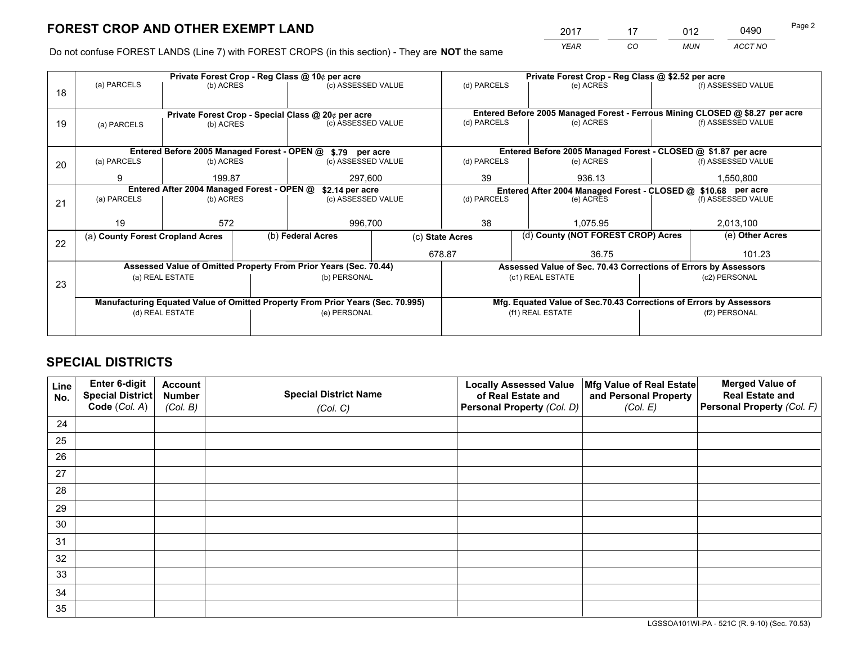*YEAR CO MUN ACCT NO* <sup>2017</sup> <sup>17</sup> <sup>012</sup> <sup>0490</sup>

Do not confuse FOREST LANDS (Line 7) with FOREST CROPS (in this section) - They are **NOT** the same

|    |                                                                                |                                            |  | Private Forest Crop - Reg Class @ 10¢ per acre                   |               |                          | Private Forest Crop - Reg Class @ \$2.52 per acre |                                                                                                                                                                                                                                                                                                                                                                                                       |  |
|----|--------------------------------------------------------------------------------|--------------------------------------------|--|------------------------------------------------------------------|---------------|--------------------------|---------------------------------------------------|-------------------------------------------------------------------------------------------------------------------------------------------------------------------------------------------------------------------------------------------------------------------------------------------------------------------------------------------------------------------------------------------------------|--|
| 18 | (a) PARCELS                                                                    | (b) ACRES                                  |  | (c) ASSESSED VALUE                                               |               | (d) PARCELS              | (e) ACRES                                         | (f) ASSESSED VALUE                                                                                                                                                                                                                                                                                                                                                                                    |  |
|    |                                                                                |                                            |  |                                                                  |               |                          |                                                   |                                                                                                                                                                                                                                                                                                                                                                                                       |  |
|    | Private Forest Crop - Special Class @ 20¢ per acre                             |                                            |  |                                                                  |               |                          |                                                   |                                                                                                                                                                                                                                                                                                                                                                                                       |  |
| 19 | (a) PARCELS                                                                    | (b) ACRES                                  |  | (c) ASSESSED VALUE                                               |               | (d) PARCELS              | (e) ACRES                                         | (f) ASSESSED VALUE                                                                                                                                                                                                                                                                                                                                                                                    |  |
|    |                                                                                |                                            |  |                                                                  |               |                          |                                                   |                                                                                                                                                                                                                                                                                                                                                                                                       |  |
|    |                                                                                |                                            |  | Entered Before 2005 Managed Forest - OPEN @ \$.79 per acre       |               |                          |                                                   | Entered Before 2005 Managed Forest - Ferrous Mining CLOSED @ \$8.27 per acre<br>Entered Before 2005 Managed Forest - CLOSED @ \$1.87 per acre<br>(f) ASSESSED VALUE<br>1,550,800<br>Entered After 2004 Managed Forest - CLOSED @ \$10.68 per acre<br>(f) ASSESSED VALUE<br>2,013,100<br>(e) Other Acres<br>101.23<br>Assessed Value of Sec. 70.43 Corrections of Errors by Assessors<br>(c2) PERSONAL |  |
| 20 | (a) PARCELS                                                                    | (b) ACRES                                  |  | (c) ASSESSED VALUE                                               |               | (d) PARCELS<br>(e) ACRES |                                                   |                                                                                                                                                                                                                                                                                                                                                                                                       |  |
|    | 9                                                                              | 199.87                                     |  |                                                                  | 297,600<br>39 |                          | 936.13                                            |                                                                                                                                                                                                                                                                                                                                                                                                       |  |
|    |                                                                                | Entered After 2004 Managed Forest - OPEN @ |  | \$2.14 per acre                                                  |               |                          |                                                   |                                                                                                                                                                                                                                                                                                                                                                                                       |  |
| 21 | (a) PARCELS                                                                    | (b) ACRES                                  |  | (c) ASSESSED VALUE                                               |               | (d) PARCELS              | (e) ACRES                                         |                                                                                                                                                                                                                                                                                                                                                                                                       |  |
|    |                                                                                |                                            |  |                                                                  |               |                          |                                                   |                                                                                                                                                                                                                                                                                                                                                                                                       |  |
|    | 19                                                                             | 572                                        |  | 996,700                                                          |               | 38                       | 1.075.95                                          |                                                                                                                                                                                                                                                                                                                                                                                                       |  |
|    | (a) County Forest Cropland Acres                                               |                                            |  | (b) Federal Acres                                                |               | (c) State Acres          | (d) County (NOT FOREST CROP) Acres                |                                                                                                                                                                                                                                                                                                                                                                                                       |  |
| 22 |                                                                                |                                            |  |                                                                  |               | 678.87                   | 36.75                                             |                                                                                                                                                                                                                                                                                                                                                                                                       |  |
|    |                                                                                |                                            |  | Assessed Value of Omitted Property From Prior Years (Sec. 70.44) |               |                          |                                                   |                                                                                                                                                                                                                                                                                                                                                                                                       |  |
|    |                                                                                | (a) REAL ESTATE                            |  | (b) PERSONAL                                                     |               |                          | (c1) REAL ESTATE                                  |                                                                                                                                                                                                                                                                                                                                                                                                       |  |
| 23 |                                                                                |                                            |  |                                                                  |               |                          |                                                   | Mfg. Equated Value of Sec.70.43 Corrections of Errors by Assessors<br>(f2) PERSONAL                                                                                                                                                                                                                                                                                                                   |  |
|    | Manufacturing Equated Value of Omitted Property From Prior Years (Sec. 70.995) |                                            |  |                                                                  |               |                          |                                                   |                                                                                                                                                                                                                                                                                                                                                                                                       |  |
|    | (d) REAL ESTATE                                                                |                                            |  | (e) PERSONAL                                                     |               |                          | (f1) REAL ESTATE                                  |                                                                                                                                                                                                                                                                                                                                                                                                       |  |
|    |                                                                                |                                            |  |                                                                  |               |                          |                                                   |                                                                                                                                                                                                                                                                                                                                                                                                       |  |
|    |                                                                                |                                            |  |                                                                  |               |                          |                                                   |                                                                                                                                                                                                                                                                                                                                                                                                       |  |

## **SPECIAL DISTRICTS**

| Line<br>No. | Enter 6-digit<br><b>Special District</b> | <b>Account</b><br><b>Number</b> | <b>Special District Name</b> | <b>Locally Assessed Value</b><br>of Real Estate and | Mfg Value of Real Estate<br>and Personal Property | <b>Merged Value of</b><br><b>Real Estate and</b> |
|-------------|------------------------------------------|---------------------------------|------------------------------|-----------------------------------------------------|---------------------------------------------------|--------------------------------------------------|
|             | Code (Col. A)                            | (Col. B)                        | (Col. C)                     | Personal Property (Col. D)                          | (Col. E)                                          | Personal Property (Col. F)                       |
| 24          |                                          |                                 |                              |                                                     |                                                   |                                                  |
| 25          |                                          |                                 |                              |                                                     |                                                   |                                                  |
| 26          |                                          |                                 |                              |                                                     |                                                   |                                                  |
| 27          |                                          |                                 |                              |                                                     |                                                   |                                                  |
| 28          |                                          |                                 |                              |                                                     |                                                   |                                                  |
| 29          |                                          |                                 |                              |                                                     |                                                   |                                                  |
| 30          |                                          |                                 |                              |                                                     |                                                   |                                                  |
| 31          |                                          |                                 |                              |                                                     |                                                   |                                                  |
| 32          |                                          |                                 |                              |                                                     |                                                   |                                                  |
| 33          |                                          |                                 |                              |                                                     |                                                   |                                                  |
| 34          |                                          |                                 |                              |                                                     |                                                   |                                                  |
| 35          |                                          |                                 |                              |                                                     |                                                   |                                                  |

LGSSOA101WI-PA - 521C (R. 9-10) (Sec. 70.53)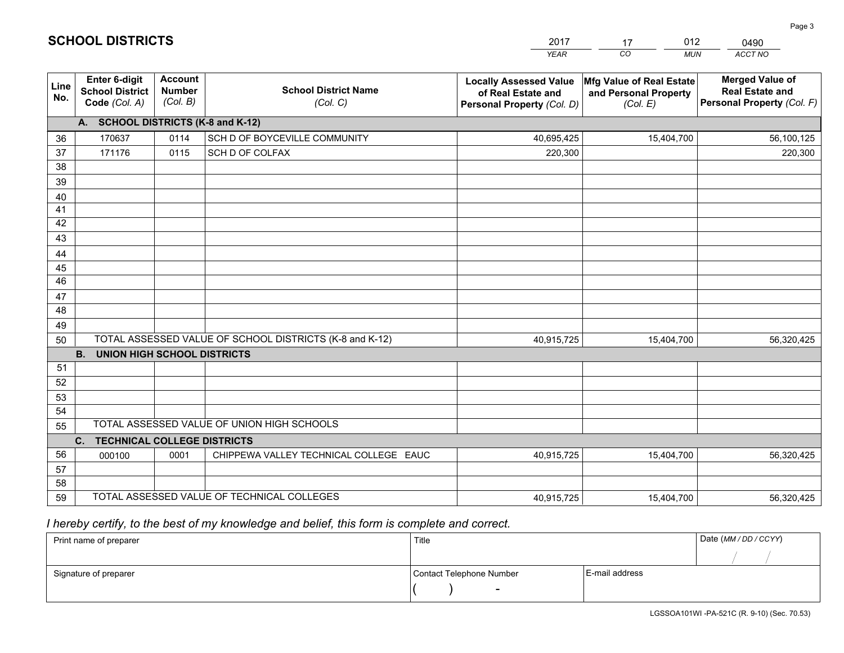|                 |                                                                 |                                             |                                                         | YEAR                                                                              | CO.<br><b>MUN</b>                                             | ACCT NO                                                                        |
|-----------------|-----------------------------------------------------------------|---------------------------------------------|---------------------------------------------------------|-----------------------------------------------------------------------------------|---------------------------------------------------------------|--------------------------------------------------------------------------------|
| Line<br>No.     | <b>Enter 6-digit</b><br><b>School District</b><br>Code (Col. A) | <b>Account</b><br><b>Number</b><br>(Col. B) | <b>School District Name</b><br>(Col. C)                 | <b>Locally Assessed Value</b><br>of Real Estate and<br>Personal Property (Col. D) | Mfg Value of Real Estate<br>and Personal Property<br>(Col. E) | <b>Merged Value of</b><br><b>Real Estate and</b><br>Personal Property (Col. F) |
|                 | A. SCHOOL DISTRICTS (K-8 and K-12)                              |                                             |                                                         |                                                                                   |                                                               |                                                                                |
| 36              | 170637                                                          | 0114                                        | SCH D OF BOYCEVILLE COMMUNITY                           | 40,695,425                                                                        | 15,404,700                                                    | 56,100,125                                                                     |
| 37              | 171176                                                          | 0115                                        | SCH D OF COLFAX                                         | 220,300                                                                           |                                                               | 220,300                                                                        |
| 38              |                                                                 |                                             |                                                         |                                                                                   |                                                               |                                                                                |
| 39              |                                                                 |                                             |                                                         |                                                                                   |                                                               |                                                                                |
| 40              |                                                                 |                                             |                                                         |                                                                                   |                                                               |                                                                                |
| 41<br>42        |                                                                 |                                             |                                                         |                                                                                   |                                                               |                                                                                |
| 43              |                                                                 |                                             |                                                         |                                                                                   |                                                               |                                                                                |
| 44              |                                                                 |                                             |                                                         |                                                                                   |                                                               |                                                                                |
| 45              |                                                                 |                                             |                                                         |                                                                                   |                                                               |                                                                                |
| $\overline{46}$ |                                                                 |                                             |                                                         |                                                                                   |                                                               |                                                                                |
| 47              |                                                                 |                                             |                                                         |                                                                                   |                                                               |                                                                                |
| 48              |                                                                 |                                             |                                                         |                                                                                   |                                                               |                                                                                |
| 49              |                                                                 |                                             |                                                         |                                                                                   |                                                               |                                                                                |
| 50              |                                                                 |                                             | TOTAL ASSESSED VALUE OF SCHOOL DISTRICTS (K-8 and K-12) | 40,915,725                                                                        | 15,404,700                                                    | 56,320,425                                                                     |
|                 | <b>B.</b><br><b>UNION HIGH SCHOOL DISTRICTS</b>                 |                                             |                                                         |                                                                                   |                                                               |                                                                                |
| 51              |                                                                 |                                             |                                                         |                                                                                   |                                                               |                                                                                |
| 52              |                                                                 |                                             |                                                         |                                                                                   |                                                               |                                                                                |
| 53<br>54        |                                                                 |                                             |                                                         |                                                                                   |                                                               |                                                                                |
| 55              |                                                                 |                                             | TOTAL ASSESSED VALUE OF UNION HIGH SCHOOLS              |                                                                                   |                                                               |                                                                                |
|                 | C.<br><b>TECHNICAL COLLEGE DISTRICTS</b>                        |                                             |                                                         |                                                                                   |                                                               |                                                                                |
| 56              | 000100                                                          | 0001                                        | CHIPPEWA VALLEY TECHNICAL COLLEGE EAUC                  | 40,915,725                                                                        | 15,404,700                                                    | 56,320,425                                                                     |
| 57              |                                                                 |                                             |                                                         |                                                                                   |                                                               |                                                                                |
| 58              |                                                                 |                                             |                                                         |                                                                                   |                                                               |                                                                                |
| 59              |                                                                 |                                             | TOTAL ASSESSED VALUE OF TECHNICAL COLLEGES              | 40,915,725                                                                        | 15,404,700                                                    | 56,320,425                                                                     |

17

012

 *I hereby certify, to the best of my knowledge and belief, this form is complete and correct.*

**SCHOOL DISTRICTS**

| Print name of preparer | Title                    |                | Date (MM / DD / CCYY) |
|------------------------|--------------------------|----------------|-----------------------|
|                        |                          |                |                       |
| Signature of preparer  | Contact Telephone Number | E-mail address |                       |
|                        |                          |                |                       |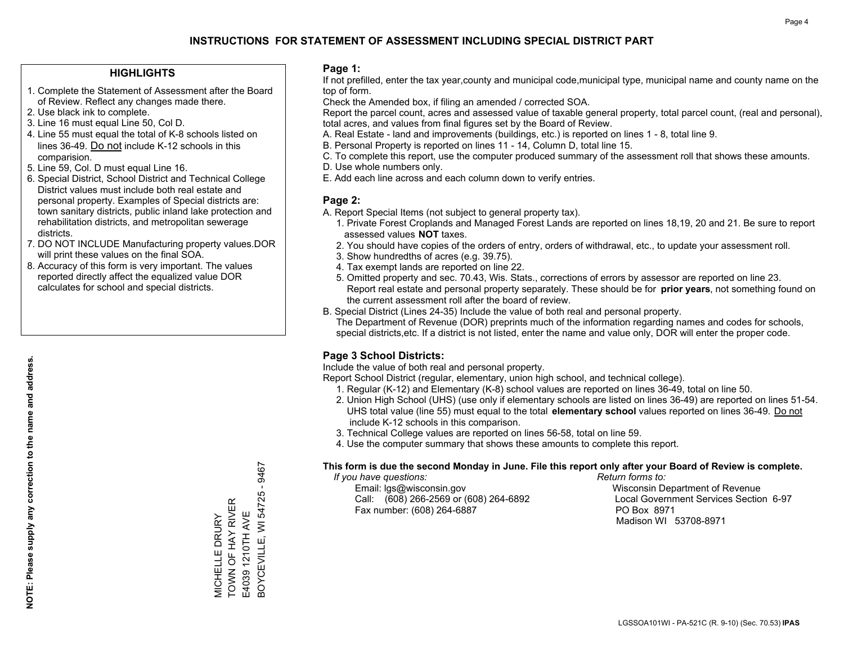### **HIGHLIGHTS**

- 1. Complete the Statement of Assessment after the Board of Review. Reflect any changes made there.
- 2. Use black ink to complete.
- 3. Line 16 must equal Line 50, Col D.
- 4. Line 55 must equal the total of K-8 schools listed on lines 36-49. Do not include K-12 schools in this comparision.
- 5. Line 59, Col. D must equal Line 16.
- 6. Special District, School District and Technical College District values must include both real estate and personal property. Examples of Special districts are: town sanitary districts, public inland lake protection and rehabilitation districts, and metropolitan sewerage districts.
- 7. DO NOT INCLUDE Manufacturing property values.DOR will print these values on the final SOA.

MICHELLE DRURY TOWN OF HAY RIVER E4039 1210TH AVE

VIICHELLE DRURY<br>TOWN OF HAY RIVER E4039 1210TH AVE BOYCEVILLE, WI 54725 - 9467

3OYCEVILLE, WI 54725 - 9467

 8. Accuracy of this form is very important. The values reported directly affect the equalized value DOR calculates for school and special districts.

### **Page 1:**

 If not prefilled, enter the tax year,county and municipal code,municipal type, municipal name and county name on the top of form.

Check the Amended box, if filing an amended / corrected SOA.

 Report the parcel count, acres and assessed value of taxable general property, total parcel count, (real and personal), total acres, and values from final figures set by the Board of Review.

- A. Real Estate land and improvements (buildings, etc.) is reported on lines 1 8, total line 9.
- B. Personal Property is reported on lines 11 14, Column D, total line 15.
- C. To complete this report, use the computer produced summary of the assessment roll that shows these amounts.
- D. Use whole numbers only.
- E. Add each line across and each column down to verify entries.

### **Page 2:**

- A. Report Special Items (not subject to general property tax).
- 1. Private Forest Croplands and Managed Forest Lands are reported on lines 18,19, 20 and 21. Be sure to report assessed values **NOT** taxes.
- 2. You should have copies of the orders of entry, orders of withdrawal, etc., to update your assessment roll.
	- 3. Show hundredths of acres (e.g. 39.75).
- 4. Tax exempt lands are reported on line 22.
- 5. Omitted property and sec. 70.43, Wis. Stats., corrections of errors by assessor are reported on line 23. Report real estate and personal property separately. These should be for **prior years**, not something found on the current assessment roll after the board of review.
- B. Special District (Lines 24-35) Include the value of both real and personal property.

 The Department of Revenue (DOR) preprints much of the information regarding names and codes for schools, special districts,etc. If a district is not listed, enter the name and value only, DOR will enter the proper code.

## **Page 3 School Districts:**

Include the value of both real and personal property.

Report School District (regular, elementary, union high school, and technical college).

- 1. Regular (K-12) and Elementary (K-8) school values are reported on lines 36-49, total on line 50.
- 2. Union High School (UHS) (use only if elementary schools are listed on lines 36-49) are reported on lines 51-54. UHS total value (line 55) must equal to the total **elementary school** values reported on lines 36-49. Do notinclude K-12 schools in this comparison.
- 3. Technical College values are reported on lines 56-58, total on line 59.
- 4. Use the computer summary that shows these amounts to complete this report.

#### **This form is due the second Monday in June. File this report only after your Board of Review is complete.**

 *If you have questions: Return forms to:*

 Email: lgs@wisconsin.gov Wisconsin Department of RevenueCall:  $(608)$  266-2569 or  $(608)$  264-6892 Fax number: (608) 264-6887 PO Box 8971

Local Government Services Section 6-97 Madison WI 53708-8971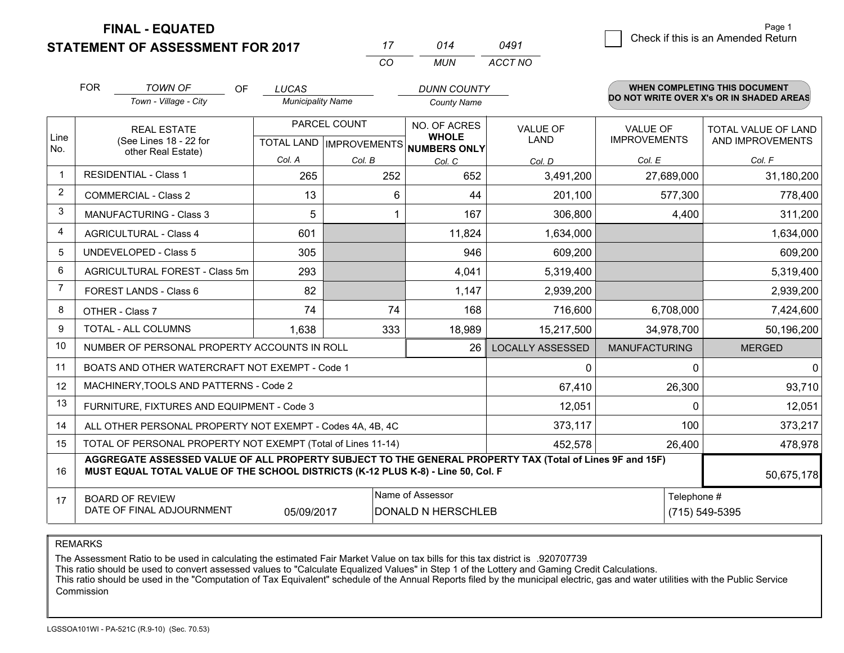**FINAL - EQUATED**

**STATEMENT OF ASSESSMENT FOR 2017** 

| 17 | 014  | 0491    |
|----|------|---------|
| rη | MUN. | ACCT NO |

|                         | <b>FOR</b>                                                           | <b>TOWN OF</b><br><b>OF</b>                                                                                                                                                                  | <b>LUCAS</b>             |              | <b>DUNN COUNTY</b>                                  |                         |                      | <b>WHEN COMPLETING THIS DOCUMENT</b>     |
|-------------------------|----------------------------------------------------------------------|----------------------------------------------------------------------------------------------------------------------------------------------------------------------------------------------|--------------------------|--------------|-----------------------------------------------------|-------------------------|----------------------|------------------------------------------|
|                         |                                                                      | Town - Village - City                                                                                                                                                                        | <b>Municipality Name</b> |              | <b>County Name</b>                                  |                         |                      | DO NOT WRITE OVER X's OR IN SHADED AREAS |
|                         |                                                                      | <b>REAL ESTATE</b>                                                                                                                                                                           |                          | PARCEL COUNT | NO. OF ACRES                                        | <b>VALUE OF</b>         | <b>VALUE OF</b>      | <b>TOTAL VALUE OF LAND</b>               |
| Line<br>No.             |                                                                      | (See Lines 18 - 22 for<br>other Real Estate)                                                                                                                                                 |                          |              | <b>WHOLE</b><br>TOTAL LAND MPROVEMENTS NUMBERS ONLY | <b>LAND</b>             | <b>IMPROVEMENTS</b>  | AND IMPROVEMENTS                         |
|                         |                                                                      |                                                                                                                                                                                              | Col. A                   | Col. B       | Col. C                                              | Col. D                  | Col. E               | Col. F                                   |
| $\mathbf{1}$            |                                                                      | <b>RESIDENTIAL - Class 1</b>                                                                                                                                                                 | 265                      | 252          | 652                                                 | 3,491,200               | 27,689,000           | 31,180,200                               |
| 2                       |                                                                      | <b>COMMERCIAL - Class 2</b>                                                                                                                                                                  | 13                       | 6            | 44                                                  | 201,100                 | 577,300              | 778,400                                  |
| 3                       |                                                                      | <b>MANUFACTURING - Class 3</b>                                                                                                                                                               | 5                        |              | 167                                                 | 306,800                 | 4,400                | 311,200                                  |
| $\overline{\mathbf{4}}$ |                                                                      | <b>AGRICULTURAL - Class 4</b>                                                                                                                                                                | 601                      |              | 11,824                                              | 1,634,000               |                      | 1,634,000                                |
| 5                       |                                                                      | <b>UNDEVELOPED - Class 5</b>                                                                                                                                                                 | 305                      |              | 946                                                 | 609,200                 |                      | 609,200                                  |
| 6                       |                                                                      | AGRICULTURAL FOREST - Class 5m                                                                                                                                                               | 293                      |              | 4,041                                               | 5,319,400               |                      | 5,319,400                                |
| $\overline{7}$          |                                                                      | FOREST LANDS - Class 6                                                                                                                                                                       | 82                       |              | 1,147                                               | 2,939,200               |                      | 2,939,200                                |
| 8                       |                                                                      | OTHER - Class 7                                                                                                                                                                              | 74                       | 74           | 168                                                 | 716,600                 | 6,708,000            | 7,424,600                                |
| 9                       |                                                                      | TOTAL - ALL COLUMNS                                                                                                                                                                          | 1,638                    | 333          | 18,989                                              | 15,217,500              | 34,978,700           | 50,196,200                               |
| 10                      |                                                                      | NUMBER OF PERSONAL PROPERTY ACCOUNTS IN ROLL                                                                                                                                                 |                          |              | 26                                                  | <b>LOCALLY ASSESSED</b> | <b>MANUFACTURING</b> | <b>MERGED</b>                            |
| 11                      |                                                                      | BOATS AND OTHER WATERCRAFT NOT EXEMPT - Code 1                                                                                                                                               |                          |              |                                                     | $\mathbf{0}$            | $\Omega$             | $\mathbf 0$                              |
| 12                      |                                                                      | MACHINERY, TOOLS AND PATTERNS - Code 2                                                                                                                                                       |                          |              |                                                     | 67,410                  | 26,300               | 93,710                                   |
| 13                      |                                                                      | FURNITURE, FIXTURES AND EQUIPMENT - Code 3                                                                                                                                                   |                          |              |                                                     | 12,051                  | $\Omega$             | 12,051                                   |
| 14                      |                                                                      | ALL OTHER PERSONAL PROPERTY NOT EXEMPT - Codes 4A, 4B, 4C                                                                                                                                    |                          |              |                                                     | 373,117                 | 100                  | 373,217                                  |
| 15                      |                                                                      | TOTAL OF PERSONAL PROPERTY NOT EXEMPT (Total of Lines 11-14)                                                                                                                                 |                          |              |                                                     | 452,578                 | 26,400               | 478,978                                  |
| 16                      |                                                                      | AGGREGATE ASSESSED VALUE OF ALL PROPERTY SUBJECT TO THE GENERAL PROPERTY TAX (Total of Lines 9F and 15F)<br>MUST EQUAL TOTAL VALUE OF THE SCHOOL DISTRICTS (K-12 PLUS K-8) - Line 50, Col. F |                          |              |                                                     |                         |                      | 50,675,178                               |
| 17                      |                                                                      | <b>BOARD OF REVIEW</b>                                                                                                                                                                       |                          |              | Name of Assessor                                    |                         | Telephone #          |                                          |
|                         | DATE OF FINAL ADJOURNMENT<br><b>DONALD N HERSCHLEB</b><br>05/09/2017 |                                                                                                                                                                                              |                          |              |                                                     |                         |                      | (715) 549-5395                           |

REMARKS

The Assessment Ratio to be used in calculating the estimated Fair Market Value on tax bills for this tax district is .920707739

This ratio should be used to convert assessed values to "Calculate Equalized Values" in Step 1 of the Lottery and Gaming Credit Calculations.<br>This ratio should be used in the "Computation of Tax Equivalent" schedule of the Commission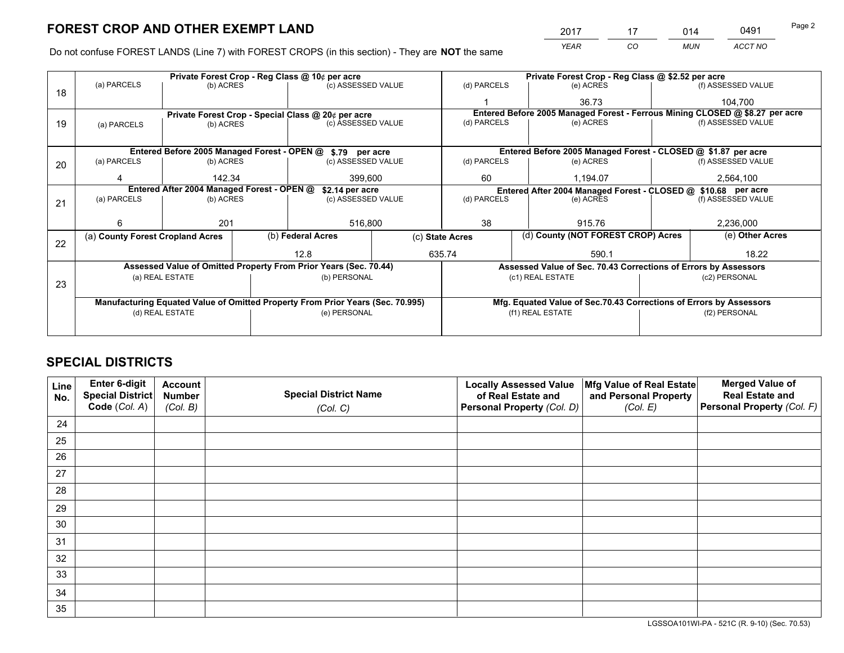*YEAR CO MUN ACCT NO* <u>2017 - 17 014 0491</u>

Do not confuse FOREST LANDS (Line 7) with FOREST CROPS (in this section) - They are **NOT** the same

|    |                                                               |                 |  | Private Forest Crop - Reg Class @ 10¢ per acre                                 |  |                                                               |                                 | Private Forest Crop - Reg Class @ \$2.52 per acre                  |                 |                                                                              |  |
|----|---------------------------------------------------------------|-----------------|--|--------------------------------------------------------------------------------|--|---------------------------------------------------------------|---------------------------------|--------------------------------------------------------------------|-----------------|------------------------------------------------------------------------------|--|
| 18 | (a) PARCELS                                                   | (b) ACRES       |  | (c) ASSESSED VALUE                                                             |  | (d) PARCELS                                                   |                                 | (e) ACRES                                                          |                 | (f) ASSESSED VALUE                                                           |  |
|    |                                                               |                 |  |                                                                                |  |                                                               |                                 | 36.73                                                              |                 | 104.700                                                                      |  |
|    |                                                               |                 |  | Private Forest Crop - Special Class @ 20¢ per acre                             |  |                                                               |                                 |                                                                    |                 | Entered Before 2005 Managed Forest - Ferrous Mining CLOSED @ \$8.27 per acre |  |
| 19 | (a) PARCELS                                                   | (b) ACRES       |  | (c) ASSESSED VALUE                                                             |  | (d) PARCELS                                                   |                                 | (e) ACRES                                                          |                 | (f) ASSESSED VALUE                                                           |  |
|    |                                                               |                 |  |                                                                                |  |                                                               |                                 |                                                                    |                 |                                                                              |  |
|    |                                                               |                 |  | Entered Before 2005 Managed Forest - OPEN @ \$.79 per acre                     |  |                                                               |                                 | Entered Before 2005 Managed Forest - CLOSED @ \$1.87 per acre      |                 |                                                                              |  |
| 20 | (a) PARCELS                                                   | (b) ACRES       |  | (c) ASSESSED VALUE                                                             |  | (d) PARCELS                                                   |                                 | (e) ACRES                                                          |                 | (f) ASSESSED VALUE                                                           |  |
|    |                                                               | 142.34          |  | 399,600                                                                        |  | 60                                                            |                                 | 1,194.07                                                           |                 | 2,564,100                                                                    |  |
|    | Entered After 2004 Managed Forest - OPEN @<br>\$2.14 per acre |                 |  |                                                                                |  | Entered After 2004 Managed Forest - CLOSED @ \$10.68 per acre |                                 |                                                                    |                 |                                                                              |  |
| 21 | (a) PARCELS                                                   | (b) ACRES       |  | (c) ASSESSED VALUE                                                             |  | (d) PARCELS                                                   | (f) ASSESSED VALUE<br>(e) ACRES |                                                                    |                 |                                                                              |  |
|    |                                                               |                 |  |                                                                                |  |                                                               |                                 |                                                                    |                 |                                                                              |  |
|    | 6                                                             | 201             |  | 516,800                                                                        |  | 38                                                            |                                 | 915.76                                                             |                 | 2,236,000                                                                    |  |
|    | (a) County Forest Cropland Acres                              |                 |  | (b) Federal Acres                                                              |  | (c) State Acres                                               |                                 | (d) County (NOT FOREST CROP) Acres                                 | (e) Other Acres |                                                                              |  |
| 22 |                                                               |                 |  | 12.8                                                                           |  | 635.74                                                        |                                 | 590.1                                                              |                 | 18.22                                                                        |  |
|    |                                                               |                 |  | Assessed Value of Omitted Property From Prior Years (Sec. 70.44)               |  |                                                               |                                 | Assessed Value of Sec. 70.43 Corrections of Errors by Assessors    |                 |                                                                              |  |
|    |                                                               | (a) REAL ESTATE |  | (b) PERSONAL                                                                   |  |                                                               |                                 | (c1) REAL ESTATE                                                   |                 | (c2) PERSONAL                                                                |  |
| 23 |                                                               |                 |  |                                                                                |  |                                                               |                                 |                                                                    |                 |                                                                              |  |
|    |                                                               |                 |  | Manufacturing Equated Value of Omitted Property From Prior Years (Sec. 70.995) |  |                                                               |                                 | Mfg. Equated Value of Sec.70.43 Corrections of Errors by Assessors |                 |                                                                              |  |
|    | (d) REAL ESTATE                                               |                 |  | (e) PERSONAL                                                                   |  |                                                               |                                 | (f1) REAL ESTATE                                                   |                 | (f2) PERSONAL                                                                |  |
|    |                                                               |                 |  |                                                                                |  |                                                               |                                 |                                                                    |                 |                                                                              |  |

## **SPECIAL DISTRICTS**

| Line<br>No. | Enter 6-digit<br><b>Special District</b> | <b>Account</b><br><b>Number</b> | <b>Special District Name</b> | <b>Locally Assessed Value</b><br>of Real Estate and | Mfg Value of Real Estate<br>and Personal Property | <b>Merged Value of</b><br><b>Real Estate and</b> |
|-------------|------------------------------------------|---------------------------------|------------------------------|-----------------------------------------------------|---------------------------------------------------|--------------------------------------------------|
|             | Code (Col. A)                            | (Col. B)                        | (Col. C)                     | Personal Property (Col. D)                          | (Col. E)                                          | Personal Property (Col. F)                       |
| 24          |                                          |                                 |                              |                                                     |                                                   |                                                  |
| 25          |                                          |                                 |                              |                                                     |                                                   |                                                  |
| 26          |                                          |                                 |                              |                                                     |                                                   |                                                  |
| 27          |                                          |                                 |                              |                                                     |                                                   |                                                  |
| 28          |                                          |                                 |                              |                                                     |                                                   |                                                  |
| 29          |                                          |                                 |                              |                                                     |                                                   |                                                  |
| 30          |                                          |                                 |                              |                                                     |                                                   |                                                  |
| 31          |                                          |                                 |                              |                                                     |                                                   |                                                  |
| 32          |                                          |                                 |                              |                                                     |                                                   |                                                  |
| 33          |                                          |                                 |                              |                                                     |                                                   |                                                  |
| 34          |                                          |                                 |                              |                                                     |                                                   |                                                  |
| 35          |                                          |                                 |                              |                                                     |                                                   |                                                  |

LGSSOA101WI-PA - 521C (R. 9-10) (Sec. 70.53)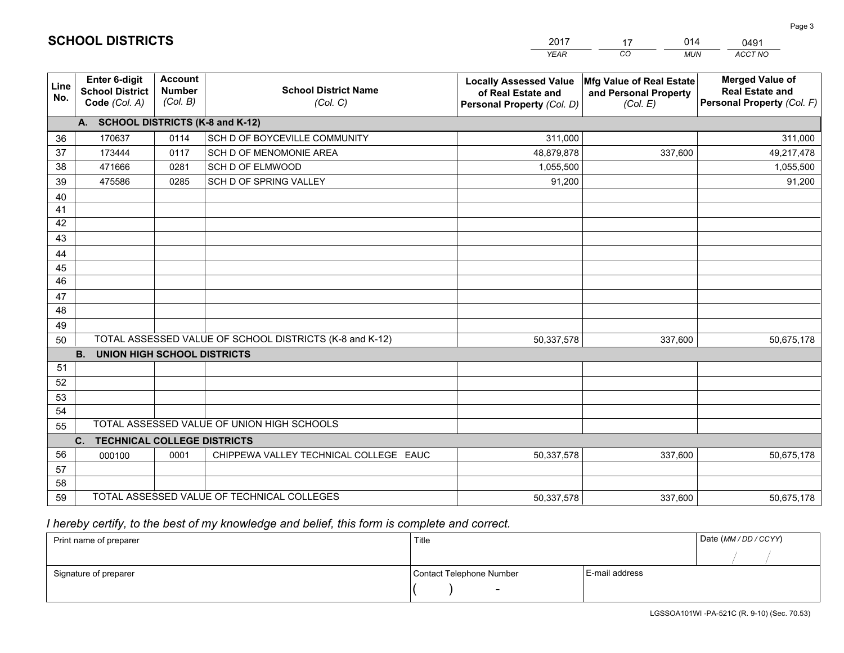|             |                                                          |                                             |                                                         | YEAR                                                                              | CO.<br><b>MUN</b>                                             | ACCT NO                                                                        |  |  |
|-------------|----------------------------------------------------------|---------------------------------------------|---------------------------------------------------------|-----------------------------------------------------------------------------------|---------------------------------------------------------------|--------------------------------------------------------------------------------|--|--|
| Line<br>No. | Enter 6-digit<br><b>School District</b><br>Code (Col. A) | <b>Account</b><br><b>Number</b><br>(Col. B) | <b>School District Name</b><br>(Col. C)                 | <b>Locally Assessed Value</b><br>of Real Estate and<br>Personal Property (Col. D) | Mfg Value of Real Estate<br>and Personal Property<br>(Col. E) | <b>Merged Value of</b><br><b>Real Estate and</b><br>Personal Property (Col. F) |  |  |
|             | A. SCHOOL DISTRICTS (K-8 and K-12)                       |                                             |                                                         |                                                                                   |                                                               |                                                                                |  |  |
| 36          | 170637                                                   | 0114                                        | SCH D OF BOYCEVILLE COMMUNITY                           | 311,000                                                                           |                                                               | 311,000                                                                        |  |  |
| 37          | 173444                                                   | 0117                                        | SCH D OF MENOMONIE AREA                                 | 48,879,878                                                                        | 337,600                                                       | 49,217,478                                                                     |  |  |
| 38          | 471666                                                   | 0281                                        | SCH D OF ELMWOOD                                        | 1,055,500                                                                         |                                                               | 1,055,500                                                                      |  |  |
| 39          | 475586                                                   | 0285                                        | SCH D OF SPRING VALLEY                                  | 91,200                                                                            |                                                               | 91,200                                                                         |  |  |
| 40          |                                                          |                                             |                                                         |                                                                                   |                                                               |                                                                                |  |  |
| 41          |                                                          |                                             |                                                         |                                                                                   |                                                               |                                                                                |  |  |
| 42          |                                                          |                                             |                                                         |                                                                                   |                                                               |                                                                                |  |  |
| 43          |                                                          |                                             |                                                         |                                                                                   |                                                               |                                                                                |  |  |
| 44          |                                                          |                                             |                                                         |                                                                                   |                                                               |                                                                                |  |  |
| 45<br>46    |                                                          |                                             |                                                         |                                                                                   |                                                               |                                                                                |  |  |
| 47          |                                                          |                                             |                                                         |                                                                                   |                                                               |                                                                                |  |  |
| 48          |                                                          |                                             |                                                         |                                                                                   |                                                               |                                                                                |  |  |
| 49          |                                                          |                                             |                                                         |                                                                                   |                                                               |                                                                                |  |  |
| 50          |                                                          |                                             | TOTAL ASSESSED VALUE OF SCHOOL DISTRICTS (K-8 and K-12) | 50,337,578                                                                        | 337,600                                                       | 50,675,178                                                                     |  |  |
|             | <b>B.</b><br><b>UNION HIGH SCHOOL DISTRICTS</b>          |                                             |                                                         |                                                                                   |                                                               |                                                                                |  |  |
| 51          |                                                          |                                             |                                                         |                                                                                   |                                                               |                                                                                |  |  |
| 52          |                                                          |                                             |                                                         |                                                                                   |                                                               |                                                                                |  |  |
| 53          |                                                          |                                             |                                                         |                                                                                   |                                                               |                                                                                |  |  |
| 54          |                                                          |                                             |                                                         |                                                                                   |                                                               |                                                                                |  |  |
| 55          |                                                          |                                             | TOTAL ASSESSED VALUE OF UNION HIGH SCHOOLS              |                                                                                   |                                                               |                                                                                |  |  |
|             | C.<br><b>TECHNICAL COLLEGE DISTRICTS</b>                 |                                             |                                                         |                                                                                   |                                                               |                                                                                |  |  |
| 56          | 000100                                                   | 0001                                        | CHIPPEWA VALLEY TECHNICAL COLLEGE EAUC                  | 50,337,578                                                                        | 337,600                                                       | 50,675,178                                                                     |  |  |
| 57          |                                                          |                                             |                                                         |                                                                                   |                                                               |                                                                                |  |  |
| 58          |                                                          |                                             |                                                         |                                                                                   |                                                               |                                                                                |  |  |
| 59          |                                                          |                                             | TOTAL ASSESSED VALUE OF TECHNICAL COLLEGES              | 50,337,578                                                                        | 337,600                                                       | 50,675,178                                                                     |  |  |

17

014

 *I hereby certify, to the best of my knowledge and belief, this form is complete and correct.*

**SCHOOL DISTRICTS**

| Print name of preparer | Title                    |                | Date (MM / DD / CCYY) |
|------------------------|--------------------------|----------------|-----------------------|
|                        |                          |                |                       |
| Signature of preparer  | Contact Telephone Number | E-mail address |                       |
|                        | $\sim$                   |                |                       |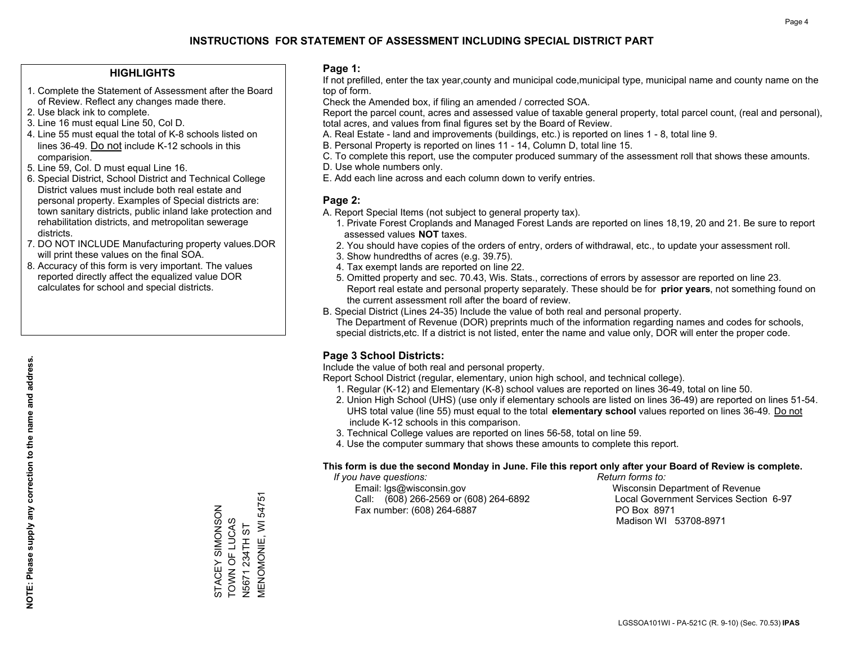### **HIGHLIGHTS**

- 1. Complete the Statement of Assessment after the Board of Review. Reflect any changes made there.
- 2. Use black ink to complete.
- 3. Line 16 must equal Line 50, Col D.
- 4. Line 55 must equal the total of K-8 schools listed on lines 36-49. Do not include K-12 schools in this comparision.
- 5. Line 59, Col. D must equal Line 16.
- 6. Special District, School District and Technical College District values must include both real estate and personal property. Examples of Special districts are: town sanitary districts, public inland lake protection and rehabilitation districts, and metropolitan sewerage districts.
- 7. DO NOT INCLUDE Manufacturing property values.DOR will print these values on the final SOA.

STACEY SIMONSON TOWN OF LUCAS N5671 234TH ST

STACEY SIMONSON **TOWN OF LUCAS V5671 234TH ST**  MENOMONIE, WI 54751

**MENOMONIE, WI 54751** 

 8. Accuracy of this form is very important. The values reported directly affect the equalized value DOR calculates for school and special districts.

### **Page 1:**

 If not prefilled, enter the tax year,county and municipal code,municipal type, municipal name and county name on the top of form.

Check the Amended box, if filing an amended / corrected SOA.

 Report the parcel count, acres and assessed value of taxable general property, total parcel count, (real and personal), total acres, and values from final figures set by the Board of Review.

- A. Real Estate land and improvements (buildings, etc.) is reported on lines 1 8, total line 9.
- B. Personal Property is reported on lines 11 14, Column D, total line 15.
- C. To complete this report, use the computer produced summary of the assessment roll that shows these amounts.
- D. Use whole numbers only.
- E. Add each line across and each column down to verify entries.

### **Page 2:**

- A. Report Special Items (not subject to general property tax).
- 1. Private Forest Croplands and Managed Forest Lands are reported on lines 18,19, 20 and 21. Be sure to report assessed values **NOT** taxes.
- 2. You should have copies of the orders of entry, orders of withdrawal, etc., to update your assessment roll.
	- 3. Show hundredths of acres (e.g. 39.75).
- 4. Tax exempt lands are reported on line 22.
- 5. Omitted property and sec. 70.43, Wis. Stats., corrections of errors by assessor are reported on line 23. Report real estate and personal property separately. These should be for **prior years**, not something found on the current assessment roll after the board of review.
- B. Special District (Lines 24-35) Include the value of both real and personal property.
- The Department of Revenue (DOR) preprints much of the information regarding names and codes for schools, special districts,etc. If a district is not listed, enter the name and value only, DOR will enter the proper code.

## **Page 3 School Districts:**

Include the value of both real and personal property.

Report School District (regular, elementary, union high school, and technical college).

- 1. Regular (K-12) and Elementary (K-8) school values are reported on lines 36-49, total on line 50.
- 2. Union High School (UHS) (use only if elementary schools are listed on lines 36-49) are reported on lines 51-54. UHS total value (line 55) must equal to the total **elementary school** values reported on lines 36-49. Do notinclude K-12 schools in this comparison.
- 3. Technical College values are reported on lines 56-58, total on line 59.
- 4. Use the computer summary that shows these amounts to complete this report.

#### **This form is due the second Monday in June. File this report only after your Board of Review is complete.**

 *If you have questions: Return forms to:*

 Email: lgs@wisconsin.gov Wisconsin Department of RevenueCall:  $(608)$  266-2569 or  $(608)$  264-6892 Fax number: (608) 264-6887 PO Box 8971

Local Government Services Section 6-97 Madison WI 53708-8971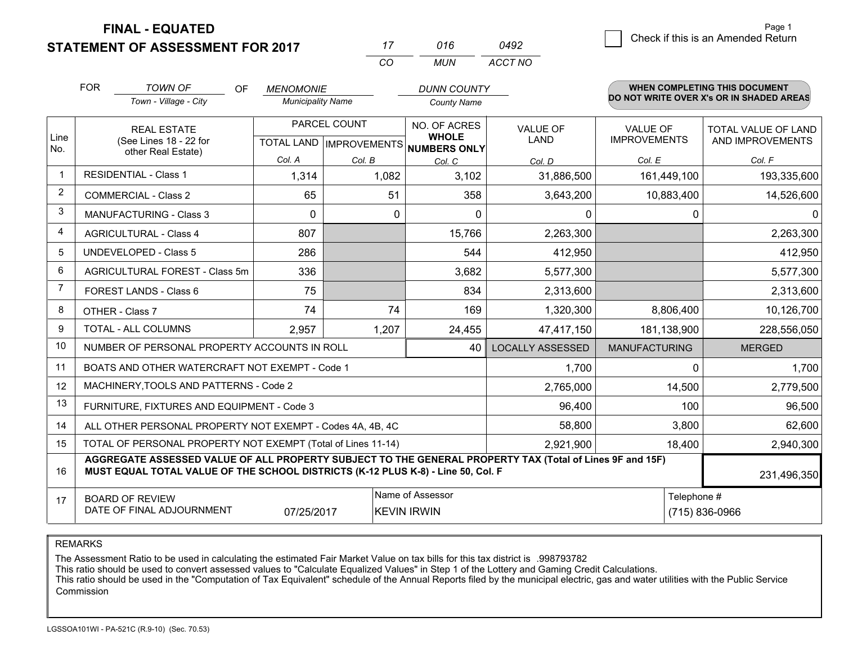**STATEMENT OF ASSESSMENT FOR 2017 FINAL - EQUATED**

2 Check if this is an Amended Return Page 1

|                | <b>FOR</b>                                                                                                                                                                                                  | <b>TOWN OF</b><br>OF<br>Town - Village - City                | <b>MENOMONIE</b><br><b>Municipality Name</b> |                 | <b>DUNN COUNTY</b><br><b>County Name</b> |                                |                                        | <b>WHEN COMPLETING THIS DOCUMENT</b><br>DO NOT WRITE OVER X's OR IN SHADED AREAS |  |
|----------------|-------------------------------------------------------------------------------------------------------------------------------------------------------------------------------------------------------------|--------------------------------------------------------------|----------------------------------------------|-----------------|------------------------------------------|--------------------------------|----------------------------------------|----------------------------------------------------------------------------------|--|
| Line           |                                                                                                                                                                                                             | PARCEL COUNT<br><b>REAL ESTATE</b><br>(See Lines 18 - 22 for |                                              |                 | NO. OF ACRES<br><b>WHOLE</b>             | <b>VALUE OF</b><br><b>LAND</b> | <b>VALUE OF</b><br><b>IMPROVEMENTS</b> | TOTAL VALUE OF LAND<br>AND IMPROVEMENTS                                          |  |
| No.            |                                                                                                                                                                                                             | other Real Estate)                                           |                                              |                 | TOTAL LAND IMPROVEMENTS NUMBERS ONLY     |                                |                                        |                                                                                  |  |
| -1             |                                                                                                                                                                                                             | <b>RESIDENTIAL - Class 1</b>                                 | Col. A<br>1,314                              | Col. B<br>1,082 | Col. C<br>3,102                          | Col. D<br>31,886,500           | Col. E<br>161,449,100                  | Col. F<br>193,335,600                                                            |  |
| $\overline{2}$ | <b>COMMERCIAL - Class 2</b>                                                                                                                                                                                 |                                                              | 65                                           | 51              | 358                                      | 3,643,200                      | 10,883,400                             | 14,526,600                                                                       |  |
| 3              | <b>MANUFACTURING - Class 3</b>                                                                                                                                                                              |                                                              | $\Omega$                                     | 0               | $\Omega$                                 | $\Omega$                       | 0                                      | 0                                                                                |  |
| 4              | <b>AGRICULTURAL - Class 4</b>                                                                                                                                                                               |                                                              | 807                                          |                 | 15,766                                   | 2,263,300                      |                                        | 2,263,300                                                                        |  |
| 5              | <b>UNDEVELOPED - Class 5</b>                                                                                                                                                                                |                                                              | 286                                          |                 | 544                                      | 412,950                        |                                        | 412,950                                                                          |  |
| 6              | AGRICULTURAL FOREST - Class 5m                                                                                                                                                                              |                                                              | 336                                          |                 | 3,682                                    | 5,577,300                      |                                        | 5,577,300                                                                        |  |
| $\overline{7}$ | FOREST LANDS - Class 6                                                                                                                                                                                      |                                                              | 75                                           |                 | 834                                      | 2,313,600                      |                                        | 2,313,600                                                                        |  |
| 8              |                                                                                                                                                                                                             | OTHER - Class 7                                              | 74                                           | 74              | 169                                      | 1,320,300                      | 8,806,400                              | 10,126,700                                                                       |  |
| 9              |                                                                                                                                                                                                             | TOTAL - ALL COLUMNS                                          | 2,957                                        | 1,207           | 24,455                                   | 47,417,150                     | 181,138,900                            | 228,556,050                                                                      |  |
| 10             |                                                                                                                                                                                                             | NUMBER OF PERSONAL PROPERTY ACCOUNTS IN ROLL                 |                                              |                 | 40                                       | <b>LOCALLY ASSESSED</b>        | <b>MANUFACTURING</b>                   | <b>MERGED</b>                                                                    |  |
| 11             |                                                                                                                                                                                                             | BOATS AND OTHER WATERCRAFT NOT EXEMPT - Code 1               |                                              |                 |                                          | 1,700                          | 0                                      | 1,700                                                                            |  |
| 12             |                                                                                                                                                                                                             | MACHINERY, TOOLS AND PATTERNS - Code 2                       |                                              |                 |                                          | 2,765,000                      | 14,500                                 | 2,779,500                                                                        |  |
| 13             |                                                                                                                                                                                                             | FURNITURE, FIXTURES AND EQUIPMENT - Code 3                   |                                              |                 |                                          | 96,400                         | 100                                    | 96,500                                                                           |  |
| 14             |                                                                                                                                                                                                             | ALL OTHER PERSONAL PROPERTY NOT EXEMPT - Codes 4A, 4B, 4C    |                                              |                 |                                          | 58,800                         | 3,800                                  | 62,600                                                                           |  |
| 15             |                                                                                                                                                                                                             | TOTAL OF PERSONAL PROPERTY NOT EXEMPT (Total of Lines 11-14) |                                              |                 |                                          | 2,921,900                      | 18,400                                 | 2,940,300                                                                        |  |
| 16             | AGGREGATE ASSESSED VALUE OF ALL PROPERTY SUBJECT TO THE GENERAL PROPERTY TAX (Total of Lines 9F and 15F)<br>MUST EQUAL TOTAL VALUE OF THE SCHOOL DISTRICTS (K-12 PLUS K-8) - Line 50, Col. F<br>231,496,350 |                                                              |                                              |                 |                                          |                                |                                        |                                                                                  |  |
| 17             | Name of Assessor<br><b>BOARD OF REVIEW</b><br>DATE OF FINAL ADJOURNMENT<br>07/25/2017<br><b>KEVIN IRWIN</b>                                                                                                 |                                                              |                                              |                 |                                          |                                |                                        | Telephone #<br>(715) 836-0966                                                    |  |

*CO*

*MUN*

*ACCT NO0492*

*<sup>17</sup> <sup>016</sup>*

REMARKS

The Assessment Ratio to be used in calculating the estimated Fair Market Value on tax bills for this tax district is .998793782<br>This ratio should be used to convert assessed values to "Calculate Equalized Values" in Step 1 Commission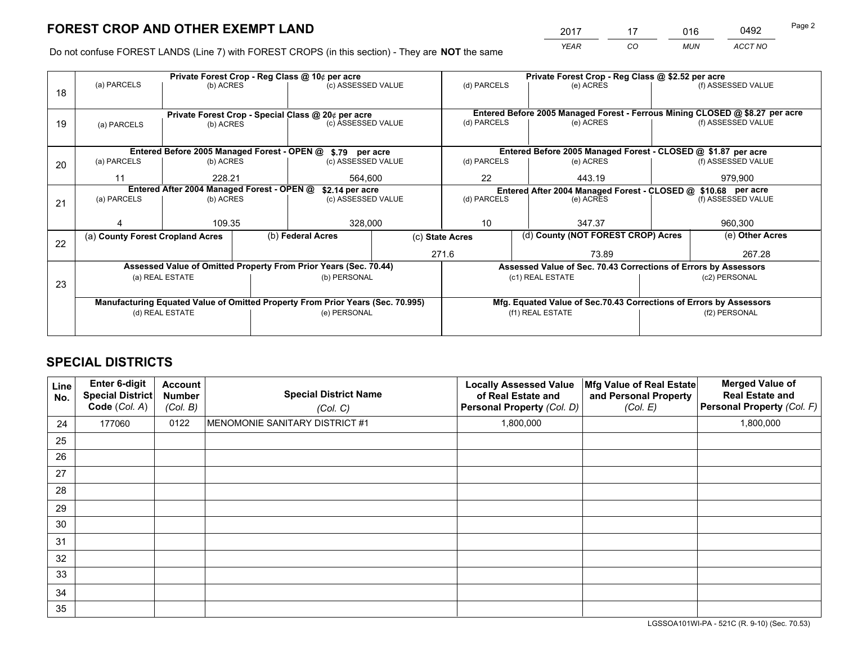*YEAR CO MUN ACCT NO* <sup>2017</sup> <sup>17</sup> <sup>016</sup> <sup>0492</sup> Page 2

Do not confuse FOREST LANDS (Line 7) with FOREST CROPS (in this section) - They are **NOT** the same

|    |                                            |                                                    |  | Private Forest Crop - Reg Class @ 10¢ per acre                                 |    | Private Forest Crop - Reg Class @ \$2.52 per acre             |                                                                              |  |                    |  |
|----|--------------------------------------------|----------------------------------------------------|--|--------------------------------------------------------------------------------|----|---------------------------------------------------------------|------------------------------------------------------------------------------|--|--------------------|--|
| 18 | (a) PARCELS                                | (b) ACRES                                          |  | (c) ASSESSED VALUE                                                             |    | (d) PARCELS                                                   | (e) ACRES                                                                    |  | (f) ASSESSED VALUE |  |
|    |                                            |                                                    |  |                                                                                |    |                                                               |                                                                              |  |                    |  |
|    |                                            | Private Forest Crop - Special Class @ 20¢ per acre |  |                                                                                |    |                                                               | Entered Before 2005 Managed Forest - Ferrous Mining CLOSED @ \$8.27 per acre |  |                    |  |
| 19 | (a) PARCELS                                | (b) ACRES                                          |  | (c) ASSESSED VALUE                                                             |    | (d) PARCELS                                                   | (e) ACRES                                                                    |  | (f) ASSESSED VALUE |  |
|    |                                            |                                                    |  |                                                                                |    |                                                               |                                                                              |  |                    |  |
|    |                                            |                                                    |  | Entered Before 2005 Managed Forest - OPEN @ \$.79 per acre                     |    |                                                               | Entered Before 2005 Managed Forest - CLOSED @ \$1.87 per acre                |  |                    |  |
| 20 | (a) PARCELS                                | (b) ACRES                                          |  | (c) ASSESSED VALUE                                                             |    | (d) PARCELS                                                   | (e) ACRES                                                                    |  | (f) ASSESSED VALUE |  |
|    | 11                                         | 228.21                                             |  | 564,600                                                                        | 22 |                                                               | 443.19                                                                       |  |                    |  |
|    |                                            |                                                    |  |                                                                                |    | 979,900                                                       |                                                                              |  |                    |  |
|    | Entered After 2004 Managed Forest - OPEN @ |                                                    |  | \$2.14 per acre                                                                |    | Entered After 2004 Managed Forest - CLOSED @ \$10.68 per acre |                                                                              |  |                    |  |
| 21 | (a) PARCELS                                | (b) ACRES                                          |  | (c) ASSESSED VALUE                                                             |    | (d) PARCELS                                                   | (e) ACRES                                                                    |  | (f) ASSESSED VALUE |  |
|    |                                            |                                                    |  |                                                                                |    |                                                               |                                                                              |  |                    |  |
|    |                                            | 109.35                                             |  | 328,000                                                                        |    | 10                                                            | 347.37                                                                       |  | 960,300            |  |
|    | (a) County Forest Cropland Acres           |                                                    |  | (b) Federal Acres<br>(c) State Acres                                           |    | (d) County (NOT FOREST CROP) Acres                            |                                                                              |  | (e) Other Acres    |  |
| 22 |                                            |                                                    |  |                                                                                |    | 271.6                                                         |                                                                              |  | 267.28             |  |
|    |                                            |                                                    |  |                                                                                |    |                                                               | 73.89                                                                        |  |                    |  |
|    |                                            |                                                    |  | Assessed Value of Omitted Property From Prior Years (Sec. 70.44)               |    |                                                               | Assessed Value of Sec. 70.43 Corrections of Errors by Assessors              |  |                    |  |
| 23 |                                            | (a) REAL ESTATE                                    |  | (b) PERSONAL                                                                   |    |                                                               | (c1) REAL ESTATE                                                             |  | (c2) PERSONAL      |  |
|    |                                            |                                                    |  |                                                                                |    |                                                               |                                                                              |  |                    |  |
|    |                                            |                                                    |  | Manufacturing Equated Value of Omitted Property From Prior Years (Sec. 70.995) |    |                                                               | Mfg. Equated Value of Sec.70.43 Corrections of Errors by Assessors           |  |                    |  |
|    | (d) REAL ESTATE                            |                                                    |  | (e) PERSONAL                                                                   |    |                                                               | (f1) REAL ESTATE                                                             |  | (f2) PERSONAL      |  |
|    |                                            |                                                    |  |                                                                                |    |                                                               |                                                                              |  |                    |  |
|    |                                            |                                                    |  |                                                                                |    |                                                               |                                                                              |  |                    |  |

## **SPECIAL DISTRICTS**

| Line<br>No. | Enter 6-digit<br>Special District<br>Code (Col. A) | <b>Account</b><br><b>Number</b><br>(Col. B) | <b>Special District Name</b><br>(Col. C) | <b>Locally Assessed Value</b><br>of Real Estate and<br>Personal Property (Col. D) | Mfg Value of Real Estate<br>and Personal Property<br>(Col. E) | <b>Merged Value of</b><br><b>Real Estate and</b><br>Personal Property (Col. F) |
|-------------|----------------------------------------------------|---------------------------------------------|------------------------------------------|-----------------------------------------------------------------------------------|---------------------------------------------------------------|--------------------------------------------------------------------------------|
| 24          | 177060                                             | 0122                                        | MENOMONIE SANITARY DISTRICT #1           | 1,800,000                                                                         |                                                               | 1,800,000                                                                      |
| 25          |                                                    |                                             |                                          |                                                                                   |                                                               |                                                                                |
| 26          |                                                    |                                             |                                          |                                                                                   |                                                               |                                                                                |
| 27          |                                                    |                                             |                                          |                                                                                   |                                                               |                                                                                |
| 28          |                                                    |                                             |                                          |                                                                                   |                                                               |                                                                                |
| 29          |                                                    |                                             |                                          |                                                                                   |                                                               |                                                                                |
| 30          |                                                    |                                             |                                          |                                                                                   |                                                               |                                                                                |
| 31          |                                                    |                                             |                                          |                                                                                   |                                                               |                                                                                |
| 32          |                                                    |                                             |                                          |                                                                                   |                                                               |                                                                                |
| 33          |                                                    |                                             |                                          |                                                                                   |                                                               |                                                                                |
| 34          |                                                    |                                             |                                          |                                                                                   |                                                               |                                                                                |
| 35          |                                                    |                                             |                                          |                                                                                   |                                                               |                                                                                |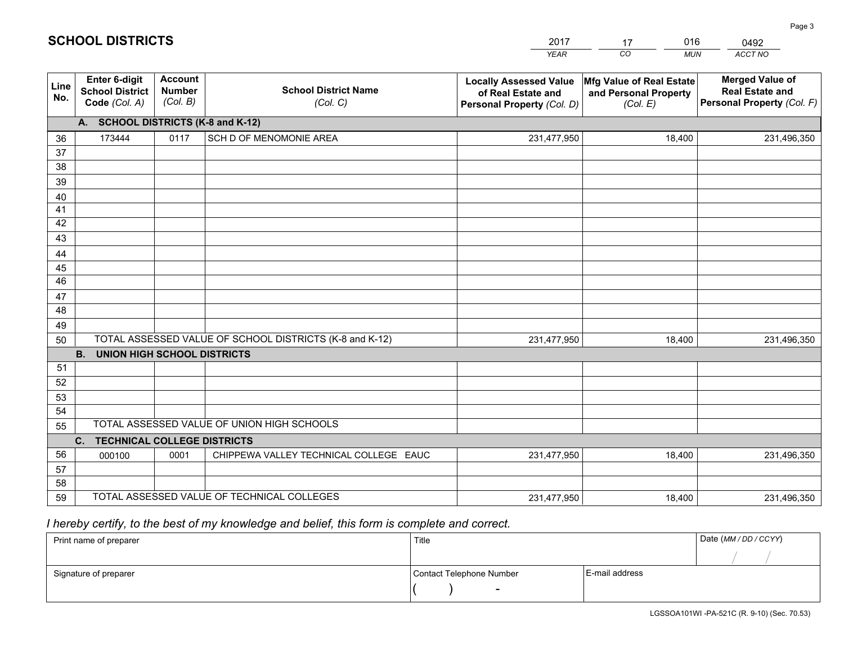|             |                                                          |                                             |                                                         | <b>YEAR</b>                                                                       | CO<br><b>MUN</b>                                              | ACCT NO                                                                        |
|-------------|----------------------------------------------------------|---------------------------------------------|---------------------------------------------------------|-----------------------------------------------------------------------------------|---------------------------------------------------------------|--------------------------------------------------------------------------------|
| Line<br>No. | Enter 6-digit<br><b>School District</b><br>Code (Col. A) | <b>Account</b><br><b>Number</b><br>(Col. B) | <b>School District Name</b><br>(Col. C)                 | <b>Locally Assessed Value</b><br>of Real Estate and<br>Personal Property (Col. D) | Mfg Value of Real Estate<br>and Personal Property<br>(Col. E) | <b>Merged Value of</b><br><b>Real Estate and</b><br>Personal Property (Col. F) |
|             | A. SCHOOL DISTRICTS (K-8 and K-12)                       |                                             |                                                         |                                                                                   |                                                               |                                                                                |
| 36          | 173444                                                   | 0117                                        | SCH D OF MENOMONIE AREA                                 | 231,477,950                                                                       | 18,400                                                        | 231,496,350                                                                    |
| 37          |                                                          |                                             |                                                         |                                                                                   |                                                               |                                                                                |
| 38          |                                                          |                                             |                                                         |                                                                                   |                                                               |                                                                                |
| 39          |                                                          |                                             |                                                         |                                                                                   |                                                               |                                                                                |
| 40          |                                                          |                                             |                                                         |                                                                                   |                                                               |                                                                                |
| 41<br>42    |                                                          |                                             |                                                         |                                                                                   |                                                               |                                                                                |
| 43          |                                                          |                                             |                                                         |                                                                                   |                                                               |                                                                                |
| 44          |                                                          |                                             |                                                         |                                                                                   |                                                               |                                                                                |
| 45          |                                                          |                                             |                                                         |                                                                                   |                                                               |                                                                                |
| 46          |                                                          |                                             |                                                         |                                                                                   |                                                               |                                                                                |
| 47          |                                                          |                                             |                                                         |                                                                                   |                                                               |                                                                                |
| 48          |                                                          |                                             |                                                         |                                                                                   |                                                               |                                                                                |
| 49          |                                                          |                                             |                                                         |                                                                                   |                                                               |                                                                                |
| 50          |                                                          |                                             | TOTAL ASSESSED VALUE OF SCHOOL DISTRICTS (K-8 and K-12) | 231,477,950                                                                       | 18,400                                                        | 231,496,350                                                                    |
|             | <b>B.</b><br><b>UNION HIGH SCHOOL DISTRICTS</b>          |                                             |                                                         |                                                                                   |                                                               |                                                                                |
| 51          |                                                          |                                             |                                                         |                                                                                   |                                                               |                                                                                |
| 52          |                                                          |                                             |                                                         |                                                                                   |                                                               |                                                                                |
| 53          |                                                          |                                             |                                                         |                                                                                   |                                                               |                                                                                |
| 54          |                                                          |                                             | TOTAL ASSESSED VALUE OF UNION HIGH SCHOOLS              |                                                                                   |                                                               |                                                                                |
| 55          |                                                          |                                             |                                                         |                                                                                   |                                                               |                                                                                |
| 56          | C.<br><b>TECHNICAL COLLEGE DISTRICTS</b><br>000100       | 0001                                        | CHIPPEWA VALLEY TECHNICAL COLLEGE EAUC                  | 231,477,950                                                                       | 18,400                                                        | 231,496,350                                                                    |
| 57          |                                                          |                                             |                                                         |                                                                                   |                                                               |                                                                                |
| 58          |                                                          |                                             |                                                         |                                                                                   |                                                               |                                                                                |
| 59          |                                                          |                                             | TOTAL ASSESSED VALUE OF TECHNICAL COLLEGES              | 231,477,950                                                                       | 18,400                                                        | 231,496,350                                                                    |

17

016

# *I hereby certify, to the best of my knowledge and belief, this form is complete and correct.*

**SCHOOL DISTRICTS**

| Print name of preparer | Title                    |                | Date (MM / DD / CCYY) |
|------------------------|--------------------------|----------------|-----------------------|
|                        |                          |                |                       |
| Signature of preparer  | Contact Telephone Number | E-mail address |                       |
|                        | $\overline{\phantom{0}}$ |                |                       |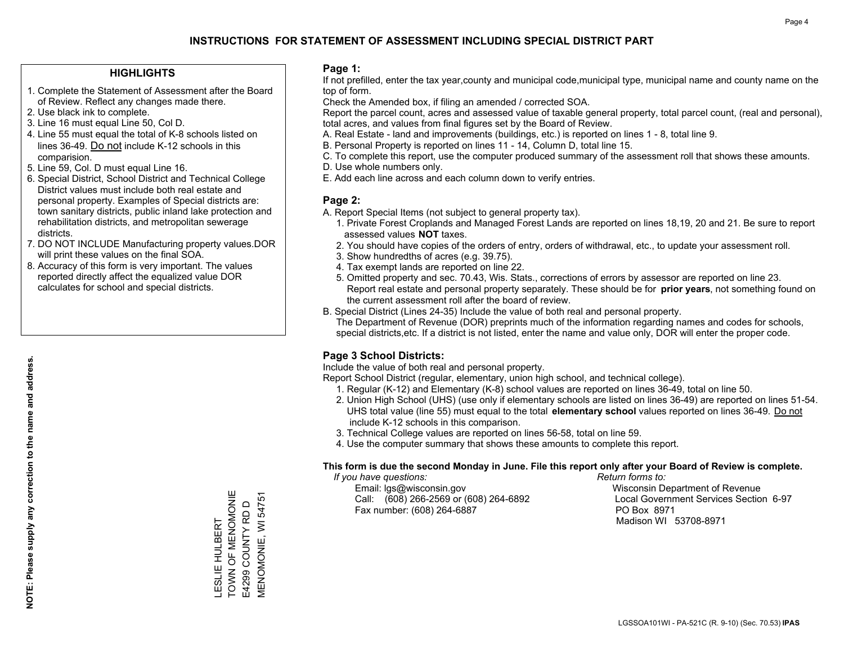### **HIGHLIGHTS**

- 1. Complete the Statement of Assessment after the Board of Review. Reflect any changes made there.
- 2. Use black ink to complete.
- 3. Line 16 must equal Line 50, Col D.
- 4. Line 55 must equal the total of K-8 schools listed on lines 36-49. Do not include K-12 schools in this comparision.
- 5. Line 59, Col. D must equal Line 16.
- 6. Special District, School District and Technical College District values must include both real estate and personal property. Examples of Special districts are: town sanitary districts, public inland lake protection and rehabilitation districts, and metropolitan sewerage districts.
- 7. DO NOT INCLUDE Manufacturing property values.DOR will print these values on the final SOA.
- 8. Accuracy of this form is very important. The values reported directly affect the equalized value DOR calculates for school and special districts.

### **Page 1:**

 If not prefilled, enter the tax year,county and municipal code,municipal type, municipal name and county name on the top of form.

Check the Amended box, if filing an amended / corrected SOA.

 Report the parcel count, acres and assessed value of taxable general property, total parcel count, (real and personal), total acres, and values from final figures set by the Board of Review.

- A. Real Estate land and improvements (buildings, etc.) is reported on lines 1 8, total line 9.
- B. Personal Property is reported on lines 11 14, Column D, total line 15.
- C. To complete this report, use the computer produced summary of the assessment roll that shows these amounts.
- D. Use whole numbers only.
- E. Add each line across and each column down to verify entries.

### **Page 2:**

- A. Report Special Items (not subject to general property tax).
- 1. Private Forest Croplands and Managed Forest Lands are reported on lines 18,19, 20 and 21. Be sure to report assessed values **NOT** taxes.
- 2. You should have copies of the orders of entry, orders of withdrawal, etc., to update your assessment roll.
	- 3. Show hundredths of acres (e.g. 39.75).
- 4. Tax exempt lands are reported on line 22.
- 5. Omitted property and sec. 70.43, Wis. Stats., corrections of errors by assessor are reported on line 23. Report real estate and personal property separately. These should be for **prior years**, not something found on the current assessment roll after the board of review.
- B. Special District (Lines 24-35) Include the value of both real and personal property.
- The Department of Revenue (DOR) preprints much of the information regarding names and codes for schools, special districts,etc. If a district is not listed, enter the name and value only, DOR will enter the proper code.

## **Page 3 School Districts:**

Include the value of both real and personal property.

Report School District (regular, elementary, union high school, and technical college).

- 1. Regular (K-12) and Elementary (K-8) school values are reported on lines 36-49, total on line 50.
- 2. Union High School (UHS) (use only if elementary schools are listed on lines 36-49) are reported on lines 51-54. UHS total value (line 55) must equal to the total **elementary school** values reported on lines 36-49. Do notinclude K-12 schools in this comparison.
- 3. Technical College values are reported on lines 56-58, total on line 59.
- 4. Use the computer summary that shows these amounts to complete this report.

#### **This form is due the second Monday in June. File this report only after your Board of Review is complete.**

 *If you have questions: Return forms to:*

 Email: lgs@wisconsin.gov Wisconsin Department of RevenueCall:  $(608)$  266-2569 or  $(608)$  264-6892 Fax number: (608) 264-6887 PO Box 8971

Local Government Services Section 6-97 Madison WI 53708-8971

TOWN OF MENOMONIE TOWN OF MENOMONIE **MENOMONIE, WI 54751** E4299 COUNTY RD D E4299 COUNTY RD D **LESLIE HULBERT** LESLIE HULBERT

MENOMONIE, WI 54751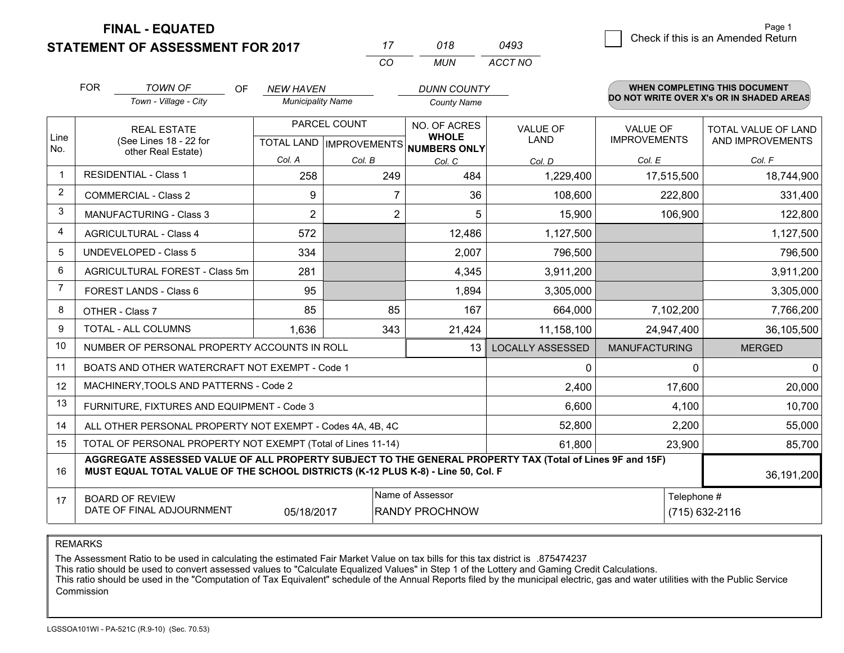**FINAL - EQUATED**

**STATEMENT OF ASSESSMENT FOR 2017** 

|                | <b>FOR</b><br><b>TOWN OF</b><br>OF                                                 |                                                                                                                                                                                              | <b>NEW HAVEN</b>         |                | <b>DUNN COUNTY</b>                                       |                         |                      | <b>WHEN COMPLETING THIS DOCUMENT</b>     |  |
|----------------|------------------------------------------------------------------------------------|----------------------------------------------------------------------------------------------------------------------------------------------------------------------------------------------|--------------------------|----------------|----------------------------------------------------------|-------------------------|----------------------|------------------------------------------|--|
|                |                                                                                    | Town - Village - City                                                                                                                                                                        | <b>Municipality Name</b> |                | <b>County Name</b>                                       |                         |                      | DO NOT WRITE OVER X's OR IN SHADED AREAS |  |
|                |                                                                                    | <b>REAL ESTATE</b>                                                                                                                                                                           |                          | PARCEL COUNT   | NO. OF ACRES                                             | <b>VALUE OF</b>         | <b>VALUE OF</b>      | TOTAL VALUE OF LAND                      |  |
| Line<br>No.    |                                                                                    | (See Lines 18 - 22 for<br>other Real Estate)                                                                                                                                                 |                          |                | <b>WHOLE</b><br>TOTAL LAND   IMPROVEMENTS   NUMBERS ONLY | <b>LAND</b>             | <b>IMPROVEMENTS</b>  | AND IMPROVEMENTS                         |  |
|                |                                                                                    |                                                                                                                                                                                              | Col. A                   | Col. B         | Col. C                                                   | Col. D                  | Col. E               | Col. F                                   |  |
| $\mathbf{1}$   |                                                                                    | <b>RESIDENTIAL - Class 1</b>                                                                                                                                                                 | 258                      | 249            | 484                                                      | 1,229,400               | 17,515,500           | 18,744,900                               |  |
| $\overline{2}$ |                                                                                    | <b>COMMERCIAL - Class 2</b>                                                                                                                                                                  | 9                        | 7              | 36                                                       | 108,600                 | 222,800              | 331,400                                  |  |
| 3              |                                                                                    | MANUFACTURING - Class 3                                                                                                                                                                      | $\overline{2}$           | $\overline{2}$ | 5                                                        | 15,900                  | 106,900              | 122,800                                  |  |
| 4              |                                                                                    | <b>AGRICULTURAL - Class 4</b>                                                                                                                                                                | 572                      |                | 12,486                                                   | 1,127,500               |                      | 1,127,500                                |  |
| 5              |                                                                                    | UNDEVELOPED - Class 5                                                                                                                                                                        | 334                      |                | 2,007                                                    | 796,500                 |                      | 796,500                                  |  |
| 6              |                                                                                    | AGRICULTURAL FOREST - Class 5m                                                                                                                                                               | 281                      |                | 4,345                                                    | 3,911,200               |                      | 3,911,200                                |  |
| $\overline{7}$ |                                                                                    | FOREST LANDS - Class 6                                                                                                                                                                       | 95                       |                | 1,894                                                    | 3,305,000               |                      | 3,305,000                                |  |
| 8              |                                                                                    | OTHER - Class 7                                                                                                                                                                              | 85                       | 85             | 167                                                      | 664,000                 | 7,102,200            | 7,766,200                                |  |
| 9              |                                                                                    | TOTAL - ALL COLUMNS                                                                                                                                                                          | 1,636                    | 343            | 21,424                                                   | 11,158,100              | 24,947,400           | 36,105,500                               |  |
| 10             |                                                                                    | NUMBER OF PERSONAL PROPERTY ACCOUNTS IN ROLL                                                                                                                                                 |                          |                | 13 <sup>1</sup>                                          | <b>LOCALLY ASSESSED</b> | <b>MANUFACTURING</b> | <b>MERGED</b>                            |  |
| 11             |                                                                                    | BOATS AND OTHER WATERCRAFT NOT EXEMPT - Code 1                                                                                                                                               |                          |                |                                                          | 0                       | $\Omega$             | $\Omega$                                 |  |
| 12             |                                                                                    | MACHINERY, TOOLS AND PATTERNS - Code 2                                                                                                                                                       |                          |                |                                                          | 2,400                   | 17,600               | 20,000                                   |  |
| 13             |                                                                                    | FURNITURE, FIXTURES AND EQUIPMENT - Code 3                                                                                                                                                   |                          |                |                                                          | 6,600                   | 4,100                | 10,700                                   |  |
| 14             |                                                                                    | ALL OTHER PERSONAL PROPERTY NOT EXEMPT - Codes 4A, 4B, 4C                                                                                                                                    |                          |                |                                                          | 52,800                  | 2,200                | 55,000                                   |  |
| 15             |                                                                                    | TOTAL OF PERSONAL PROPERTY NOT EXEMPT (Total of Lines 11-14)                                                                                                                                 |                          |                |                                                          | 61,800                  | 23,900               | 85,700                                   |  |
| 16             |                                                                                    | AGGREGATE ASSESSED VALUE OF ALL PROPERTY SUBJECT TO THE GENERAL PROPERTY TAX (Total of Lines 9F and 15F)<br>MUST EQUAL TOTAL VALUE OF THE SCHOOL DISTRICTS (K-12 PLUS K-8) - Line 50, Col. F |                          |                |                                                          |                         |                      | 36,191,200                               |  |
| 17             |                                                                                    | <b>BOARD OF REVIEW</b>                                                                                                                                                                       |                          |                | Name of Assessor                                         |                         | Telephone #          |                                          |  |
|                | DATE OF FINAL ADJOURNMENT<br>05/18/2017<br><b>RANDY PROCHNOW</b><br>(715) 632-2116 |                                                                                                                                                                                              |                          |                |                                                          |                         |                      |                                          |  |

*CO*

*MUN*

*ACCT NO*

*<sup>17</sup> <sup>018</sup>*

REMARKS

The Assessment Ratio to be used in calculating the estimated Fair Market Value on tax bills for this tax district is .875474237<br>This ratio should be used to convert assessed values to "Calculate Equalized Values" in Step 1 Commission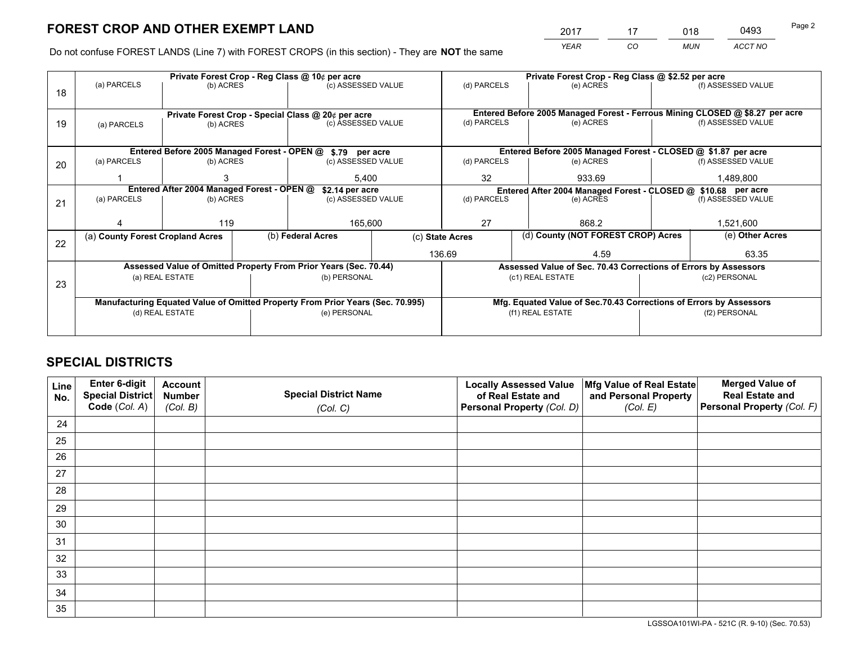*YEAR CO MUN ACCT NO* <sup>2017</sup> <sup>17</sup> <sup>018</sup> <sup>0493</sup> Page 2

Do not confuse FOREST LANDS (Line 7) with FOREST CROPS (in this section) - They are **NOT** the same

|    |                                  |                                                    |  | Private Forest Crop - Reg Class @ 10¢ per acre                                 |                                   | Private Forest Crop - Reg Class @ \$2.52 per acre             |                  |                                                                    |                 |                                                                              |
|----|----------------------------------|----------------------------------------------------|--|--------------------------------------------------------------------------------|-----------------------------------|---------------------------------------------------------------|------------------|--------------------------------------------------------------------|-----------------|------------------------------------------------------------------------------|
| 18 | (a) PARCELS                      | (b) ACRES                                          |  | (c) ASSESSED VALUE                                                             |                                   | (d) PARCELS                                                   |                  | (e) ACRES                                                          |                 | (f) ASSESSED VALUE                                                           |
|    |                                  |                                                    |  |                                                                                |                                   |                                                               |                  |                                                                    |                 |                                                                              |
|    |                                  | Private Forest Crop - Special Class @ 20¢ per acre |  |                                                                                |                                   |                                                               |                  |                                                                    |                 | Entered Before 2005 Managed Forest - Ferrous Mining CLOSED @ \$8.27 per acre |
| 19 | (a) PARCELS                      | (b) ACRES                                          |  | (c) ASSESSED VALUE                                                             |                                   | (d) PARCELS                                                   |                  | (e) ACRES                                                          |                 | (f) ASSESSED VALUE                                                           |
|    |                                  |                                                    |  |                                                                                |                                   |                                                               |                  |                                                                    |                 |                                                                              |
|    |                                  |                                                    |  | Entered Before 2005 Managed Forest - OPEN @ \$.79 per acre                     |                                   | Entered Before 2005 Managed Forest - CLOSED @ \$1.87 per acre |                  |                                                                    |                 |                                                                              |
|    | (a) PARCELS                      | (b) ACRES                                          |  | (c) ASSESSED VALUE                                                             |                                   | (d) PARCELS                                                   |                  | (e) ACRES                                                          |                 | (f) ASSESSED VALUE                                                           |
| 20 |                                  |                                                    |  |                                                                                |                                   |                                                               |                  |                                                                    |                 |                                                                              |
|    |                                  |                                                    |  | 5.400                                                                          |                                   | 32<br>933.69                                                  |                  | 1,489,800                                                          |                 |                                                                              |
|    |                                  | Entered After 2004 Managed Forest - OPEN @         |  | \$2.14 per acre                                                                |                                   |                                                               |                  | Entered After 2004 Managed Forest - CLOSED @ \$10.68 per acre      |                 |                                                                              |
| 21 | (a) PARCELS                      | (b) ACRES                                          |  |                                                                                | (d) PARCELS<br>(c) ASSESSED VALUE |                                                               |                  | (e) ACRES                                                          |                 | (f) ASSESSED VALUE                                                           |
|    |                                  |                                                    |  |                                                                                |                                   |                                                               |                  |                                                                    |                 |                                                                              |
|    |                                  | 119                                                |  | 165,600                                                                        |                                   | 27                                                            |                  | 868.2                                                              |                 | 1,521,600                                                                    |
|    | (a) County Forest Cropland Acres |                                                    |  | (b) Federal Acres                                                              |                                   | (d) County (NOT FOREST CROP) Acres<br>(c) State Acres         |                  |                                                                    | (e) Other Acres |                                                                              |
| 22 |                                  |                                                    |  |                                                                                |                                   |                                                               |                  |                                                                    |                 |                                                                              |
|    |                                  |                                                    |  |                                                                                |                                   | 136.69                                                        |                  | 4.59                                                               |                 | 63.35                                                                        |
|    |                                  |                                                    |  | Assessed Value of Omitted Property From Prior Years (Sec. 70.44)               |                                   |                                                               |                  | Assessed Value of Sec. 70.43 Corrections of Errors by Assessors    |                 |                                                                              |
| 23 |                                  | (a) REAL ESTATE                                    |  | (b) PERSONAL                                                                   |                                   |                                                               | (c1) REAL ESTATE |                                                                    |                 | (c2) PERSONAL                                                                |
|    |                                  |                                                    |  |                                                                                |                                   |                                                               |                  |                                                                    |                 |                                                                              |
|    |                                  |                                                    |  | Manufacturing Equated Value of Omitted Property From Prior Years (Sec. 70.995) |                                   |                                                               |                  | Mfg. Equated Value of Sec.70.43 Corrections of Errors by Assessors |                 |                                                                              |
|    |                                  | (d) REAL ESTATE                                    |  | (e) PERSONAL                                                                   |                                   |                                                               | (f1) REAL ESTATE |                                                                    |                 | (f2) PERSONAL                                                                |
|    |                                  |                                                    |  |                                                                                |                                   |                                                               |                  |                                                                    |                 |                                                                              |
|    |                                  |                                                    |  |                                                                                |                                   |                                                               |                  |                                                                    |                 |                                                                              |

## **SPECIAL DISTRICTS**

| Line<br>No. | Enter 6-digit<br><b>Special District</b><br>Code (Col. A) | <b>Account</b><br><b>Number</b><br>(Col. B) | <b>Special District Name</b><br>(Col. C) | <b>Locally Assessed Value</b><br>of Real Estate and<br>Personal Property (Col. D) | Mfg Value of Real Estate<br>and Personal Property<br>(Col. E) | <b>Merged Value of</b><br><b>Real Estate and</b><br>Personal Property (Col. F) |
|-------------|-----------------------------------------------------------|---------------------------------------------|------------------------------------------|-----------------------------------------------------------------------------------|---------------------------------------------------------------|--------------------------------------------------------------------------------|
| 24          |                                                           |                                             |                                          |                                                                                   |                                                               |                                                                                |
| 25          |                                                           |                                             |                                          |                                                                                   |                                                               |                                                                                |
| 26          |                                                           |                                             |                                          |                                                                                   |                                                               |                                                                                |
| 27          |                                                           |                                             |                                          |                                                                                   |                                                               |                                                                                |
| 28          |                                                           |                                             |                                          |                                                                                   |                                                               |                                                                                |
| 29          |                                                           |                                             |                                          |                                                                                   |                                                               |                                                                                |
| 30          |                                                           |                                             |                                          |                                                                                   |                                                               |                                                                                |
| 31          |                                                           |                                             |                                          |                                                                                   |                                                               |                                                                                |
| 32          |                                                           |                                             |                                          |                                                                                   |                                                               |                                                                                |
| 33          |                                                           |                                             |                                          |                                                                                   |                                                               |                                                                                |
| 34          |                                                           |                                             |                                          |                                                                                   |                                                               |                                                                                |
| 35          |                                                           |                                             |                                          |                                                                                   |                                                               |                                                                                |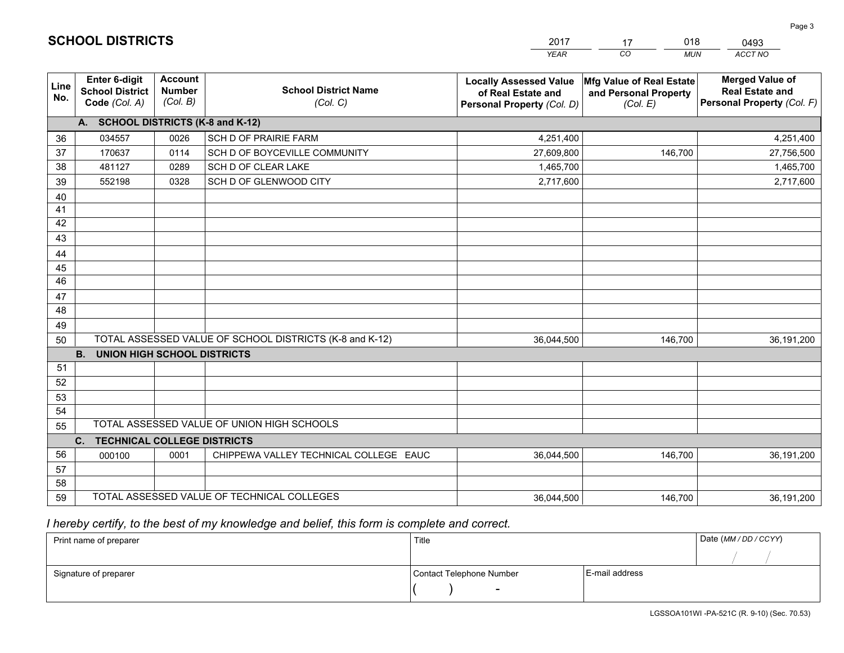|             |                                                                 |                                             |                                                         | <b>YEAR</b>                                                                       | CO.<br><b>MUN</b>                                             | ACCT NO                                                                        |
|-------------|-----------------------------------------------------------------|---------------------------------------------|---------------------------------------------------------|-----------------------------------------------------------------------------------|---------------------------------------------------------------|--------------------------------------------------------------------------------|
| Line<br>No. | <b>Enter 6-digit</b><br><b>School District</b><br>Code (Col. A) | <b>Account</b><br><b>Number</b><br>(Col. B) | <b>School District Name</b><br>(Col. C)                 | <b>Locally Assessed Value</b><br>of Real Estate and<br>Personal Property (Col. D) | Mfg Value of Real Estate<br>and Personal Property<br>(Col. E) | <b>Merged Value of</b><br><b>Real Estate and</b><br>Personal Property (Col. F) |
|             | A. SCHOOL DISTRICTS (K-8 and K-12)                              |                                             |                                                         |                                                                                   |                                                               |                                                                                |
| 36          | 034557                                                          | 0026                                        | <b>SCH D OF PRAIRIE FARM</b>                            | 4,251,400                                                                         |                                                               | 4,251,400                                                                      |
| 37          | 170637                                                          | 0114                                        | SCH D OF BOYCEVILLE COMMUNITY                           | 27,609,800                                                                        | 146,700                                                       | 27,756,500                                                                     |
| 38          | 481127                                                          | 0289                                        | SCH D OF CLEAR LAKE                                     | 1,465,700                                                                         |                                                               | 1,465,700                                                                      |
| 39          | 552198                                                          | 0328                                        | SCH D OF GLENWOOD CITY                                  | 2,717,600                                                                         |                                                               | 2,717,600                                                                      |
| 40          |                                                                 |                                             |                                                         |                                                                                   |                                                               |                                                                                |
| 41          |                                                                 |                                             |                                                         |                                                                                   |                                                               |                                                                                |
| 42          |                                                                 |                                             |                                                         |                                                                                   |                                                               |                                                                                |
| 43          |                                                                 |                                             |                                                         |                                                                                   |                                                               |                                                                                |
| 44          |                                                                 |                                             |                                                         |                                                                                   |                                                               |                                                                                |
| 45          |                                                                 |                                             |                                                         |                                                                                   |                                                               |                                                                                |
| 46          |                                                                 |                                             |                                                         |                                                                                   |                                                               |                                                                                |
| 47          |                                                                 |                                             |                                                         |                                                                                   |                                                               |                                                                                |
| 48          |                                                                 |                                             |                                                         |                                                                                   |                                                               |                                                                                |
| 49          |                                                                 |                                             |                                                         |                                                                                   |                                                               |                                                                                |
| 50          | <b>B.</b><br><b>UNION HIGH SCHOOL DISTRICTS</b>                 |                                             | TOTAL ASSESSED VALUE OF SCHOOL DISTRICTS (K-8 and K-12) | 36,044,500                                                                        | 146,700                                                       | 36,191,200                                                                     |
| 51          |                                                                 |                                             |                                                         |                                                                                   |                                                               |                                                                                |
| 52          |                                                                 |                                             |                                                         |                                                                                   |                                                               |                                                                                |
| 53          |                                                                 |                                             |                                                         |                                                                                   |                                                               |                                                                                |
| 54          |                                                                 |                                             |                                                         |                                                                                   |                                                               |                                                                                |
| 55          |                                                                 |                                             | TOTAL ASSESSED VALUE OF UNION HIGH SCHOOLS              |                                                                                   |                                                               |                                                                                |
|             | C.<br><b>TECHNICAL COLLEGE DISTRICTS</b>                        |                                             |                                                         |                                                                                   |                                                               |                                                                                |
| 56          | 000100                                                          | 0001                                        | CHIPPEWA VALLEY TECHNICAL COLLEGE EAUC                  | 36,044,500                                                                        | 146,700                                                       | 36,191,200                                                                     |
| 57          |                                                                 |                                             |                                                         |                                                                                   |                                                               |                                                                                |
| 58          |                                                                 |                                             |                                                         |                                                                                   |                                                               |                                                                                |
| 59          |                                                                 |                                             | TOTAL ASSESSED VALUE OF TECHNICAL COLLEGES              | 36,044,500                                                                        | 146,700                                                       | 36,191,200                                                                     |

17

018

 *I hereby certify, to the best of my knowledge and belief, this form is complete and correct.*

**SCHOOL DISTRICTS**

| Print name of preparer | Title                    |                | Date (MM / DD / CCYY) |
|------------------------|--------------------------|----------------|-----------------------|
|                        |                          |                |                       |
| Signature of preparer  | Contact Telephone Number | E-mail address |                       |
|                        | $\sim$                   |                |                       |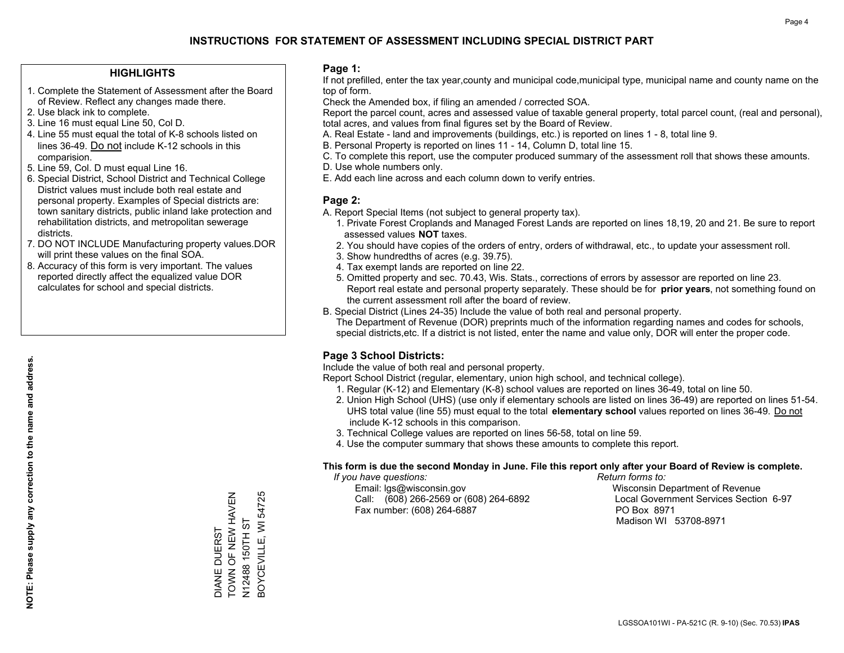### **HIGHLIGHTS**

- 1. Complete the Statement of Assessment after the Board of Review. Reflect any changes made there.
- 2. Use black ink to complete.
- 3. Line 16 must equal Line 50, Col D.
- 4. Line 55 must equal the total of K-8 schools listed on lines 36-49. Do not include K-12 schools in this comparision.
- 5. Line 59, Col. D must equal Line 16.
- 6. Special District, School District and Technical College District values must include both real estate and personal property. Examples of Special districts are: town sanitary districts, public inland lake protection and rehabilitation districts, and metropolitan sewerage districts.
- 7. DO NOT INCLUDE Manufacturing property values.DOR will print these values on the final SOA.

DIANE DUERST

TOWN OF NEW HAVEN N12488 150TH ST BOYCEVILLE, WI 54725

3OYCEVILLE, WI 54725 N12488 150TH ST

DIANE DUERST<br>TOWN OF NEW HAVEN

 8. Accuracy of this form is very important. The values reported directly affect the equalized value DOR calculates for school and special districts.

### **Page 1:**

 If not prefilled, enter the tax year,county and municipal code,municipal type, municipal name and county name on the top of form.

Check the Amended box, if filing an amended / corrected SOA.

 Report the parcel count, acres and assessed value of taxable general property, total parcel count, (real and personal), total acres, and values from final figures set by the Board of Review.

- A. Real Estate land and improvements (buildings, etc.) is reported on lines 1 8, total line 9.
- B. Personal Property is reported on lines 11 14, Column D, total line 15.
- C. To complete this report, use the computer produced summary of the assessment roll that shows these amounts.
- D. Use whole numbers only.
- E. Add each line across and each column down to verify entries.

### **Page 2:**

- A. Report Special Items (not subject to general property tax).
- 1. Private Forest Croplands and Managed Forest Lands are reported on lines 18,19, 20 and 21. Be sure to report assessed values **NOT** taxes.
- 2. You should have copies of the orders of entry, orders of withdrawal, etc., to update your assessment roll.
	- 3. Show hundredths of acres (e.g. 39.75).
- 4. Tax exempt lands are reported on line 22.
- 5. Omitted property and sec. 70.43, Wis. Stats., corrections of errors by assessor are reported on line 23. Report real estate and personal property separately. These should be for **prior years**, not something found on the current assessment roll after the board of review.
- B. Special District (Lines 24-35) Include the value of both real and personal property.
- The Department of Revenue (DOR) preprints much of the information regarding names and codes for schools, special districts,etc. If a district is not listed, enter the name and value only, DOR will enter the proper code.

## **Page 3 School Districts:**

Include the value of both real and personal property.

Report School District (regular, elementary, union high school, and technical college).

- 1. Regular (K-12) and Elementary (K-8) school values are reported on lines 36-49, total on line 50.
- 2. Union High School (UHS) (use only if elementary schools are listed on lines 36-49) are reported on lines 51-54. UHS total value (line 55) must equal to the total **elementary school** values reported on lines 36-49. Do notinclude K-12 schools in this comparison.
- 3. Technical College values are reported on lines 56-58, total on line 59.
- 4. Use the computer summary that shows these amounts to complete this report.

#### **This form is due the second Monday in June. File this report only after your Board of Review is complete.**

 *If you have questions: Return forms to:*

 Email: lgs@wisconsin.gov Wisconsin Department of RevenueCall:  $(608)$  266-2569 or  $(608)$  264-6892 Fax number: (608) 264-6887 PO Box 8971

Local Government Services Section 6-97 Madison WI 53708-8971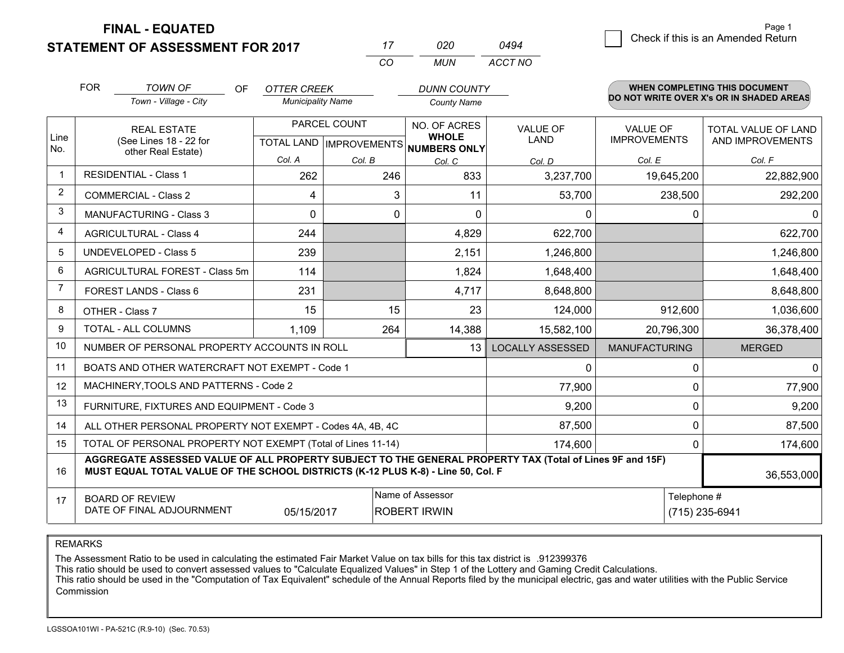**STATEMENT OF ASSESSMENT FOR 2017** 

**FINAL - EQUATED**

|                | <b>FOR</b><br><b>TOWN OF</b>                                                                                                                                                                 | <b>OF</b> | <b>OTTER CREEK</b>       |              | <b>DUNN COUNTY</b>                                   |                         |                      | WHEN COMPLETING THIS DOCUMENT            |  |  |
|----------------|----------------------------------------------------------------------------------------------------------------------------------------------------------------------------------------------|-----------|--------------------------|--------------|------------------------------------------------------|-------------------------|----------------------|------------------------------------------|--|--|
|                | Town - Village - City                                                                                                                                                                        |           | <b>Municipality Name</b> |              | <b>County Name</b>                                   |                         |                      | DO NOT WRITE OVER X's OR IN SHADED AREAS |  |  |
|                | <b>REAL ESTATE</b>                                                                                                                                                                           |           |                          | PARCEL COUNT | NO. OF ACRES                                         | <b>VALUE OF</b>         | <b>VALUE OF</b>      | <b>TOTAL VALUE OF LAND</b>               |  |  |
| Line<br>No.    | (See Lines 18 - 22 for                                                                                                                                                                       |           |                          |              | <b>WHOLE</b><br>TOTAL LAND IMPROVEMENTS NUMBERS ONLY | <b>LAND</b>             | <b>IMPROVEMENTS</b>  | AND IMPROVEMENTS                         |  |  |
|                | other Real Estate)                                                                                                                                                                           |           | Col. A                   | Col. B       | Col. C                                               | Col. D                  | Col. E               | Col. F                                   |  |  |
| 1              | <b>RESIDENTIAL - Class 1</b>                                                                                                                                                                 |           | 262                      | 246          | 833                                                  | 3,237,700               | 19,645,200           | 22,882,900                               |  |  |
| 2              | <b>COMMERCIAL - Class 2</b>                                                                                                                                                                  |           | 4                        | 3            | 11                                                   | 53,700                  | 238,500              | 292,200                                  |  |  |
| 3              | <b>MANUFACTURING - Class 3</b>                                                                                                                                                               |           | 0                        | $\Omega$     | $\Omega$                                             | 0                       |                      | 0<br>$\mathbf{0}$                        |  |  |
| 4              | <b>AGRICULTURAL - Class 4</b>                                                                                                                                                                |           | 244                      |              | 4,829                                                | 622,700                 |                      | 622,700                                  |  |  |
| 5              | <b>UNDEVELOPED - Class 5</b>                                                                                                                                                                 |           | 239                      |              | 2,151                                                | 1,246,800               |                      | 1,246,800                                |  |  |
| 6              | AGRICULTURAL FOREST - Class 5m                                                                                                                                                               |           | 114                      |              | 1,824                                                | 1,648,400               |                      | 1,648,400                                |  |  |
| $\overline{7}$ | FOREST LANDS - Class 6                                                                                                                                                                       |           | 231                      |              | 4,717                                                | 8,648,800               |                      | 8,648,800                                |  |  |
| 8              | OTHER - Class 7                                                                                                                                                                              |           | 15                       | 15           | 23                                                   | 124,000                 | 912,600              | 1,036,600                                |  |  |
| 9              | TOTAL - ALL COLUMNS                                                                                                                                                                          |           | 1,109                    | 264          | 14,388                                               | 15,582,100              | 20,796,300           | 36,378,400                               |  |  |
| 10             | NUMBER OF PERSONAL PROPERTY ACCOUNTS IN ROLL                                                                                                                                                 |           |                          |              | 13                                                   | <b>LOCALLY ASSESSED</b> | <b>MANUFACTURING</b> | <b>MERGED</b>                            |  |  |
| 11             | BOATS AND OTHER WATERCRAFT NOT EXEMPT - Code 1                                                                                                                                               |           |                          |              |                                                      | 0                       |                      | $\Omega$<br>0                            |  |  |
| 12             | MACHINERY, TOOLS AND PATTERNS - Code 2                                                                                                                                                       |           |                          |              |                                                      | 77,900                  |                      | $\mathbf{0}$<br>77,900                   |  |  |
| 13             | FURNITURE, FIXTURES AND EQUIPMENT - Code 3                                                                                                                                                   |           |                          |              |                                                      | 9,200                   |                      | $\mathbf 0$<br>9,200                     |  |  |
| 14             | ALL OTHER PERSONAL PROPERTY NOT EXEMPT - Codes 4A, 4B, 4C                                                                                                                                    |           |                          |              |                                                      | 87,500                  |                      | $\mathbf 0$<br>87,500                    |  |  |
| 15             | TOTAL OF PERSONAL PROPERTY NOT EXEMPT (Total of Lines 11-14)                                                                                                                                 |           |                          |              |                                                      | 174,600                 |                      | $\mathbf{0}$<br>174,600                  |  |  |
| 16             | AGGREGATE ASSESSED VALUE OF ALL PROPERTY SUBJECT TO THE GENERAL PROPERTY TAX (Total of Lines 9F and 15F)<br>MUST EQUAL TOTAL VALUE OF THE SCHOOL DISTRICTS (K-12 PLUS K-8) - Line 50, Col. F |           |                          |              |                                                      |                         |                      | 36,553,000                               |  |  |
| 17             | <b>BOARD OF REVIEW</b>                                                                                                                                                                       |           |                          |              | Name of Assessor                                     |                         |                      | Telephone #                              |  |  |
|                | DATE OF FINAL ADJOURNMENT                                                                                                                                                                    |           | 05/15/2017               |              | <b>ROBERT IRWIN</b>                                  |                         |                      | (715) 235-6941                           |  |  |

*MUN*

*ACCT NO0494*

*<sup>17</sup> <sup>020</sup>*

*CO*

REMARKS

The Assessment Ratio to be used in calculating the estimated Fair Market Value on tax bills for this tax district is .912399376<br>This ratio should be used to convert assessed values to "Calculate Equalized Values" in Step 1 Commission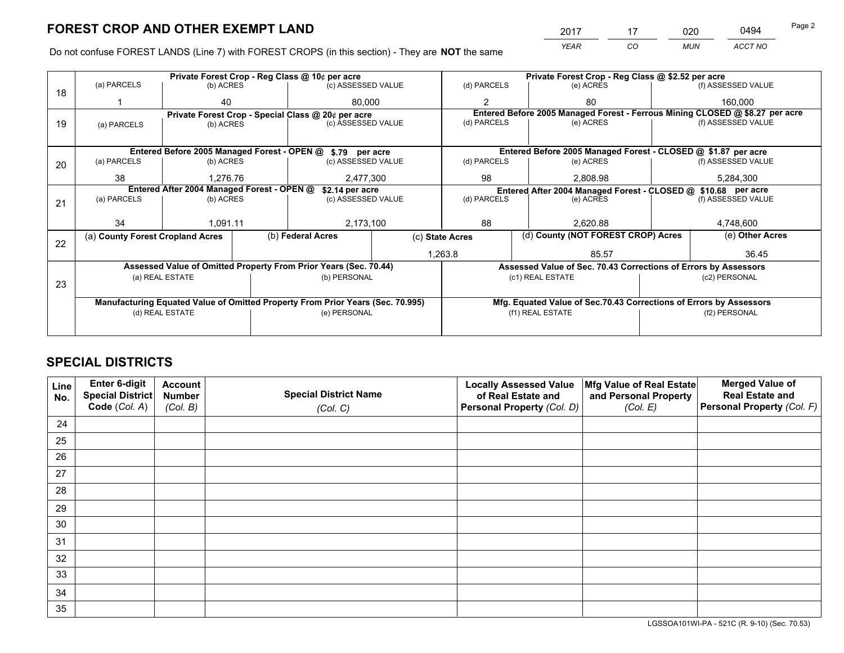*YEAR CO MUN ACCT NO* <u>2017 - 17 020 0494</u> Page 2

Do not confuse FOREST LANDS (Line 7) with FOREST CROPS (in this section) - They are **NOT** the same

|    |                                            |                 |  | Private Forest Crop - Reg Class @ 10¢ per acre                                 |             |                  | Private Forest Crop - Reg Class @ \$2.52 per acre                            |                                                                                                  |               |                                                                    |  |
|----|--------------------------------------------|-----------------|--|--------------------------------------------------------------------------------|-------------|------------------|------------------------------------------------------------------------------|--------------------------------------------------------------------------------------------------|---------------|--------------------------------------------------------------------|--|
| 18 | (a) PARCELS                                | (b) ACRES       |  | (c) ASSESSED VALUE                                                             |             | (d) PARCELS      |                                                                              | (e) ACRES                                                                                        |               | (f) ASSESSED VALUE                                                 |  |
|    |                                            | 40              |  | 80.000                                                                         |             | $\mathfrak{p}$   |                                                                              | 80                                                                                               |               | 160,000                                                            |  |
|    |                                            |                 |  | Private Forest Crop - Special Class @ 20¢ per acre                             |             |                  | Entered Before 2005 Managed Forest - Ferrous Mining CLOSED @ \$8.27 per acre |                                                                                                  |               |                                                                    |  |
| 19 | (a) PARCELS                                | (b) ACRES       |  | (c) ASSESSED VALUE                                                             |             | (d) PARCELS      |                                                                              | (e) ACRES                                                                                        |               | (f) ASSESSED VALUE                                                 |  |
|    |                                            |                 |  |                                                                                |             |                  |                                                                              |                                                                                                  |               |                                                                    |  |
|    |                                            |                 |  | Entered Before 2005 Managed Forest - OPEN @ \$.79 per acre                     |             |                  |                                                                              |                                                                                                  |               | Entered Before 2005 Managed Forest - CLOSED @ \$1.87 per acre      |  |
| 20 | (a) PARCELS                                | (b) ACRES       |  | (c) ASSESSED VALUE                                                             |             | (d) PARCELS      |                                                                              | (e) ACRES                                                                                        |               | (f) ASSESSED VALUE                                                 |  |
|    | 38                                         | 1,276.76        |  | 2,477,300                                                                      |             | 98               |                                                                              | 2,808.98                                                                                         |               | 5,284,300                                                          |  |
|    | Entered After 2004 Managed Forest - OPEN @ |                 |  |                                                                                |             |                  |                                                                              |                                                                                                  |               |                                                                    |  |
|    | (a) PARCELS                                | (b) ACRES       |  | \$2.14 per acre<br>(c) ASSESSED VALUE                                          | (d) PARCELS |                  |                                                                              | Entered After 2004 Managed Forest - CLOSED @ \$10.68 per acre<br>(f) ASSESSED VALUE<br>(e) ACRES |               |                                                                    |  |
| 21 |                                            |                 |  |                                                                                |             |                  |                                                                              |                                                                                                  |               |                                                                    |  |
|    | 34                                         | 1,091.11        |  |                                                                                | 88          |                  |                                                                              | 2.620.88                                                                                         |               | 4,748,600                                                          |  |
|    |                                            |                 |  | 2,173,100                                                                      |             |                  |                                                                              |                                                                                                  |               |                                                                    |  |
| 22 | (a) County Forest Cropland Acres           |                 |  | (b) Federal Acres                                                              |             | (c) State Acres  |                                                                              | (d) County (NOT FOREST CROP) Acres                                                               |               | (e) Other Acres                                                    |  |
|    |                                            |                 |  |                                                                                |             | 1,263.8<br>85.57 |                                                                              |                                                                                                  |               | 36.45                                                              |  |
|    |                                            |                 |  | Assessed Value of Omitted Property From Prior Years (Sec. 70.44)               |             |                  |                                                                              |                                                                                                  |               | Assessed Value of Sec. 70.43 Corrections of Errors by Assessors    |  |
|    |                                            | (a) REAL ESTATE |  | (b) PERSONAL                                                                   |             |                  | (c1) REAL ESTATE                                                             |                                                                                                  |               | (c2) PERSONAL                                                      |  |
| 23 |                                            |                 |  |                                                                                |             |                  |                                                                              |                                                                                                  |               |                                                                    |  |
|    |                                            |                 |  | Manufacturing Equated Value of Omitted Property From Prior Years (Sec. 70.995) |             |                  |                                                                              |                                                                                                  |               | Mfg. Equated Value of Sec.70.43 Corrections of Errors by Assessors |  |
|    |                                            | (d) REAL ESTATE |  | (e) PERSONAL                                                                   |             |                  | (f1) REAL ESTATE                                                             |                                                                                                  | (f2) PERSONAL |                                                                    |  |
|    |                                            |                 |  |                                                                                |             |                  |                                                                              |                                                                                                  |               |                                                                    |  |

# **SPECIAL DISTRICTS**

| Line<br>No. | Enter 6-digit<br><b>Special District</b> | <b>Account</b><br><b>Number</b> | <b>Special District Name</b> | <b>Locally Assessed Value</b><br>of Real Estate and | Mfg Value of Real Estate<br>and Personal Property | <b>Merged Value of</b><br><b>Real Estate and</b> |
|-------------|------------------------------------------|---------------------------------|------------------------------|-----------------------------------------------------|---------------------------------------------------|--------------------------------------------------|
|             | Code (Col. A)                            | (Col. B)                        | (Col. C)                     | Personal Property (Col. D)                          | (Col. E)                                          | Personal Property (Col. F)                       |
| 24          |                                          |                                 |                              |                                                     |                                                   |                                                  |
| 25          |                                          |                                 |                              |                                                     |                                                   |                                                  |
| 26          |                                          |                                 |                              |                                                     |                                                   |                                                  |
| 27          |                                          |                                 |                              |                                                     |                                                   |                                                  |
| 28          |                                          |                                 |                              |                                                     |                                                   |                                                  |
| 29          |                                          |                                 |                              |                                                     |                                                   |                                                  |
| 30          |                                          |                                 |                              |                                                     |                                                   |                                                  |
| 31          |                                          |                                 |                              |                                                     |                                                   |                                                  |
| 32          |                                          |                                 |                              |                                                     |                                                   |                                                  |
| 33          |                                          |                                 |                              |                                                     |                                                   |                                                  |
| 34          |                                          |                                 |                              |                                                     |                                                   |                                                  |
| 35          |                                          |                                 |                              |                                                     |                                                   |                                                  |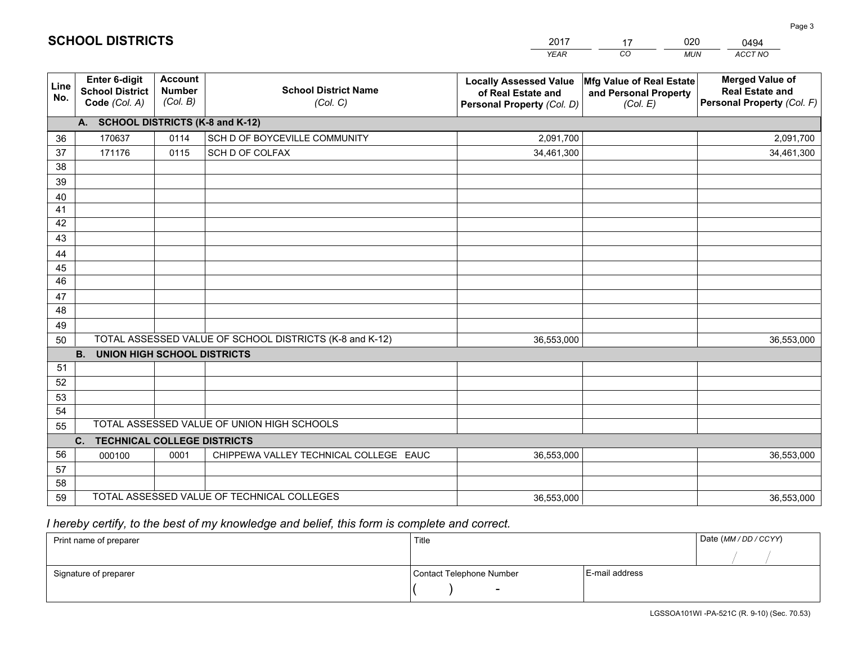|             |                                                          |                                             |                                                         | YEAR                                                                              | CO.<br><b>MUN</b>                                             | ACCT NO                                                                        |
|-------------|----------------------------------------------------------|---------------------------------------------|---------------------------------------------------------|-----------------------------------------------------------------------------------|---------------------------------------------------------------|--------------------------------------------------------------------------------|
| Line<br>No. | Enter 6-digit<br><b>School District</b><br>Code (Col. A) | <b>Account</b><br><b>Number</b><br>(Col. B) | <b>School District Name</b><br>(Col. C)                 | <b>Locally Assessed Value</b><br>of Real Estate and<br>Personal Property (Col. D) | Mfg Value of Real Estate<br>and Personal Property<br>(Col. E) | <b>Merged Value of</b><br><b>Real Estate and</b><br>Personal Property (Col. F) |
|             | A. SCHOOL DISTRICTS (K-8 and K-12)                       |                                             |                                                         |                                                                                   |                                                               |                                                                                |
| 36          | 170637                                                   | 0114                                        | SCH D OF BOYCEVILLE COMMUNITY                           | 2,091,700                                                                         |                                                               | 2,091,700                                                                      |
| 37          | 171176                                                   | 0115                                        | SCH D OF COLFAX                                         | 34,461,300                                                                        |                                                               | 34,461,300                                                                     |
| 38          |                                                          |                                             |                                                         |                                                                                   |                                                               |                                                                                |
| 39          |                                                          |                                             |                                                         |                                                                                   |                                                               |                                                                                |
| 40          |                                                          |                                             |                                                         |                                                                                   |                                                               |                                                                                |
| 41          |                                                          |                                             |                                                         |                                                                                   |                                                               |                                                                                |
| 42          |                                                          |                                             |                                                         |                                                                                   |                                                               |                                                                                |
| 43          |                                                          |                                             |                                                         |                                                                                   |                                                               |                                                                                |
| 44          |                                                          |                                             |                                                         |                                                                                   |                                                               |                                                                                |
| 45<br>46    |                                                          |                                             |                                                         |                                                                                   |                                                               |                                                                                |
| 47          |                                                          |                                             |                                                         |                                                                                   |                                                               |                                                                                |
| 48          |                                                          |                                             |                                                         |                                                                                   |                                                               |                                                                                |
| 49          |                                                          |                                             |                                                         |                                                                                   |                                                               |                                                                                |
| 50          |                                                          |                                             | TOTAL ASSESSED VALUE OF SCHOOL DISTRICTS (K-8 and K-12) | 36,553,000                                                                        |                                                               | 36,553,000                                                                     |
|             | <b>B.</b><br><b>UNION HIGH SCHOOL DISTRICTS</b>          |                                             |                                                         |                                                                                   |                                                               |                                                                                |
| 51          |                                                          |                                             |                                                         |                                                                                   |                                                               |                                                                                |
| 52          |                                                          |                                             |                                                         |                                                                                   |                                                               |                                                                                |
| 53          |                                                          |                                             |                                                         |                                                                                   |                                                               |                                                                                |
| 54          |                                                          |                                             |                                                         |                                                                                   |                                                               |                                                                                |
| 55          |                                                          |                                             | TOTAL ASSESSED VALUE OF UNION HIGH SCHOOLS              |                                                                                   |                                                               |                                                                                |
|             | C.<br>TECHNICAL COLLEGE DISTRICTS                        |                                             |                                                         |                                                                                   |                                                               |                                                                                |
| 56          | 000100                                                   | 0001                                        | CHIPPEWA VALLEY TECHNICAL COLLEGE EAUC                  | 36,553,000                                                                        |                                                               | 36,553,000                                                                     |
| 57          |                                                          |                                             |                                                         |                                                                                   |                                                               |                                                                                |
| 58          |                                                          |                                             |                                                         |                                                                                   |                                                               |                                                                                |
| 59          |                                                          |                                             | TOTAL ASSESSED VALUE OF TECHNICAL COLLEGES              | 36,553,000                                                                        |                                                               | 36,553,000                                                                     |

17

020

 *I hereby certify, to the best of my knowledge and belief, this form is complete and correct.*

**SCHOOL DISTRICTS**

| Print name of preparer | Title                    |                | Date (MM / DD / CCYY) |
|------------------------|--------------------------|----------------|-----------------------|
|                        |                          |                |                       |
| Signature of preparer  | Contact Telephone Number | E-mail address |                       |
|                        | $\sim$                   |                |                       |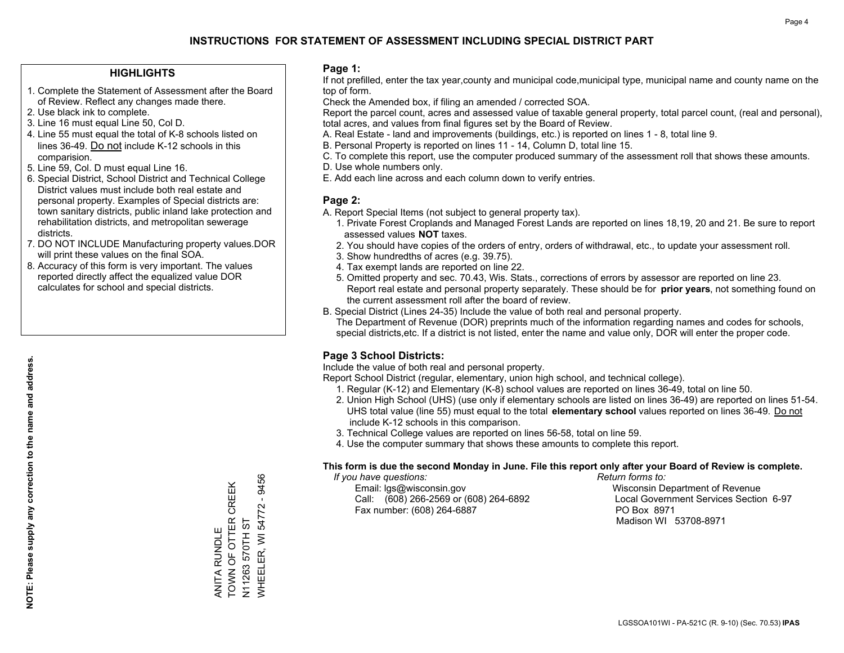## **HIGHLIGHTS**

- 1. Complete the Statement of Assessment after the Board of Review. Reflect any changes made there.
- 2. Use black ink to complete.
- 3. Line 16 must equal Line 50, Col D.
- 4. Line 55 must equal the total of K-8 schools listed on lines 36-49. Do not include K-12 schools in this comparision.
- 5. Line 59, Col. D must equal Line 16.
- 6. Special District, School District and Technical College District values must include both real estate and personal property. Examples of Special districts are: town sanitary districts, public inland lake protection and rehabilitation districts, and metropolitan sewerage districts.
- 7. DO NOT INCLUDE Manufacturing property values.DOR will print these values on the final SOA.
- 8. Accuracy of this form is very important. The values reported directly affect the equalized value DOR calculates for school and special districts.

### **Page 1:**

 If not prefilled, enter the tax year,county and municipal code,municipal type, municipal name and county name on the top of form.

Check the Amended box, if filing an amended / corrected SOA.

 Report the parcel count, acres and assessed value of taxable general property, total parcel count, (real and personal), total acres, and values from final figures set by the Board of Review.

- A. Real Estate land and improvements (buildings, etc.) is reported on lines 1 8, total line 9.
- B. Personal Property is reported on lines 11 14, Column D, total line 15.
- C. To complete this report, use the computer produced summary of the assessment roll that shows these amounts.
- D. Use whole numbers only.
- E. Add each line across and each column down to verify entries.

### **Page 2:**

- A. Report Special Items (not subject to general property tax).
- 1. Private Forest Croplands and Managed Forest Lands are reported on lines 18,19, 20 and 21. Be sure to report assessed values **NOT** taxes.
- 2. You should have copies of the orders of entry, orders of withdrawal, etc., to update your assessment roll.
	- 3. Show hundredths of acres (e.g. 39.75).
- 4. Tax exempt lands are reported on line 22.
- 5. Omitted property and sec. 70.43, Wis. Stats., corrections of errors by assessor are reported on line 23. Report real estate and personal property separately. These should be for **prior years**, not something found on the current assessment roll after the board of review.
- B. Special District (Lines 24-35) Include the value of both real and personal property.
- The Department of Revenue (DOR) preprints much of the information regarding names and codes for schools, special districts,etc. If a district is not listed, enter the name and value only, DOR will enter the proper code.

## **Page 3 School Districts:**

Include the value of both real and personal property.

Report School District (regular, elementary, union high school, and technical college).

- 1. Regular (K-12) and Elementary (K-8) school values are reported on lines 36-49, total on line 50.
- 2. Union High School (UHS) (use only if elementary schools are listed on lines 36-49) are reported on lines 51-54. UHS total value (line 55) must equal to the total **elementary school** values reported on lines 36-49. Do notinclude K-12 schools in this comparison.
- 3. Technical College values are reported on lines 56-58, total on line 59.
- 4. Use the computer summary that shows these amounts to complete this report.

#### **This form is due the second Monday in June. File this report only after your Board of Review is complete.**

 *If you have questions: Return forms to:*

 Email: lgs@wisconsin.gov Wisconsin Department of RevenueCall:  $(608)$  266-2569 or  $(608)$  264-6892 Fax number: (608) 264-6887 PO Box 8971

Local Government Services Section 6-97 Madison WI 53708-8971

WHEELER, WI 54772 - 9456 WHEELER, WI 54772 - 9456 TOWN OF OTTER CREEK ANITA RUNDLE<br>TOWN OF OTTER CREEK N11263 570TH ST N11263 570TH ST ANITA RUNDLE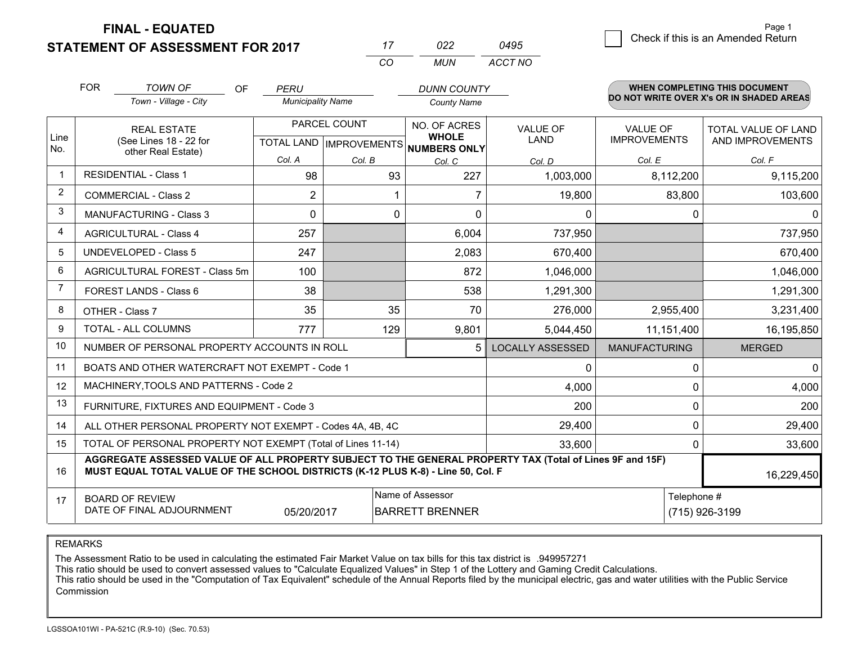**FINAL - EQUATED**

**STATEMENT OF ASSESSMENT FOR 2017** 

|   | Check if this is an Amended Return | raye i |
|---|------------------------------------|--------|
| 5 |                                    |        |

Page 1

|                | <b>FOR</b>                                                   | <b>TOWN OF</b><br>OF<br>Town - Village - City                                                                                                                                                | <b>PERU</b><br><b>Municipality Name</b> |                           | <b>DUNN COUNTY</b>                  |                         |                      | <b>WHEN COMPLETING THIS DOCUMENT</b><br>DO NOT WRITE OVER X's OR IN SHADED AREAS |
|----------------|--------------------------------------------------------------|----------------------------------------------------------------------------------------------------------------------------------------------------------------------------------------------|-----------------------------------------|---------------------------|-------------------------------------|-------------------------|----------------------|----------------------------------------------------------------------------------|
|                |                                                              |                                                                                                                                                                                              |                                         |                           | <b>County Name</b>                  |                         |                      |                                                                                  |
|                |                                                              | <b>REAL ESTATE</b>                                                                                                                                                                           |                                         | PARCEL COUNT              | NO. OF ACRES                        | <b>VALUE OF</b>         | <b>VALUE OF</b>      | <b>TOTAL VALUE OF LAND</b>                                                       |
| Line<br>No.    |                                                              | (See Lines 18 - 22 for<br>other Real Estate)                                                                                                                                                 |                                         | TOTAL LAND   IMPROVEMENTS | <b>WHOLE</b><br><b>NUMBERS ONLY</b> | <b>LAND</b>             | <b>IMPROVEMENTS</b>  | AND IMPROVEMENTS                                                                 |
|                |                                                              |                                                                                                                                                                                              | Col. A                                  | Col. B                    | Col. C                              | Col. D                  | Col. E               | Col. F                                                                           |
| $\mathbf 1$    |                                                              | <b>RESIDENTIAL - Class 1</b>                                                                                                                                                                 | 98                                      | 93                        | 227                                 | 1,003,000               | 8,112,200            | 9,115,200                                                                        |
| $\overline{2}$ |                                                              | <b>COMMERCIAL - Class 2</b>                                                                                                                                                                  | 2                                       |                           | 7                                   | 19,800                  | 83,800               | 103,600                                                                          |
| 3              |                                                              | <b>MANUFACTURING - Class 3</b>                                                                                                                                                               | 0                                       |                           | 0<br>$\Omega$                       | 0                       | $\Omega$             |                                                                                  |
| 4              |                                                              | <b>AGRICULTURAL - Class 4</b>                                                                                                                                                                | 257                                     |                           | 6,004                               | 737,950                 |                      | 737,950                                                                          |
| 5              |                                                              | <b>UNDEVELOPED - Class 5</b>                                                                                                                                                                 | 247                                     |                           | 2,083                               | 670,400                 |                      | 670,400                                                                          |
| 6              |                                                              | AGRICULTURAL FOREST - Class 5m                                                                                                                                                               | 100                                     |                           | 872                                 | 1,046,000               |                      | 1,046,000                                                                        |
| $\overline{7}$ |                                                              | FOREST LANDS - Class 6                                                                                                                                                                       | 38                                      |                           | 538                                 | 1,291,300               |                      | 1,291,300                                                                        |
| 8              |                                                              | OTHER - Class 7                                                                                                                                                                              | 35                                      | 35                        | 70                                  | 276,000                 | 2,955,400            | 3,231,400                                                                        |
| 9              |                                                              | TOTAL - ALL COLUMNS                                                                                                                                                                          | 777                                     | 129                       | 9,801                               | 5,044,450               | 11,151,400           | 16,195,850                                                                       |
| 10             |                                                              | NUMBER OF PERSONAL PROPERTY ACCOUNTS IN ROLL                                                                                                                                                 |                                         |                           |                                     | <b>LOCALLY ASSESSED</b> | <b>MANUFACTURING</b> | <b>MERGED</b>                                                                    |
| 11             |                                                              | BOATS AND OTHER WATERCRAFT NOT EXEMPT - Code 1                                                                                                                                               |                                         |                           |                                     | 0                       | $\mathbf{0}$         | $\mathbf 0$                                                                      |
| 12             |                                                              | MACHINERY, TOOLS AND PATTERNS - Code 2                                                                                                                                                       |                                         |                           |                                     | 4,000                   | 0                    | 4,000                                                                            |
| 13             |                                                              | FURNITURE, FIXTURES AND EQUIPMENT - Code 3                                                                                                                                                   |                                         |                           |                                     | 200                     | $\Omega$             | 200                                                                              |
| 14             |                                                              | ALL OTHER PERSONAL PROPERTY NOT EXEMPT - Codes 4A, 4B, 4C                                                                                                                                    |                                         |                           |                                     | 29,400                  | $\mathbf{0}$         | 29,400                                                                           |
| 15             | TOTAL OF PERSONAL PROPERTY NOT EXEMPT (Total of Lines 11-14) |                                                                                                                                                                                              |                                         |                           |                                     |                         | $\mathbf{0}$         | 33,600                                                                           |
| 16             |                                                              | AGGREGATE ASSESSED VALUE OF ALL PROPERTY SUBJECT TO THE GENERAL PROPERTY TAX (Total of Lines 9F and 15F)<br>MUST EQUAL TOTAL VALUE OF THE SCHOOL DISTRICTS (K-12 PLUS K-8) - Line 50, Col. F |                                         |                           |                                     |                         |                      | 16,229,450                                                                       |
| 17             |                                                              | <b>BOARD OF REVIEW</b>                                                                                                                                                                       |                                         |                           | Name of Assessor                    |                         | Telephone #          |                                                                                  |
|                |                                                              | DATE OF FINAL ADJOURNMENT                                                                                                                                                                    | 05/20/2017                              |                           | <b>BARRETT BRENNER</b>              |                         |                      | (715) 926-3199                                                                   |

*CO*

*MUN*

*ACCT NO0495*

*<sup>17</sup> <sup>022</sup>*

REMARKS

The Assessment Ratio to be used in calculating the estimated Fair Market Value on tax bills for this tax district is .949957271<br>This ratio should be used to convert assessed values to "Calculate Equalized Values" in Step 1 Commission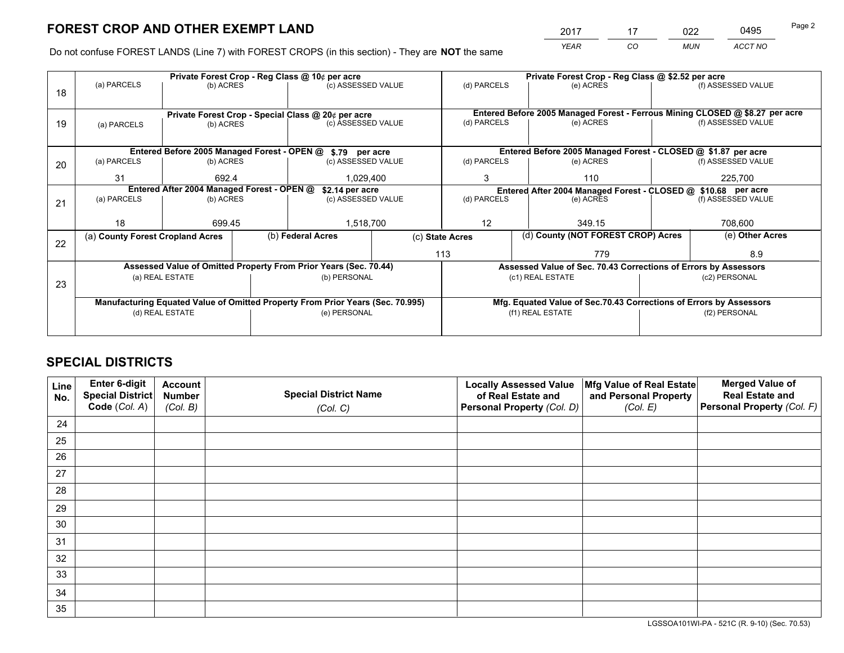*YEAR CO MUN ACCT NO* <sup>2017</sup> <sup>17</sup> <sup>022</sup> <sup>0495</sup>

Do not confuse FOREST LANDS (Line 7) with FOREST CROPS (in this section) - They are **NOT** the same

| (f) ASSESSED VALUE                                                                        |  |  |  |
|-------------------------------------------------------------------------------------------|--|--|--|
|                                                                                           |  |  |  |
|                                                                                           |  |  |  |
| Entered Before 2005 Managed Forest - Ferrous Mining CLOSED @ \$8.27 per acre              |  |  |  |
| (f) ASSESSED VALUE                                                                        |  |  |  |
|                                                                                           |  |  |  |
| Entered Before 2005 Managed Forest - CLOSED @ \$1.87 per acre                             |  |  |  |
| (f) ASSESSED VALUE                                                                        |  |  |  |
|                                                                                           |  |  |  |
| Entered After 2004 Managed Forest - CLOSED @ \$10.68 per acre<br>(d) PARCELS<br>(e) ACRES |  |  |  |
| (f) ASSESSED VALUE                                                                        |  |  |  |
|                                                                                           |  |  |  |
|                                                                                           |  |  |  |
| (e) Other Acres                                                                           |  |  |  |
|                                                                                           |  |  |  |
| Assessed Value of Sec. 70.43 Corrections of Errors by Assessors                           |  |  |  |
|                                                                                           |  |  |  |
|                                                                                           |  |  |  |
| Mfg. Equated Value of Sec.70.43 Corrections of Errors by Assessors                        |  |  |  |
| (f2) PERSONAL                                                                             |  |  |  |
|                                                                                           |  |  |  |
| 8.9<br>(c2) PERSONAL                                                                      |  |  |  |

# **SPECIAL DISTRICTS**

| Line<br>No. | Enter 6-digit<br>Special District<br>Code (Col. A) | <b>Account</b><br><b>Number</b><br>(Col. B) | <b>Special District Name</b><br>(Col. C) | <b>Locally Assessed Value</b><br>of Real Estate and<br>Personal Property (Col. D) | Mfg Value of Real Estate<br>and Personal Property<br>(Col. E) | <b>Merged Value of</b><br><b>Real Estate and</b><br>Personal Property (Col. F) |
|-------------|----------------------------------------------------|---------------------------------------------|------------------------------------------|-----------------------------------------------------------------------------------|---------------------------------------------------------------|--------------------------------------------------------------------------------|
| 24          |                                                    |                                             |                                          |                                                                                   |                                                               |                                                                                |
| 25          |                                                    |                                             |                                          |                                                                                   |                                                               |                                                                                |
| 26          |                                                    |                                             |                                          |                                                                                   |                                                               |                                                                                |
| 27          |                                                    |                                             |                                          |                                                                                   |                                                               |                                                                                |
| 28          |                                                    |                                             |                                          |                                                                                   |                                                               |                                                                                |
| 29          |                                                    |                                             |                                          |                                                                                   |                                                               |                                                                                |
| 30          |                                                    |                                             |                                          |                                                                                   |                                                               |                                                                                |
| 31          |                                                    |                                             |                                          |                                                                                   |                                                               |                                                                                |
| 32          |                                                    |                                             |                                          |                                                                                   |                                                               |                                                                                |
| 33          |                                                    |                                             |                                          |                                                                                   |                                                               |                                                                                |
| 34          |                                                    |                                             |                                          |                                                                                   |                                                               |                                                                                |
| 35          |                                                    |                                             |                                          |                                                                                   |                                                               |                                                                                |

LGSSOA101WI-PA - 521C (R. 9-10) (Sec. 70.53)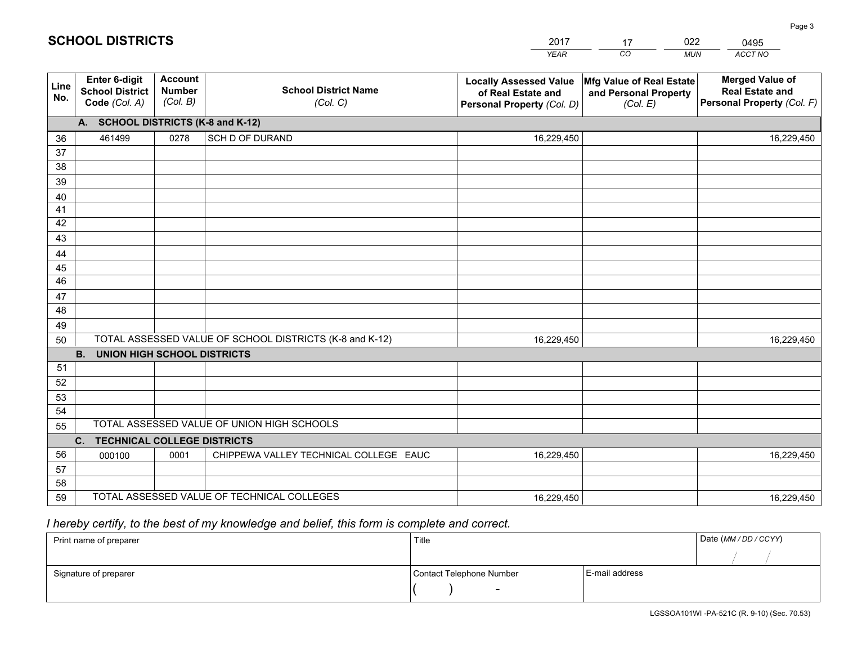|                 |                                                          |                                             |                                                         | YEAR                                                                              | CO.<br><b>MUN</b>                                             | ACCT NO                                                                        |
|-----------------|----------------------------------------------------------|---------------------------------------------|---------------------------------------------------------|-----------------------------------------------------------------------------------|---------------------------------------------------------------|--------------------------------------------------------------------------------|
| Line<br>No.     | Enter 6-digit<br><b>School District</b><br>Code (Col. A) | <b>Account</b><br><b>Number</b><br>(Col. B) | <b>School District Name</b><br>(Col. C)                 | <b>Locally Assessed Value</b><br>of Real Estate and<br>Personal Property (Col. D) | Mfg Value of Real Estate<br>and Personal Property<br>(Col. E) | <b>Merged Value of</b><br><b>Real Estate and</b><br>Personal Property (Col. F) |
|                 | A. SCHOOL DISTRICTS (K-8 and K-12)                       |                                             |                                                         |                                                                                   |                                                               |                                                                                |
| 36              | 461499                                                   | 0278                                        | SCH D OF DURAND                                         | 16,229,450                                                                        |                                                               | 16,229,450                                                                     |
| 37              |                                                          |                                             |                                                         |                                                                                   |                                                               |                                                                                |
| 38              |                                                          |                                             |                                                         |                                                                                   |                                                               |                                                                                |
| 39              |                                                          |                                             |                                                         |                                                                                   |                                                               |                                                                                |
| 40              |                                                          |                                             |                                                         |                                                                                   |                                                               |                                                                                |
| 41<br>42        |                                                          |                                             |                                                         |                                                                                   |                                                               |                                                                                |
| 43              |                                                          |                                             |                                                         |                                                                                   |                                                               |                                                                                |
| 44              |                                                          |                                             |                                                         |                                                                                   |                                                               |                                                                                |
| 45              |                                                          |                                             |                                                         |                                                                                   |                                                               |                                                                                |
| $\overline{46}$ |                                                          |                                             |                                                         |                                                                                   |                                                               |                                                                                |
| 47              |                                                          |                                             |                                                         |                                                                                   |                                                               |                                                                                |
| 48              |                                                          |                                             |                                                         |                                                                                   |                                                               |                                                                                |
| 49              |                                                          |                                             |                                                         |                                                                                   |                                                               |                                                                                |
| 50              |                                                          |                                             | TOTAL ASSESSED VALUE OF SCHOOL DISTRICTS (K-8 and K-12) | 16,229,450                                                                        |                                                               | 16,229,450                                                                     |
|                 | <b>B.</b><br>UNION HIGH SCHOOL DISTRICTS                 |                                             |                                                         |                                                                                   |                                                               |                                                                                |
| 51              |                                                          |                                             |                                                         |                                                                                   |                                                               |                                                                                |
| 52              |                                                          |                                             |                                                         |                                                                                   |                                                               |                                                                                |
| 53<br>54        |                                                          |                                             |                                                         |                                                                                   |                                                               |                                                                                |
| 55              |                                                          |                                             | TOTAL ASSESSED VALUE OF UNION HIGH SCHOOLS              |                                                                                   |                                                               |                                                                                |
|                 | $C_{1}$<br><b>TECHNICAL COLLEGE DISTRICTS</b>            |                                             |                                                         |                                                                                   |                                                               |                                                                                |
| 56              | 000100                                                   | 0001                                        | CHIPPEWA VALLEY TECHNICAL COLLEGE EAUC                  | 16,229,450                                                                        |                                                               | 16,229,450                                                                     |
| 57              |                                                          |                                             |                                                         |                                                                                   |                                                               |                                                                                |
| 58              |                                                          |                                             |                                                         |                                                                                   |                                                               |                                                                                |
| 59              |                                                          |                                             | TOTAL ASSESSED VALUE OF TECHNICAL COLLEGES              | 16,229,450                                                                        |                                                               | 16,229,450                                                                     |

17

022

 *I hereby certify, to the best of my knowledge and belief, this form is complete and correct.*

**SCHOOL DISTRICTS**

| Print name of preparer | Title                    |                | Date (MM / DD / CCYY) |
|------------------------|--------------------------|----------------|-----------------------|
|                        |                          |                |                       |
| Signature of preparer  | Contact Telephone Number | E-mail address |                       |
|                        | $\sim$                   |                |                       |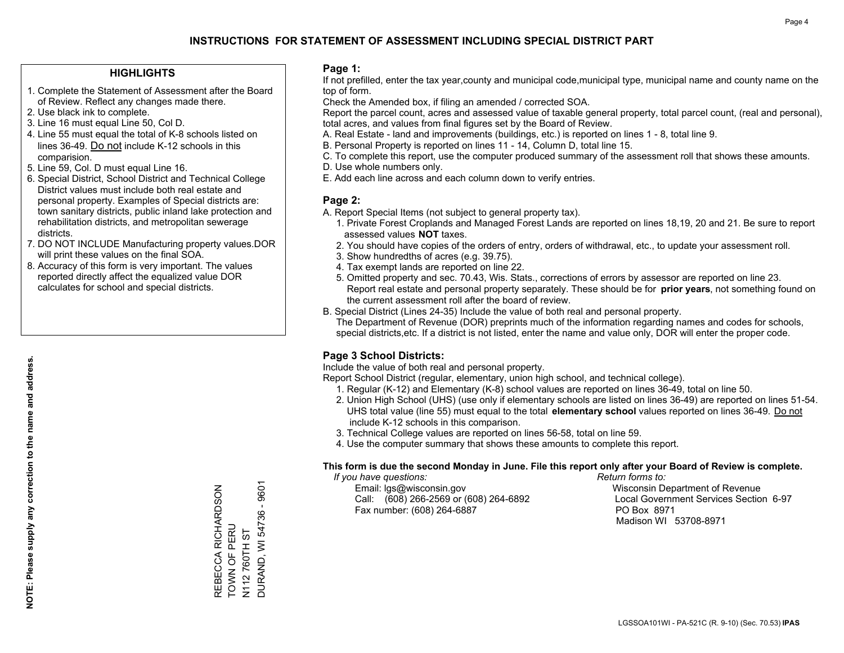## **HIGHLIGHTS**

- 1. Complete the Statement of Assessment after the Board of Review. Reflect any changes made there.
- 2. Use black ink to complete.
- 3. Line 16 must equal Line 50, Col D.
- 4. Line 55 must equal the total of K-8 schools listed on lines 36-49. Do not include K-12 schools in this comparision.
- 5. Line 59, Col. D must equal Line 16.
- 6. Special District, School District and Technical College District values must include both real estate and personal property. Examples of Special districts are: town sanitary districts, public inland lake protection and rehabilitation districts, and metropolitan sewerage districts.
- 7. DO NOT INCLUDE Manufacturing property values.DOR will print these values on the final SOA.

REBECCA RICHARDSON

REBECCA RICHARDSON<br>TOWN OF PERU

TOWN OF PERU N112 760TH ST DURAND, WI 54736 - 9601

**DURAND, WI 54736 -**N112760TH ST

9601

 8. Accuracy of this form is very important. The values reported directly affect the equalized value DOR calculates for school and special districts.

### **Page 1:**

 If not prefilled, enter the tax year,county and municipal code,municipal type, municipal name and county name on the top of form.

Check the Amended box, if filing an amended / corrected SOA.

 Report the parcel count, acres and assessed value of taxable general property, total parcel count, (real and personal), total acres, and values from final figures set by the Board of Review.

- A. Real Estate land and improvements (buildings, etc.) is reported on lines 1 8, total line 9.
- B. Personal Property is reported on lines 11 14, Column D, total line 15.
- C. To complete this report, use the computer produced summary of the assessment roll that shows these amounts.
- D. Use whole numbers only.
- E. Add each line across and each column down to verify entries.

### **Page 2:**

- A. Report Special Items (not subject to general property tax).
- 1. Private Forest Croplands and Managed Forest Lands are reported on lines 18,19, 20 and 21. Be sure to report assessed values **NOT** taxes.
- 2. You should have copies of the orders of entry, orders of withdrawal, etc., to update your assessment roll.
	- 3. Show hundredths of acres (e.g. 39.75).
- 4. Tax exempt lands are reported on line 22.
- 5. Omitted property and sec. 70.43, Wis. Stats., corrections of errors by assessor are reported on line 23. Report real estate and personal property separately. These should be for **prior years**, not something found on the current assessment roll after the board of review.
- B. Special District (Lines 24-35) Include the value of both real and personal property.
- The Department of Revenue (DOR) preprints much of the information regarding names and codes for schools, special districts,etc. If a district is not listed, enter the name and value only, DOR will enter the proper code.

## **Page 3 School Districts:**

Include the value of both real and personal property.

Report School District (regular, elementary, union high school, and technical college).

- 1. Regular (K-12) and Elementary (K-8) school values are reported on lines 36-49, total on line 50.
- 2. Union High School (UHS) (use only if elementary schools are listed on lines 36-49) are reported on lines 51-54. UHS total value (line 55) must equal to the total **elementary school** values reported on lines 36-49. Do notinclude K-12 schools in this comparison.
- 3. Technical College values are reported on lines 56-58, total on line 59.
- 4. Use the computer summary that shows these amounts to complete this report.

#### **This form is due the second Monday in June. File this report only after your Board of Review is complete.**

 *If you have questions: Return forms to:*

 Email: lgs@wisconsin.gov Wisconsin Department of RevenueCall:  $(608)$  266-2569 or  $(608)$  264-6892 Fax number: (608) 264-6887 PO Box 8971

Local Government Services Section 6-97 Madison WI 53708-8971

LGSSOA101WI - PA-521C (R. 9-10) (Sec. 70.53) **IPAS**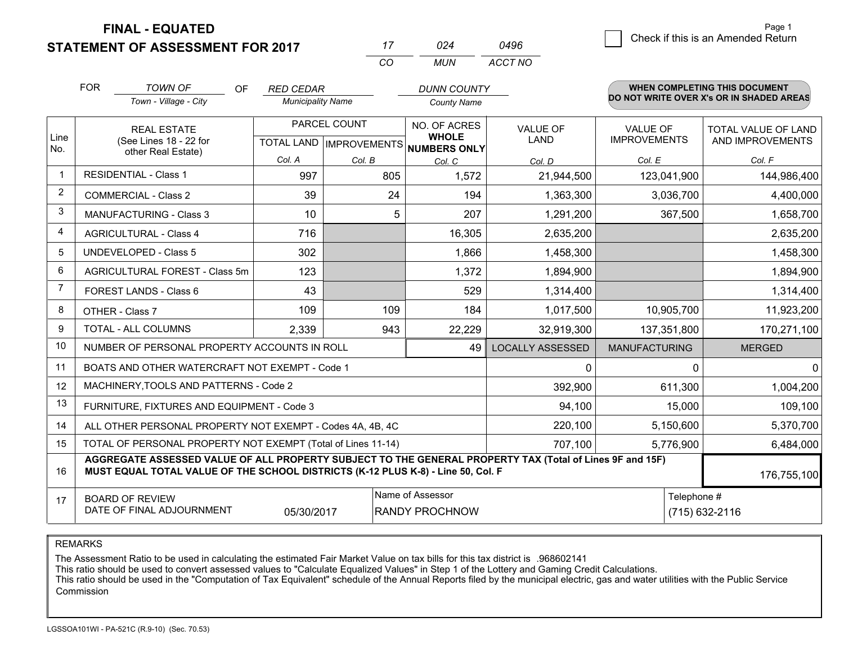**FINAL - EQUATED**

**STATEMENT OF ASSESSMENT FOR 2017** 

|                | <b>FOR</b> | <b>TOWN OF</b><br>OF<br>Town - Village - City                                                                                                                                                | <b>RED CEDAR</b><br><b>Municipality Name</b> |                                                | <b>DUNN COUNTY</b><br><b>County Name</b>     |                         |                                        | WHEN COMPLETING THIS DOCUMENT<br>DO NOT WRITE OVER X's OR IN SHADED AREAS |
|----------------|------------|----------------------------------------------------------------------------------------------------------------------------------------------------------------------------------------------|----------------------------------------------|------------------------------------------------|----------------------------------------------|-------------------------|----------------------------------------|---------------------------------------------------------------------------|
| Line<br>No.    |            | <b>REAL ESTATE</b><br>(See Lines 18 - 22 for<br>other Real Estate)                                                                                                                           |                                              | PARCEL COUNT<br><b>TOTAL LAND IMPROVEMENTS</b> | NO. OF ACRES<br><b>WHOLE</b><br>NUMBERS ONLY | <b>VALUE OF</b><br>LAND | <b>VALUE OF</b><br><b>IMPROVEMENTS</b> | <b>TOTAL VALUE OF LAND</b><br>AND IMPROVEMENTS                            |
|                |            |                                                                                                                                                                                              | Col. A                                       | Col. B                                         | Col. C                                       | Col. D                  | Col. E                                 | Col. F                                                                    |
| $\mathbf 1$    |            | <b>RESIDENTIAL - Class 1</b>                                                                                                                                                                 | 997                                          | 805                                            | 1,572                                        | 21,944,500              | 123,041,900                            | 144,986,400                                                               |
| 2              |            | <b>COMMERCIAL - Class 2</b>                                                                                                                                                                  | 39                                           | 24                                             | 194                                          | 1,363,300               | 3,036,700                              | 4,400,000                                                                 |
| 3              |            | MANUFACTURING - Class 3                                                                                                                                                                      | 10                                           | 5                                              | 207                                          | 1,291,200               | 367,500                                | 1,658,700                                                                 |
| 4              |            | <b>AGRICULTURAL - Class 4</b>                                                                                                                                                                | 716                                          |                                                | 16,305                                       | 2,635,200               |                                        | 2,635,200                                                                 |
| 5              |            | <b>UNDEVELOPED - Class 5</b>                                                                                                                                                                 | 302                                          |                                                | 1,866                                        | 1,458,300               |                                        | 1,458,300                                                                 |
| 6              |            | AGRICULTURAL FOREST - Class 5m                                                                                                                                                               | 123                                          |                                                | 1,372                                        | 1,894,900               |                                        | 1,894,900                                                                 |
| $\overline{7}$ |            | FOREST LANDS - Class 6                                                                                                                                                                       | 43                                           |                                                | 529                                          | 1,314,400               |                                        | 1,314,400                                                                 |
| 8              |            | OTHER - Class 7                                                                                                                                                                              | 109                                          | 109                                            | 184                                          | 1,017,500               | 10,905,700                             | 11,923,200                                                                |
| 9              |            | TOTAL - ALL COLUMNS                                                                                                                                                                          | 2,339                                        | 943                                            | 22,229                                       | 32,919,300              | 137,351,800                            | 170,271,100                                                               |
| 10             |            | NUMBER OF PERSONAL PROPERTY ACCOUNTS IN ROLL                                                                                                                                                 |                                              |                                                | 49                                           | <b>LOCALLY ASSESSED</b> | <b>MANUFACTURING</b>                   | <b>MERGED</b>                                                             |
| 11             |            | BOATS AND OTHER WATERCRAFT NOT EXEMPT - Code 1                                                                                                                                               |                                              |                                                |                                              | $\mathbf{0}$            | $\Omega$                               | $\Omega$                                                                  |
| 12             |            | MACHINERY, TOOLS AND PATTERNS - Code 2                                                                                                                                                       |                                              |                                                |                                              | 392,900                 | 611,300                                | 1,004,200                                                                 |
| 13             |            | FURNITURE, FIXTURES AND EQUIPMENT - Code 3                                                                                                                                                   |                                              |                                                |                                              | 94,100                  | 15,000                                 | 109,100                                                                   |
| 14             |            | ALL OTHER PERSONAL PROPERTY NOT EXEMPT - Codes 4A, 4B, 4C                                                                                                                                    |                                              |                                                |                                              | 220,100                 | 5,150,600                              | 5,370,700                                                                 |
| 15             |            | TOTAL OF PERSONAL PROPERTY NOT EXEMPT (Total of Lines 11-14)                                                                                                                                 |                                              |                                                | 707,100                                      | 5,776,900               | 6,484,000                              |                                                                           |
| 16             |            | AGGREGATE ASSESSED VALUE OF ALL PROPERTY SUBJECT TO THE GENERAL PROPERTY TAX (Total of Lines 9F and 15F)<br>MUST EQUAL TOTAL VALUE OF THE SCHOOL DISTRICTS (K-12 PLUS K-8) - Line 50, Col. F |                                              |                                                |                                              |                         |                                        | 176,755,100                                                               |
| 17             |            | <b>BOARD OF REVIEW</b><br>DATE OF FINAL ADJOURNMENT                                                                                                                                          | 05/30/2017                                   |                                                | Name of Assessor<br><b>RANDY PROCHNOW</b>    |                         | Telephone #                            | (715) 632-2116                                                            |

*CO*

*MUN*

*ACCT NO0496*

*<sup>17</sup> <sup>024</sup>*

REMARKS

The Assessment Ratio to be used in calculating the estimated Fair Market Value on tax bills for this tax district is .968602141<br>This ratio should be used to convert assessed values to "Calculate Equalized Values" in Step 1 Commission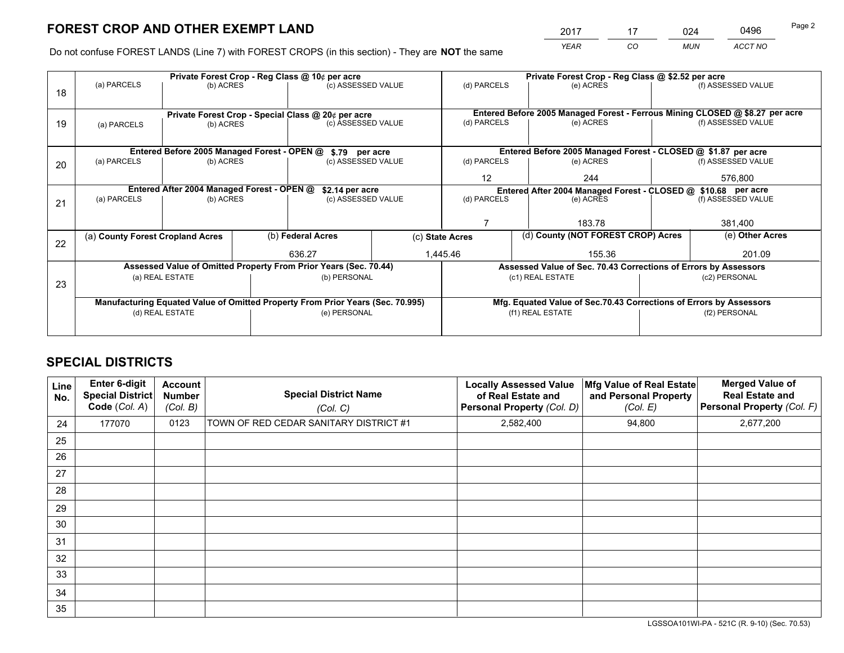|   | 2017 | 17 | 024        | 0496    | Page 2 |
|---|------|----|------------|---------|--------|
| e | YEAR | CO | <b>MUN</b> | ACCT NO |        |

Do not confuse FOREST LANDS (Line 7) with FOREST CROPS (in this section) - They are **NOT** the same

|    |                                            |                 |  | Private Forest Crop - Reg Class @ 10¢ per acre                                 |                 | Private Forest Crop - Reg Class @ \$2.52 per acre             |                                                                              |               |                    |  |
|----|--------------------------------------------|-----------------|--|--------------------------------------------------------------------------------|-----------------|---------------------------------------------------------------|------------------------------------------------------------------------------|---------------|--------------------|--|
| 18 | (a) PARCELS                                | (b) ACRES       |  | (c) ASSESSED VALUE                                                             |                 | (d) PARCELS                                                   | (e) ACRES                                                                    |               | (f) ASSESSED VALUE |  |
|    |                                            |                 |  |                                                                                |                 |                                                               |                                                                              |               |                    |  |
|    |                                            |                 |  | Private Forest Crop - Special Class @ 20¢ per acre                             |                 |                                                               | Entered Before 2005 Managed Forest - Ferrous Mining CLOSED @ \$8.27 per acre |               |                    |  |
| 19 | (a) PARCELS                                | (b) ACRES       |  | (c) ASSESSED VALUE                                                             |                 | (d) PARCELS                                                   | (e) ACRES                                                                    |               | (f) ASSESSED VALUE |  |
|    |                                            |                 |  |                                                                                |                 |                                                               |                                                                              |               |                    |  |
|    |                                            |                 |  | Entered Before 2005 Managed Forest - OPEN @ \$.79 per acre                     |                 |                                                               | Entered Before 2005 Managed Forest - CLOSED @ \$1.87 per acre                |               |                    |  |
| 20 | (a) PARCELS<br>(b) ACRES                   |                 |  | (c) ASSESSED VALUE                                                             |                 | (d) PARCELS                                                   | (e) ACRES                                                                    |               | (f) ASSESSED VALUE |  |
|    |                                            |                 |  | $12 \overline{ }$                                                              | 244             |                                                               | 576,800                                                                      |               |                    |  |
|    | Entered After 2004 Managed Forest - OPEN @ |                 |  |                                                                                |                 | Entered After 2004 Managed Forest - CLOSED @ \$10.68 per acre |                                                                              |               |                    |  |
|    | (a) PARCELS                                | (b) ACRES       |  | \$2.14 per acre<br>(c) ASSESSED VALUE                                          |                 | (d) PARCELS                                                   | (e) ACRES                                                                    |               | (f) ASSESSED VALUE |  |
| 21 |                                            |                 |  |                                                                                |                 |                                                               |                                                                              |               |                    |  |
|    |                                            |                 |  |                                                                                |                 |                                                               | 183.78                                                                       |               | 381,400            |  |
|    |                                            |                 |  |                                                                                |                 |                                                               |                                                                              |               |                    |  |
| 22 | (a) County Forest Cropland Acres           |                 |  | (b) Federal Acres                                                              | (c) State Acres |                                                               | (d) County (NOT FOREST CROP) Acres                                           |               | (e) Other Acres    |  |
|    |                                            |                 |  | 636.27                                                                         |                 | 1,445.46<br>155.36                                            |                                                                              |               | 201.09             |  |
|    |                                            |                 |  | Assessed Value of Omitted Property From Prior Years (Sec. 70.44)               |                 |                                                               | Assessed Value of Sec. 70.43 Corrections of Errors by Assessors              |               |                    |  |
|    |                                            | (a) REAL ESTATE |  | (b) PERSONAL                                                                   |                 |                                                               | (c1) REAL ESTATE                                                             |               | (c2) PERSONAL      |  |
| 23 |                                            |                 |  |                                                                                |                 |                                                               |                                                                              |               |                    |  |
|    |                                            |                 |  | Manufacturing Equated Value of Omitted Property From Prior Years (Sec. 70.995) |                 |                                                               | Mfg. Equated Value of Sec.70.43 Corrections of Errors by Assessors           |               |                    |  |
|    |                                            | (d) REAL ESTATE |  | (e) PERSONAL                                                                   |                 |                                                               | (f1) REAL ESTATE                                                             | (f2) PERSONAL |                    |  |
|    |                                            |                 |  |                                                                                |                 |                                                               |                                                                              |               |                    |  |
|    |                                            |                 |  |                                                                                |                 |                                                               |                                                                              |               |                    |  |

# **SPECIAL DISTRICTS**

| Line<br>No. | Enter 6-digit<br><b>Special District</b><br>Code (Col. A) | <b>Account</b><br><b>Number</b><br>(Col. B) | <b>Special District Name</b><br>(Col. C) | <b>Locally Assessed Value</b><br>of Real Estate and<br>Personal Property (Col. D) | Mfg Value of Real Estate<br>and Personal Property<br>(Col. E) | <b>Merged Value of</b><br><b>Real Estate and</b><br>Personal Property (Col. F) |
|-------------|-----------------------------------------------------------|---------------------------------------------|------------------------------------------|-----------------------------------------------------------------------------------|---------------------------------------------------------------|--------------------------------------------------------------------------------|
| 24          | 177070                                                    | 0123                                        | TOWN OF RED CEDAR SANITARY DISTRICT #1   | 2,582,400                                                                         | 94,800                                                        | 2,677,200                                                                      |
| 25          |                                                           |                                             |                                          |                                                                                   |                                                               |                                                                                |
| 26          |                                                           |                                             |                                          |                                                                                   |                                                               |                                                                                |
| 27          |                                                           |                                             |                                          |                                                                                   |                                                               |                                                                                |
| 28          |                                                           |                                             |                                          |                                                                                   |                                                               |                                                                                |
| 29          |                                                           |                                             |                                          |                                                                                   |                                                               |                                                                                |
| 30          |                                                           |                                             |                                          |                                                                                   |                                                               |                                                                                |
| 31          |                                                           |                                             |                                          |                                                                                   |                                                               |                                                                                |
| 32          |                                                           |                                             |                                          |                                                                                   |                                                               |                                                                                |
| 33          |                                                           |                                             |                                          |                                                                                   |                                                               |                                                                                |
| 34          |                                                           |                                             |                                          |                                                                                   |                                                               |                                                                                |
| 35          |                                                           |                                             |                                          |                                                                                   |                                                               |                                                                                |

LGSSOA101WI-PA - 521C (R. 9-10) (Sec. 70.53)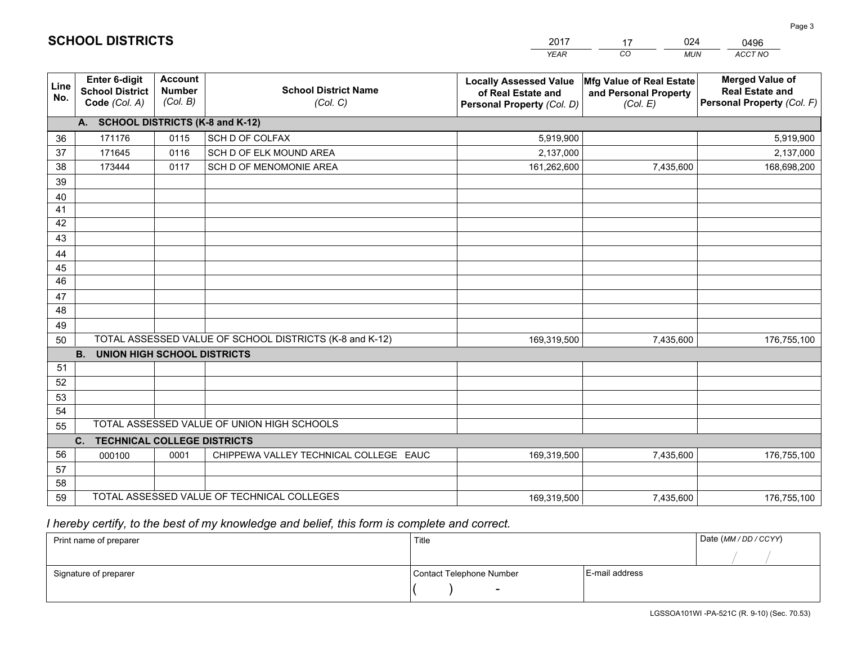|             |                                                                 |                                             |                                                         | <b>YEAR</b>                                                                       | CO<br><b>MUN</b>                                              | <b>ACCT NO</b>                                                                 |
|-------------|-----------------------------------------------------------------|---------------------------------------------|---------------------------------------------------------|-----------------------------------------------------------------------------------|---------------------------------------------------------------|--------------------------------------------------------------------------------|
| Line<br>No. | <b>Enter 6-digit</b><br><b>School District</b><br>Code (Col. A) | <b>Account</b><br><b>Number</b><br>(Col. B) | <b>School District Name</b><br>(Col. C)                 | <b>Locally Assessed Value</b><br>of Real Estate and<br>Personal Property (Col. D) | Mfg Value of Real Estate<br>and Personal Property<br>(Col. E) | <b>Merged Value of</b><br><b>Real Estate and</b><br>Personal Property (Col. F) |
|             | A. SCHOOL DISTRICTS (K-8 and K-12)                              |                                             |                                                         |                                                                                   |                                                               |                                                                                |
| 36          | 171176                                                          | 0115                                        | SCH D OF COLFAX                                         | 5,919,900                                                                         |                                                               | 5,919,900                                                                      |
| 37          | 171645                                                          | 0116                                        | SCH D OF ELK MOUND AREA                                 | 2,137,000                                                                         |                                                               | 2,137,000                                                                      |
| 38          | 173444                                                          | 0117                                        | SCH D OF MENOMONIE AREA                                 | 161,262,600                                                                       | 7,435,600                                                     | 168,698,200                                                                    |
| 39          |                                                                 |                                             |                                                         |                                                                                   |                                                               |                                                                                |
| 40          |                                                                 |                                             |                                                         |                                                                                   |                                                               |                                                                                |
| 41          |                                                                 |                                             |                                                         |                                                                                   |                                                               |                                                                                |
| 42          |                                                                 |                                             |                                                         |                                                                                   |                                                               |                                                                                |
| 43          |                                                                 |                                             |                                                         |                                                                                   |                                                               |                                                                                |
| 44          |                                                                 |                                             |                                                         |                                                                                   |                                                               |                                                                                |
| 45          |                                                                 |                                             |                                                         |                                                                                   |                                                               |                                                                                |
| 46          |                                                                 |                                             |                                                         |                                                                                   |                                                               |                                                                                |
| 47          |                                                                 |                                             |                                                         |                                                                                   |                                                               |                                                                                |
| 48          |                                                                 |                                             |                                                         |                                                                                   |                                                               |                                                                                |
| 49          |                                                                 |                                             |                                                         |                                                                                   |                                                               |                                                                                |
| 50          |                                                                 |                                             | TOTAL ASSESSED VALUE OF SCHOOL DISTRICTS (K-8 and K-12) | 169,319,500                                                                       | 7,435,600                                                     | 176,755,100                                                                    |
|             | <b>B. UNION HIGH SCHOOL DISTRICTS</b>                           |                                             |                                                         |                                                                                   |                                                               |                                                                                |
| 51<br>52    |                                                                 |                                             |                                                         |                                                                                   |                                                               |                                                                                |
|             |                                                                 |                                             |                                                         |                                                                                   |                                                               |                                                                                |
| 53<br>54    |                                                                 |                                             |                                                         |                                                                                   |                                                               |                                                                                |
| 55          |                                                                 |                                             | TOTAL ASSESSED VALUE OF UNION HIGH SCHOOLS              |                                                                                   |                                                               |                                                                                |
|             | C.<br><b>TECHNICAL COLLEGE DISTRICTS</b>                        |                                             |                                                         |                                                                                   |                                                               |                                                                                |
| 56          | 000100                                                          | 0001                                        | CHIPPEWA VALLEY TECHNICAL COLLEGE EAUC                  | 169,319,500                                                                       | 7,435,600                                                     | 176,755,100                                                                    |
| 57          |                                                                 |                                             |                                                         |                                                                                   |                                                               |                                                                                |
| 58          |                                                                 |                                             |                                                         |                                                                                   |                                                               |                                                                                |
| 59          |                                                                 |                                             | TOTAL ASSESSED VALUE OF TECHNICAL COLLEGES              | 169,319,500                                                                       | 7,435,600                                                     | 176,755,100                                                                    |

17

024

 *I hereby certify, to the best of my knowledge and belief, this form is complete and correct.*

**SCHOOL DISTRICTS**

| Print name of preparer | Title                    |                | Date (MM / DD / CCYY) |
|------------------------|--------------------------|----------------|-----------------------|
|                        |                          |                |                       |
| Signature of preparer  | Contact Telephone Number | E-mail address |                       |
|                        | $\sim$                   |                |                       |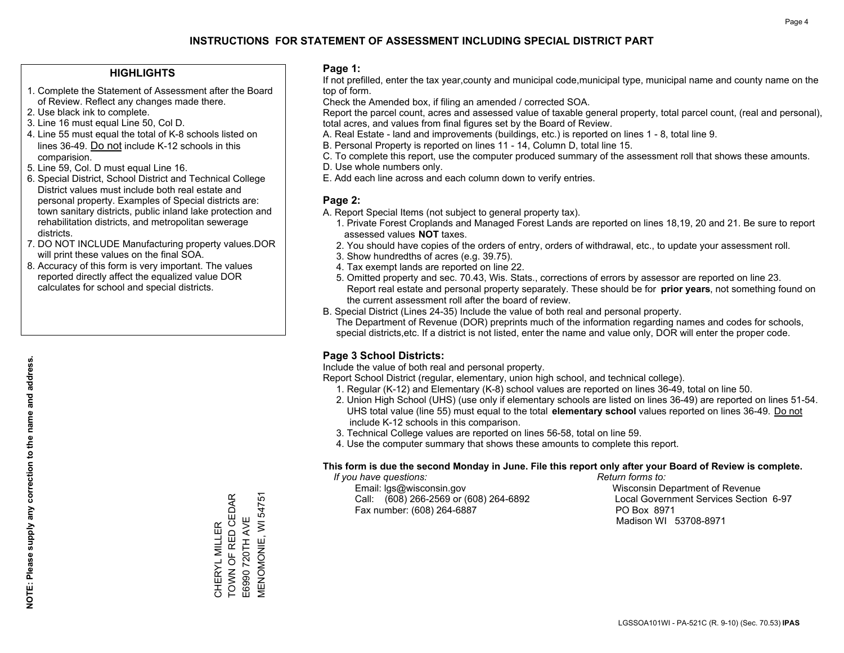## **HIGHLIGHTS**

- 1. Complete the Statement of Assessment after the Board of Review. Reflect any changes made there.
- 2. Use black ink to complete.
- 3. Line 16 must equal Line 50, Col D.
- 4. Line 55 must equal the total of K-8 schools listed on lines 36-49. Do not include K-12 schools in this comparision.
- 5. Line 59, Col. D must equal Line 16.
- 6. Special District, School District and Technical College District values must include both real estate and personal property. Examples of Special districts are: town sanitary districts, public inland lake protection and rehabilitation districts, and metropolitan sewerage districts.
- 7. DO NOT INCLUDE Manufacturing property values.DOR will print these values on the final SOA.

CHERYL MILLER TOWN OF RED CEDAR E6990 720TH AVE MENOMONIE, WI 54751

CHERYL MILLER<br>TOWN OF RED CEDAR

**MENOMONIE, WI 54751** 

E6990 720TH AVE

 8. Accuracy of this form is very important. The values reported directly affect the equalized value DOR calculates for school and special districts.

### **Page 1:**

 If not prefilled, enter the tax year,county and municipal code,municipal type, municipal name and county name on the top of form.

Check the Amended box, if filing an amended / corrected SOA.

 Report the parcel count, acres and assessed value of taxable general property, total parcel count, (real and personal), total acres, and values from final figures set by the Board of Review.

- A. Real Estate land and improvements (buildings, etc.) is reported on lines 1 8, total line 9.
- B. Personal Property is reported on lines 11 14, Column D, total line 15.
- C. To complete this report, use the computer produced summary of the assessment roll that shows these amounts.
- D. Use whole numbers only.
- E. Add each line across and each column down to verify entries.

## **Page 2:**

- A. Report Special Items (not subject to general property tax).
- 1. Private Forest Croplands and Managed Forest Lands are reported on lines 18,19, 20 and 21. Be sure to report assessed values **NOT** taxes.
- 2. You should have copies of the orders of entry, orders of withdrawal, etc., to update your assessment roll.
	- 3. Show hundredths of acres (e.g. 39.75).
- 4. Tax exempt lands are reported on line 22.
- 5. Omitted property and sec. 70.43, Wis. Stats., corrections of errors by assessor are reported on line 23. Report real estate and personal property separately. These should be for **prior years**, not something found on the current assessment roll after the board of review.
- B. Special District (Lines 24-35) Include the value of both real and personal property.

 The Department of Revenue (DOR) preprints much of the information regarding names and codes for schools, special districts,etc. If a district is not listed, enter the name and value only, DOR will enter the proper code.

## **Page 3 School Districts:**

Include the value of both real and personal property.

Report School District (regular, elementary, union high school, and technical college).

- 1. Regular (K-12) and Elementary (K-8) school values are reported on lines 36-49, total on line 50.
- 2. Union High School (UHS) (use only if elementary schools are listed on lines 36-49) are reported on lines 51-54. UHS total value (line 55) must equal to the total **elementary school** values reported on lines 36-49. Do notinclude K-12 schools in this comparison.
- 3. Technical College values are reported on lines 56-58, total on line 59.
- 4. Use the computer summary that shows these amounts to complete this report.

#### **This form is due the second Monday in June. File this report only after your Board of Review is complete.**

 *If you have questions: Return forms to:*

 Email: lgs@wisconsin.gov Wisconsin Department of RevenueCall:  $(608)$  266-2569 or  $(608)$  264-6892 Fax number: (608) 264-6887 PO Box 8971

Local Government Services Section 6-97 Madison WI 53708-8971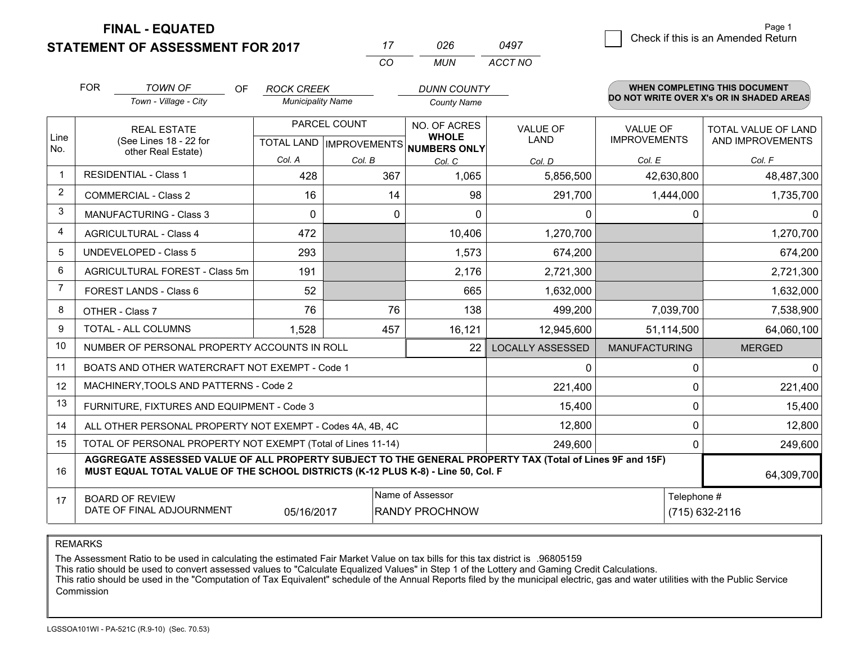**STATEMENT OF ASSESSMENT FOR 2017 FINAL - EQUATED**

7 Check if this is an Amended Return<br>7 Page 1

|                | <b>FOR</b>                                          | <b>TOWN OF</b><br>OF<br>Town - Village - City                                                                                                                                                | <b>ROCK CREEK</b><br><b>Municipality Name</b>    |        | <b>DUNN COUNTY</b><br><b>County Name</b>     |                                |                                        | WHEN COMPLETING THIS DOCUMENT<br>DO NOT WRITE OVER X's OR IN SHADED AREAS |
|----------------|-----------------------------------------------------|----------------------------------------------------------------------------------------------------------------------------------------------------------------------------------------------|--------------------------------------------------|--------|----------------------------------------------|--------------------------------|----------------------------------------|---------------------------------------------------------------------------|
| Line<br>No.    |                                                     | <b>REAL ESTATE</b><br>(See Lines 18 - 22 for<br>other Real Estate)                                                                                                                           | PARCEL COUNT<br><b>TOTAL LAND   IMPROVEMENTS</b> |        | NO. OF ACRES<br><b>WHOLE</b><br>NUMBERS ONLY | <b>VALUE OF</b><br><b>LAND</b> | <b>VALUE OF</b><br><b>IMPROVEMENTS</b> | <b>TOTAL VALUE OF LAND</b><br>AND IMPROVEMENTS                            |
|                |                                                     |                                                                                                                                                                                              | Col. A                                           | Col. B | Col. C                                       | Col. D                         | Col. E                                 | Col. F                                                                    |
| $\overline{1}$ | <b>RESIDENTIAL - Class 1</b>                        |                                                                                                                                                                                              | 428                                              | 367    | 1,065                                        | 5,856,500                      | 42,630,800                             | 48,487,300                                                                |
| 2              |                                                     | <b>COMMERCIAL - Class 2</b>                                                                                                                                                                  | 16                                               | 14     | 98                                           | 291,700                        | 1,444,000                              | 1,735,700                                                                 |
| 3              |                                                     | <b>MANUFACTURING - Class 3</b>                                                                                                                                                               | $\Omega$                                         | 0      | $\Omega$                                     | $\Omega$                       | $\Omega$                               | $\Omega$                                                                  |
| 4              |                                                     | <b>AGRICULTURAL - Class 4</b>                                                                                                                                                                | 472                                              |        | 10,406                                       | 1,270,700                      |                                        | 1,270,700                                                                 |
| 5              |                                                     | <b>UNDEVELOPED - Class 5</b>                                                                                                                                                                 | 293                                              |        | 1,573                                        | 674,200                        |                                        | 674,200                                                                   |
| 6              |                                                     | AGRICULTURAL FOREST - Class 5m                                                                                                                                                               | 191                                              |        | 2,176                                        | 2,721,300                      |                                        | 2,721,300                                                                 |
| $\overline{7}$ | FOREST LANDS - Class 6                              |                                                                                                                                                                                              | 52                                               |        | 665                                          | 1,632,000                      |                                        | 1,632,000                                                                 |
| 8              |                                                     | OTHER - Class 7                                                                                                                                                                              | 76                                               | 76     | 138                                          | 499,200                        | 7,039,700                              | 7,538,900                                                                 |
| 9              |                                                     | TOTAL - ALL COLUMNS                                                                                                                                                                          | 1,528                                            | 457    | 16,121                                       | 12,945,600                     | 51,114,500                             | 64,060,100                                                                |
| 10             |                                                     | NUMBER OF PERSONAL PROPERTY ACCOUNTS IN ROLL                                                                                                                                                 |                                                  |        | 22                                           | <b>LOCALLY ASSESSED</b>        | <b>MANUFACTURING</b>                   | <b>MERGED</b>                                                             |
| 11             |                                                     | BOATS AND OTHER WATERCRAFT NOT EXEMPT - Code 1                                                                                                                                               |                                                  |        |                                              | $\mathbf 0$                    | 0                                      | $\Omega$                                                                  |
| 12             |                                                     | MACHINERY, TOOLS AND PATTERNS - Code 2                                                                                                                                                       |                                                  |        |                                              | 221,400                        | 0                                      | 221,400                                                                   |
| 13             |                                                     | FURNITURE, FIXTURES AND EQUIPMENT - Code 3                                                                                                                                                   |                                                  |        |                                              | 15,400                         | $\Omega$                               | 15,400                                                                    |
| 14             |                                                     | ALL OTHER PERSONAL PROPERTY NOT EXEMPT - Codes 4A, 4B, 4C                                                                                                                                    |                                                  |        |                                              | 12,800                         | 0                                      | 12,800                                                                    |
| 15             |                                                     | TOTAL OF PERSONAL PROPERTY NOT EXEMPT (Total of Lines 11-14)                                                                                                                                 |                                                  |        |                                              | 249,600                        | 0                                      | 249,600                                                                   |
| 16             |                                                     | AGGREGATE ASSESSED VALUE OF ALL PROPERTY SUBJECT TO THE GENERAL PROPERTY TAX (Total of Lines 9F and 15F)<br>MUST EQUAL TOTAL VALUE OF THE SCHOOL DISTRICTS (K-12 PLUS K-8) - Line 50, Col. F |                                                  |        |                                              |                                |                                        | 64,309,700                                                                |
| 17             | <b>BOARD OF REVIEW</b><br>DATE OF FINAL ADJOURNMENT | Telephone #<br>(715) 632-2116                                                                                                                                                                |                                                  |        |                                              |                                |                                        |                                                                           |

*CO*

*MUN*

*ACCT NO0497*

*<sup>17</sup> <sup>026</sup>*

#### REMARKS

The Assessment Ratio to be used in calculating the estimated Fair Market Value on tax bills for this tax district is .96805159<br>This ratio should be used to convert assessed values to "Calculate Equalized Values" in Step 1 Commission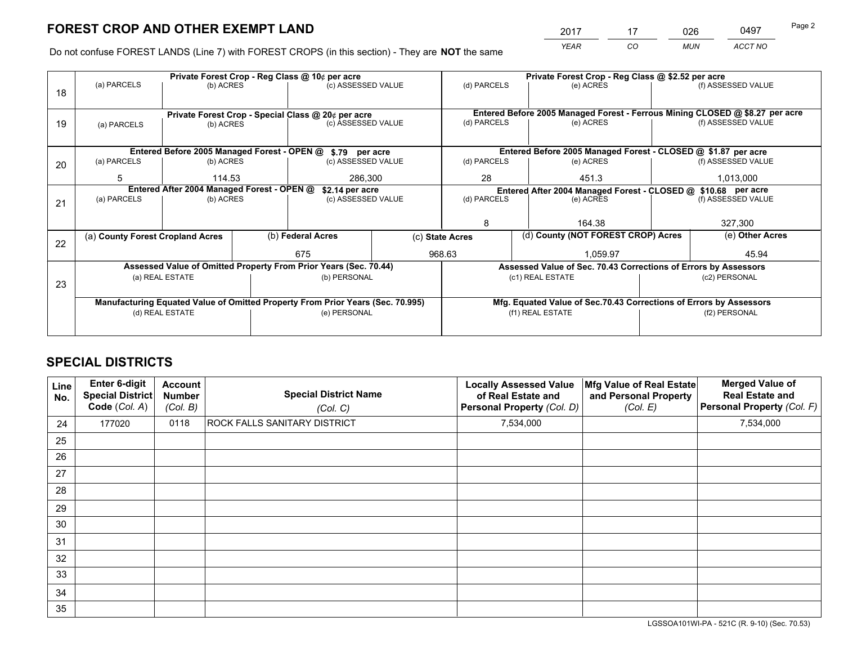*YEAR CO MUN ACCT NO* <u>2017 - 17 026 0497</u> Page 2

Do not confuse FOREST LANDS (Line 7) with FOREST CROPS (in this section) - They are **NOT** the same

|    |                                                                                |                                            |  | Private Forest Crop - Reg Class @ 10¢ per acre                   |  | Private Forest Crop - Reg Class @ \$2.52 per acre     |                  |                                                                    |               |                                                                              |
|----|--------------------------------------------------------------------------------|--------------------------------------------|--|------------------------------------------------------------------|--|-------------------------------------------------------|------------------|--------------------------------------------------------------------|---------------|------------------------------------------------------------------------------|
| 18 | (a) PARCELS                                                                    | (b) ACRES                                  |  | (c) ASSESSED VALUE                                               |  | (d) PARCELS                                           |                  | (e) ACRES                                                          |               | (f) ASSESSED VALUE                                                           |
|    |                                                                                |                                            |  |                                                                  |  |                                                       |                  |                                                                    |               |                                                                              |
|    | Private Forest Crop - Special Class @ 20¢ per acre                             |                                            |  |                                                                  |  |                                                       |                  |                                                                    |               | Entered Before 2005 Managed Forest - Ferrous Mining CLOSED @ \$8.27 per acre |
| 19 | (a) PARCELS                                                                    | (b) ACRES                                  |  | (c) ASSESSED VALUE                                               |  | (d) PARCELS                                           |                  | (e) ACRES                                                          |               | (f) ASSESSED VALUE                                                           |
|    |                                                                                |                                            |  |                                                                  |  |                                                       |                  |                                                                    |               |                                                                              |
|    |                                                                                |                                            |  | Entered Before 2005 Managed Forest - OPEN @ \$.79 per acre       |  |                                                       |                  | Entered Before 2005 Managed Forest - CLOSED @ \$1.87 per acre      |               |                                                                              |
| 20 | (a) PARCELS                                                                    | (b) ACRES                                  |  | (c) ASSESSED VALUE                                               |  | (d) PARCELS                                           |                  | (e) ACRES                                                          |               | (f) ASSESSED VALUE                                                           |
|    | 5                                                                              | 114.53                                     |  | 286,300                                                          |  | 28                                                    |                  | 451.3                                                              | 1,013,000     |                                                                              |
|    |                                                                                | Entered After 2004 Managed Forest - OPEN @ |  | \$2.14 per acre                                                  |  |                                                       |                  | Entered After 2004 Managed Forest - CLOSED @ \$10.68 per acre      |               |                                                                              |
| 21 | (a) PARCELS                                                                    | (b) ACRES                                  |  | (c) ASSESSED VALUE                                               |  | (d) PARCELS                                           |                  | (e) ACRES                                                          |               | (f) ASSESSED VALUE                                                           |
|    |                                                                                |                                            |  |                                                                  |  |                                                       |                  |                                                                    |               |                                                                              |
|    |                                                                                |                                            |  |                                                                  |  | 8                                                     |                  | 164.38                                                             |               | 327,300                                                                      |
| 22 | (a) County Forest Cropland Acres                                               |                                            |  | (b) Federal Acres                                                |  | (d) County (NOT FOREST CROP) Acres<br>(c) State Acres |                  |                                                                    |               | (e) Other Acres                                                              |
|    |                                                                                |                                            |  | 675                                                              |  | 968.63<br>1,059.97                                    |                  |                                                                    |               | 45.94                                                                        |
|    |                                                                                |                                            |  | Assessed Value of Omitted Property From Prior Years (Sec. 70.44) |  |                                                       |                  | Assessed Value of Sec. 70.43 Corrections of Errors by Assessors    |               |                                                                              |
| 23 |                                                                                | (a) REAL ESTATE                            |  | (b) PERSONAL                                                     |  |                                                       | (c1) REAL ESTATE |                                                                    |               | (c2) PERSONAL                                                                |
|    |                                                                                |                                            |  |                                                                  |  |                                                       |                  |                                                                    |               |                                                                              |
|    | Manufacturing Equated Value of Omitted Property From Prior Years (Sec. 70.995) |                                            |  |                                                                  |  |                                                       |                  | Mfg. Equated Value of Sec.70.43 Corrections of Errors by Assessors |               |                                                                              |
|    | (d) REAL ESTATE                                                                |                                            |  | (e) PERSONAL                                                     |  |                                                       | (f1) REAL ESTATE |                                                                    | (f2) PERSONAL |                                                                              |
|    |                                                                                |                                            |  |                                                                  |  |                                                       |                  |                                                                    |               |                                                                              |

# **SPECIAL DISTRICTS**

| Line<br>No. | Enter 6-digit<br><b>Special District</b><br>Code (Col. A) | <b>Account</b><br><b>Number</b><br>(Col. B) | <b>Special District Name</b><br>(Col. C) | <b>Locally Assessed Value</b><br>of Real Estate and<br>Personal Property (Col. D) | Mfg Value of Real Estate<br>and Personal Property<br>(Col. E) | <b>Merged Value of</b><br><b>Real Estate and</b><br>Personal Property (Col. F) |
|-------------|-----------------------------------------------------------|---------------------------------------------|------------------------------------------|-----------------------------------------------------------------------------------|---------------------------------------------------------------|--------------------------------------------------------------------------------|
| 24          | 177020                                                    | 0118                                        | ROCK FALLS SANITARY DISTRICT             | 7,534,000                                                                         |                                                               | 7,534,000                                                                      |
| 25          |                                                           |                                             |                                          |                                                                                   |                                                               |                                                                                |
| 26          |                                                           |                                             |                                          |                                                                                   |                                                               |                                                                                |
| 27          |                                                           |                                             |                                          |                                                                                   |                                                               |                                                                                |
| 28          |                                                           |                                             |                                          |                                                                                   |                                                               |                                                                                |
| 29          |                                                           |                                             |                                          |                                                                                   |                                                               |                                                                                |
| 30          |                                                           |                                             |                                          |                                                                                   |                                                               |                                                                                |
| 31          |                                                           |                                             |                                          |                                                                                   |                                                               |                                                                                |
| 32          |                                                           |                                             |                                          |                                                                                   |                                                               |                                                                                |
| 33          |                                                           |                                             |                                          |                                                                                   |                                                               |                                                                                |
| 34          |                                                           |                                             |                                          |                                                                                   |                                                               |                                                                                |
| 35          |                                                           |                                             |                                          |                                                                                   |                                                               |                                                                                |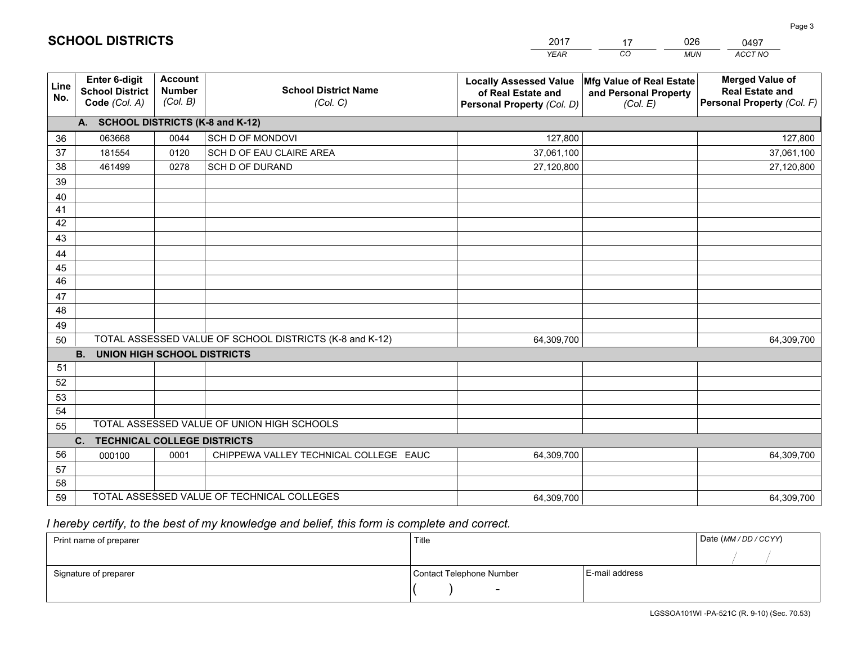|             |                                                          |                                             |                                                         | <b>YEAR</b>                                                                       | CO<br><b>MUN</b>                                              | <b>ACCT NO</b>                                                                 |
|-------------|----------------------------------------------------------|---------------------------------------------|---------------------------------------------------------|-----------------------------------------------------------------------------------|---------------------------------------------------------------|--------------------------------------------------------------------------------|
| Line<br>No. | Enter 6-digit<br><b>School District</b><br>Code (Col. A) | <b>Account</b><br><b>Number</b><br>(Col. B) | <b>School District Name</b><br>(Col. C)                 | <b>Locally Assessed Value</b><br>of Real Estate and<br>Personal Property (Col. D) | Mfg Value of Real Estate<br>and Personal Property<br>(Col. E) | <b>Merged Value of</b><br><b>Real Estate and</b><br>Personal Property (Col. F) |
|             | A. SCHOOL DISTRICTS (K-8 and K-12)                       |                                             |                                                         |                                                                                   |                                                               |                                                                                |
| 36          | 063668                                                   | 0044                                        | SCH D OF MONDOVI                                        | 127,800                                                                           |                                                               | 127,800                                                                        |
| 37          | 181554                                                   | 0120                                        | SCH D OF EAU CLAIRE AREA                                | 37,061,100                                                                        |                                                               | 37,061,100                                                                     |
| 38          | 461499                                                   | 0278                                        | SCH D OF DURAND                                         | 27,120,800                                                                        |                                                               | 27,120,800                                                                     |
| 39          |                                                          |                                             |                                                         |                                                                                   |                                                               |                                                                                |
| 40          |                                                          |                                             |                                                         |                                                                                   |                                                               |                                                                                |
| 41          |                                                          |                                             |                                                         |                                                                                   |                                                               |                                                                                |
| 42          |                                                          |                                             |                                                         |                                                                                   |                                                               |                                                                                |
| 43          |                                                          |                                             |                                                         |                                                                                   |                                                               |                                                                                |
| 44          |                                                          |                                             |                                                         |                                                                                   |                                                               |                                                                                |
| 45          |                                                          |                                             |                                                         |                                                                                   |                                                               |                                                                                |
| 46          |                                                          |                                             |                                                         |                                                                                   |                                                               |                                                                                |
| 47          |                                                          |                                             |                                                         |                                                                                   |                                                               |                                                                                |
| 48          |                                                          |                                             |                                                         |                                                                                   |                                                               |                                                                                |
| 49          |                                                          |                                             |                                                         |                                                                                   |                                                               |                                                                                |
| 50          |                                                          |                                             | TOTAL ASSESSED VALUE OF SCHOOL DISTRICTS (K-8 and K-12) | 64,309,700                                                                        |                                                               | 64,309,700                                                                     |
|             | <b>B.</b><br><b>UNION HIGH SCHOOL DISTRICTS</b>          |                                             |                                                         |                                                                                   |                                                               |                                                                                |
| 51          |                                                          |                                             |                                                         |                                                                                   |                                                               |                                                                                |
| 52          |                                                          |                                             |                                                         |                                                                                   |                                                               |                                                                                |
| 53<br>54    |                                                          |                                             |                                                         |                                                                                   |                                                               |                                                                                |
| 55          |                                                          |                                             | TOTAL ASSESSED VALUE OF UNION HIGH SCHOOLS              |                                                                                   |                                                               |                                                                                |
|             | $C_{1}$<br><b>TECHNICAL COLLEGE DISTRICTS</b>            |                                             |                                                         |                                                                                   |                                                               |                                                                                |
| 56          | 000100                                                   | 0001                                        | CHIPPEWA VALLEY TECHNICAL COLLEGE EAUC                  | 64,309,700                                                                        |                                                               | 64,309,700                                                                     |
| 57          |                                                          |                                             |                                                         |                                                                                   |                                                               |                                                                                |
| 58          |                                                          |                                             |                                                         |                                                                                   |                                                               |                                                                                |
| 59          |                                                          |                                             | TOTAL ASSESSED VALUE OF TECHNICAL COLLEGES              | 64,309,700                                                                        |                                                               | 64,309,700                                                                     |

17

026

 *I hereby certify, to the best of my knowledge and belief, this form is complete and correct.*

**SCHOOL DISTRICTS**

| Print name of preparer | Title                    |                | Date (MM / DD / CCYY) |
|------------------------|--------------------------|----------------|-----------------------|
|                        |                          |                |                       |
| Signature of preparer  | Contact Telephone Number | E-mail address |                       |
|                        | $\sim$                   |                |                       |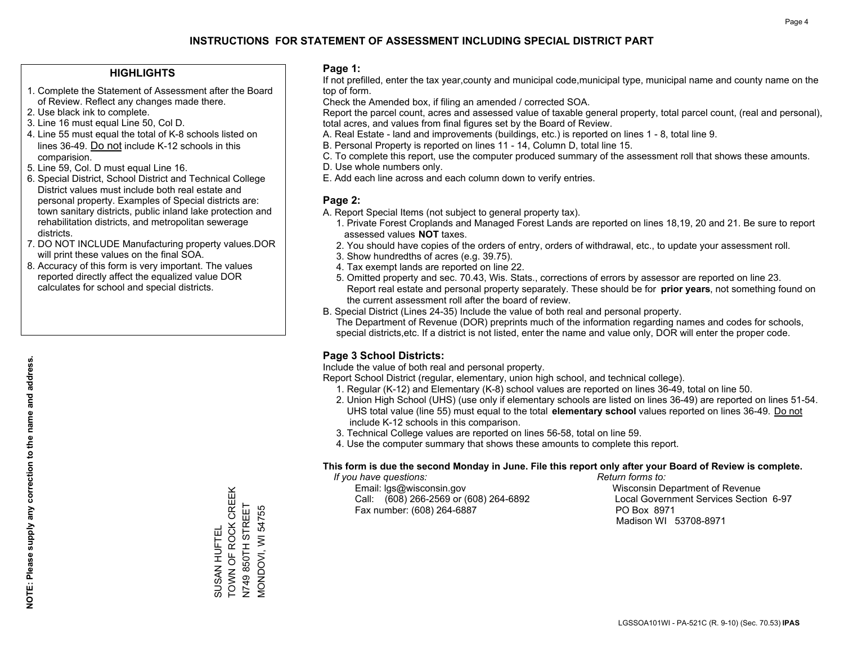## **HIGHLIGHTS**

- 1. Complete the Statement of Assessment after the Board of Review. Reflect any changes made there.
- 2. Use black ink to complete.
- 3. Line 16 must equal Line 50, Col D.
- 4. Line 55 must equal the total of K-8 schools listed on lines 36-49. Do not include K-12 schools in this comparision.
- 5. Line 59, Col. D must equal Line 16.
- 6. Special District, School District and Technical College District values must include both real estate and personal property. Examples of Special districts are: town sanitary districts, public inland lake protection and rehabilitation districts, and metropolitan sewerage districts.
- 7. DO NOT INCLUDE Manufacturing property values.DOR will print these values on the final SOA.
- 8. Accuracy of this form is very important. The values reported directly affect the equalized value DOR calculates for school and special districts.

### **Page 1:**

 If not prefilled, enter the tax year,county and municipal code,municipal type, municipal name and county name on the top of form.

Check the Amended box, if filing an amended / corrected SOA.

 Report the parcel count, acres and assessed value of taxable general property, total parcel count, (real and personal), total acres, and values from final figures set by the Board of Review.

- A. Real Estate land and improvements (buildings, etc.) is reported on lines 1 8, total line 9.
- B. Personal Property is reported on lines 11 14, Column D, total line 15.
- C. To complete this report, use the computer produced summary of the assessment roll that shows these amounts.
- D. Use whole numbers only.
- E. Add each line across and each column down to verify entries.

## **Page 2:**

- A. Report Special Items (not subject to general property tax).
- 1. Private Forest Croplands and Managed Forest Lands are reported on lines 18,19, 20 and 21. Be sure to report assessed values **NOT** taxes.
- 2. You should have copies of the orders of entry, orders of withdrawal, etc., to update your assessment roll.
	- 3. Show hundredths of acres (e.g. 39.75).
- 4. Tax exempt lands are reported on line 22.
- 5. Omitted property and sec. 70.43, Wis. Stats., corrections of errors by assessor are reported on line 23. Report real estate and personal property separately. These should be for **prior years**, not something found on the current assessment roll after the board of review.
- B. Special District (Lines 24-35) Include the value of both real and personal property.

 The Department of Revenue (DOR) preprints much of the information regarding names and codes for schools, special districts,etc. If a district is not listed, enter the name and value only, DOR will enter the proper code.

## **Page 3 School Districts:**

Include the value of both real and personal property.

Report School District (regular, elementary, union high school, and technical college).

- 1. Regular (K-12) and Elementary (K-8) school values are reported on lines 36-49, total on line 50.
- 2. Union High School (UHS) (use only if elementary schools are listed on lines 36-49) are reported on lines 51-54. UHS total value (line 55) must equal to the total **elementary school** values reported on lines 36-49. Do notinclude K-12 schools in this comparison.
- 3. Technical College values are reported on lines 56-58, total on line 59.
- 4. Use the computer summary that shows these amounts to complete this report.

#### **This form is due the second Monday in June. File this report only after your Board of Review is complete.**

 *If you have questions: Return forms to:*

 Email: lgs@wisconsin.gov Wisconsin Department of RevenueCall:  $(608)$  266-2569 or  $(608)$  264-6892 Fax number: (608) 264-6887 PO Box 8971

Local Government Services Section 6-97 Madison WI 53708-8971

TOWN OF ROCK CREEK TOWN OF ROCK CREEK N749 850TH STREET N749 850TH STREET MONDOVI, WI 54755 MONDOVI, WI 54755 SUSAN HUFTEL SUSAN HUFTEL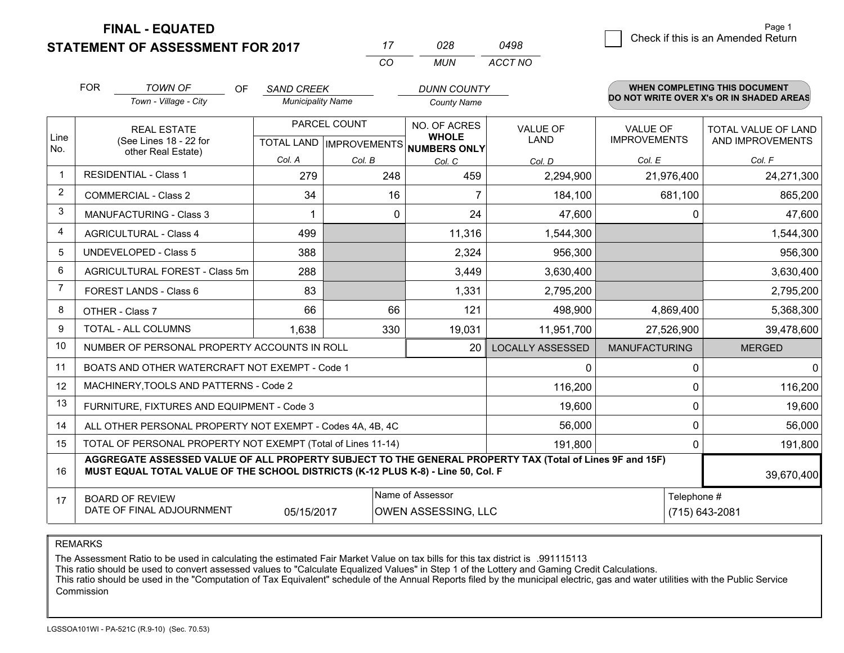**FINAL - EQUATED**

Page 1

#### **STATEMENT OF ASSESSMENT FOR 2017** *CO MUN <sup>17</sup> <sup>028</sup> TOWN OF ACCT NO0498* $\overline{\mathcal{B}}$  Check if this is an Amended Return FOR *SAND CREEK Town - Village - City Municipality Name County Name DUNN COUNTY*OF**WHEN COMPLETING THIS DOCUMENT DO NOT WRITE OVER X's OR IN SHADED AREAS**Line No. 1234NO. OF ACRES**WHOLE NUMBERS ONLY**TOTAL VALUE OF LAND AND IMPROVEMENTSREAL ESTATE (See Lines 18 - 22 forother Real Estate)PARCEL COUNTTOTAL LAND | IMPROVEMENTS RESIDENTIAL - Class 1COMMERCIAL - Class 2MANUFACTURING - Class 3AGRICULTURAL - Class 4*Col. ACol. B Col. C*VALUE OFLAND*Col. D*2.294.900 VALUE OF IMPROVEMENTS*Col. E Col. F* 279 248 24,271,300 34 16 7 184,100 681,100 681,100 865,200 499 11,316 1,544,300 1,544,300 1,544,300 1 0 24 47,600 0 47,600

| 5  | UNDEVELOPED - Class 5                                                                                                                                                                                      | 388        | 2,324 |                                                | 956,300                       |                      | 956,300       |  |  |  |  |
|----|------------------------------------------------------------------------------------------------------------------------------------------------------------------------------------------------------------|------------|-------|------------------------------------------------|-------------------------------|----------------------|---------------|--|--|--|--|
| 6  | AGRICULTURAL FOREST - Class 5m                                                                                                                                                                             | 288        |       | 3,449                                          | 3,630,400                     |                      | 3,630,400     |  |  |  |  |
|    | FOREST LANDS - Class 6                                                                                                                                                                                     | 83         |       | 1,331                                          | 2,795,200                     |                      | 2,795,200     |  |  |  |  |
| 8  | OTHER - Class 7                                                                                                                                                                                            | 66         | 66    | 121                                            | 498,900                       | 4,869,400            | 5,368,300     |  |  |  |  |
| 9  | TOTAL - ALL COLUMNS                                                                                                                                                                                        | 1,638      | 330   | 19,031                                         | 11,951,700                    | 27,526,900           | 39,478,600    |  |  |  |  |
| 10 | NUMBER OF PERSONAL PROPERTY ACCOUNTS IN ROLL                                                                                                                                                               |            |       | 20                                             | LOCALLY ASSESSED              | <b>MANUFACTURING</b> | <b>MERGED</b> |  |  |  |  |
| 11 | BOATS AND OTHER WATERCRAFT NOT EXEMPT - Code 1                                                                                                                                                             |            |       |                                                | 0                             |                      | 0             |  |  |  |  |
| 12 | MACHINERY, TOOLS AND PATTERNS - Code 2                                                                                                                                                                     |            |       |                                                | 116,200                       |                      | 116,200       |  |  |  |  |
| 13 | FURNITURE, FIXTURES AND EQUIPMENT - Code 3                                                                                                                                                                 |            |       |                                                | 19,600                        |                      | 19,600        |  |  |  |  |
| 14 | ALL OTHER PERSONAL PROPERTY NOT EXEMPT - Codes 4A, 4B, 4C                                                                                                                                                  |            |       |                                                | 56,000                        |                      | 56,000        |  |  |  |  |
| 15 | TOTAL OF PERSONAL PROPERTY NOT EXEMPT (Total of Lines 11-14)                                                                                                                                               |            |       |                                                | 191,800                       |                      | 191,800       |  |  |  |  |
| 16 | AGGREGATE ASSESSED VALUE OF ALL PROPERTY SUBJECT TO THE GENERAL PROPERTY TAX (Total of Lines 9F and 15F)<br>MUST EQUAL TOTAL VALUE OF THE SCHOOL DISTRICTS (K-12 PLUS K-8) - Line 50, Col. F<br>39,670,400 |            |       |                                                |                               |                      |               |  |  |  |  |
| 17 | <b>BOARD OF REVIEW</b><br>DATE OF FINAL ADJOURNMENT                                                                                                                                                        | 05/15/2017 |       | Name of Assessor<br><b>OWEN ASSESSING, LLC</b> | Telephone #<br>(715) 643-2081 |                      |               |  |  |  |  |

REMARKS

The Assessment Ratio to be used in calculating the estimated Fair Market Value on tax bills for this tax district is .991115113

This ratio should be used to convert assessed values to "Calculate Equalized Values" in Step 1 of the Lottery and Gaming Credit Calculations.

 This ratio should be used in the "Computation of Tax Equivalent" schedule of the Annual Reports filed by the municipal electric, gas and water utilities with the Public Service Commission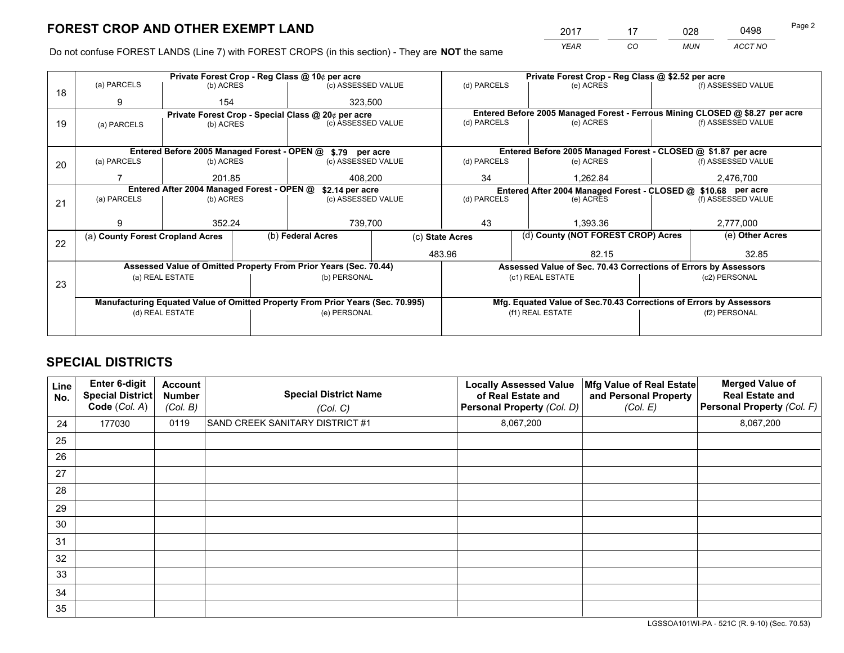*YEAR CO MUN ACCT NO* <sup>2017</sup> <sup>17</sup> <sup>028</sup> <sup>0498</sup> Page 2

Do not confuse FOREST LANDS (Line 7) with FOREST CROPS (in this section) - They are **NOT** the same

|    |                                                               |                   |  | Private Forest Crop - Reg Class @ 10¢ per acre                                 |    |                                                                              | Private Forest Crop - Reg Class @ \$2.52 per acre                  |               |                    |
|----|---------------------------------------------------------------|-------------------|--|--------------------------------------------------------------------------------|----|------------------------------------------------------------------------------|--------------------------------------------------------------------|---------------|--------------------|
| 18 | (a) PARCELS                                                   | (b) ACRES         |  | (c) ASSESSED VALUE                                                             |    | (d) PARCELS                                                                  | (e) ACRES                                                          |               | (f) ASSESSED VALUE |
|    | 9                                                             | 154               |  | 323,500                                                                        |    |                                                                              |                                                                    |               |                    |
|    |                                                               |                   |  | Private Forest Crop - Special Class @ 20¢ per acre                             |    | Entered Before 2005 Managed Forest - Ferrous Mining CLOSED @ \$8.27 per acre |                                                                    |               |                    |
| 19 | (a) PARCELS                                                   | (b) ACRES         |  | (c) ASSESSED VALUE                                                             |    | (d) PARCELS                                                                  | (e) ACRES                                                          |               | (f) ASSESSED VALUE |
|    |                                                               |                   |  |                                                                                |    |                                                                              |                                                                    |               |                    |
|    |                                                               |                   |  | Entered Before 2005 Managed Forest - OPEN @ \$.79 per acre                     |    |                                                                              | Entered Before 2005 Managed Forest - CLOSED @ \$1.87 per acre      |               |                    |
| 20 | (a) PARCELS                                                   | (b) ACRES         |  | (c) ASSESSED VALUE                                                             |    | (d) PARCELS                                                                  | (e) ACRES                                                          |               | (f) ASSESSED VALUE |
|    |                                                               | 201.85<br>408.200 |  |                                                                                | 34 | 1.262.84                                                                     |                                                                    | 2,476,700     |                    |
|    | Entered After 2004 Managed Forest - OPEN @<br>\$2.14 per acre |                   |  |                                                                                |    |                                                                              | Entered After 2004 Managed Forest - CLOSED @ \$10.68 per acre      |               |                    |
| 21 | (a) PARCELS                                                   | (b) ACRES         |  | (c) ASSESSED VALUE                                                             |    | (d) PARCELS                                                                  | (e) ACRES                                                          |               | (f) ASSESSED VALUE |
|    |                                                               |                   |  |                                                                                |    |                                                                              |                                                                    |               |                    |
|    | 9                                                             | 352.24            |  | 739,700                                                                        |    | 43                                                                           | 1.393.36                                                           |               |                    |
| 22 | (a) County Forest Cropland Acres                              |                   |  | (b) Federal Acres                                                              |    | (d) County (NOT FOREST CROP) Acres<br>(c) State Acres                        |                                                                    |               | (e) Other Acres    |
|    |                                                               |                   |  |                                                                                |    | 483.96                                                                       | 82.15                                                              |               | 32.85              |
|    |                                                               |                   |  | Assessed Value of Omitted Property From Prior Years (Sec. 70.44)               |    |                                                                              | Assessed Value of Sec. 70.43 Corrections of Errors by Assessors    |               |                    |
|    |                                                               | (a) REAL ESTATE   |  | (b) PERSONAL                                                                   |    |                                                                              | (c1) REAL ESTATE                                                   |               | (c2) PERSONAL      |
| 23 |                                                               |                   |  |                                                                                |    |                                                                              |                                                                    |               |                    |
|    |                                                               |                   |  | Manufacturing Equated Value of Omitted Property From Prior Years (Sec. 70.995) |    |                                                                              | Mfg. Equated Value of Sec.70.43 Corrections of Errors by Assessors |               |                    |
|    | (d) REAL ESTATE                                               |                   |  | (e) PERSONAL                                                                   |    |                                                                              | (f1) REAL ESTATE                                                   | (f2) PERSONAL |                    |
|    |                                                               |                   |  |                                                                                |    |                                                                              |                                                                    |               |                    |

# **SPECIAL DISTRICTS**

| Line<br>No. | Enter 6-digit<br>Special District<br>Code (Col. A) | <b>Account</b><br><b>Number</b><br>(Col. B) | <b>Special District Name</b><br>(Col. C) | <b>Locally Assessed Value</b><br>of Real Estate and<br>Personal Property (Col. D) | Mfg Value of Real Estate<br>and Personal Property<br>(Col. E) | <b>Merged Value of</b><br><b>Real Estate and</b><br>Personal Property (Col. F) |
|-------------|----------------------------------------------------|---------------------------------------------|------------------------------------------|-----------------------------------------------------------------------------------|---------------------------------------------------------------|--------------------------------------------------------------------------------|
| 24          | 177030                                             | 0119                                        | SAND CREEK SANITARY DISTRICT #1          | 8,067,200                                                                         |                                                               | 8,067,200                                                                      |
| 25          |                                                    |                                             |                                          |                                                                                   |                                                               |                                                                                |
| 26          |                                                    |                                             |                                          |                                                                                   |                                                               |                                                                                |
| 27          |                                                    |                                             |                                          |                                                                                   |                                                               |                                                                                |
| 28          |                                                    |                                             |                                          |                                                                                   |                                                               |                                                                                |
| 29          |                                                    |                                             |                                          |                                                                                   |                                                               |                                                                                |
| 30          |                                                    |                                             |                                          |                                                                                   |                                                               |                                                                                |
| 31          |                                                    |                                             |                                          |                                                                                   |                                                               |                                                                                |
| 32          |                                                    |                                             |                                          |                                                                                   |                                                               |                                                                                |
| 33          |                                                    |                                             |                                          |                                                                                   |                                                               |                                                                                |
| 34          |                                                    |                                             |                                          |                                                                                   |                                                               |                                                                                |
| 35          |                                                    |                                             |                                          |                                                                                   |                                                               |                                                                                |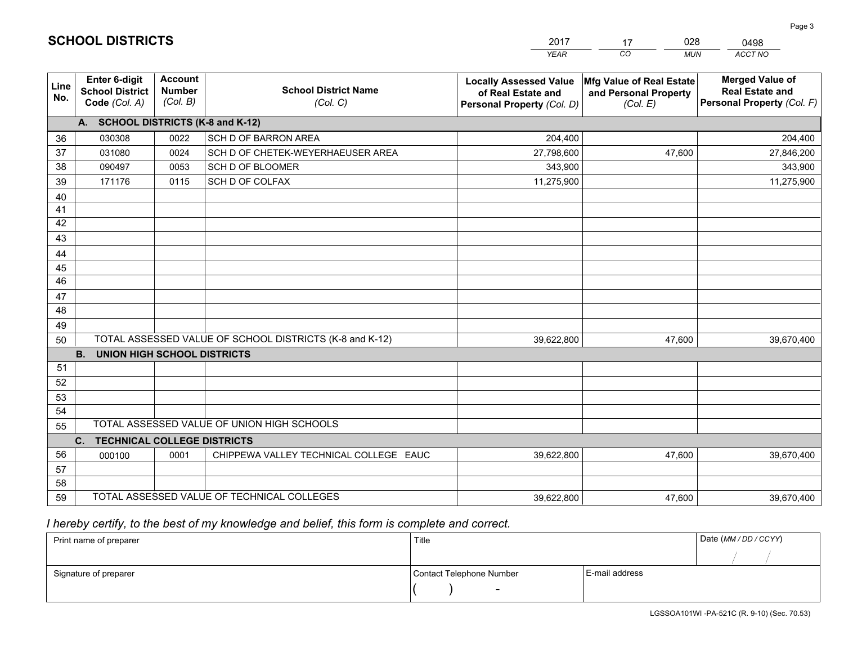|             |                                                                 |                                             |                                                         | <b>YEAR</b>                                                                       | CO.<br><b>MUN</b>                                             | ACCT NO                                                                        |
|-------------|-----------------------------------------------------------------|---------------------------------------------|---------------------------------------------------------|-----------------------------------------------------------------------------------|---------------------------------------------------------------|--------------------------------------------------------------------------------|
| Line<br>No. | <b>Enter 6-digit</b><br><b>School District</b><br>Code (Col. A) | <b>Account</b><br><b>Number</b><br>(Col. B) | <b>School District Name</b><br>(Col. C)                 | <b>Locally Assessed Value</b><br>of Real Estate and<br>Personal Property (Col. D) | Mfg Value of Real Estate<br>and Personal Property<br>(Col. E) | <b>Merged Value of</b><br><b>Real Estate and</b><br>Personal Property (Col. F) |
|             | A. SCHOOL DISTRICTS (K-8 and K-12)                              |                                             |                                                         |                                                                                   |                                                               |                                                                                |
| 36          | 030308                                                          | 0022                                        | <b>SCH D OF BARRON AREA</b>                             | 204,400                                                                           |                                                               | 204,400                                                                        |
| 37          | 031080                                                          | 0024                                        | SCH D OF CHETEK-WEYERHAEUSER AREA                       | 27,798,600                                                                        | 47,600                                                        | 27,846,200                                                                     |
| 38          | 090497                                                          | 0053                                        | SCH D OF BLOOMER                                        | 343,900                                                                           |                                                               | 343,900                                                                        |
| 39          | 171176                                                          | 0115                                        | SCH D OF COLFAX                                         | 11,275,900                                                                        |                                                               | 11,275,900                                                                     |
| 40          |                                                                 |                                             |                                                         |                                                                                   |                                                               |                                                                                |
| 41          |                                                                 |                                             |                                                         |                                                                                   |                                                               |                                                                                |
| 42          |                                                                 |                                             |                                                         |                                                                                   |                                                               |                                                                                |
| 43          |                                                                 |                                             |                                                         |                                                                                   |                                                               |                                                                                |
| 44          |                                                                 |                                             |                                                         |                                                                                   |                                                               |                                                                                |
| 45          |                                                                 |                                             |                                                         |                                                                                   |                                                               |                                                                                |
| 46          |                                                                 |                                             |                                                         |                                                                                   |                                                               |                                                                                |
| 47          |                                                                 |                                             |                                                         |                                                                                   |                                                               |                                                                                |
| 48          |                                                                 |                                             |                                                         |                                                                                   |                                                               |                                                                                |
| 49          |                                                                 |                                             |                                                         |                                                                                   |                                                               |                                                                                |
| 50          |                                                                 |                                             | TOTAL ASSESSED VALUE OF SCHOOL DISTRICTS (K-8 and K-12) | 39,622,800                                                                        | 47,600                                                        | 39,670,400                                                                     |
|             | <b>B.</b><br><b>UNION HIGH SCHOOL DISTRICTS</b>                 |                                             |                                                         |                                                                                   |                                                               |                                                                                |
| 51          |                                                                 |                                             |                                                         |                                                                                   |                                                               |                                                                                |
| 52          |                                                                 |                                             |                                                         |                                                                                   |                                                               |                                                                                |
| 53          |                                                                 |                                             |                                                         |                                                                                   |                                                               |                                                                                |
| 54          |                                                                 |                                             | TOTAL ASSESSED VALUE OF UNION HIGH SCHOOLS              |                                                                                   |                                                               |                                                                                |
| 55          |                                                                 |                                             |                                                         |                                                                                   |                                                               |                                                                                |
|             | C.<br><b>TECHNICAL COLLEGE DISTRICTS</b>                        |                                             |                                                         |                                                                                   |                                                               |                                                                                |
| 56          | 000100                                                          | 0001                                        | CHIPPEWA VALLEY TECHNICAL COLLEGE EAUC                  | 39,622,800                                                                        | 47,600                                                        | 39,670,400                                                                     |
| 57<br>58    |                                                                 |                                             |                                                         |                                                                                   |                                                               |                                                                                |
| 59          |                                                                 |                                             | TOTAL ASSESSED VALUE OF TECHNICAL COLLEGES              |                                                                                   |                                                               |                                                                                |
|             |                                                                 |                                             |                                                         | 39,622,800                                                                        | 47,600                                                        | 39,670,400                                                                     |

17

028

 *I hereby certify, to the best of my knowledge and belief, this form is complete and correct.*

**SCHOOL DISTRICTS**

| Print name of preparer | Title                    | Date (MM / DD / CCYY) |  |
|------------------------|--------------------------|-----------------------|--|
|                        |                          |                       |  |
| Signature of preparer  | Contact Telephone Number | E-mail address        |  |
|                        | $\sim$                   |                       |  |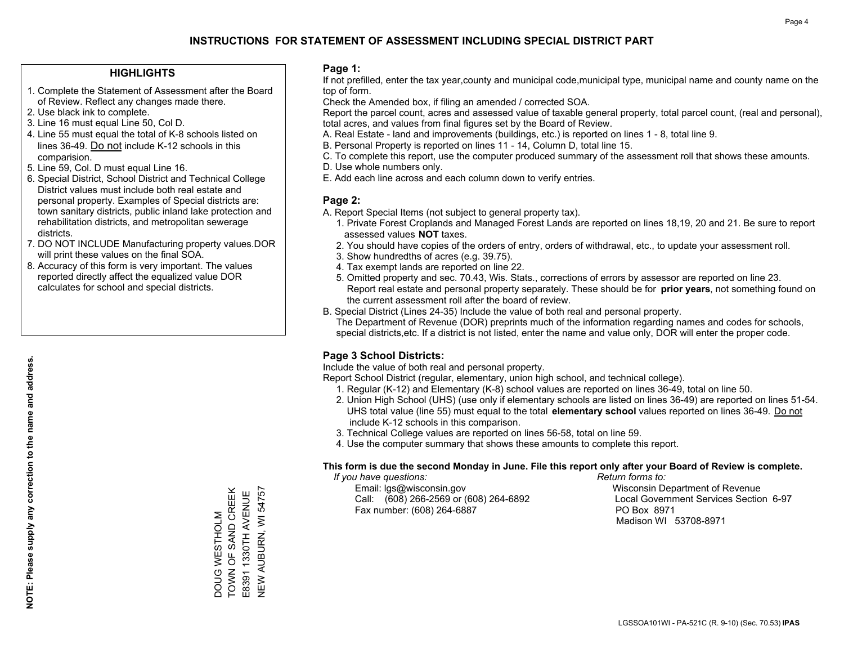## **HIGHLIGHTS**

- 1. Complete the Statement of Assessment after the Board of Review. Reflect any changes made there.
- 2. Use black ink to complete.
- 3. Line 16 must equal Line 50, Col D.
- 4. Line 55 must equal the total of K-8 schools listed on lines 36-49. Do not include K-12 schools in this comparision.
- 5. Line 59, Col. D must equal Line 16.
- 6. Special District, School District and Technical College District values must include both real estate and personal property. Examples of Special districts are: town sanitary districts, public inland lake protection and rehabilitation districts, and metropolitan sewerage districts.
- 7. DO NOT INCLUDE Manufacturing property values.DOR will print these values on the final SOA.

DOUG WESTHOLM TOWN OF SAND CREEK E8391 1330TH AVENUE NEW AUBURN, WI 54757

DOUG WESTHOLM<br>TOWN OF SAND CREEK

E8391 1330TH AVENUE<br>NEW AUBURN, WI 54757

 8. Accuracy of this form is very important. The values reported directly affect the equalized value DOR calculates for school and special districts.

### **Page 1:**

 If not prefilled, enter the tax year,county and municipal code,municipal type, municipal name and county name on the top of form.

Check the Amended box, if filing an amended / corrected SOA.

 Report the parcel count, acres and assessed value of taxable general property, total parcel count, (real and personal), total acres, and values from final figures set by the Board of Review.

- A. Real Estate land and improvements (buildings, etc.) is reported on lines 1 8, total line 9.
- B. Personal Property is reported on lines 11 14, Column D, total line 15.
- C. To complete this report, use the computer produced summary of the assessment roll that shows these amounts.
- D. Use whole numbers only.
- E. Add each line across and each column down to verify entries.

## **Page 2:**

- A. Report Special Items (not subject to general property tax).
- 1. Private Forest Croplands and Managed Forest Lands are reported on lines 18,19, 20 and 21. Be sure to report assessed values **NOT** taxes.
- 2. You should have copies of the orders of entry, orders of withdrawal, etc., to update your assessment roll.
	- 3. Show hundredths of acres (e.g. 39.75).
- 4. Tax exempt lands are reported on line 22.
- 5. Omitted property and sec. 70.43, Wis. Stats., corrections of errors by assessor are reported on line 23. Report real estate and personal property separately. These should be for **prior years**, not something found on the current assessment roll after the board of review.
- B. Special District (Lines 24-35) Include the value of both real and personal property.
- The Department of Revenue (DOR) preprints much of the information regarding names and codes for schools, special districts,etc. If a district is not listed, enter the name and value only, DOR will enter the proper code.

## **Page 3 School Districts:**

Include the value of both real and personal property.

Report School District (regular, elementary, union high school, and technical college).

- 1. Regular (K-12) and Elementary (K-8) school values are reported on lines 36-49, total on line 50.
- 2. Union High School (UHS) (use only if elementary schools are listed on lines 36-49) are reported on lines 51-54. UHS total value (line 55) must equal to the total **elementary school** values reported on lines 36-49. Do notinclude K-12 schools in this comparison.
- 3. Technical College values are reported on lines 56-58, total on line 59.
- 4. Use the computer summary that shows these amounts to complete this report.

## **This form is due the second Monday in June. File this report only after your Board of Review is complete.**

 *If you have questions: Return forms to:*

 Email: lgs@wisconsin.gov Wisconsin Department of RevenueCall:  $(608)$  266-2569 or  $(608)$  264-6892 Fax number: (608) 264-6887 PO Box 8971

Local Government Services Section 6-97 Madison WI 53708-8971

**NOTE: Please supply any correction to the name and address.**

NOTE: Please supply any correction to the name and address.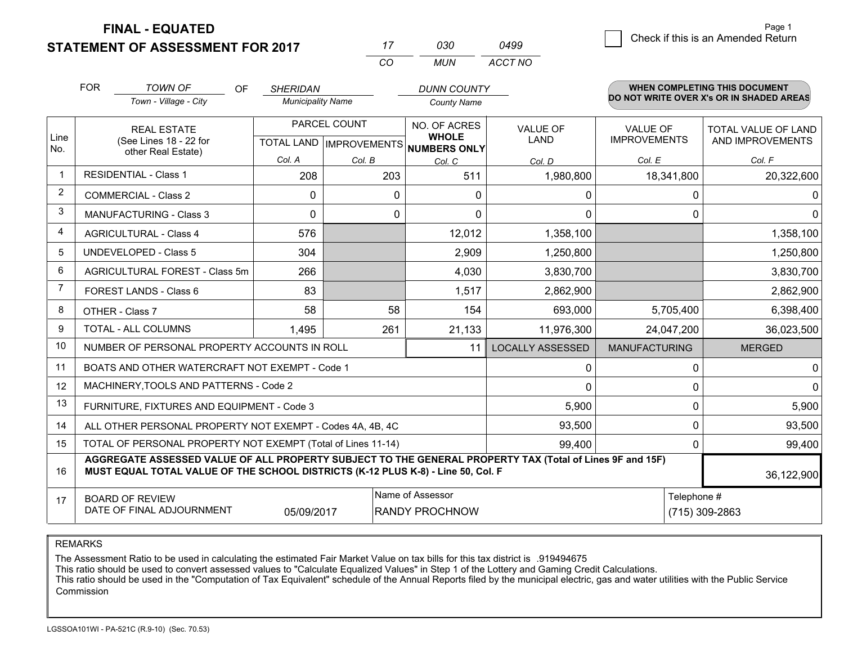**FINAL - EQUATED**

**STATEMENT OF ASSESSMENT FOR 2017** 

g **Check if this is an Amended Return** Page 1

|                | <b>FOR</b>                                                                                                                                      | <b>TOWN OF</b><br>OF<br>Town - Village - City                                                                                                                                                | <b>SHERIDAN</b><br><b>Municipality Name</b> |                                           | <b>DUNN COUNTY</b><br><b>County Name</b> |                         |                                        | WHEN COMPLETING THIS DOCUMENT<br>DO NOT WRITE OVER X's OR IN SHADED AREAS |  |
|----------------|-------------------------------------------------------------------------------------------------------------------------------------------------|----------------------------------------------------------------------------------------------------------------------------------------------------------------------------------------------|---------------------------------------------|-------------------------------------------|------------------------------------------|-------------------------|----------------------------------------|---------------------------------------------------------------------------|--|
| Line           | <b>REAL ESTATE</b><br>(See Lines 18 - 22 for                                                                                                    |                                                                                                                                                                                              |                                             | PARCEL COUNT<br>TOTAL LAND   IMPROVEMENTS | NO. OF ACRES<br><b>WHOLE</b>             | VALUE OF<br><b>LAND</b> | <b>VALUE OF</b><br><b>IMPROVEMENTS</b> | TOTAL VALUE OF LAND<br>AND IMPROVEMENTS                                   |  |
| No.            |                                                                                                                                                 | other Real Estate)                                                                                                                                                                           | Col. A                                      | Col. B                                    | <b>NUMBERS ONLY</b><br>Col. C            | Col. D                  | Col. E                                 | Col. F                                                                    |  |
| $\mathbf{1}$   |                                                                                                                                                 | <b>RESIDENTIAL - Class 1</b>                                                                                                                                                                 | 208                                         | 203                                       | 511                                      | 1,980,800               | 18,341,800                             | 20,322,600                                                                |  |
| 2              |                                                                                                                                                 | <b>COMMERCIAL - Class 2</b>                                                                                                                                                                  | 0                                           | 0                                         | $\mathbf{0}$                             | 0                       | 0                                      |                                                                           |  |
| 3              |                                                                                                                                                 | <b>MANUFACTURING - Class 3</b>                                                                                                                                                               | $\Omega$                                    | $\Omega$                                  | 0                                        | $\Omega$                | 0                                      | 0                                                                         |  |
| 4              |                                                                                                                                                 | <b>AGRICULTURAL - Class 4</b>                                                                                                                                                                | 576                                         |                                           | 12,012                                   | 1,358,100               |                                        | 1,358,100                                                                 |  |
| 5              | <b>UNDEVELOPED - Class 5</b>                                                                                                                    |                                                                                                                                                                                              | 304                                         |                                           | 2,909                                    | 1,250,800               |                                        | 1,250,800                                                                 |  |
| 6              | AGRICULTURAL FOREST - Class 5m                                                                                                                  |                                                                                                                                                                                              | 266                                         |                                           | 4,030                                    | 3,830,700               |                                        | 3,830,700                                                                 |  |
| $\overline{7}$ | FOREST LANDS - Class 6                                                                                                                          |                                                                                                                                                                                              | 83                                          |                                           | 1,517                                    | 2,862,900               |                                        | 2,862,900                                                                 |  |
| 8              |                                                                                                                                                 | OTHER - Class 7                                                                                                                                                                              | 58                                          | 58                                        | 154                                      | 693,000                 | 5,705,400                              | 6,398,400                                                                 |  |
| 9              |                                                                                                                                                 | TOTAL - ALL COLUMNS                                                                                                                                                                          | 1,495                                       | 261                                       | 21,133                                   | 11,976,300              | 24,047,200                             | 36,023,500                                                                |  |
| 10             |                                                                                                                                                 | NUMBER OF PERSONAL PROPERTY ACCOUNTS IN ROLL                                                                                                                                                 |                                             |                                           | 11                                       | <b>LOCALLY ASSESSED</b> | <b>MANUFACTURING</b>                   | <b>MERGED</b>                                                             |  |
| 11             |                                                                                                                                                 | BOATS AND OTHER WATERCRAFT NOT EXEMPT - Code 1                                                                                                                                               |                                             |                                           |                                          | $\mathbf{0}$            | 0                                      | 0                                                                         |  |
| 12             |                                                                                                                                                 | MACHINERY, TOOLS AND PATTERNS - Code 2                                                                                                                                                       |                                             |                                           |                                          | $\mathbf{0}$            | 0                                      | $\Omega$                                                                  |  |
| 13             |                                                                                                                                                 | FURNITURE, FIXTURES AND EQUIPMENT - Code 3                                                                                                                                                   |                                             |                                           |                                          | 5,900                   | 0                                      | 5,900                                                                     |  |
| 14             |                                                                                                                                                 | ALL OTHER PERSONAL PROPERTY NOT EXEMPT - Codes 4A, 4B, 4C                                                                                                                                    |                                             |                                           |                                          | 93,500                  | 0                                      | 93,500                                                                    |  |
| 15             |                                                                                                                                                 | TOTAL OF PERSONAL PROPERTY NOT EXEMPT (Total of Lines 11-14)                                                                                                                                 |                                             |                                           |                                          | 99,400                  | $\mathbf{0}$                           | 99,400                                                                    |  |
| 16             |                                                                                                                                                 | AGGREGATE ASSESSED VALUE OF ALL PROPERTY SUBJECT TO THE GENERAL PROPERTY TAX (Total of Lines 9F and 15F)<br>MUST EQUAL TOTAL VALUE OF THE SCHOOL DISTRICTS (K-12 PLUS K-8) - Line 50, Col. F |                                             |                                           |                                          |                         |                                        | 36,122,900                                                                |  |
| 17             | Name of Assessor<br>Telephone #<br><b>BOARD OF REVIEW</b><br>DATE OF FINAL ADJOURNMENT<br>(715) 309-2863<br>05/09/2017<br><b>RANDY PROCHNOW</b> |                                                                                                                                                                                              |                                             |                                           |                                          |                         |                                        |                                                                           |  |

*CO*

*MUN*

*ACCT NO0499*

*<sup>17</sup> <sup>030</sup>*

REMARKS

The Assessment Ratio to be used in calculating the estimated Fair Market Value on tax bills for this tax district is .919494675<br>This ratio should be used to convert assessed values to "Calculate Equalized Values" in Step 1 Commission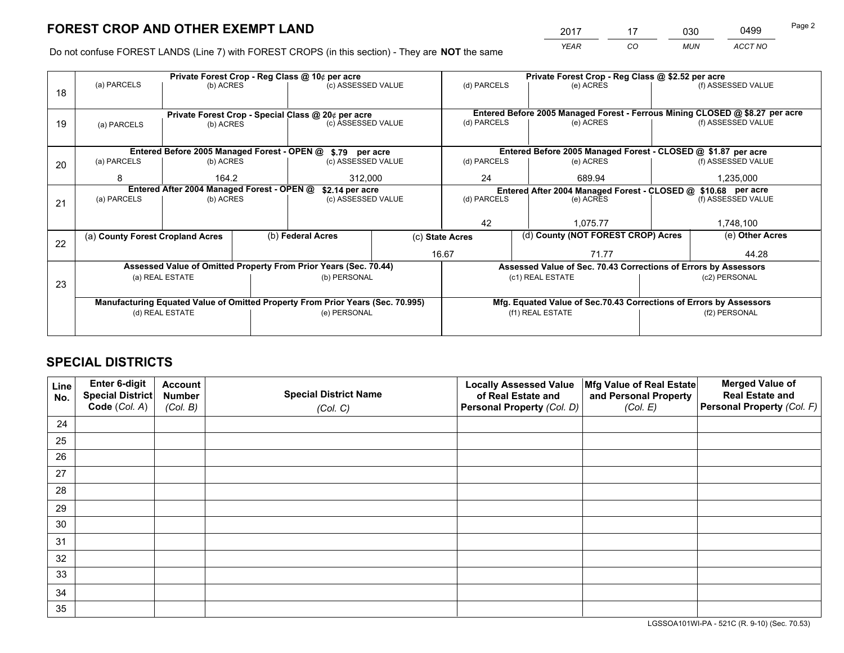*YEAR CO MUN ACCT NO* 2017 <u>17 030</u> 0499

Do not confuse FOREST LANDS (Line 7) with FOREST CROPS (in this section) - They are **NOT** the same

|    | Private Forest Crop - Reg Class @ 10¢ per acre                |                                 |                                                    |                                                                                |                 |                                                               | Private Forest Crop - Reg Class @ \$2.52 per acre                            |                                    |                    |  |
|----|---------------------------------------------------------------|---------------------------------|----------------------------------------------------|--------------------------------------------------------------------------------|-----------------|---------------------------------------------------------------|------------------------------------------------------------------------------|------------------------------------|--------------------|--|
| 18 | (a) PARCELS                                                   | (b) ACRES                       |                                                    | (c) ASSESSED VALUE                                                             |                 | (d) PARCELS                                                   | (e) ACRES                                                                    |                                    | (f) ASSESSED VALUE |  |
|    |                                                               |                                 |                                                    |                                                                                |                 |                                                               |                                                                              |                                    |                    |  |
|    |                                                               |                                 | Private Forest Crop - Special Class @ 20¢ per acre |                                                                                |                 |                                                               | Entered Before 2005 Managed Forest - Ferrous Mining CLOSED @ \$8.27 per acre |                                    |                    |  |
| 19 | (a) PARCELS                                                   | (c) ASSESSED VALUE<br>(b) ACRES |                                                    |                                                                                | (d) PARCELS     | (e) ACRES                                                     |                                                                              | (f) ASSESSED VALUE                 |                    |  |
|    |                                                               |                                 |                                                    |                                                                                |                 |                                                               |                                                                              |                                    |                    |  |
|    |                                                               |                                 |                                                    | Entered Before 2005 Managed Forest - OPEN @ \$.79 per acre                     |                 | Entered Before 2005 Managed Forest - CLOSED @ \$1.87 per acre |                                                                              |                                    |                    |  |
| 20 | (a) PARCELS                                                   | (b) ACRES                       |                                                    | (c) ASSESSED VALUE                                                             |                 | (d) PARCELS                                                   | (e) ACRES                                                                    |                                    | (f) ASSESSED VALUE |  |
|    | 8                                                             | 164.2                           |                                                    | 312,000                                                                        |                 | 24                                                            | 689.94                                                                       |                                    | 1,235,000          |  |
|    | Entered After 2004 Managed Forest - OPEN @<br>\$2.14 per acre |                                 |                                                    |                                                                                |                 | Entered After 2004 Managed Forest - CLOSED @ \$10.68 per acre |                                                                              |                                    |                    |  |
| 21 | (a) PARCELS                                                   | (b) ACRES                       |                                                    | (c) ASSESSED VALUE                                                             |                 | (d) PARCELS<br>(e) ACRES                                      |                                                                              |                                    | (f) ASSESSED VALUE |  |
|    |                                                               |                                 |                                                    |                                                                                |                 |                                                               |                                                                              |                                    |                    |  |
|    |                                                               |                                 |                                                    |                                                                                | 42              |                                                               | 1.075.77                                                                     |                                    |                    |  |
|    | (a) County Forest Cropland Acres                              |                                 |                                                    | (b) Federal Acres                                                              | (c) State Acres |                                                               |                                                                              | (d) County (NOT FOREST CROP) Acres |                    |  |
| 22 |                                                               |                                 |                                                    |                                                                                |                 | 16.67                                                         | 71.77                                                                        |                                    | 44.28              |  |
|    |                                                               |                                 |                                                    | Assessed Value of Omitted Property From Prior Years (Sec. 70.44)               |                 |                                                               | Assessed Value of Sec. 70.43 Corrections of Errors by Assessors              |                                    |                    |  |
|    |                                                               | (a) REAL ESTATE                 |                                                    | (b) PERSONAL                                                                   |                 |                                                               | (c1) REAL ESTATE                                                             |                                    | (c2) PERSONAL      |  |
| 23 |                                                               |                                 |                                                    |                                                                                |                 |                                                               |                                                                              |                                    |                    |  |
|    |                                                               |                                 |                                                    | Manufacturing Equated Value of Omitted Property From Prior Years (Sec. 70.995) |                 |                                                               | Mfg. Equated Value of Sec.70.43 Corrections of Errors by Assessors           |                                    |                    |  |
|    |                                                               | (d) REAL ESTATE                 |                                                    | (e) PERSONAL                                                                   |                 |                                                               | (f1) REAL ESTATE                                                             |                                    | (f2) PERSONAL      |  |
|    |                                                               |                                 |                                                    |                                                                                |                 |                                                               |                                                                              |                                    |                    |  |

# **SPECIAL DISTRICTS**

| Line<br>No. | Enter 6-digit<br><b>Special District</b> | <b>Account</b><br><b>Number</b> | <b>Special District Name</b> | <b>Locally Assessed Value</b><br>of Real Estate and | Mfg Value of Real Estate<br>and Personal Property | <b>Merged Value of</b><br><b>Real Estate and</b> |
|-------------|------------------------------------------|---------------------------------|------------------------------|-----------------------------------------------------|---------------------------------------------------|--------------------------------------------------|
|             | Code (Col. A)                            | (Col. B)                        | (Col. C)                     | Personal Property (Col. D)                          | (Col. E)                                          | Personal Property (Col. F)                       |
| 24          |                                          |                                 |                              |                                                     |                                                   |                                                  |
| 25          |                                          |                                 |                              |                                                     |                                                   |                                                  |
| 26          |                                          |                                 |                              |                                                     |                                                   |                                                  |
| 27          |                                          |                                 |                              |                                                     |                                                   |                                                  |
| 28          |                                          |                                 |                              |                                                     |                                                   |                                                  |
| 29          |                                          |                                 |                              |                                                     |                                                   |                                                  |
| 30          |                                          |                                 |                              |                                                     |                                                   |                                                  |
| 31          |                                          |                                 |                              |                                                     |                                                   |                                                  |
| 32          |                                          |                                 |                              |                                                     |                                                   |                                                  |
| 33          |                                          |                                 |                              |                                                     |                                                   |                                                  |
| 34          |                                          |                                 |                              |                                                     |                                                   |                                                  |
| 35          |                                          |                                 |                              |                                                     |                                                   |                                                  |

LGSSOA101WI-PA - 521C (R. 9-10) (Sec. 70.53)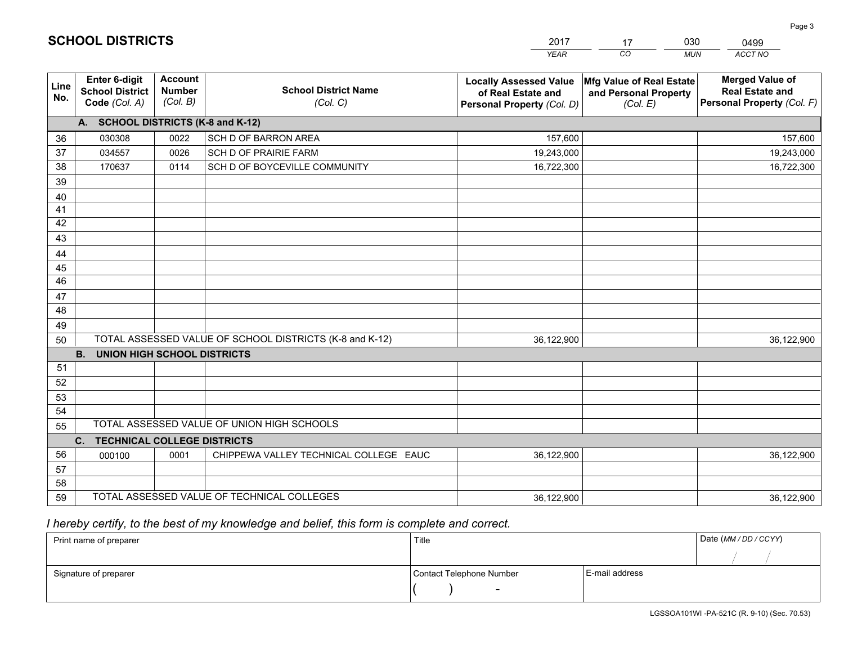|                 |                                                          |                                             |                                                         | YEAR                                                                              | CO.<br><b>MUN</b>                                             | ACCT NO                                                                        |
|-----------------|----------------------------------------------------------|---------------------------------------------|---------------------------------------------------------|-----------------------------------------------------------------------------------|---------------------------------------------------------------|--------------------------------------------------------------------------------|
| Line<br>No.     | Enter 6-digit<br><b>School District</b><br>Code (Col. A) | <b>Account</b><br><b>Number</b><br>(Col. B) | <b>School District Name</b><br>(Col. C)                 | <b>Locally Assessed Value</b><br>of Real Estate and<br>Personal Property (Col. D) | Mfg Value of Real Estate<br>and Personal Property<br>(Col. E) | <b>Merged Value of</b><br><b>Real Estate and</b><br>Personal Property (Col. F) |
|                 | A. SCHOOL DISTRICTS (K-8 and K-12)                       |                                             |                                                         |                                                                                   |                                                               |                                                                                |
| 36              | 030308                                                   | 0022                                        | SCH D OF BARRON AREA                                    | 157,600                                                                           |                                                               | 157,600                                                                        |
| 37              | 034557                                                   | 0026                                        | SCH D OF PRAIRIE FARM                                   | 19,243,000                                                                        |                                                               | 19,243,000                                                                     |
| 38              | 170637                                                   | 0114                                        | SCH D OF BOYCEVILLE COMMUNITY                           | 16,722,300                                                                        |                                                               | 16,722,300                                                                     |
| 39              |                                                          |                                             |                                                         |                                                                                   |                                                               |                                                                                |
| 40              |                                                          |                                             |                                                         |                                                                                   |                                                               |                                                                                |
| 41              |                                                          |                                             |                                                         |                                                                                   |                                                               |                                                                                |
| 42              |                                                          |                                             |                                                         |                                                                                   |                                                               |                                                                                |
| 43              |                                                          |                                             |                                                         |                                                                                   |                                                               |                                                                                |
| 44              |                                                          |                                             |                                                         |                                                                                   |                                                               |                                                                                |
| 45              |                                                          |                                             |                                                         |                                                                                   |                                                               |                                                                                |
| $\overline{46}$ |                                                          |                                             |                                                         |                                                                                   |                                                               |                                                                                |
| 47              |                                                          |                                             |                                                         |                                                                                   |                                                               |                                                                                |
| 48              |                                                          |                                             |                                                         |                                                                                   |                                                               |                                                                                |
| 49              |                                                          |                                             |                                                         |                                                                                   |                                                               |                                                                                |
| 50              |                                                          |                                             | TOTAL ASSESSED VALUE OF SCHOOL DISTRICTS (K-8 and K-12) | 36,122,900                                                                        |                                                               | 36,122,900                                                                     |
| 51              | <b>B.</b><br><b>UNION HIGH SCHOOL DISTRICTS</b>          |                                             |                                                         |                                                                                   |                                                               |                                                                                |
| 52              |                                                          |                                             |                                                         |                                                                                   |                                                               |                                                                                |
| 53              |                                                          |                                             |                                                         |                                                                                   |                                                               |                                                                                |
| 54              |                                                          |                                             |                                                         |                                                                                   |                                                               |                                                                                |
| 55              |                                                          |                                             | TOTAL ASSESSED VALUE OF UNION HIGH SCHOOLS              |                                                                                   |                                                               |                                                                                |
|                 | C.<br><b>TECHNICAL COLLEGE DISTRICTS</b>                 |                                             |                                                         |                                                                                   |                                                               |                                                                                |
| 56              | 000100                                                   | 0001                                        | CHIPPEWA VALLEY TECHNICAL COLLEGE EAUC                  | 36,122,900                                                                        |                                                               | 36,122,900                                                                     |
| 57              |                                                          |                                             |                                                         |                                                                                   |                                                               |                                                                                |
| 58              |                                                          |                                             |                                                         |                                                                                   |                                                               |                                                                                |
| 59              |                                                          |                                             | TOTAL ASSESSED VALUE OF TECHNICAL COLLEGES              | 36,122,900                                                                        |                                                               | 36,122,900                                                                     |

 *I hereby certify, to the best of my knowledge and belief, this form is complete and correct.*

| Print name of preparer | Title                    |                | Date (MM / DD / CCYY) |
|------------------------|--------------------------|----------------|-----------------------|
|                        |                          |                |                       |
| Signature of preparer  | Contact Telephone Number | E-mail address |                       |
|                        | $\sim$                   |                |                       |

|  | <b>SCHOOL DISTRICTS</b> |  |  |  |
|--|-------------------------|--|--|--|
|  |                         |  |  |  |

201717030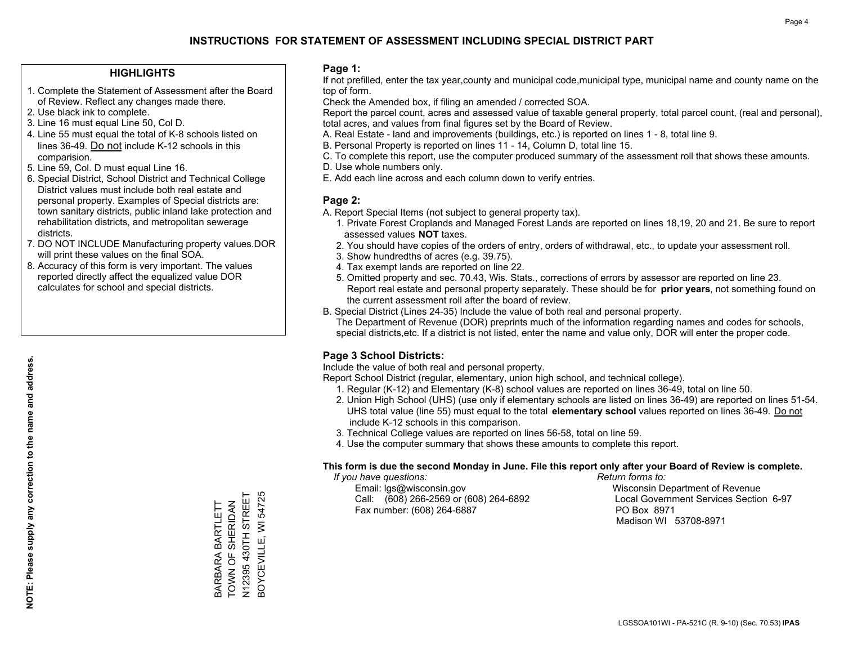## **HIGHLIGHTS**

- 1. Complete the Statement of Assessment after the Board of Review. Reflect any changes made there.
- 2. Use black ink to complete.
- 3. Line 16 must equal Line 50, Col D.
- 4. Line 55 must equal the total of K-8 schools listed on lines 36-49. Do not include K-12 schools in this comparision.
- 5. Line 59, Col. D must equal Line 16.
- 6. Special District, School District and Technical College District values must include both real estate and personal property. Examples of Special districts are: town sanitary districts, public inland lake protection and rehabilitation districts, and metropolitan sewerage districts.
- 7. DO NOT INCLUDE Manufacturing property values.DOR will print these values on the final SOA.

BARBARA BARTLETT TOWN OF SHERIDAN N12395 430TH STREET BOYCEVILLE, WI 54725

BARBARA BARTLETT<br>TOWN OF SHERIDAN

3OYCEVILLE, WI 54725 N12395 430TH STREET

 8. Accuracy of this form is very important. The values reported directly affect the equalized value DOR calculates for school and special districts.

### **Page 1:**

 If not prefilled, enter the tax year,county and municipal code,municipal type, municipal name and county name on the top of form.

Check the Amended box, if filing an amended / corrected SOA.

 Report the parcel count, acres and assessed value of taxable general property, total parcel count, (real and personal), total acres, and values from final figures set by the Board of Review.

- A. Real Estate land and improvements (buildings, etc.) is reported on lines 1 8, total line 9.
- B. Personal Property is reported on lines 11 14, Column D, total line 15.
- C. To complete this report, use the computer produced summary of the assessment roll that shows these amounts.
- D. Use whole numbers only.
- E. Add each line across and each column down to verify entries.

### **Page 2:**

- A. Report Special Items (not subject to general property tax).
- 1. Private Forest Croplands and Managed Forest Lands are reported on lines 18,19, 20 and 21. Be sure to report assessed values **NOT** taxes.
- 2. You should have copies of the orders of entry, orders of withdrawal, etc., to update your assessment roll.
	- 3. Show hundredths of acres (e.g. 39.75).
- 4. Tax exempt lands are reported on line 22.
- 5. Omitted property and sec. 70.43, Wis. Stats., corrections of errors by assessor are reported on line 23. Report real estate and personal property separately. These should be for **prior years**, not something found on the current assessment roll after the board of review.
- B. Special District (Lines 24-35) Include the value of both real and personal property.
- The Department of Revenue (DOR) preprints much of the information regarding names and codes for schools, special districts,etc. If a district is not listed, enter the name and value only, DOR will enter the proper code.

## **Page 3 School Districts:**

Include the value of both real and personal property.

Report School District (regular, elementary, union high school, and technical college).

- 1. Regular (K-12) and Elementary (K-8) school values are reported on lines 36-49, total on line 50.
- 2. Union High School (UHS) (use only if elementary schools are listed on lines 36-49) are reported on lines 51-54. UHS total value (line 55) must equal to the total **elementary school** values reported on lines 36-49. Do notinclude K-12 schools in this comparison.
- 3. Technical College values are reported on lines 56-58, total on line 59.
- 4. Use the computer summary that shows these amounts to complete this report.

#### **This form is due the second Monday in June. File this report only after your Board of Review is complete.**

 *If you have questions: Return forms to:*

 Email: lgs@wisconsin.gov Wisconsin Department of RevenueCall:  $(608)$  266-2569 or  $(608)$  264-6892 Fax number: (608) 264-6887 PO Box 8971

Local Government Services Section 6-97 Madison WI 53708-8971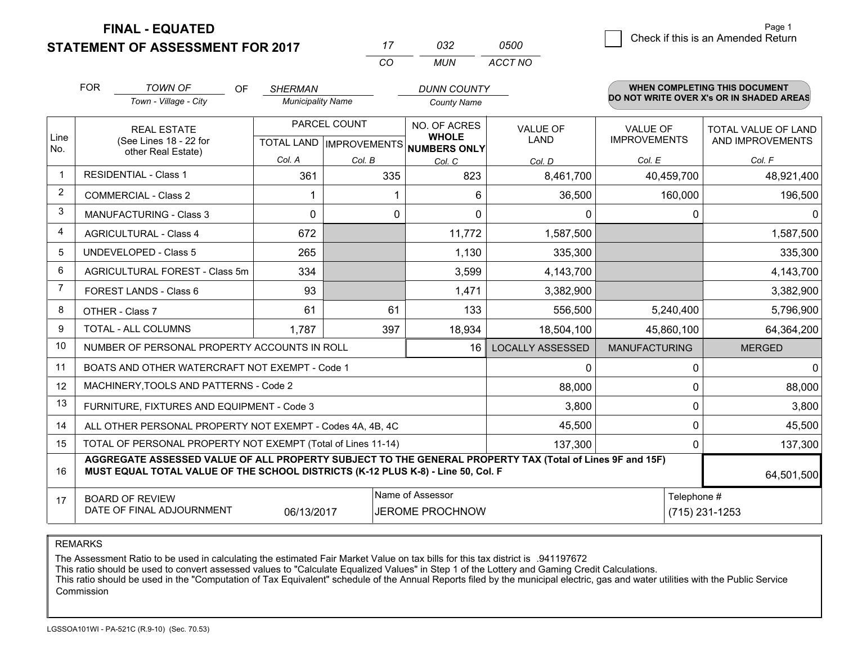**FINAL - EQUATED**

**STATEMENT OF ASSESSMENT FOR 2017** 

| 17  | กจว | 0500    |
|-----|-----|---------|
| .CO | MUN | ACCT NO |

|                | <b>FOR</b>                                 | <b>TOWN OF</b><br><b>OF</b>                                                                                                                                                                  | <b>SHERMAN</b>           |              | <b>DUNN COUNTY</b>                                                                  |                         |                      | <b>WHEN COMPLETING THIS DOCUMENT</b>     |  |
|----------------|--------------------------------------------|----------------------------------------------------------------------------------------------------------------------------------------------------------------------------------------------|--------------------------|--------------|-------------------------------------------------------------------------------------|-------------------------|----------------------|------------------------------------------|--|
|                |                                            | Town - Village - City                                                                                                                                                                        | <b>Municipality Name</b> |              | <b>County Name</b>                                                                  |                         |                      | DO NOT WRITE OVER X's OR IN SHADED AREAS |  |
|                |                                            | <b>REAL ESTATE</b>                                                                                                                                                                           |                          | PARCEL COUNT | NO. OF ACRES                                                                        | <b>VALUE OF</b>         | <b>VALUE OF</b>      | TOTAL VALUE OF LAND                      |  |
| Line<br>No.    |                                            | (See Lines 18 - 22 for<br>other Real Estate)                                                                                                                                                 |                          |              | <b>WHOLE</b><br>TOTAL LAND IMPROVEMENTS NUMBERS ONLY                                | LAND                    | <b>IMPROVEMENTS</b>  | AND IMPROVEMENTS                         |  |
|                |                                            |                                                                                                                                                                                              | Col. A                   | Col. B       | Col. C                                                                              | Col. D                  | Col. E               | Col. F                                   |  |
| $\mathbf{1}$   |                                            | <b>RESIDENTIAL - Class 1</b>                                                                                                                                                                 | 361                      | 335          | 823                                                                                 | 8,461,700               | 40,459,700           | 48,921,400                               |  |
| $\overline{2}$ | <b>COMMERCIAL - Class 2</b>                |                                                                                                                                                                                              |                          |              | 6                                                                                   | 36,500                  | 160,000              | 196,500                                  |  |
| 3              |                                            | <b>MANUFACTURING - Class 3</b>                                                                                                                                                               | $\Omega$                 | 0            | $\Omega$                                                                            | $\mathbf{0}$            | 0                    | 0                                        |  |
| 4              |                                            | <b>AGRICULTURAL - Class 4</b>                                                                                                                                                                | 672                      |              | 11,772                                                                              | 1,587,500               |                      | 1,587,500                                |  |
| 5              | <b>UNDEVELOPED - Class 5</b>               |                                                                                                                                                                                              | 265                      |              | 1,130                                                                               | 335,300                 |                      | 335,300                                  |  |
| 6              | AGRICULTURAL FOREST - Class 5m             |                                                                                                                                                                                              | 334                      |              | 3,599                                                                               | 4,143,700               |                      | 4,143,700                                |  |
| 7              | FOREST LANDS - Class 6                     |                                                                                                                                                                                              | 93                       |              | 1,471                                                                               | 3,382,900               |                      | 3,382,900                                |  |
| 8              |                                            | OTHER - Class 7                                                                                                                                                                              | 61                       | 61           | 133                                                                                 | 556,500                 | 5,240,400            | 5,796,900                                |  |
| 9              |                                            | TOTAL - ALL COLUMNS                                                                                                                                                                          | 1,787                    | 397          | 18,934                                                                              | 18,504,100              | 45,860,100           | 64,364,200                               |  |
| 10             |                                            | NUMBER OF PERSONAL PROPERTY ACCOUNTS IN ROLL                                                                                                                                                 |                          |              | 16                                                                                  | <b>LOCALLY ASSESSED</b> | <b>MANUFACTURING</b> | <b>MERGED</b>                            |  |
| 11             |                                            | BOATS AND OTHER WATERCRAFT NOT EXEMPT - Code 1                                                                                                                                               |                          |              |                                                                                     | $\Omega$                | $\mathbf 0$          | 0                                        |  |
| 12             |                                            | MACHINERY, TOOLS AND PATTERNS - Code 2                                                                                                                                                       |                          |              |                                                                                     | 88,000                  | 0                    | 88,000                                   |  |
| 13             |                                            | FURNITURE, FIXTURES AND EQUIPMENT - Code 3                                                                                                                                                   |                          |              |                                                                                     | 3,800                   | 0                    | 3,800                                    |  |
| 14             |                                            | ALL OTHER PERSONAL PROPERTY NOT EXEMPT - Codes 4A, 4B, 4C                                                                                                                                    |                          |              |                                                                                     | 45,500                  | 0                    | 45,500                                   |  |
| 15             |                                            | TOTAL OF PERSONAL PROPERTY NOT EXEMPT (Total of Lines 11-14)                                                                                                                                 |                          |              |                                                                                     | 137,300                 | 0                    | 137,300                                  |  |
| 16             |                                            | AGGREGATE ASSESSED VALUE OF ALL PROPERTY SUBJECT TO THE GENERAL PROPERTY TAX (Total of Lines 9F and 15F)<br>MUST EQUAL TOTAL VALUE OF THE SCHOOL DISTRICTS (K-12 PLUS K-8) - Line 50, Col. F |                          |              |                                                                                     |                         |                      | 64,501,500                               |  |
| 17             | Name of Assessor<br><b>BOARD OF REVIEW</b> |                                                                                                                                                                                              |                          |              |                                                                                     |                         | Telephone #          |                                          |  |
|                |                                            |                                                                                                                                                                                              |                          |              | DATE OF FINAL ADJOURNMENT<br>06/13/2017<br><b>JEROME PROCHNOW</b><br>(715) 231-1253 |                         |                      |                                          |  |

REMARKS

The Assessment Ratio to be used in calculating the estimated Fair Market Value on tax bills for this tax district is .941197672

This ratio should be used to convert assessed values to "Calculate Equalized Values" in Step 1 of the Lottery and Gaming Credit Calculations.<br>This ratio should be used in the "Computation of Tax Equivalent" schedule of the Commission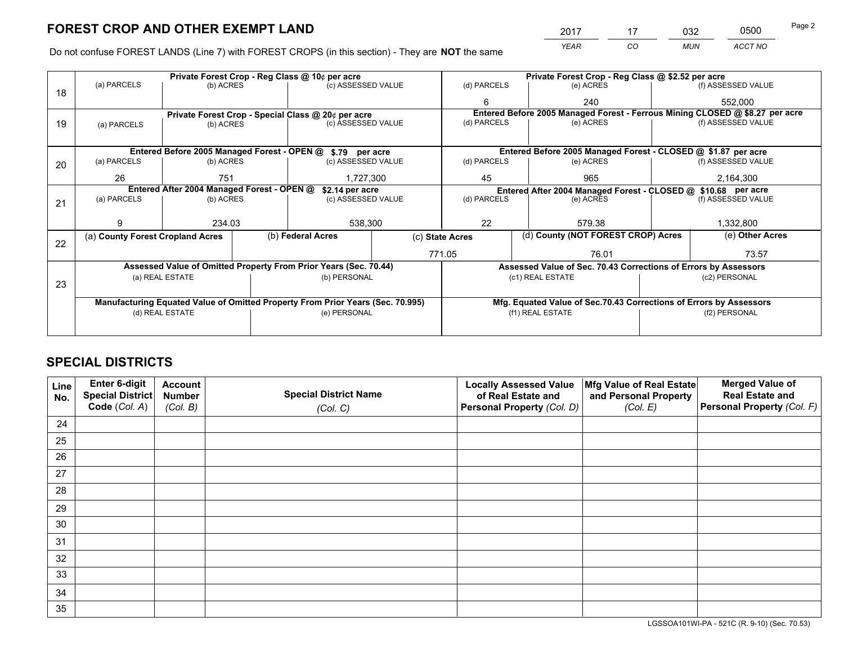*YEAR CO MUN ACCT NO* <sup>2017</sup> <sup>17</sup> <sup>032</sup> <sup>0500</sup>

Do not confuse FOREST LANDS (Line 7) with FOREST CROPS (in this section) - They are **NOT** the same

|    |                                                               |                                             |  | Private Forest Crop - Reg Class @ 10¢ per acre                                 |                 |                                                                              | Private Forest Crop - Reg Class @ \$2.52 per acre                  |                                    |                    |  |
|----|---------------------------------------------------------------|---------------------------------------------|--|--------------------------------------------------------------------------------|-----------------|------------------------------------------------------------------------------|--------------------------------------------------------------------|------------------------------------|--------------------|--|
| 18 | (a) PARCELS                                                   | (b) ACRES                                   |  | (c) ASSESSED VALUE                                                             |                 | (d) PARCELS                                                                  | (e) ACRES                                                          |                                    | (f) ASSESSED VALUE |  |
|    |                                                               |                                             |  |                                                                                |                 | 6                                                                            | 240                                                                |                                    | 552,000            |  |
|    |                                                               |                                             |  | Private Forest Crop - Special Class @ 20¢ per acre                             |                 | Entered Before 2005 Managed Forest - Ferrous Mining CLOSED @ \$8.27 per acre |                                                                    |                                    |                    |  |
| 19 | (a) PARCELS                                                   | (b) ACRES                                   |  | (c) ASSESSED VALUE                                                             |                 | (d) PARCELS                                                                  | (e) ACRES                                                          |                                    | (f) ASSESSED VALUE |  |
|    |                                                               |                                             |  |                                                                                |                 |                                                                              |                                                                    |                                    |                    |  |
|    |                                                               | Entered Before 2005 Managed Forest - OPEN @ |  | \$.79 per acre                                                                 |                 |                                                                              | Entered Before 2005 Managed Forest - CLOSED @ \$1.87 per acre      |                                    |                    |  |
| 20 | (a) PARCELS                                                   | (b) ACRES                                   |  | (c) ASSESSED VALUE                                                             |                 | (d) PARCELS                                                                  | (e) ACRES                                                          |                                    |                    |  |
|    | 26                                                            | 751                                         |  | 1,727,300                                                                      |                 | 965<br>45                                                                    |                                                                    |                                    | 2,164,300          |  |
|    | Entered After 2004 Managed Forest - OPEN @<br>\$2.14 per acre |                                             |  |                                                                                |                 |                                                                              | Entered After 2004 Managed Forest - CLOSED @ \$10.68 per acre      |                                    |                    |  |
| 21 | (a) PARCELS                                                   | (b) ACRES                                   |  | (c) ASSESSED VALUE                                                             |                 | (d) PARCELS                                                                  | (e) ACRES                                                          |                                    | (f) ASSESSED VALUE |  |
|    |                                                               |                                             |  |                                                                                |                 |                                                                              |                                                                    |                                    |                    |  |
|    | 9                                                             | 234.03                                      |  | 538,300                                                                        |                 | 22                                                                           | 579.38                                                             |                                    | 1,332,800          |  |
| 22 | (a) County Forest Cropland Acres                              |                                             |  | (b) Federal Acres                                                              | (c) State Acres |                                                                              |                                                                    | (d) County (NOT FOREST CROP) Acres |                    |  |
|    |                                                               |                                             |  |                                                                                |                 | 771.05                                                                       | 76.01                                                              |                                    | 73.57              |  |
|    |                                                               |                                             |  | Assessed Value of Omitted Property From Prior Years (Sec. 70.44)               |                 |                                                                              | Assessed Value of Sec. 70.43 Corrections of Errors by Assessors    |                                    |                    |  |
|    |                                                               | (a) REAL ESTATE                             |  | (b) PERSONAL                                                                   |                 |                                                                              | (c1) REAL ESTATE                                                   |                                    | (c2) PERSONAL      |  |
| 23 |                                                               |                                             |  |                                                                                |                 |                                                                              |                                                                    |                                    |                    |  |
|    |                                                               |                                             |  | Manufacturing Equated Value of Omitted Property From Prior Years (Sec. 70.995) |                 |                                                                              | Mfg. Equated Value of Sec.70.43 Corrections of Errors by Assessors |                                    |                    |  |
|    |                                                               | (d) REAL ESTATE                             |  | (e) PERSONAL                                                                   |                 | (f1) REAL ESTATE                                                             |                                                                    |                                    | (f2) PERSONAL      |  |
|    |                                                               |                                             |  |                                                                                |                 |                                                                              |                                                                    |                                    |                    |  |

# **SPECIAL DISTRICTS**

| Line<br>No. | Enter 6-digit<br>Special District<br>Code (Col. A) | <b>Account</b><br><b>Number</b> | <b>Special District Name</b> | <b>Locally Assessed Value</b><br>of Real Estate and | Mfg Value of Real Estate<br>and Personal Property | <b>Merged Value of</b><br><b>Real Estate and</b><br>Personal Property (Col. F) |
|-------------|----------------------------------------------------|---------------------------------|------------------------------|-----------------------------------------------------|---------------------------------------------------|--------------------------------------------------------------------------------|
|             |                                                    | (Col. B)                        | (Col. C)                     | Personal Property (Col. D)                          | (Col. E)                                          |                                                                                |
| 24          |                                                    |                                 |                              |                                                     |                                                   |                                                                                |
| 25          |                                                    |                                 |                              |                                                     |                                                   |                                                                                |
| 26          |                                                    |                                 |                              |                                                     |                                                   |                                                                                |
| 27          |                                                    |                                 |                              |                                                     |                                                   |                                                                                |
| 28          |                                                    |                                 |                              |                                                     |                                                   |                                                                                |
| 29          |                                                    |                                 |                              |                                                     |                                                   |                                                                                |
| 30          |                                                    |                                 |                              |                                                     |                                                   |                                                                                |
| 31          |                                                    |                                 |                              |                                                     |                                                   |                                                                                |
| 32          |                                                    |                                 |                              |                                                     |                                                   |                                                                                |
| 33          |                                                    |                                 |                              |                                                     |                                                   |                                                                                |
| 34          |                                                    |                                 |                              |                                                     |                                                   |                                                                                |
| 35          |                                                    |                                 |                              |                                                     |                                                   |                                                                                |

LGSSOA101WI-PA - 521C (R. 9-10) (Sec. 70.53)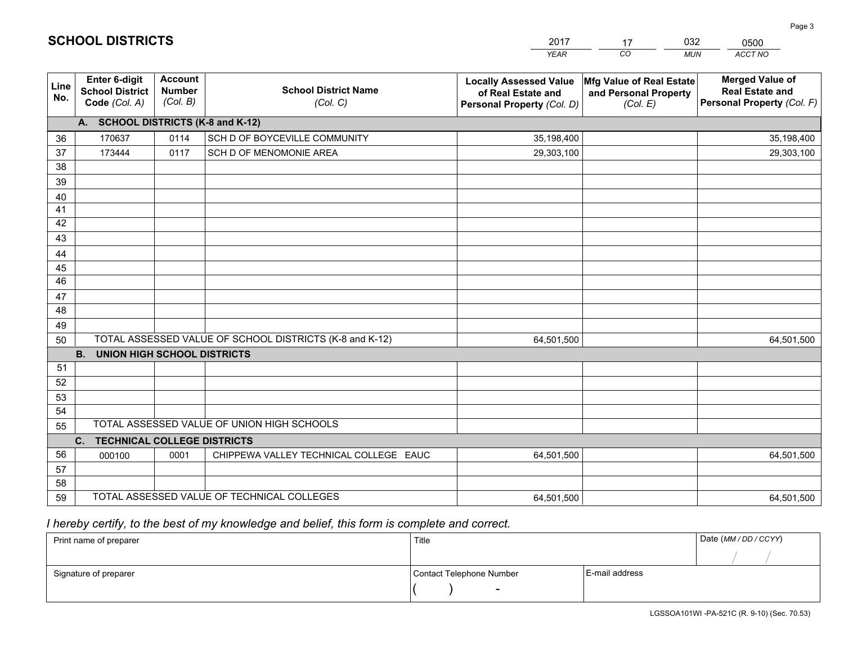|             |                                                          |                                             |                                                         | YEAR                                                                              | CO.<br><b>MUN</b>                                             | ACCT NO                                                                        |  |  |  |  |  |  |
|-------------|----------------------------------------------------------|---------------------------------------------|---------------------------------------------------------|-----------------------------------------------------------------------------------|---------------------------------------------------------------|--------------------------------------------------------------------------------|--|--|--|--|--|--|
| Line<br>No. | Enter 6-digit<br><b>School District</b><br>Code (Col. A) | <b>Account</b><br><b>Number</b><br>(Col. B) | <b>School District Name</b><br>(Col. C)                 | <b>Locally Assessed Value</b><br>of Real Estate and<br>Personal Property (Col. D) | Mfg Value of Real Estate<br>and Personal Property<br>(Col. E) | <b>Merged Value of</b><br><b>Real Estate and</b><br>Personal Property (Col. F) |  |  |  |  |  |  |
|             | A. SCHOOL DISTRICTS (K-8 and K-12)                       |                                             |                                                         |                                                                                   |                                                               |                                                                                |  |  |  |  |  |  |
| 36          | 170637                                                   | 0114                                        | SCH D OF BOYCEVILLE COMMUNITY                           | 35,198,400                                                                        |                                                               | 35,198,400                                                                     |  |  |  |  |  |  |
| 37          | 173444                                                   | 0117                                        | SCH D OF MENOMONIE AREA                                 | 29,303,100                                                                        |                                                               | 29,303,100                                                                     |  |  |  |  |  |  |
| 38          |                                                          |                                             |                                                         |                                                                                   |                                                               |                                                                                |  |  |  |  |  |  |
| 39          |                                                          |                                             |                                                         |                                                                                   |                                                               |                                                                                |  |  |  |  |  |  |
| 40          |                                                          |                                             |                                                         |                                                                                   |                                                               |                                                                                |  |  |  |  |  |  |
| 41          |                                                          |                                             |                                                         |                                                                                   |                                                               |                                                                                |  |  |  |  |  |  |
| 42          |                                                          |                                             |                                                         |                                                                                   |                                                               |                                                                                |  |  |  |  |  |  |
| 43          |                                                          |                                             |                                                         |                                                                                   |                                                               |                                                                                |  |  |  |  |  |  |
| 44          |                                                          |                                             |                                                         |                                                                                   |                                                               |                                                                                |  |  |  |  |  |  |
| 45<br>46    |                                                          |                                             |                                                         |                                                                                   |                                                               |                                                                                |  |  |  |  |  |  |
| 47          |                                                          |                                             |                                                         |                                                                                   |                                                               |                                                                                |  |  |  |  |  |  |
| 48          |                                                          |                                             |                                                         |                                                                                   |                                                               |                                                                                |  |  |  |  |  |  |
| 49          |                                                          |                                             |                                                         |                                                                                   |                                                               |                                                                                |  |  |  |  |  |  |
| 50          |                                                          |                                             | TOTAL ASSESSED VALUE OF SCHOOL DISTRICTS (K-8 and K-12) | 64,501,500                                                                        |                                                               | 64,501,500                                                                     |  |  |  |  |  |  |
|             | <b>UNION HIGH SCHOOL DISTRICTS</b><br><b>B.</b>          |                                             |                                                         |                                                                                   |                                                               |                                                                                |  |  |  |  |  |  |
| 51          |                                                          |                                             |                                                         |                                                                                   |                                                               |                                                                                |  |  |  |  |  |  |
| 52          |                                                          |                                             |                                                         |                                                                                   |                                                               |                                                                                |  |  |  |  |  |  |
| 53          |                                                          |                                             |                                                         |                                                                                   |                                                               |                                                                                |  |  |  |  |  |  |
| 54          |                                                          |                                             |                                                         |                                                                                   |                                                               |                                                                                |  |  |  |  |  |  |
| 55          |                                                          |                                             | TOTAL ASSESSED VALUE OF UNION HIGH SCHOOLS              |                                                                                   |                                                               |                                                                                |  |  |  |  |  |  |
|             | C.<br><b>TECHNICAL COLLEGE DISTRICTS</b>                 |                                             |                                                         |                                                                                   |                                                               |                                                                                |  |  |  |  |  |  |
| 56          | 000100                                                   | 0001                                        | CHIPPEWA VALLEY TECHNICAL COLLEGE EAUC                  | 64,501,500                                                                        |                                                               | 64,501,500                                                                     |  |  |  |  |  |  |
| 57          |                                                          |                                             |                                                         |                                                                                   |                                                               |                                                                                |  |  |  |  |  |  |
| 58          |                                                          |                                             |                                                         |                                                                                   |                                                               |                                                                                |  |  |  |  |  |  |
| 59          |                                                          |                                             | TOTAL ASSESSED VALUE OF TECHNICAL COLLEGES              | 64,501,500                                                                        |                                                               | 64,501,500                                                                     |  |  |  |  |  |  |

17

032

 *I hereby certify, to the best of my knowledge and belief, this form is complete and correct.*

**SCHOOL DISTRICTS**

| Print name of preparer | Title                    |                | Date (MM / DD / CCYY) |
|------------------------|--------------------------|----------------|-----------------------|
|                        |                          |                |                       |
| Signature of preparer  | Contact Telephone Number | E-mail address |                       |
|                        | $\sim$                   |                |                       |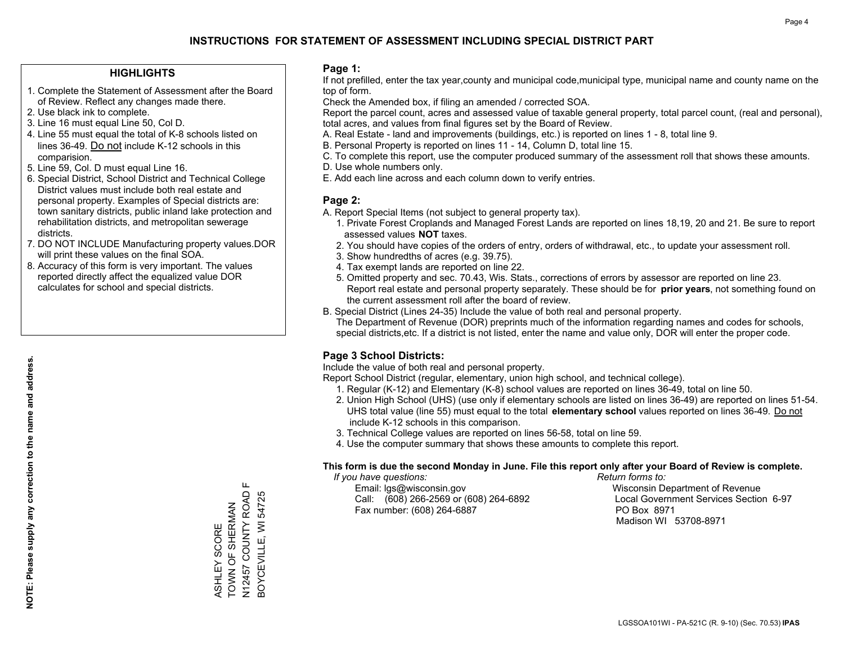## **HIGHLIGHTS**

- 1. Complete the Statement of Assessment after the Board of Review. Reflect any changes made there.
- 2. Use black ink to complete.
- 3. Line 16 must equal Line 50, Col D.
- 4. Line 55 must equal the total of K-8 schools listed on lines 36-49. Do not include K-12 schools in this comparision.
- 5. Line 59, Col. D must equal Line 16.
- 6. Special District, School District and Technical College District values must include both real estate and personal property. Examples of Special districts are: town sanitary districts, public inland lake protection and rehabilitation districts, and metropolitan sewerage districts.
- 7. DO NOT INCLUDE Manufacturing property values.DOR will print these values on the final SOA.

ASHLEY SCORE TOWN OF SHERMAN N12457 COUNTY ROAD F BOYCEVILLE, WI 54725

ASHLEY SCORE<br>TOWN OF SHERMAN

Щ

N12457 COUNTY ROAD 3OYCEVILLE, WI 54725

 8. Accuracy of this form is very important. The values reported directly affect the equalized value DOR calculates for school and special districts.

### **Page 1:**

 If not prefilled, enter the tax year,county and municipal code,municipal type, municipal name and county name on the top of form.

Check the Amended box, if filing an amended / corrected SOA.

 Report the parcel count, acres and assessed value of taxable general property, total parcel count, (real and personal), total acres, and values from final figures set by the Board of Review.

- A. Real Estate land and improvements (buildings, etc.) is reported on lines 1 8, total line 9.
- B. Personal Property is reported on lines 11 14, Column D, total line 15.
- C. To complete this report, use the computer produced summary of the assessment roll that shows these amounts.
- D. Use whole numbers only.
- E. Add each line across and each column down to verify entries.

### **Page 2:**

- A. Report Special Items (not subject to general property tax).
- 1. Private Forest Croplands and Managed Forest Lands are reported on lines 18,19, 20 and 21. Be sure to report assessed values **NOT** taxes.
- 2. You should have copies of the orders of entry, orders of withdrawal, etc., to update your assessment roll.
	- 3. Show hundredths of acres (e.g. 39.75).
- 4. Tax exempt lands are reported on line 22.
- 5. Omitted property and sec. 70.43, Wis. Stats., corrections of errors by assessor are reported on line 23. Report real estate and personal property separately. These should be for **prior years**, not something found on the current assessment roll after the board of review.
- B. Special District (Lines 24-35) Include the value of both real and personal property.
- The Department of Revenue (DOR) preprints much of the information regarding names and codes for schools, special districts,etc. If a district is not listed, enter the name and value only, DOR will enter the proper code.

## **Page 3 School Districts:**

Include the value of both real and personal property.

Report School District (regular, elementary, union high school, and technical college).

- 1. Regular (K-12) and Elementary (K-8) school values are reported on lines 36-49, total on line 50.
- 2. Union High School (UHS) (use only if elementary schools are listed on lines 36-49) are reported on lines 51-54. UHS total value (line 55) must equal to the total **elementary school** values reported on lines 36-49. Do notinclude K-12 schools in this comparison.
- 3. Technical College values are reported on lines 56-58, total on line 59.
- 4. Use the computer summary that shows these amounts to complete this report.

#### **This form is due the second Monday in June. File this report only after your Board of Review is complete.**

 *If you have questions: Return forms to:*

 Email: lgs@wisconsin.gov Wisconsin Department of RevenueCall:  $(608)$  266-2569 or  $(608)$  264-6892 Fax number: (608) 264-6887 PO Box 8971

Local Government Services Section 6-97 Madison WI 53708-8971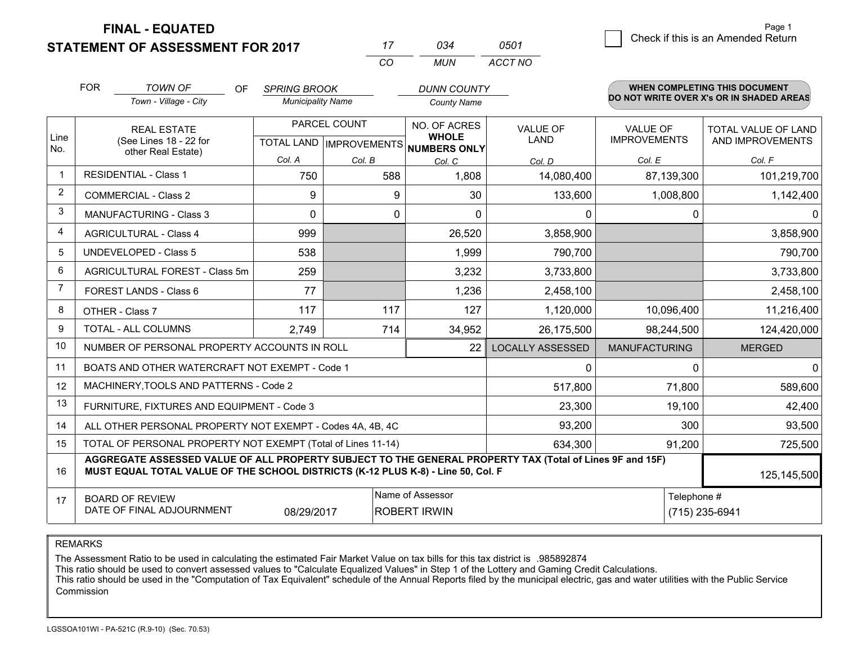**STATEMENT OF ASSESSMENT FOR 2017** 

**FINAL - EQUATED**

|                | <b>FOR</b>                                                                                                   | <b>TOWN OF</b><br>OF.<br>Town - Village - City                                                                                                                                               | <b>SPRING BROOK</b><br><b>Municipality Name</b> |        | <b>DUNN COUNTY</b><br><b>County Name</b> |                         |                                        | <b>WHEN COMPLETING THIS DOCUMENT</b><br>DO NOT WRITE OVER X's OR IN SHADED AREAS |
|----------------|--------------------------------------------------------------------------------------------------------------|----------------------------------------------------------------------------------------------------------------------------------------------------------------------------------------------|-------------------------------------------------|--------|------------------------------------------|-------------------------|----------------------------------------|----------------------------------------------------------------------------------|
| Line           | <b>REAL ESTATE</b><br>(See Lines 18 - 22 for                                                                 |                                                                                                                                                                                              | PARCEL COUNT<br><b>TOTAL LAND IMPROVEMENTS</b>  |        | NO. OF ACRES<br><b>WHOLE</b>             | <b>VALUE OF</b><br>LAND | <b>VALUE OF</b><br><b>IMPROVEMENTS</b> | TOTAL VALUE OF LAND<br>AND IMPROVEMENTS                                          |
| No.            |                                                                                                              | other Real Estate)                                                                                                                                                                           | Col. A                                          | Col. B | <b>NUMBERS ONLY</b><br>Col. C            | Col. D                  | Col. E                                 | Col. F                                                                           |
| -1             |                                                                                                              | <b>RESIDENTIAL - Class 1</b>                                                                                                                                                                 | 750                                             | 588    | 1,808                                    | 14,080,400              | 87,139,300                             | 101,219,700                                                                      |
| $\overline{2}$ |                                                                                                              | <b>COMMERCIAL - Class 2</b>                                                                                                                                                                  | 9                                               | 9      | 30                                       | 133,600                 | 1,008,800                              | 1,142,400                                                                        |
| 3              |                                                                                                              | <b>MANUFACTURING - Class 3</b>                                                                                                                                                               | $\Omega$                                        | 0      | $\mathbf 0$                              | 0                       | $\mathbf{0}$                           | $\mathbf{0}$                                                                     |
| 4              |                                                                                                              | <b>AGRICULTURAL - Class 4</b>                                                                                                                                                                | 999                                             |        | 26,520                                   | 3,858,900               |                                        | 3,858,900                                                                        |
| 5              |                                                                                                              | <b>UNDEVELOPED - Class 5</b>                                                                                                                                                                 | 538                                             |        | 1,999                                    | 790,700                 |                                        | 790,700                                                                          |
| 6              |                                                                                                              | AGRICULTURAL FOREST - Class 5m                                                                                                                                                               | 259                                             |        | 3,232                                    | 3,733,800               |                                        | 3,733,800                                                                        |
| 7              |                                                                                                              | FOREST LANDS - Class 6                                                                                                                                                                       | 77                                              |        | 1,236                                    | 2,458,100               |                                        | 2,458,100                                                                        |
| 8              |                                                                                                              | OTHER - Class 7                                                                                                                                                                              | 117                                             | 117    | 127                                      | 1,120,000               | 10,096,400                             | 11,216,400                                                                       |
| 9              |                                                                                                              | TOTAL - ALL COLUMNS                                                                                                                                                                          | 2,749                                           | 714    | 34,952                                   | 26,175,500              | 98,244,500                             | 124,420,000                                                                      |
| 10             |                                                                                                              | NUMBER OF PERSONAL PROPERTY ACCOUNTS IN ROLL                                                                                                                                                 |                                                 |        | 22                                       | <b>LOCALLY ASSESSED</b> | <b>MANUFACTURING</b>                   | <b>MERGED</b>                                                                    |
| 11             |                                                                                                              | BOATS AND OTHER WATERCRAFT NOT EXEMPT - Code 1                                                                                                                                               |                                                 |        |                                          | 0                       | 0                                      | $\mathbf{0}$                                                                     |
| 12             |                                                                                                              | MACHINERY, TOOLS AND PATTERNS - Code 2                                                                                                                                                       |                                                 |        |                                          | 517,800                 | 71,800                                 | 589,600                                                                          |
| 13             |                                                                                                              | FURNITURE, FIXTURES AND EQUIPMENT - Code 3                                                                                                                                                   |                                                 |        |                                          | 23,300                  | 19,100                                 | 42,400                                                                           |
| 14             |                                                                                                              | ALL OTHER PERSONAL PROPERTY NOT EXEMPT - Codes 4A, 4B, 4C                                                                                                                                    |                                                 |        |                                          | 93,200                  | 300                                    | 93,500                                                                           |
| 15             |                                                                                                              | TOTAL OF PERSONAL PROPERTY NOT EXEMPT (Total of Lines 11-14)                                                                                                                                 |                                                 |        |                                          | 634,300                 | 91,200                                 | 725,500                                                                          |
| 16             |                                                                                                              | AGGREGATE ASSESSED VALUE OF ALL PROPERTY SUBJECT TO THE GENERAL PROPERTY TAX (Total of Lines 9F and 15F)<br>MUST EQUAL TOTAL VALUE OF THE SCHOOL DISTRICTS (K-12 PLUS K-8) - Line 50, Col. F |                                                 |        |                                          |                         |                                        | 125,145,500                                                                      |
| 17             | Name of Assessor<br><b>BOARD OF REVIEW</b><br>DATE OF FINAL ADJOURNMENT<br><b>ROBERT IRWIN</b><br>08/29/2017 |                                                                                                                                                                                              |                                                 |        |                                          |                         | Telephone #                            | (715) 235-6941                                                                   |

*CO*

*MUN*

*ACCT NO0501*

*<sup>17</sup> <sup>034</sup>*

REMARKS

The Assessment Ratio to be used in calculating the estimated Fair Market Value on tax bills for this tax district is .985892874<br>This ratio should be used to convert assessed values to "Calculate Equalized Values" in Step 1 Commission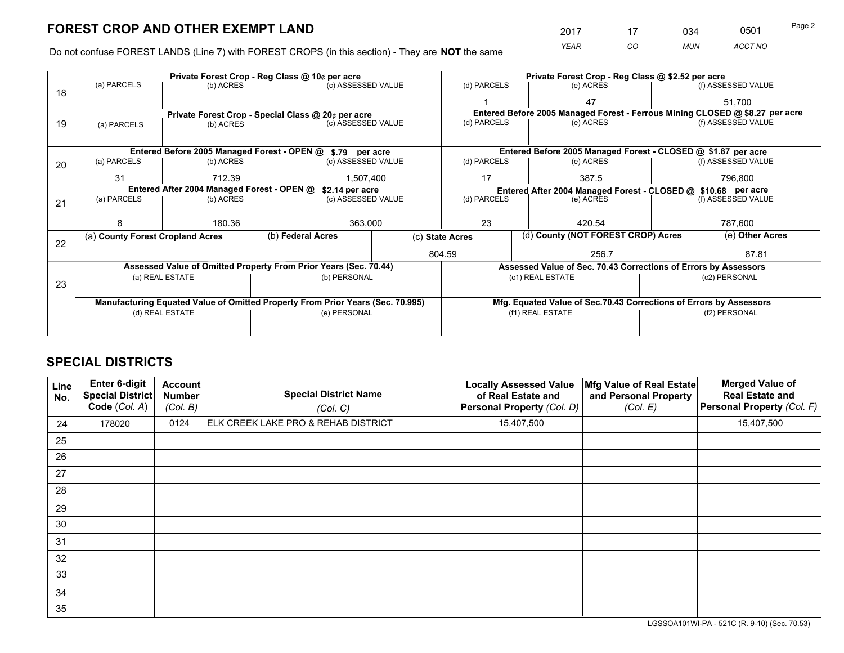*YEAR CO MUN ACCT NO* <u>2017 - 17 034 0501</u>

Do not confuse FOREST LANDS (Line 7) with FOREST CROPS (in this section) - They are **NOT** the same

|    |                                                                                                   |                 |           | Private Forest Crop - Reg Class @ 10¢ per acre                   |             |                                                               | Private Forest Crop - Reg Class @ \$2.52 per acre     |                                                                    |         |                                                                              |
|----|---------------------------------------------------------------------------------------------------|-----------------|-----------|------------------------------------------------------------------|-------------|---------------------------------------------------------------|-------------------------------------------------------|--------------------------------------------------------------------|---------|------------------------------------------------------------------------------|
| 18 | (a) PARCELS                                                                                       | (b) ACRES       |           | (c) ASSESSED VALUE                                               |             | (d) PARCELS                                                   |                                                       | (e) ACRES                                                          |         | (f) ASSESSED VALUE                                                           |
|    |                                                                                                   |                 |           |                                                                  |             |                                                               |                                                       | 47                                                                 |         | 51,700                                                                       |
|    | Private Forest Crop - Special Class @ 20¢ per acre                                                |                 |           |                                                                  |             |                                                               |                                                       |                                                                    |         | Entered Before 2005 Managed Forest - Ferrous Mining CLOSED @ \$8.27 per acre |
| 19 | (a) PARCELS                                                                                       | (b) ACRES       |           | (c) ASSESSED VALUE                                               |             | (d) PARCELS                                                   |                                                       | (e) ACRES                                                          |         | (f) ASSESSED VALUE                                                           |
|    |                                                                                                   |                 |           |                                                                  |             |                                                               |                                                       |                                                                    |         |                                                                              |
|    |                                                                                                   |                 |           | Entered Before 2005 Managed Forest - OPEN @ \$.79 per acre       |             |                                                               |                                                       | Entered Before 2005 Managed Forest - CLOSED @ \$1.87 per acre      |         |                                                                              |
| 20 | (a) PARCELS                                                                                       | (b) ACRES       |           | (c) ASSESSED VALUE                                               |             | (d) PARCELS                                                   |                                                       | (e) ACRES                                                          |         | (f) ASSESSED VALUE                                                           |
|    | 31<br>712.39                                                                                      |                 | 1,507,400 |                                                                  | 17          |                                                               | 387.5                                                 |                                                                    | 796.800 |                                                                              |
|    | Entered After 2004 Managed Forest - OPEN @<br>\$2.14 per acre                                     |                 |           |                                                                  |             | Entered After 2004 Managed Forest - CLOSED @ \$10.68 per acre |                                                       |                                                                    |         |                                                                              |
| 21 | (a) PARCELS                                                                                       | (b) ACRES       |           | (c) ASSESSED VALUE                                               | (d) PARCELS |                                                               |                                                       | (e) ACRES                                                          |         | (f) ASSESSED VALUE                                                           |
|    |                                                                                                   |                 |           |                                                                  |             |                                                               |                                                       |                                                                    |         |                                                                              |
|    | 8                                                                                                 | 180.36          |           | 363,000                                                          |             | 23                                                            |                                                       | 420.54                                                             |         | 787,600                                                                      |
|    | (a) County Forest Cropland Acres                                                                  |                 |           | (b) Federal Acres                                                |             |                                                               | (d) County (NOT FOREST CROP) Acres<br>(c) State Acres |                                                                    |         | (e) Other Acres                                                              |
| 22 |                                                                                                   |                 |           |                                                                  | 804.59      |                                                               | 256.7                                                 |                                                                    |         | 87.81                                                                        |
|    |                                                                                                   |                 |           | Assessed Value of Omitted Property From Prior Years (Sec. 70.44) |             |                                                               |                                                       | Assessed Value of Sec. 70.43 Corrections of Errors by Assessors    |         |                                                                              |
|    |                                                                                                   | (a) REAL ESTATE |           | (b) PERSONAL                                                     |             |                                                               |                                                       | (c1) REAL ESTATE                                                   |         | (c2) PERSONAL                                                                |
| 23 |                                                                                                   |                 |           |                                                                  |             |                                                               |                                                       |                                                                    |         |                                                                              |
|    |                                                                                                   |                 |           |                                                                  |             |                                                               |                                                       |                                                                    |         |                                                                              |
|    | Manufacturing Equated Value of Omitted Property From Prior Years (Sec. 70.995)<br>(d) REAL ESTATE |                 |           |                                                                  |             |                                                               |                                                       | Mfg. Equated Value of Sec.70.43 Corrections of Errors by Assessors |         | (f2) PERSONAL                                                                |
|    |                                                                                                   |                 |           | (e) PERSONAL                                                     |             | (f1) REAL ESTATE                                              |                                                       |                                                                    |         |                                                                              |
|    |                                                                                                   |                 |           |                                                                  |             |                                                               |                                                       |                                                                    |         |                                                                              |

# **SPECIAL DISTRICTS**

| Line<br>No. | <b>Enter 6-digit</b><br><b>Special District</b><br>Code (Col. A) | <b>Account</b><br><b>Number</b><br>(Col. B) | <b>Special District Name</b><br>(Col. C) | <b>Locally Assessed Value</b><br>of Real Estate and<br>Personal Property (Col. D) | Mfg Value of Real Estate<br>and Personal Property<br>(Col. E) | <b>Merged Value of</b><br><b>Real Estate and</b><br>Personal Property (Col. F) |
|-------------|------------------------------------------------------------------|---------------------------------------------|------------------------------------------|-----------------------------------------------------------------------------------|---------------------------------------------------------------|--------------------------------------------------------------------------------|
| 24          | 178020                                                           | 0124                                        | ELK CREEK LAKE PRO & REHAB DISTRICT      | 15,407,500                                                                        |                                                               | 15,407,500                                                                     |
| 25          |                                                                  |                                             |                                          |                                                                                   |                                                               |                                                                                |
| 26          |                                                                  |                                             |                                          |                                                                                   |                                                               |                                                                                |
| 27          |                                                                  |                                             |                                          |                                                                                   |                                                               |                                                                                |
| 28          |                                                                  |                                             |                                          |                                                                                   |                                                               |                                                                                |
| 29          |                                                                  |                                             |                                          |                                                                                   |                                                               |                                                                                |
| 30          |                                                                  |                                             |                                          |                                                                                   |                                                               |                                                                                |
| 31          |                                                                  |                                             |                                          |                                                                                   |                                                               |                                                                                |
| 32          |                                                                  |                                             |                                          |                                                                                   |                                                               |                                                                                |
| 33          |                                                                  |                                             |                                          |                                                                                   |                                                               |                                                                                |
| 34          |                                                                  |                                             |                                          |                                                                                   |                                                               |                                                                                |
| 35          |                                                                  |                                             |                                          |                                                                                   |                                                               |                                                                                |

LGSSOA101WI-PA - 521C (R. 9-10) (Sec. 70.53)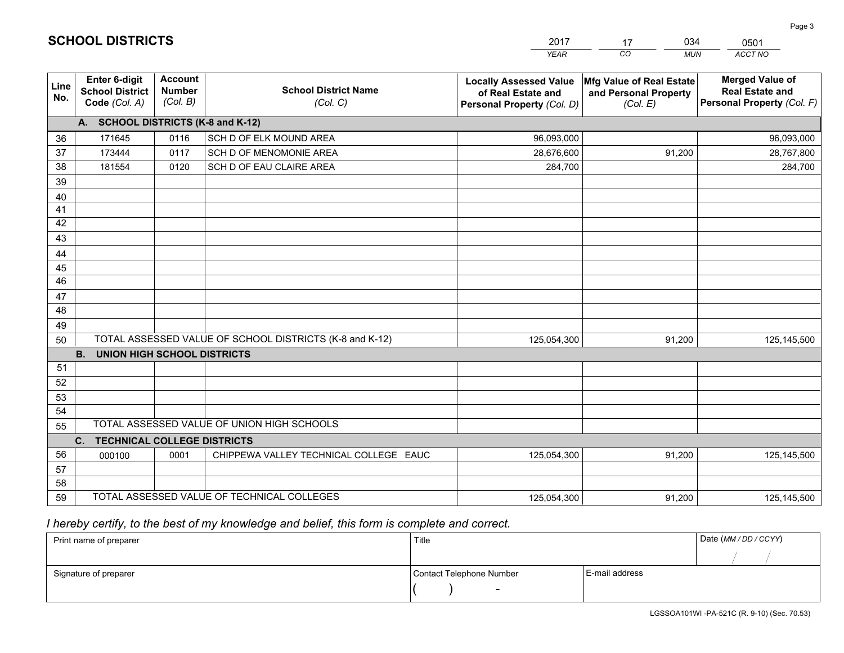|             |                                                          |                                             |                                                         | YEAR                                                                              | CO.<br><b>MUN</b>                                             | ACCT NO                                                                        |
|-------------|----------------------------------------------------------|---------------------------------------------|---------------------------------------------------------|-----------------------------------------------------------------------------------|---------------------------------------------------------------|--------------------------------------------------------------------------------|
| Line<br>No. | Enter 6-digit<br><b>School District</b><br>Code (Col. A) | <b>Account</b><br><b>Number</b><br>(Col. B) | <b>School District Name</b><br>(Col. C)                 | <b>Locally Assessed Value</b><br>of Real Estate and<br>Personal Property (Col. D) | Mfg Value of Real Estate<br>and Personal Property<br>(Col. E) | <b>Merged Value of</b><br><b>Real Estate and</b><br>Personal Property (Col. F) |
|             | A. SCHOOL DISTRICTS (K-8 and K-12)                       |                                             |                                                         |                                                                                   |                                                               |                                                                                |
| 36          | 171645                                                   | 0116                                        | SCH D OF ELK MOUND AREA                                 | 96,093,000                                                                        |                                                               | 96,093,000                                                                     |
| 37          | 173444                                                   | 0117                                        | SCH D OF MENOMONIE AREA                                 | 28,676,600                                                                        | 91,200                                                        | 28,767,800                                                                     |
| 38          | 181554                                                   | 0120                                        | SCH D OF EAU CLAIRE AREA                                | 284,700                                                                           |                                                               | 284,700                                                                        |
| 39          |                                                          |                                             |                                                         |                                                                                   |                                                               |                                                                                |
| 40          |                                                          |                                             |                                                         |                                                                                   |                                                               |                                                                                |
| 41          |                                                          |                                             |                                                         |                                                                                   |                                                               |                                                                                |
| 42          |                                                          |                                             |                                                         |                                                                                   |                                                               |                                                                                |
| 43          |                                                          |                                             |                                                         |                                                                                   |                                                               |                                                                                |
| 44          |                                                          |                                             |                                                         |                                                                                   |                                                               |                                                                                |
| 45<br>46    |                                                          |                                             |                                                         |                                                                                   |                                                               |                                                                                |
| 47          |                                                          |                                             |                                                         |                                                                                   |                                                               |                                                                                |
| 48          |                                                          |                                             |                                                         |                                                                                   |                                                               |                                                                                |
| 49          |                                                          |                                             |                                                         |                                                                                   |                                                               |                                                                                |
| 50          |                                                          |                                             | TOTAL ASSESSED VALUE OF SCHOOL DISTRICTS (K-8 and K-12) | 125,054,300                                                                       | 91,200                                                        | 125,145,500                                                                    |
|             | <b>B. UNION HIGH SCHOOL DISTRICTS</b>                    |                                             |                                                         |                                                                                   |                                                               |                                                                                |
| 51          |                                                          |                                             |                                                         |                                                                                   |                                                               |                                                                                |
| 52          |                                                          |                                             |                                                         |                                                                                   |                                                               |                                                                                |
| 53          |                                                          |                                             |                                                         |                                                                                   |                                                               |                                                                                |
| 54          |                                                          |                                             |                                                         |                                                                                   |                                                               |                                                                                |
| 55          |                                                          |                                             | TOTAL ASSESSED VALUE OF UNION HIGH SCHOOLS              |                                                                                   |                                                               |                                                                                |
|             | C.<br><b>TECHNICAL COLLEGE DISTRICTS</b>                 |                                             |                                                         |                                                                                   |                                                               |                                                                                |
| 56          | 000100                                                   | 0001                                        | CHIPPEWA VALLEY TECHNICAL COLLEGE EAUC                  | 125,054,300                                                                       | 91,200                                                        | 125, 145, 500                                                                  |
| 57          |                                                          |                                             |                                                         |                                                                                   |                                                               |                                                                                |
| 58          |                                                          |                                             |                                                         |                                                                                   |                                                               |                                                                                |
| 59          |                                                          |                                             | TOTAL ASSESSED VALUE OF TECHNICAL COLLEGES              | 125,054,300                                                                       | 91,200                                                        | 125,145,500                                                                    |

17

034

 *I hereby certify, to the best of my knowledge and belief, this form is complete and correct.*

**SCHOOL DISTRICTS**

| Print name of preparer | Title                    | Date (MM / DD / CCYY) |  |
|------------------------|--------------------------|-----------------------|--|
|                        |                          |                       |  |
| Signature of preparer  | Contact Telephone Number | E-mail address        |  |
|                        | $\overline{\phantom{0}}$ |                       |  |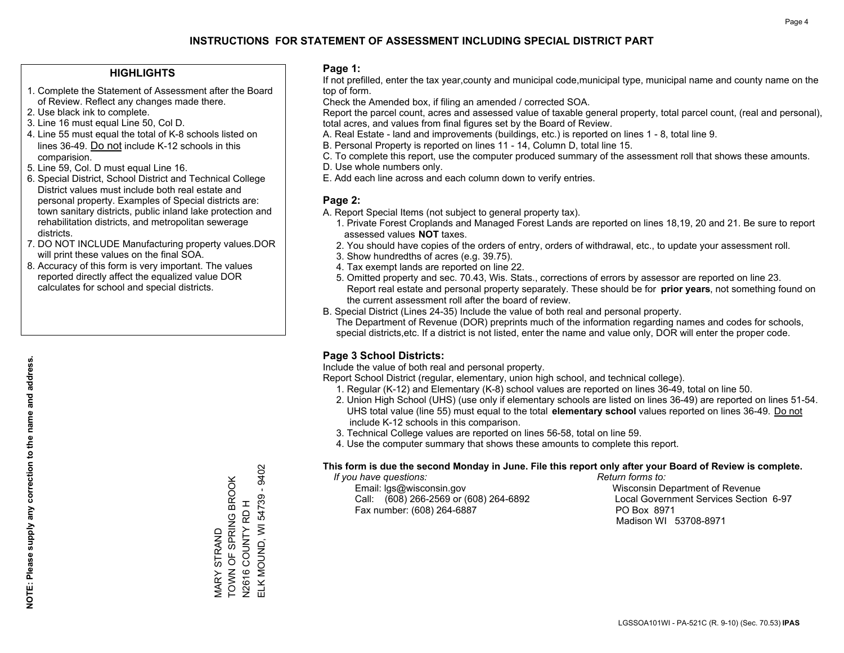## **HIGHLIGHTS**

- 1. Complete the Statement of Assessment after the Board of Review. Reflect any changes made there.
- 2. Use black ink to complete.
- 3. Line 16 must equal Line 50, Col D.
- 4. Line 55 must equal the total of K-8 schools listed on lines 36-49. Do not include K-12 schools in this comparision.
- 5. Line 59, Col. D must equal Line 16.
- 6. Special District, School District and Technical College District values must include both real estate and personal property. Examples of Special districts are: town sanitary districts, public inland lake protection and rehabilitation districts, and metropolitan sewerage districts.
- 7. DO NOT INCLUDE Manufacturing property values.DOR will print these values on the final SOA.
- 8. Accuracy of this form is very important. The values reported directly affect the equalized value DOR calculates for school and special districts.

### **Page 1:**

 If not prefilled, enter the tax year,county and municipal code,municipal type, municipal name and county name on the top of form.

Check the Amended box, if filing an amended / corrected SOA.

 Report the parcel count, acres and assessed value of taxable general property, total parcel count, (real and personal), total acres, and values from final figures set by the Board of Review.

- A. Real Estate land and improvements (buildings, etc.) is reported on lines 1 8, total line 9.
- B. Personal Property is reported on lines 11 14, Column D, total line 15.
- C. To complete this report, use the computer produced summary of the assessment roll that shows these amounts.
- D. Use whole numbers only.
- E. Add each line across and each column down to verify entries.

## **Page 2:**

- A. Report Special Items (not subject to general property tax).
- 1. Private Forest Croplands and Managed Forest Lands are reported on lines 18,19, 20 and 21. Be sure to report assessed values **NOT** taxes.
- 2. You should have copies of the orders of entry, orders of withdrawal, etc., to update your assessment roll.
	- 3. Show hundredths of acres (e.g. 39.75).
- 4. Tax exempt lands are reported on line 22.
- 5. Omitted property and sec. 70.43, Wis. Stats., corrections of errors by assessor are reported on line 23. Report real estate and personal property separately. These should be for **prior years**, not something found on the current assessment roll after the board of review.
- B. Special District (Lines 24-35) Include the value of both real and personal property.

 The Department of Revenue (DOR) preprints much of the information regarding names and codes for schools, special districts,etc. If a district is not listed, enter the name and value only, DOR will enter the proper code.

## **Page 3 School Districts:**

Include the value of both real and personal property.

Report School District (regular, elementary, union high school, and technical college).

- 1. Regular (K-12) and Elementary (K-8) school values are reported on lines 36-49, total on line 50.
- 2. Union High School (UHS) (use only if elementary schools are listed on lines 36-49) are reported on lines 51-54. UHS total value (line 55) must equal to the total **elementary school** values reported on lines 36-49. Do notinclude K-12 schools in this comparison.
- 3. Technical College values are reported on lines 56-58, total on line 59.
- 4. Use the computer summary that shows these amounts to complete this report.

#### **This form is due the second Monday in June. File this report only after your Board of Review is complete.**

 *If you have questions: Return forms to:*

 Email: lgs@wisconsin.gov Wisconsin Department of RevenueCall:  $(608)$  266-2569 or  $(608)$  264-6892 Fax number: (608) 264-6887 PO Box 8971

Local Government Services Section 6-97 Madison WI 53708-8971

ELK MOUND, WI 54739 - 9402 ELK MOUND, WI 54739 - 9402 TOWN OF SPRING BROOK VIARY STRAND<br>TOWN OF SPRING BROOK issessing COUNTY RD H<br>N2616 COUNTY RD H N2616 COUNTY RD H MARY STRAND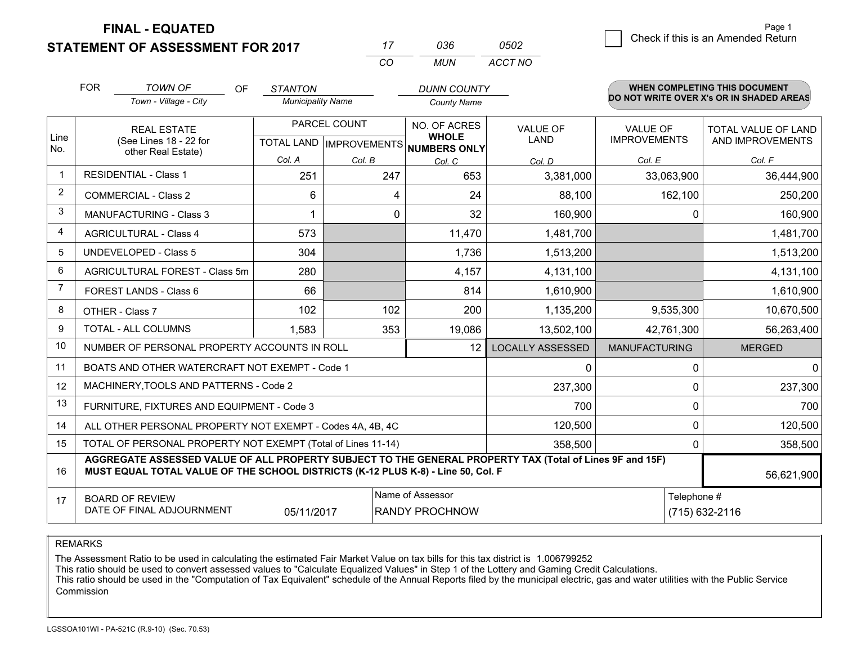**FINAL - EQUATED**

**STATEMENT OF ASSESSMENT FOR 2017** 

| 0502 | Check if this is an Amended Return |
|------|------------------------------------|
|------|------------------------------------|

|                | <b>FOR</b>                                                                                                                                                                                                 | <b>TOWN OF</b><br>OF                                         | <b>STANTON</b>           |                           | <b>DUNN COUNTY</b>           |                         |                      | <b>WHEN COMPLETING THIS DOCUMENT</b><br>DO NOT WRITE OVER X's OR IN SHADED AREAS |
|----------------|------------------------------------------------------------------------------------------------------------------------------------------------------------------------------------------------------------|--------------------------------------------------------------|--------------------------|---------------------------|------------------------------|-------------------------|----------------------|----------------------------------------------------------------------------------|
|                |                                                                                                                                                                                                            | Town - Village - City                                        | <b>Municipality Name</b> |                           | <b>County Name</b>           |                         |                      |                                                                                  |
|                |                                                                                                                                                                                                            | <b>REAL ESTATE</b>                                           |                          | PARCEL COUNT              | NO. OF ACRES<br><b>WHOLE</b> | <b>VALUE OF</b>         | <b>VALUE OF</b>      | TOTAL VALUE OF LAND                                                              |
| Line<br>No.    |                                                                                                                                                                                                            | (See Lines 18 - 22 for<br>other Real Estate)                 |                          | TOTAL LAND   IMPROVEMENTS | <b>NUMBERS ONLY</b>          | <b>LAND</b>             | <b>IMPROVEMENTS</b>  | AND IMPROVEMENTS                                                                 |
|                |                                                                                                                                                                                                            |                                                              | Col. A                   | Col. B                    | Col. C                       | Col. D                  | Col. E               | Col. F                                                                           |
| $\mathbf 1$    |                                                                                                                                                                                                            | <b>RESIDENTIAL - Class 1</b>                                 | 251                      | 247                       | 653                          | 3,381,000               | 33,063,900           | 36,444,900                                                                       |
| 2              |                                                                                                                                                                                                            | <b>COMMERCIAL - Class 2</b>                                  | 6                        | 4                         | 24                           | 88,100                  | 162,100              | 250,200                                                                          |
| 3              |                                                                                                                                                                                                            | <b>MANUFACTURING - Class 3</b>                               |                          | $\Omega$                  | 32                           | 160,900                 | 0                    | 160,900                                                                          |
| 4              |                                                                                                                                                                                                            | <b>AGRICULTURAL - Class 4</b>                                | 573                      |                           | 11,470                       | 1,481,700               |                      | 1,481,700                                                                        |
| 5              |                                                                                                                                                                                                            | <b>UNDEVELOPED - Class 5</b>                                 | 304                      |                           | 1,736                        | 1,513,200               |                      | 1,513,200                                                                        |
| 6              |                                                                                                                                                                                                            | AGRICULTURAL FOREST - Class 5m                               | 280                      |                           | 4,157                        | 4,131,100               |                      | 4,131,100                                                                        |
| $\overline{7}$ |                                                                                                                                                                                                            | FOREST LANDS - Class 6                                       | 66                       |                           | 814                          | 1,610,900               |                      | 1,610,900                                                                        |
| 8              |                                                                                                                                                                                                            | OTHER - Class 7                                              | 102                      | 102                       | 200                          | 1,135,200               | 9,535,300            | 10,670,500                                                                       |
| 9              |                                                                                                                                                                                                            | TOTAL - ALL COLUMNS                                          | 1,583                    | 353                       | 19,086                       | 13,502,100              | 42,761,300           | 56,263,400                                                                       |
| 10             |                                                                                                                                                                                                            | NUMBER OF PERSONAL PROPERTY ACCOUNTS IN ROLL                 |                          |                           | 12                           | <b>LOCALLY ASSESSED</b> | <b>MANUFACTURING</b> | <b>MERGED</b>                                                                    |
| 11             |                                                                                                                                                                                                            | BOATS AND OTHER WATERCRAFT NOT EXEMPT - Code 1               |                          |                           |                              | $\Omega$                | $\Omega$             | $\Omega$                                                                         |
| 12             |                                                                                                                                                                                                            | MACHINERY, TOOLS AND PATTERNS - Code 2                       |                          |                           |                              | 237,300                 |                      | 0<br>237,300                                                                     |
| 13             |                                                                                                                                                                                                            | FURNITURE, FIXTURES AND EQUIPMENT - Code 3                   |                          |                           |                              | 700                     | 0                    | 700                                                                              |
| 14             |                                                                                                                                                                                                            | ALL OTHER PERSONAL PROPERTY NOT EXEMPT - Codes 4A, 4B, 4C    |                          |                           |                              | 120,500                 |                      | $\Omega$<br>120,500                                                              |
| 15             |                                                                                                                                                                                                            | TOTAL OF PERSONAL PROPERTY NOT EXEMPT (Total of Lines 11-14) |                          |                           |                              | 358,500                 |                      | 358,500<br>0                                                                     |
| 16             | AGGREGATE ASSESSED VALUE OF ALL PROPERTY SUBJECT TO THE GENERAL PROPERTY TAX (Total of Lines 9F and 15F)<br>MUST EQUAL TOTAL VALUE OF THE SCHOOL DISTRICTS (K-12 PLUS K-8) - Line 50, Col. F<br>56,621,900 |                                                              |                          |                           |                              |                         |                      |                                                                                  |
| 17             |                                                                                                                                                                                                            | <b>BOARD OF REVIEW</b>                                       |                          |                           | Name of Assessor             |                         | Telephone #          |                                                                                  |
|                |                                                                                                                                                                                                            | DATE OF FINAL ADJOURNMENT                                    | 05/11/2017               |                           | <b>RANDY PROCHNOW</b>        | (715) 632-2116          |                      |                                                                                  |

*CO*

*MUN*

*ACCT NO*

*<sup>17</sup> <sup>036</sup>*

REMARKS

The Assessment Ratio to be used in calculating the estimated Fair Market Value on tax bills for this tax district is 1.006799252<br>This ratio should be used to convert assessed values to "Calculate Equalized Values" in Step Commission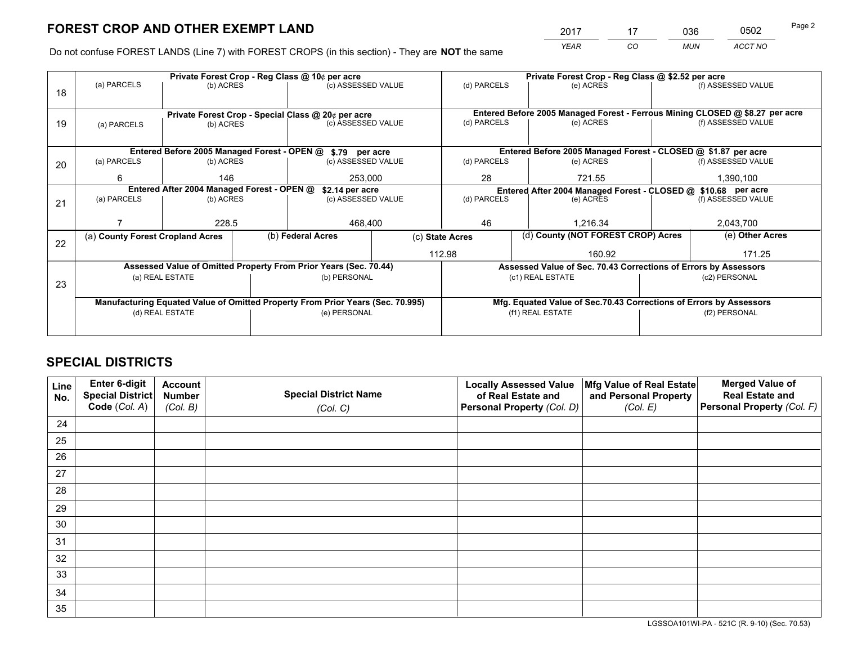*YEAR CO MUN ACCT NO* <u>2017 - 17 036 0502</u> Page 2

Do not confuse FOREST LANDS (Line 7) with FOREST CROPS (in this section) - They are **NOT** the same

|    |                                            |                 |                                                    | Private Forest Crop - Reg Class @ 10¢ per acre                                 |                                                               | Private Forest Crop - Reg Class @ \$2.52 per acre     |                                                                    |  |                                                                              |  |
|----|--------------------------------------------|-----------------|----------------------------------------------------|--------------------------------------------------------------------------------|---------------------------------------------------------------|-------------------------------------------------------|--------------------------------------------------------------------|--|------------------------------------------------------------------------------|--|
| 18 | (a) PARCELS                                | (b) ACRES       |                                                    | (c) ASSESSED VALUE                                                             |                                                               | (d) PARCELS                                           | (e) ACRES                                                          |  | (f) ASSESSED VALUE                                                           |  |
|    |                                            |                 |                                                    |                                                                                |                                                               |                                                       |                                                                    |  |                                                                              |  |
|    |                                            |                 | Private Forest Crop - Special Class @ 20¢ per acre |                                                                                |                                                               |                                                       |                                                                    |  | Entered Before 2005 Managed Forest - Ferrous Mining CLOSED @ \$8.27 per acre |  |
| 19 | (a) PARCELS                                | (b) ACRES       |                                                    | (c) ASSESSED VALUE                                                             |                                                               | (d) PARCELS                                           | (e) ACRES                                                          |  | (f) ASSESSED VALUE                                                           |  |
|    |                                            |                 |                                                    |                                                                                |                                                               |                                                       |                                                                    |  |                                                                              |  |
|    |                                            |                 |                                                    | Entered Before 2005 Managed Forest - OPEN @ \$.79 per acre                     |                                                               |                                                       | Entered Before 2005 Managed Forest - CLOSED @ \$1.87 per acre      |  |                                                                              |  |
|    | (a) PARCELS                                | (b) ACRES       |                                                    | (c) ASSESSED VALUE                                                             |                                                               | (d) PARCELS                                           | (e) ACRES                                                          |  | (f) ASSESSED VALUE                                                           |  |
| 20 |                                            |                 |                                                    |                                                                                |                                                               |                                                       |                                                                    |  |                                                                              |  |
|    | 6                                          | 146             |                                                    | 253,000                                                                        | 28                                                            |                                                       | 721.55                                                             |  | 1,390,100                                                                    |  |
|    | Entered After 2004 Managed Forest - OPEN @ | \$2.14 per acre |                                                    |                                                                                | Entered After 2004 Managed Forest - CLOSED @ \$10.68 per acre |                                                       |                                                                    |  |                                                                              |  |
| 21 | (a) PARCELS                                | (b) ACRES       |                                                    | (c) ASSESSED VALUE                                                             | (d) PARCELS                                                   |                                                       | (e) ACRES                                                          |  | (f) ASSESSED VALUE                                                           |  |
|    |                                            |                 |                                                    |                                                                                |                                                               |                                                       |                                                                    |  |                                                                              |  |
|    |                                            | 228.5           |                                                    | 468,400                                                                        |                                                               | 46                                                    | 1.216.34                                                           |  | 2,043,700                                                                    |  |
|    | (a) County Forest Cropland Acres           |                 |                                                    | (b) Federal Acres                                                              |                                                               | (d) County (NOT FOREST CROP) Acres<br>(c) State Acres |                                                                    |  | (e) Other Acres                                                              |  |
| 22 |                                            |                 |                                                    |                                                                                |                                                               |                                                       |                                                                    |  |                                                                              |  |
|    |                                            |                 |                                                    |                                                                                |                                                               | 112.98                                                | 160.92                                                             |  | 171.25                                                                       |  |
|    |                                            |                 |                                                    | Assessed Value of Omitted Property From Prior Years (Sec. 70.44)               |                                                               |                                                       | Assessed Value of Sec. 70.43 Corrections of Errors by Assessors    |  |                                                                              |  |
| 23 |                                            | (a) REAL ESTATE |                                                    | (b) PERSONAL                                                                   |                                                               |                                                       | (c1) REAL ESTATE                                                   |  | (c2) PERSONAL                                                                |  |
|    |                                            |                 |                                                    |                                                                                |                                                               |                                                       |                                                                    |  |                                                                              |  |
|    |                                            |                 |                                                    | Manufacturing Equated Value of Omitted Property From Prior Years (Sec. 70.995) |                                                               |                                                       | Mfg. Equated Value of Sec.70.43 Corrections of Errors by Assessors |  |                                                                              |  |
|    |                                            | (d) REAL ESTATE |                                                    | (e) PERSONAL                                                                   |                                                               | (f1) REAL ESTATE                                      |                                                                    |  | (f2) PERSONAL                                                                |  |
|    |                                            |                 |                                                    |                                                                                |                                                               |                                                       |                                                                    |  |                                                                              |  |
|    |                                            |                 |                                                    |                                                                                |                                                               |                                                       |                                                                    |  |                                                                              |  |

# **SPECIAL DISTRICTS**

| Line<br>No. | Enter 6-digit<br><b>Special District</b><br>Code (Col. A) | <b>Account</b><br><b>Number</b><br>(Col. B) | <b>Special District Name</b><br>(Col. C) | <b>Locally Assessed Value</b><br>of Real Estate and<br>Personal Property (Col. D) | Mfg Value of Real Estate<br>and Personal Property<br>(Col. E) | <b>Merged Value of</b><br><b>Real Estate and</b><br>Personal Property (Col. F) |
|-------------|-----------------------------------------------------------|---------------------------------------------|------------------------------------------|-----------------------------------------------------------------------------------|---------------------------------------------------------------|--------------------------------------------------------------------------------|
| 24          |                                                           |                                             |                                          |                                                                                   |                                                               |                                                                                |
| 25          |                                                           |                                             |                                          |                                                                                   |                                                               |                                                                                |
| 26          |                                                           |                                             |                                          |                                                                                   |                                                               |                                                                                |
| 27          |                                                           |                                             |                                          |                                                                                   |                                                               |                                                                                |
| 28          |                                                           |                                             |                                          |                                                                                   |                                                               |                                                                                |
| 29          |                                                           |                                             |                                          |                                                                                   |                                                               |                                                                                |
| 30          |                                                           |                                             |                                          |                                                                                   |                                                               |                                                                                |
| 31          |                                                           |                                             |                                          |                                                                                   |                                                               |                                                                                |
| 32          |                                                           |                                             |                                          |                                                                                   |                                                               |                                                                                |
| 33          |                                                           |                                             |                                          |                                                                                   |                                                               |                                                                                |
| 34          |                                                           |                                             |                                          |                                                                                   |                                                               |                                                                                |
| 35          |                                                           |                                             |                                          |                                                                                   |                                                               |                                                                                |

LGSSOA101WI-PA - 521C (R. 9-10) (Sec. 70.53)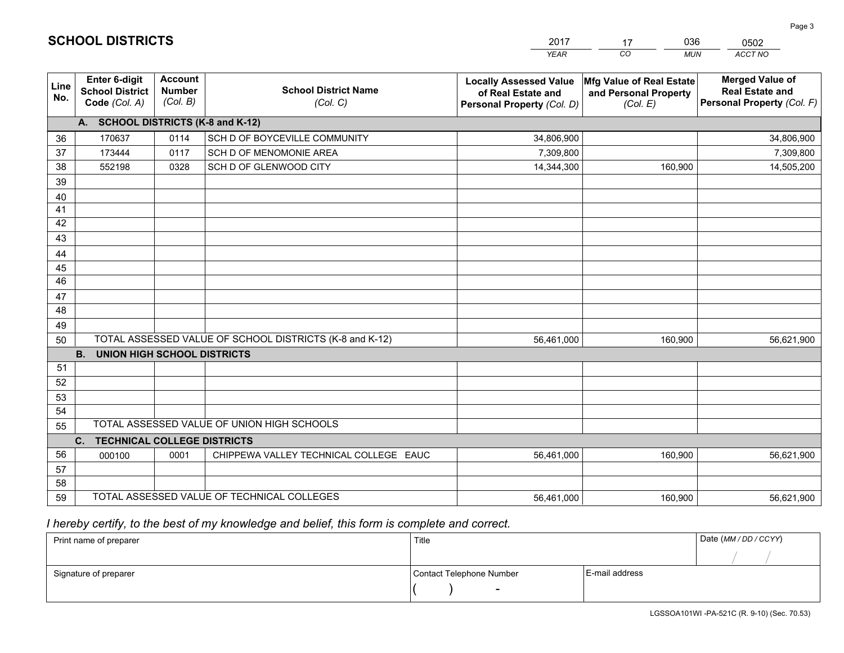|             |                                                          |                                             |                                                         | YEAR                                                                              | CO.<br><b>MUN</b>                                             | ACCT NO                                                                        |
|-------------|----------------------------------------------------------|---------------------------------------------|---------------------------------------------------------|-----------------------------------------------------------------------------------|---------------------------------------------------------------|--------------------------------------------------------------------------------|
| Line<br>No. | Enter 6-digit<br><b>School District</b><br>Code (Col. A) | <b>Account</b><br><b>Number</b><br>(Col. B) | <b>School District Name</b><br>(Col. C)                 | <b>Locally Assessed Value</b><br>of Real Estate and<br>Personal Property (Col. D) | Mfg Value of Real Estate<br>and Personal Property<br>(Col. E) | <b>Merged Value of</b><br><b>Real Estate and</b><br>Personal Property (Col. F) |
|             | A. SCHOOL DISTRICTS (K-8 and K-12)                       |                                             |                                                         |                                                                                   |                                                               |                                                                                |
| 36          | 170637                                                   | 0114                                        | SCH D OF BOYCEVILLE COMMUNITY                           | 34,806,900                                                                        |                                                               | 34,806,900                                                                     |
| 37          | 173444                                                   | 0117                                        | SCH D OF MENOMONIE AREA                                 | 7,309,800                                                                         |                                                               | 7,309,800                                                                      |
| 38          | 552198                                                   | 0328                                        | SCH D OF GLENWOOD CITY                                  | 14,344,300                                                                        | 160,900                                                       | 14,505,200                                                                     |
| 39          |                                                          |                                             |                                                         |                                                                                   |                                                               |                                                                                |
| 40          |                                                          |                                             |                                                         |                                                                                   |                                                               |                                                                                |
| 41          |                                                          |                                             |                                                         |                                                                                   |                                                               |                                                                                |
| 42          |                                                          |                                             |                                                         |                                                                                   |                                                               |                                                                                |
| 43          |                                                          |                                             |                                                         |                                                                                   |                                                               |                                                                                |
| 44          |                                                          |                                             |                                                         |                                                                                   |                                                               |                                                                                |
| 45          |                                                          |                                             |                                                         |                                                                                   |                                                               |                                                                                |
| 46          |                                                          |                                             |                                                         |                                                                                   |                                                               |                                                                                |
| 47<br>48    |                                                          |                                             |                                                         |                                                                                   |                                                               |                                                                                |
| 49          |                                                          |                                             |                                                         |                                                                                   |                                                               |                                                                                |
| 50          |                                                          |                                             | TOTAL ASSESSED VALUE OF SCHOOL DISTRICTS (K-8 and K-12) | 56,461,000                                                                        | 160,900                                                       | 56,621,900                                                                     |
|             | <b>B.</b><br><b>UNION HIGH SCHOOL DISTRICTS</b>          |                                             |                                                         |                                                                                   |                                                               |                                                                                |
| 51          |                                                          |                                             |                                                         |                                                                                   |                                                               |                                                                                |
| 52          |                                                          |                                             |                                                         |                                                                                   |                                                               |                                                                                |
| 53          |                                                          |                                             |                                                         |                                                                                   |                                                               |                                                                                |
| 54          |                                                          |                                             |                                                         |                                                                                   |                                                               |                                                                                |
| 55          |                                                          |                                             | TOTAL ASSESSED VALUE OF UNION HIGH SCHOOLS              |                                                                                   |                                                               |                                                                                |
|             | C.<br><b>TECHNICAL COLLEGE DISTRICTS</b>                 |                                             |                                                         |                                                                                   |                                                               |                                                                                |
| 56          | 000100                                                   | 0001                                        | CHIPPEWA VALLEY TECHNICAL COLLEGE EAUC                  | 56,461,000                                                                        | 160,900                                                       | 56,621,900                                                                     |
| 57          |                                                          |                                             |                                                         |                                                                                   |                                                               |                                                                                |
| 58          |                                                          |                                             |                                                         |                                                                                   |                                                               |                                                                                |
| 59          |                                                          |                                             | TOTAL ASSESSED VALUE OF TECHNICAL COLLEGES              | 56,461,000                                                                        | 160,900                                                       | 56,621,900                                                                     |

17

036

 *I hereby certify, to the best of my knowledge and belief, this form is complete and correct.*

**SCHOOL DISTRICTS**

| Print name of preparer | Title                    |                | Date (MM / DD / CCYY) |
|------------------------|--------------------------|----------------|-----------------------|
|                        |                          |                |                       |
| Signature of preparer  | Contact Telephone Number | E-mail address |                       |
|                        | $\sim$                   |                |                       |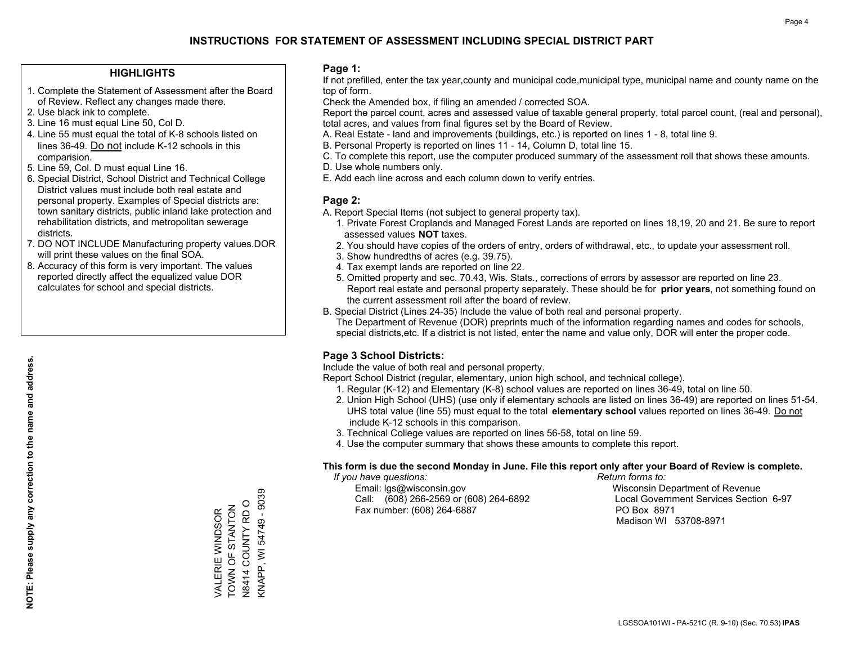## **HIGHLIGHTS**

- 1. Complete the Statement of Assessment after the Board of Review. Reflect any changes made there.
- 2. Use black ink to complete.
- 3. Line 16 must equal Line 50, Col D.
- 4. Line 55 must equal the total of K-8 schools listed on lines 36-49. Do not include K-12 schools in this comparision.
- 5. Line 59, Col. D must equal Line 16.
- 6. Special District, School District and Technical College District values must include both real estate and personal property. Examples of Special districts are: town sanitary districts, public inland lake protection and rehabilitation districts, and metropolitan sewerage districts.
- 7. DO NOT INCLUDE Manufacturing property values.DOR will print these values on the final SOA.
- 8. Accuracy of this form is very important. The values reported directly affect the equalized value DOR calculates for school and special districts.

### **Page 1:**

 If not prefilled, enter the tax year,county and municipal code,municipal type, municipal name and county name on the top of form.

Check the Amended box, if filing an amended / corrected SOA.

 Report the parcel count, acres and assessed value of taxable general property, total parcel count, (real and personal), total acres, and values from final figures set by the Board of Review.

- A. Real Estate land and improvements (buildings, etc.) is reported on lines 1 8, total line 9.
- B. Personal Property is reported on lines 11 14, Column D, total line 15.
- C. To complete this report, use the computer produced summary of the assessment roll that shows these amounts.
- D. Use whole numbers only.
- E. Add each line across and each column down to verify entries.

## **Page 2:**

- A. Report Special Items (not subject to general property tax).
- 1. Private Forest Croplands and Managed Forest Lands are reported on lines 18,19, 20 and 21. Be sure to report assessed values **NOT** taxes.
- 2. You should have copies of the orders of entry, orders of withdrawal, etc., to update your assessment roll.
	- 3. Show hundredths of acres (e.g. 39.75).
- 4. Tax exempt lands are reported on line 22.
- 5. Omitted property and sec. 70.43, Wis. Stats., corrections of errors by assessor are reported on line 23. Report real estate and personal property separately. These should be for **prior years**, not something found on the current assessment roll after the board of review.
- B. Special District (Lines 24-35) Include the value of both real and personal property.
- The Department of Revenue (DOR) preprints much of the information regarding names and codes for schools, special districts,etc. If a district is not listed, enter the name and value only, DOR will enter the proper code.

## **Page 3 School Districts:**

Include the value of both real and personal property.

Report School District (regular, elementary, union high school, and technical college).

- 1. Regular (K-12) and Elementary (K-8) school values are reported on lines 36-49, total on line 50.
- 2. Union High School (UHS) (use only if elementary schools are listed on lines 36-49) are reported on lines 51-54. UHS total value (line 55) must equal to the total **elementary school** values reported on lines 36-49. Do notinclude K-12 schools in this comparison.
- 3. Technical College values are reported on lines 56-58, total on line 59.
- 4. Use the computer summary that shows these amounts to complete this report.

#### **This form is due the second Monday in June. File this report only after your Board of Review is complete.**

 *If you have questions: Return forms to:*

 Email: lgs@wisconsin.gov Wisconsin Department of RevenueCall:  $(608)$  266-2569 or  $(608)$  264-6892 Fax number: (608) 264-6887 PO Box 8971

Local Government Services Section 6-97 Madison WI 53708-8971

<NAPP, WI 54749 - 9039 KNAPP, WI 54749 - 9039 N8414 COUNTY RD O N8414 COUNTY RD O TOWN OF STANTON VALERIE WINDSOR<br>TOWN OF STANTON VALERIE WINDSOR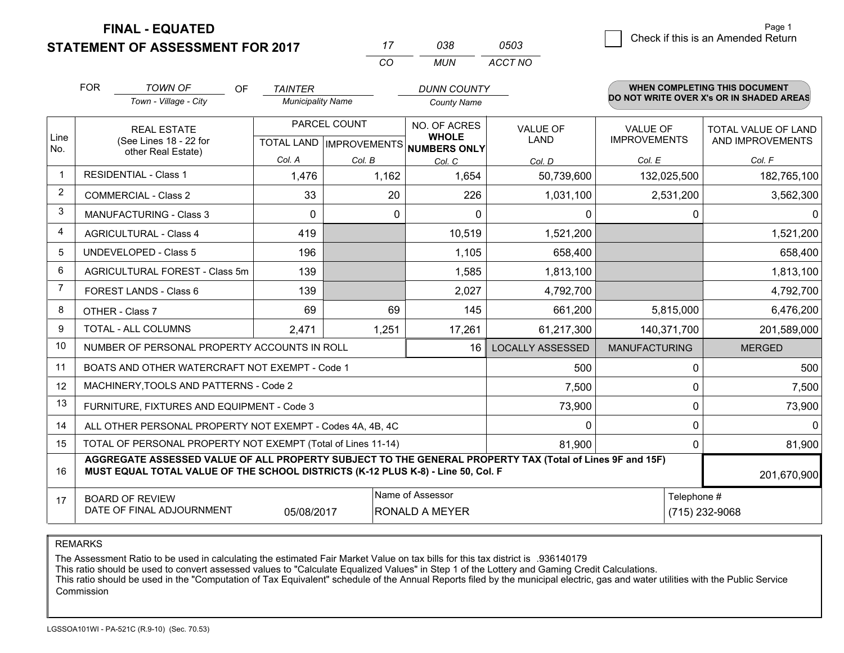**FINAL - EQUATED**

**STATEMENT OF ASSESSMENT FOR 2017** 

|   |                                    | Paue i |
|---|------------------------------------|--------|
| 3 | Check if this is an Amended Return |        |
|   |                                    |        |

Page 1

|                | <b>FOR</b>                     | <b>TOWN OF</b><br>OF.                                                                                                                                                                        | <b>TAINTER</b>           |                              | <b>DUNN COUNTY</b>                  |                         |                      | WHEN COMPLETING THIS DOCUMENT            |  |
|----------------|--------------------------------|----------------------------------------------------------------------------------------------------------------------------------------------------------------------------------------------|--------------------------|------------------------------|-------------------------------------|-------------------------|----------------------|------------------------------------------|--|
|                |                                | Town - Village - City                                                                                                                                                                        | <b>Municipality Name</b> |                              | <b>County Name</b>                  |                         |                      | DO NOT WRITE OVER X's OR IN SHADED AREAS |  |
|                |                                | <b>REAL ESTATE</b>                                                                                                                                                                           |                          | PARCEL COUNT<br>NO. OF ACRES |                                     | <b>VALUE OF</b>         | <b>VALUE OF</b>      | <b>TOTAL VALUE OF LAND</b>               |  |
| Line<br>No.    |                                | (See Lines 18 - 22 for<br>other Real Estate)                                                                                                                                                 |                          | TOTAL LAND   IMPROVEMENTS    | <b>WHOLE</b><br><b>NUMBERS ONLY</b> | <b>LAND</b>             | <b>IMPROVEMENTS</b>  | AND IMPROVEMENTS                         |  |
|                |                                |                                                                                                                                                                                              | Col. A                   | Col. B                       | Col. C                              | Col. D                  | Col. E               | Col. F                                   |  |
| $\overline{1}$ |                                | <b>RESIDENTIAL - Class 1</b>                                                                                                                                                                 | 1,476                    | 1,162                        | 1,654                               | 50,739,600              | 132,025,500          | 182,765,100                              |  |
| 2              |                                | <b>COMMERCIAL - Class 2</b>                                                                                                                                                                  | 33                       | 20                           | 226                                 | 1,031,100               | 2,531,200            | 3,562,300                                |  |
| 3              |                                | <b>MANUFACTURING - Class 3</b>                                                                                                                                                               | $\Omega$                 | 0                            | $\Omega$                            | $\Omega$                | 0                    |                                          |  |
| $\overline{4}$ |                                | <b>AGRICULTURAL - Class 4</b>                                                                                                                                                                | 419                      |                              | 10,519                              | 1,521,200               |                      | 1,521,200                                |  |
| 5              | <b>UNDEVELOPED - Class 5</b>   |                                                                                                                                                                                              | 196                      |                              | 1,105                               | 658,400                 |                      | 658,400                                  |  |
| 6              | AGRICULTURAL FOREST - Class 5m |                                                                                                                                                                                              | 139                      |                              | 1,585                               | 1,813,100               |                      | 1,813,100                                |  |
| $\overline{7}$ | FOREST LANDS - Class 6         |                                                                                                                                                                                              | 139                      |                              | 2,027                               | 4,792,700               |                      | 4,792,700                                |  |
| 8              |                                | OTHER - Class 7                                                                                                                                                                              | 69                       | 69                           | 145                                 | 661,200                 | 5,815,000            | 6,476,200                                |  |
| 9              |                                | TOTAL - ALL COLUMNS                                                                                                                                                                          | 2,471                    | 1,251                        | 17,261                              | 61,217,300              | 140,371,700          | 201,589,000                              |  |
| 10             |                                | NUMBER OF PERSONAL PROPERTY ACCOUNTS IN ROLL                                                                                                                                                 |                          |                              | 16                                  | <b>LOCALLY ASSESSED</b> | <b>MANUFACTURING</b> | <b>MERGED</b>                            |  |
| 11             |                                | BOATS AND OTHER WATERCRAFT NOT EXEMPT - Code 1                                                                                                                                               |                          |                              |                                     | 500                     | 0                    | 500                                      |  |
| 12             |                                | MACHINERY, TOOLS AND PATTERNS - Code 2                                                                                                                                                       |                          |                              |                                     | 7,500                   | 0                    | 7,500                                    |  |
| 13             |                                | FURNITURE, FIXTURES AND EQUIPMENT - Code 3                                                                                                                                                   |                          |                              |                                     | 73,900                  | $\mathbf{0}$         | 73,900                                   |  |
| 14             |                                | ALL OTHER PERSONAL PROPERTY NOT EXEMPT - Codes 4A, 4B, 4C                                                                                                                                    |                          |                              |                                     | $\Omega$                | 0                    | 0                                        |  |
| 15             |                                | TOTAL OF PERSONAL PROPERTY NOT EXEMPT (Total of Lines 11-14)                                                                                                                                 |                          |                              |                                     | 81,900                  | $\mathbf 0$          | 81,900                                   |  |
| 16             |                                | AGGREGATE ASSESSED VALUE OF ALL PROPERTY SUBJECT TO THE GENERAL PROPERTY TAX (Total of Lines 9F and 15F)<br>MUST EQUAL TOTAL VALUE OF THE SCHOOL DISTRICTS (K-12 PLUS K-8) - Line 50, Col. F |                          |                              |                                     |                         |                      | 201,670,900                              |  |
| 17             |                                | <b>BOARD OF REVIEW</b>                                                                                                                                                                       |                          |                              | Name of Assessor                    |                         | Telephone #          |                                          |  |
|                |                                | DATE OF FINAL ADJOURNMENT                                                                                                                                                                    | 05/08/2017               |                              | <b>RONALD A MEYER</b>               | (715) 232-9068          |                      |                                          |  |

*CO*

*MUN*

*ACCT NO0503*

*<sup>17</sup> <sup>038</sup>*

REMARKS

The Assessment Ratio to be used in calculating the estimated Fair Market Value on tax bills for this tax district is .936140179<br>This ratio should be used to convert assessed values to "Calculate Equalized Values" in Step 1 Commission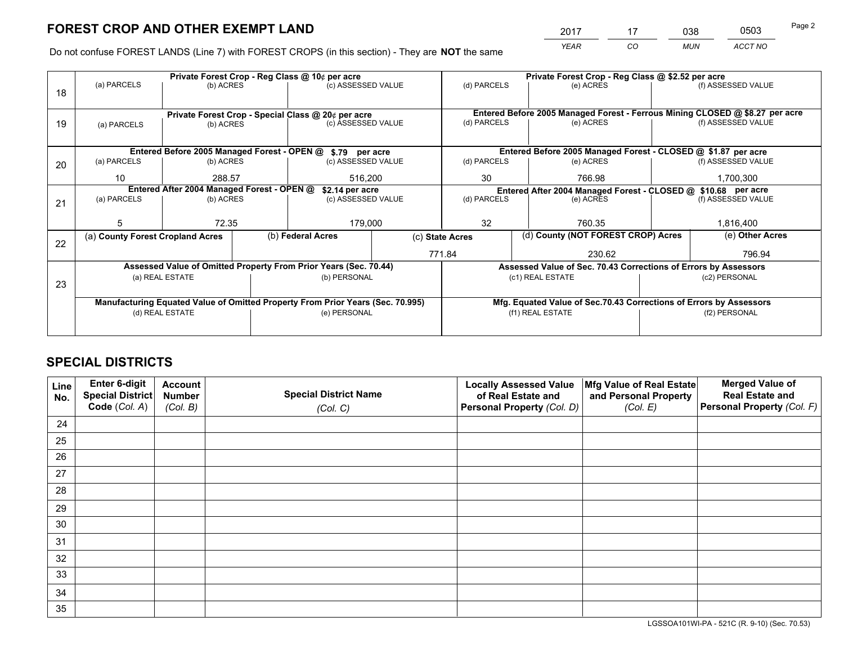*YEAR CO MUN ACCT NO* <sup>2017</sup> <sup>17</sup> <sup>038</sup> <sup>0503</sup> Page 2

Do not confuse FOREST LANDS (Line 7) with FOREST CROPS (in this section) - They are **NOT** the same

|    |                                                               |                 |  | Private Forest Crop - Reg Class @ 10¢ per acre                                 | Private Forest Crop - Reg Class @ \$2.52 per acre |                                                               |  |                                                                                     |                    |                                                                              |
|----|---------------------------------------------------------------|-----------------|--|--------------------------------------------------------------------------------|---------------------------------------------------|---------------------------------------------------------------|--|-------------------------------------------------------------------------------------|--------------------|------------------------------------------------------------------------------|
| 18 | (a) PARCELS<br>(b) ACRES                                      |                 |  | (c) ASSESSED VALUE                                                             |                                                   | (d) PARCELS                                                   |  | (e) ACRES                                                                           |                    | (f) ASSESSED VALUE                                                           |
|    |                                                               |                 |  |                                                                                |                                                   |                                                               |  |                                                                                     |                    |                                                                              |
|    |                                                               |                 |  | Private Forest Crop - Special Class @ 20¢ per acre                             |                                                   |                                                               |  |                                                                                     |                    | Entered Before 2005 Managed Forest - Ferrous Mining CLOSED @ \$8.27 per acre |
| 19 | (a) PARCELS                                                   | (b) ACRES       |  | (c) ASSESSED VALUE                                                             |                                                   | (d) PARCELS                                                   |  | (e) ACRES                                                                           |                    | (f) ASSESSED VALUE                                                           |
|    |                                                               |                 |  |                                                                                |                                                   |                                                               |  |                                                                                     |                    |                                                                              |
|    |                                                               |                 |  | Entered Before 2005 Managed Forest - OPEN @ \$.79 per acre                     |                                                   |                                                               |  | Entered Before 2005 Managed Forest - CLOSED @ \$1.87 per acre                       |                    |                                                                              |
| 20 | (a) PARCELS                                                   | (b) ACRES       |  | (c) ASSESSED VALUE                                                             |                                                   | (d) PARCELS                                                   |  | (e) ACRES                                                                           |                    | (f) ASSESSED VALUE                                                           |
|    | 10                                                            | 288.57          |  | 516,200                                                                        |                                                   | 30                                                            |  | 766.98                                                                              | 1,700,300          |                                                                              |
|    | Entered After 2004 Managed Forest - OPEN @<br>\$2.14 per acre |                 |  |                                                                                |                                                   | Entered After 2004 Managed Forest - CLOSED @ \$10.68 per acre |  |                                                                                     |                    |                                                                              |
| 21 | (a) PARCELS                                                   | (b) ACRES       |  | (c) ASSESSED VALUE                                                             |                                                   | (d) PARCELS<br>(e) ACRES                                      |  |                                                                                     | (f) ASSESSED VALUE |                                                                              |
|    |                                                               |                 |  |                                                                                |                                                   |                                                               |  |                                                                                     |                    |                                                                              |
|    | 5                                                             | 72.35           |  |                                                                                | 179,000                                           |                                                               |  | 760.35                                                                              |                    | 1,816,400                                                                    |
|    | (a) County Forest Cropland Acres                              |                 |  | (b) Federal Acres                                                              |                                                   | (d) County (NOT FOREST CROP) Acres<br>(c) State Acres         |  |                                                                                     | (e) Other Acres    |                                                                              |
| 22 |                                                               |                 |  |                                                                                |                                                   | 771.84                                                        |  | 230.62                                                                              |                    | 796.94                                                                       |
|    |                                                               |                 |  | Assessed Value of Omitted Property From Prior Years (Sec. 70.44)               |                                                   |                                                               |  |                                                                                     |                    |                                                                              |
|    |                                                               | (a) REAL ESTATE |  | (b) PERSONAL                                                                   |                                                   |                                                               |  | Assessed Value of Sec. 70.43 Corrections of Errors by Assessors<br>(c1) REAL ESTATE |                    | (c2) PERSONAL                                                                |
| 23 |                                                               |                 |  |                                                                                |                                                   |                                                               |  |                                                                                     |                    |                                                                              |
|    |                                                               |                 |  |                                                                                |                                                   |                                                               |  |                                                                                     |                    |                                                                              |
|    |                                                               |                 |  | Manufacturing Equated Value of Omitted Property From Prior Years (Sec. 70.995) |                                                   |                                                               |  | Mfg. Equated Value of Sec.70.43 Corrections of Errors by Assessors                  |                    |                                                                              |
|    |                                                               | (d) REAL ESTATE |  | (e) PERSONAL                                                                   |                                                   |                                                               |  | (f1) REAL ESTATE                                                                    | (f2) PERSONAL      |                                                                              |
|    |                                                               |                 |  |                                                                                |                                                   |                                                               |  |                                                                                     |                    |                                                                              |

# **SPECIAL DISTRICTS**

| Line<br>No. | Enter 6-digit<br><b>Special District</b> | <b>Account</b><br><b>Number</b> | <b>Special District Name</b> | <b>Locally Assessed Value</b><br>of Real Estate and | Mfg Value of Real Estate<br>and Personal Property | <b>Merged Value of</b><br><b>Real Estate and</b> |
|-------------|------------------------------------------|---------------------------------|------------------------------|-----------------------------------------------------|---------------------------------------------------|--------------------------------------------------|
|             | Code (Col. A)                            | (Col. B)                        | (Col. C)                     | Personal Property (Col. D)                          | (Col. E)                                          | Personal Property (Col. F)                       |
| 24          |                                          |                                 |                              |                                                     |                                                   |                                                  |
| 25          |                                          |                                 |                              |                                                     |                                                   |                                                  |
| 26          |                                          |                                 |                              |                                                     |                                                   |                                                  |
| 27          |                                          |                                 |                              |                                                     |                                                   |                                                  |
| 28          |                                          |                                 |                              |                                                     |                                                   |                                                  |
| 29          |                                          |                                 |                              |                                                     |                                                   |                                                  |
| 30          |                                          |                                 |                              |                                                     |                                                   |                                                  |
| 31          |                                          |                                 |                              |                                                     |                                                   |                                                  |
| 32          |                                          |                                 |                              |                                                     |                                                   |                                                  |
| 33          |                                          |                                 |                              |                                                     |                                                   |                                                  |
| 34          |                                          |                                 |                              |                                                     |                                                   |                                                  |
| 35          |                                          |                                 |                              |                                                     |                                                   |                                                  |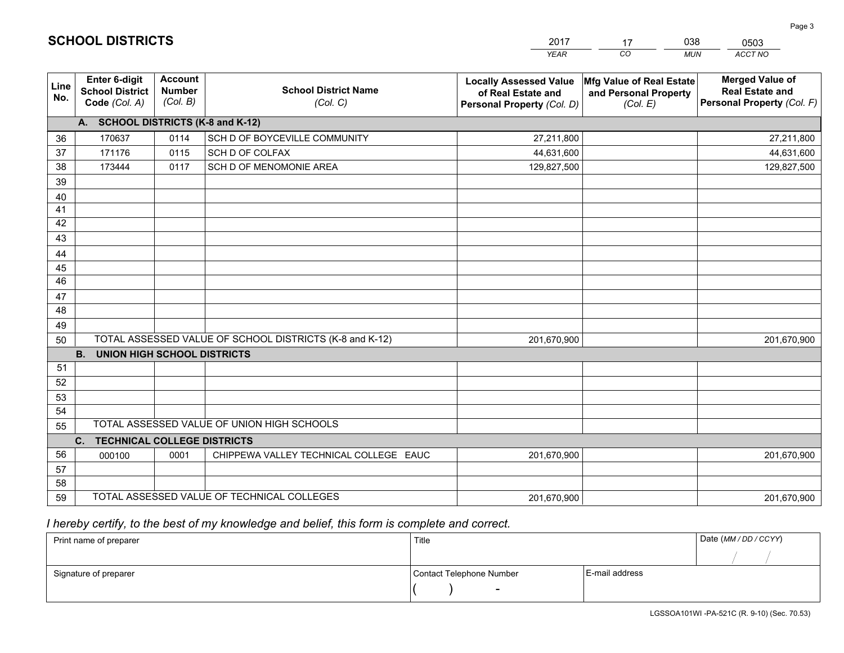|             |                                                          |                                             |                                                         | <b>YEAR</b>                                                                       | CO<br><b>MUN</b>                                              | ACCT NO                                                                        |
|-------------|----------------------------------------------------------|---------------------------------------------|---------------------------------------------------------|-----------------------------------------------------------------------------------|---------------------------------------------------------------|--------------------------------------------------------------------------------|
| Line<br>No. | Enter 6-digit<br><b>School District</b><br>Code (Col. A) | <b>Account</b><br><b>Number</b><br>(Col. B) | <b>School District Name</b><br>(Col. C)                 | <b>Locally Assessed Value</b><br>of Real Estate and<br>Personal Property (Col. D) | Mfg Value of Real Estate<br>and Personal Property<br>(Col. E) | <b>Merged Value of</b><br><b>Real Estate and</b><br>Personal Property (Col. F) |
|             | A. SCHOOL DISTRICTS (K-8 and K-12)                       |                                             |                                                         |                                                                                   |                                                               |                                                                                |
| 36          | 170637                                                   | 0114                                        | SCH D OF BOYCEVILLE COMMUNITY                           | 27,211,800                                                                        |                                                               | 27,211,800                                                                     |
| 37          | 171176                                                   | 0115                                        | SCH D OF COLFAX                                         | 44,631,600                                                                        |                                                               | 44,631,600                                                                     |
| 38          | 173444                                                   | 0117                                        | SCH D OF MENOMONIE AREA                                 | 129,827,500                                                                       |                                                               | 129,827,500                                                                    |
| 39          |                                                          |                                             |                                                         |                                                                                   |                                                               |                                                                                |
| 40          |                                                          |                                             |                                                         |                                                                                   |                                                               |                                                                                |
| 41          |                                                          |                                             |                                                         |                                                                                   |                                                               |                                                                                |
| 42          |                                                          |                                             |                                                         |                                                                                   |                                                               |                                                                                |
| 43          |                                                          |                                             |                                                         |                                                                                   |                                                               |                                                                                |
| 44          |                                                          |                                             |                                                         |                                                                                   |                                                               |                                                                                |
| 45          |                                                          |                                             |                                                         |                                                                                   |                                                               |                                                                                |
| 46          |                                                          |                                             |                                                         |                                                                                   |                                                               |                                                                                |
| 47          |                                                          |                                             |                                                         |                                                                                   |                                                               |                                                                                |
| 48          |                                                          |                                             |                                                         |                                                                                   |                                                               |                                                                                |
| 49          |                                                          |                                             |                                                         |                                                                                   |                                                               |                                                                                |
| 50          |                                                          |                                             | TOTAL ASSESSED VALUE OF SCHOOL DISTRICTS (K-8 and K-12) | 201,670,900                                                                       |                                                               | 201,670,900                                                                    |
|             | <b>B.</b><br><b>UNION HIGH SCHOOL DISTRICTS</b>          |                                             |                                                         |                                                                                   |                                                               |                                                                                |
| 51          |                                                          |                                             |                                                         |                                                                                   |                                                               |                                                                                |
| 52          |                                                          |                                             |                                                         |                                                                                   |                                                               |                                                                                |
| 53          |                                                          |                                             |                                                         |                                                                                   |                                                               |                                                                                |
| 54          |                                                          |                                             | TOTAL ASSESSED VALUE OF UNION HIGH SCHOOLS              |                                                                                   |                                                               |                                                                                |
| 55          |                                                          |                                             |                                                         |                                                                                   |                                                               |                                                                                |
|             | C.<br><b>TECHNICAL COLLEGE DISTRICTS</b>                 |                                             |                                                         |                                                                                   |                                                               |                                                                                |
| 56          | 000100                                                   | 0001                                        | CHIPPEWA VALLEY TECHNICAL COLLEGE EAUC                  | 201,670,900                                                                       |                                                               | 201,670,900                                                                    |
| 57          |                                                          |                                             |                                                         |                                                                                   |                                                               |                                                                                |
| 58<br>59    |                                                          |                                             | TOTAL ASSESSED VALUE OF TECHNICAL COLLEGES              |                                                                                   |                                                               |                                                                                |
|             |                                                          |                                             |                                                         | 201,670,900                                                                       |                                                               | 201,670,900                                                                    |

17

038

 *I hereby certify, to the best of my knowledge and belief, this form is complete and correct.*

**SCHOOL DISTRICTS**

| Print name of preparer | Title                    |                | Date (MM / DD / CCYY) |
|------------------------|--------------------------|----------------|-----------------------|
|                        |                          |                |                       |
| Signature of preparer  | Contact Telephone Number | E-mail address |                       |
|                        | $\overline{\phantom{0}}$ |                |                       |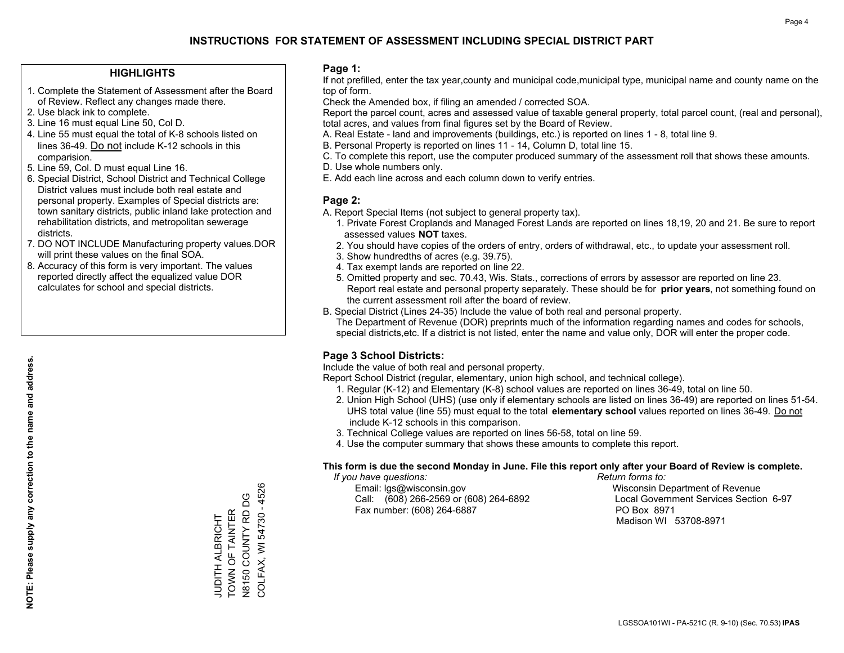## **HIGHLIGHTS**

- 1. Complete the Statement of Assessment after the Board of Review. Reflect any changes made there.
- 2. Use black ink to complete.

**NOTE: Please supply any correction to the name and address.**

NOTE: Please supply any correction to the name and address.

- 3. Line 16 must equal Line 50, Col D.
- 4. Line 55 must equal the total of K-8 schools listed on lines 36-49. Do not include K-12 schools in this comparision.
- 5. Line 59, Col. D must equal Line 16.
- 6. Special District, School District and Technical College District values must include both real estate and personal property. Examples of Special districts are: town sanitary districts, public inland lake protection and rehabilitation districts, and metropolitan sewerage districts.
- 7. DO NOT INCLUDE Manufacturing property values.DOR will print these values on the final SOA.
- 8. Accuracy of this form is very important. The values reported directly affect the equalized value DOR calculates for school and special districts.

### **Page 1:**

 If not prefilled, enter the tax year,county and municipal code,municipal type, municipal name and county name on the top of form.

Check the Amended box, if filing an amended / corrected SOA.

 Report the parcel count, acres and assessed value of taxable general property, total parcel count, (real and personal), total acres, and values from final figures set by the Board of Review.

- A. Real Estate land and improvements (buildings, etc.) is reported on lines 1 8, total line 9.
- B. Personal Property is reported on lines 11 14, Column D, total line 15.
- C. To complete this report, use the computer produced summary of the assessment roll that shows these amounts.
- D. Use whole numbers only.
- E. Add each line across and each column down to verify entries.

### **Page 2:**

- A. Report Special Items (not subject to general property tax).
- 1. Private Forest Croplands and Managed Forest Lands are reported on lines 18,19, 20 and 21. Be sure to report assessed values **NOT** taxes.
- 2. You should have copies of the orders of entry, orders of withdrawal, etc., to update your assessment roll.
	- 3. Show hundredths of acres (e.g. 39.75).
- 4. Tax exempt lands are reported on line 22.
- 5. Omitted property and sec. 70.43, Wis. Stats., corrections of errors by assessor are reported on line 23. Report real estate and personal property separately. These should be for **prior years**, not something found on the current assessment roll after the board of review.
- B. Special District (Lines 24-35) Include the value of both real and personal property.
- The Department of Revenue (DOR) preprints much of the information regarding names and codes for schools, special districts,etc. If a district is not listed, enter the name and value only, DOR will enter the proper code.

## **Page 3 School Districts:**

Include the value of both real and personal property.

Report School District (regular, elementary, union high school, and technical college).

- 1. Regular (K-12) and Elementary (K-8) school values are reported on lines 36-49, total on line 50.
- 2. Union High School (UHS) (use only if elementary schools are listed on lines 36-49) are reported on lines 51-54. UHS total value (line 55) must equal to the total **elementary school** values reported on lines 36-49. Do notinclude K-12 schools in this comparison.
- 3. Technical College values are reported on lines 56-58, total on line 59.
- 4. Use the computer summary that shows these amounts to complete this report.

#### **This form is due the second Monday in June. File this report only after your Board of Review is complete.**

 *If you have questions: Return forms to:*

 Email: lgs@wisconsin.gov Wisconsin Department of RevenueCall:  $(608)$  266-2569 or  $(608)$  264-6892 Fax number: (608) 264-6887 PO Box 8971

Local Government Services Section 6-97 Madison WI 53708-8971

: CONNINGER<br>TOWN OF TAINTER<br>N8150 COUNTY RD DG N8150 COUNTY RD DG TOWN OF TAINTER **JUDITH ALBRICHT** JUDITH ALBRICHT

COLFAX, WI 54730 - 4526

COLFAX, WI 54730 - 4526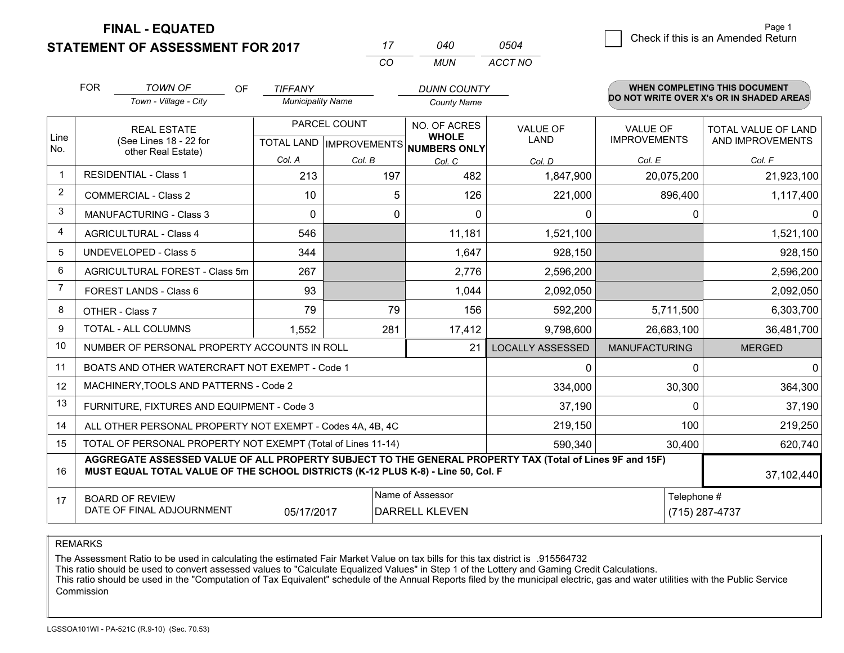**FINAL - EQUATED**

**STATEMENT OF ASSESSMENT FOR 2017** 

|   | Page 1                             |
|---|------------------------------------|
| ⊿ | Check if this is an Amended Return |
|   |                                    |

|                | <b>FOR</b>                                                                                                     | <b>TOWN OF</b><br><b>OF</b><br>Town - Village - City                                                                                                                                         | <b>TIFFANY</b><br><b>Municipality Name</b>           |        | <b>DUNN COUNTY</b><br><b>County Name</b> |                         |                                 | <b>WHEN COMPLETING THIS DOCUMENT</b><br>DO NOT WRITE OVER X's OR IN SHADED AREAS |
|----------------|----------------------------------------------------------------------------------------------------------------|----------------------------------------------------------------------------------------------------------------------------------------------------------------------------------------------|------------------------------------------------------|--------|------------------------------------------|-------------------------|---------------------------------|----------------------------------------------------------------------------------|
| Line<br>No.    |                                                                                                                | <b>REAL ESTATE</b><br>(See Lines 18 - 22 for<br>other Real Estate)                                                                                                                           | PARCEL COUNT<br>TOTAL LAND IMPROVEMENTS NUMBERS ONLY |        | NO. OF ACRES<br><b>WHOLE</b>             | VALUE OF<br><b>LAND</b> | VALUE OF<br><b>IMPROVEMENTS</b> | TOTAL VALUE OF LAND<br>AND IMPROVEMENTS                                          |
|                |                                                                                                                |                                                                                                                                                                                              | Col. A                                               | Col. B | Col. C                                   | Col. D                  | Col. E                          | Col. F                                                                           |
| 1              |                                                                                                                | <b>RESIDENTIAL - Class 1</b>                                                                                                                                                                 | 213                                                  | 197    | 482                                      | 1,847,900               | 20,075,200                      | 21,923,100                                                                       |
| $\overline{2}$ |                                                                                                                | <b>COMMERCIAL - Class 2</b>                                                                                                                                                                  | 10                                                   |        | 5<br>126                                 | 221,000                 | 896,400                         | 1,117,400                                                                        |
| 3              |                                                                                                                | <b>MANUFACTURING - Class 3</b>                                                                                                                                                               | $\mathbf 0$                                          |        | 0<br>$\mathbf{0}$                        | 0                       | 0                               | $\mathbf{0}$                                                                     |
| 4              |                                                                                                                | <b>AGRICULTURAL - Class 4</b>                                                                                                                                                                | 546                                                  |        | 11,181                                   | 1,521,100               |                                 | 1,521,100                                                                        |
| 5              | <b>UNDEVELOPED - Class 5</b>                                                                                   |                                                                                                                                                                                              | 344                                                  |        | 1,647                                    | 928,150                 |                                 | 928,150                                                                          |
| 6              | AGRICULTURAL FOREST - Class 5m                                                                                 |                                                                                                                                                                                              | 267                                                  |        | 2,776                                    | 2,596,200               |                                 | 2,596,200                                                                        |
| 7              |                                                                                                                | FOREST LANDS - Class 6                                                                                                                                                                       | 93                                                   |        | 1,044                                    | 2,092,050               |                                 | 2,092,050                                                                        |
| 8              |                                                                                                                | OTHER - Class 7                                                                                                                                                                              | 79                                                   | 79     | 156                                      | 592,200                 | 5,711,500                       | 6,303,700                                                                        |
| 9              |                                                                                                                | TOTAL - ALL COLUMNS                                                                                                                                                                          | 1,552                                                | 281    | 17,412                                   | 9,798,600               | 26,683,100                      | 36,481,700                                                                       |
| 10             |                                                                                                                | NUMBER OF PERSONAL PROPERTY ACCOUNTS IN ROLL                                                                                                                                                 |                                                      |        | 21                                       | <b>LOCALLY ASSESSED</b> | <b>MANUFACTURING</b>            | <b>MERGED</b>                                                                    |
| 11             |                                                                                                                | BOATS AND OTHER WATERCRAFT NOT EXEMPT - Code 1                                                                                                                                               |                                                      |        |                                          | $\mathbf{0}$            | $\Omega$                        | $\mathbf{0}$                                                                     |
| 12             |                                                                                                                | MACHINERY, TOOLS AND PATTERNS - Code 2                                                                                                                                                       |                                                      |        |                                          | 334,000                 | 30,300                          | 364,300                                                                          |
| 13             |                                                                                                                | FURNITURE, FIXTURES AND EQUIPMENT - Code 3                                                                                                                                                   |                                                      |        |                                          | 37,190                  | $\Omega$                        | 37,190                                                                           |
| 14             |                                                                                                                | ALL OTHER PERSONAL PROPERTY NOT EXEMPT - Codes 4A, 4B, 4C                                                                                                                                    |                                                      |        |                                          | 219,150                 | 100                             | 219,250                                                                          |
| 15             |                                                                                                                | TOTAL OF PERSONAL PROPERTY NOT EXEMPT (Total of Lines 11-14)                                                                                                                                 |                                                      |        |                                          | 590,340                 | 30,400                          | 620,740                                                                          |
| 16             |                                                                                                                | AGGREGATE ASSESSED VALUE OF ALL PROPERTY SUBJECT TO THE GENERAL PROPERTY TAX (Total of Lines 9F and 15F)<br>MUST EQUAL TOTAL VALUE OF THE SCHOOL DISTRICTS (K-12 PLUS K-8) - Line 50, Col. F |                                                      |        |                                          |                         |                                 | 37,102,440                                                                       |
| 17             | Name of Assessor<br><b>BOARD OF REVIEW</b><br>DATE OF FINAL ADJOURNMENT<br>05/17/2017<br><b>DARRELL KLEVEN</b> |                                                                                                                                                                                              |                                                      |        |                                          |                         |                                 | Telephone #<br>(715) 287-4737                                                    |

*CO*

*MUN*

*ACCT NO0504*

*<sup>17</sup> <sup>040</sup>*

REMARKS

The Assessment Ratio to be used in calculating the estimated Fair Market Value on tax bills for this tax district is .915564732<br>This ratio should be used to convert assessed values to "Calculate Equalized Values" in Step 1 Commission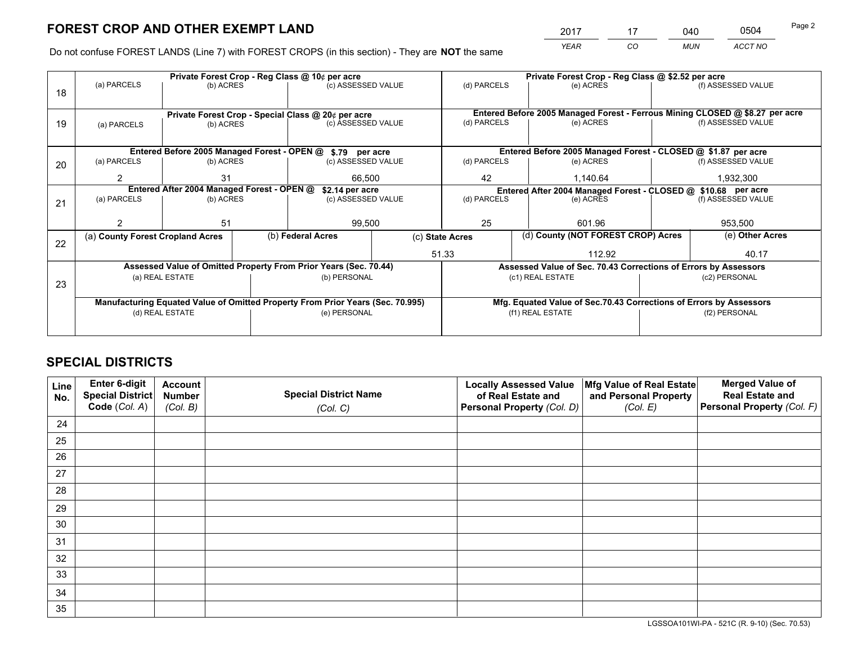*YEAR CO MUN ACCT NO* <sup>2017</sup> <sup>17</sup> <sup>040</sup> <sup>0504</sup>

Do not confuse FOREST LANDS (Line 7) with FOREST CROPS (in this section) - They are **NOT** the same

|    |                                                      |                 |  | Private Forest Crop - Reg Class @ 10¢ per acre                                 |  | Private Forest Crop - Reg Class @ \$2.52 per acre                                                  |                  |                                                                    |                 |                                                                              |  |
|----|------------------------------------------------------|-----------------|--|--------------------------------------------------------------------------------|--|----------------------------------------------------------------------------------------------------|------------------|--------------------------------------------------------------------|-----------------|------------------------------------------------------------------------------|--|
| 18 | (a) PARCELS                                          | (b) ACRES       |  | (c) ASSESSED VALUE                                                             |  | (d) PARCELS                                                                                        |                  | (e) ACRES                                                          |                 | (f) ASSESSED VALUE                                                           |  |
|    |                                                      |                 |  |                                                                                |  |                                                                                                    |                  |                                                                    |                 |                                                                              |  |
|    |                                                      |                 |  | Private Forest Crop - Special Class @ 20¢ per acre                             |  |                                                                                                    |                  |                                                                    |                 | Entered Before 2005 Managed Forest - Ferrous Mining CLOSED @ \$8.27 per acre |  |
| 19 | (a) PARCELS                                          | (b) ACRES       |  | (c) ASSESSED VALUE                                                             |  | (d) PARCELS                                                                                        |                  | (e) ACRES                                                          |                 | (f) ASSESSED VALUE                                                           |  |
|    |                                                      |                 |  |                                                                                |  |                                                                                                    |                  |                                                                    |                 |                                                                              |  |
|    |                                                      |                 |  | Entered Before 2005 Managed Forest - OPEN @ \$.79 per acre                     |  |                                                                                                    |                  | Entered Before 2005 Managed Forest - CLOSED @ \$1.87 per acre      |                 |                                                                              |  |
| 20 | (a) PARCELS                                          | (b) ACRES       |  | (c) ASSESSED VALUE                                                             |  | (d) PARCELS                                                                                        |                  | (e) ACRES                                                          |                 | (f) ASSESSED VALUE                                                           |  |
|    | $\mathcal{P}$                                        | 31              |  |                                                                                |  | 42                                                                                                 |                  | 1,140.64                                                           |                 | 1,932,300                                                                    |  |
|    | 66,500<br>Entered After 2004 Managed Forest - OPEN @ |                 |  |                                                                                |  |                                                                                                    |                  |                                                                    |                 |                                                                              |  |
|    | (a) PARCELS<br>(b) ACRES                             |                 |  | \$2.14 per acre<br>(c) ASSESSED VALUE                                          |  | Entered After 2004 Managed Forest - CLOSED @ \$10.68 per acre<br>(d) PARCELS<br>(f) ASSESSED VALUE |                  |                                                                    |                 |                                                                              |  |
| 21 |                                                      |                 |  |                                                                                |  |                                                                                                    |                  | (e) ACRES                                                          |                 |                                                                              |  |
|    |                                                      |                 |  |                                                                                |  |                                                                                                    |                  |                                                                    |                 |                                                                              |  |
|    |                                                      | 51              |  | 99,500                                                                         |  | 25                                                                                                 |                  | 601.96                                                             |                 | 953,500                                                                      |  |
|    | (a) County Forest Cropland Acres                     |                 |  | (b) Federal Acres                                                              |  | (d) County (NOT FOREST CROP) Acres<br>(c) State Acres                                              |                  |                                                                    | (e) Other Acres |                                                                              |  |
| 22 |                                                      |                 |  |                                                                                |  | 51.33                                                                                              |                  | 112.92                                                             |                 | 40.17                                                                        |  |
|    |                                                      |                 |  | Assessed Value of Omitted Property From Prior Years (Sec. 70.44)               |  |                                                                                                    |                  | Assessed Value of Sec. 70.43 Corrections of Errors by Assessors    |                 |                                                                              |  |
|    |                                                      | (a) REAL ESTATE |  | (b) PERSONAL                                                                   |  |                                                                                                    | (c1) REAL ESTATE |                                                                    |                 | (c2) PERSONAL                                                                |  |
| 23 |                                                      |                 |  |                                                                                |  |                                                                                                    |                  |                                                                    |                 |                                                                              |  |
|    |                                                      |                 |  |                                                                                |  |                                                                                                    |                  |                                                                    |                 |                                                                              |  |
|    |                                                      |                 |  | Manufacturing Equated Value of Omitted Property From Prior Years (Sec. 70.995) |  |                                                                                                    |                  | Mfg. Equated Value of Sec.70.43 Corrections of Errors by Assessors |                 |                                                                              |  |
|    |                                                      | (d) REAL ESTATE |  | (e) PERSONAL                                                                   |  |                                                                                                    | (f1) REAL ESTATE |                                                                    | (f2) PERSONAL   |                                                                              |  |
|    |                                                      |                 |  |                                                                                |  |                                                                                                    |                  |                                                                    |                 |                                                                              |  |

# **SPECIAL DISTRICTS**

| Line<br>No. | Enter 6-digit<br><b>Special District</b> | <b>Account</b><br><b>Number</b> | <b>Special District Name</b> | <b>Locally Assessed Value</b><br>of Real Estate and | Mfg Value of Real Estate<br>and Personal Property | <b>Merged Value of</b><br><b>Real Estate and</b> |
|-------------|------------------------------------------|---------------------------------|------------------------------|-----------------------------------------------------|---------------------------------------------------|--------------------------------------------------|
|             | Code (Col. A)                            | (Col. B)                        | (Col. C)                     | Personal Property (Col. D)                          | (Col. E)                                          | Personal Property (Col. F)                       |
| 24          |                                          |                                 |                              |                                                     |                                                   |                                                  |
| 25          |                                          |                                 |                              |                                                     |                                                   |                                                  |
| 26          |                                          |                                 |                              |                                                     |                                                   |                                                  |
| 27          |                                          |                                 |                              |                                                     |                                                   |                                                  |
| 28          |                                          |                                 |                              |                                                     |                                                   |                                                  |
| 29          |                                          |                                 |                              |                                                     |                                                   |                                                  |
| 30          |                                          |                                 |                              |                                                     |                                                   |                                                  |
| 31          |                                          |                                 |                              |                                                     |                                                   |                                                  |
| 32          |                                          |                                 |                              |                                                     |                                                   |                                                  |
| 33          |                                          |                                 |                              |                                                     |                                                   |                                                  |
| 34          |                                          |                                 |                              |                                                     |                                                   |                                                  |
| 35          |                                          |                                 |                              |                                                     |                                                   |                                                  |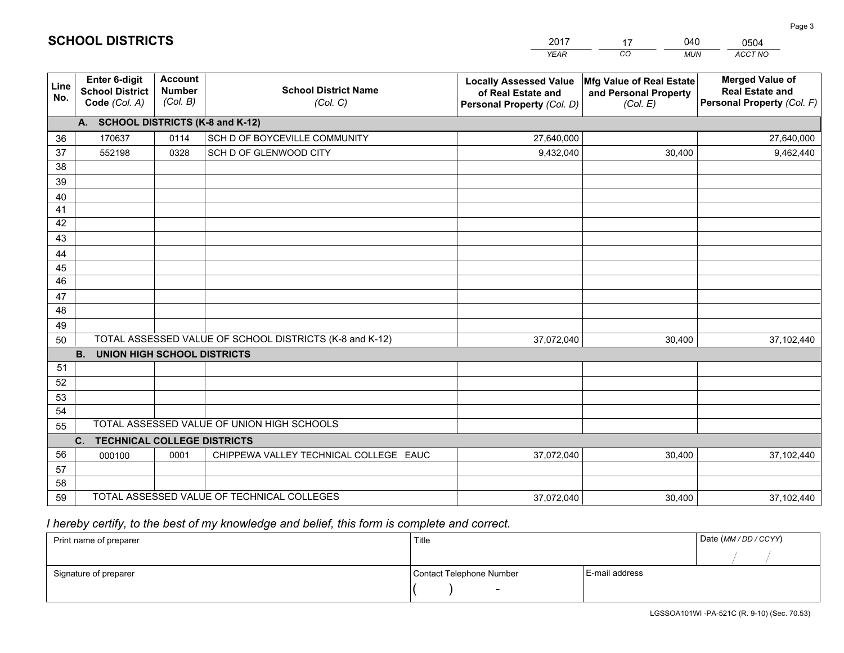|             |                                                          |                                             |                                                         | YEAR                                                                              | CO.<br><b>MUN</b>                                             | ACCT NO                                                                        |
|-------------|----------------------------------------------------------|---------------------------------------------|---------------------------------------------------------|-----------------------------------------------------------------------------------|---------------------------------------------------------------|--------------------------------------------------------------------------------|
| Line<br>No. | Enter 6-digit<br><b>School District</b><br>Code (Col. A) | <b>Account</b><br><b>Number</b><br>(Col. B) | <b>School District Name</b><br>(Col. C)                 | <b>Locally Assessed Value</b><br>of Real Estate and<br>Personal Property (Col. D) | Mfg Value of Real Estate<br>and Personal Property<br>(Col. E) | <b>Merged Value of</b><br><b>Real Estate and</b><br>Personal Property (Col. F) |
|             | A. SCHOOL DISTRICTS (K-8 and K-12)                       |                                             |                                                         |                                                                                   |                                                               |                                                                                |
| 36          | 170637                                                   | 0114                                        | SCH D OF BOYCEVILLE COMMUNITY                           | 27,640,000                                                                        |                                                               | 27,640,000                                                                     |
| 37          | 552198                                                   | 0328                                        | SCH D OF GLENWOOD CITY                                  | 9,432,040                                                                         | 30,400                                                        | 9,462,440                                                                      |
| 38          |                                                          |                                             |                                                         |                                                                                   |                                                               |                                                                                |
| 39          |                                                          |                                             |                                                         |                                                                                   |                                                               |                                                                                |
| 40          |                                                          |                                             |                                                         |                                                                                   |                                                               |                                                                                |
| 41          |                                                          |                                             |                                                         |                                                                                   |                                                               |                                                                                |
| 42          |                                                          |                                             |                                                         |                                                                                   |                                                               |                                                                                |
| 43          |                                                          |                                             |                                                         |                                                                                   |                                                               |                                                                                |
| 44<br>45    |                                                          |                                             |                                                         |                                                                                   |                                                               |                                                                                |
| 46          |                                                          |                                             |                                                         |                                                                                   |                                                               |                                                                                |
| 47          |                                                          |                                             |                                                         |                                                                                   |                                                               |                                                                                |
| 48          |                                                          |                                             |                                                         |                                                                                   |                                                               |                                                                                |
| 49          |                                                          |                                             |                                                         |                                                                                   |                                                               |                                                                                |
| 50          |                                                          |                                             | TOTAL ASSESSED VALUE OF SCHOOL DISTRICTS (K-8 and K-12) | 37,072,040                                                                        | 30,400                                                        | 37,102,440                                                                     |
|             | <b>B.</b><br><b>UNION HIGH SCHOOL DISTRICTS</b>          |                                             |                                                         |                                                                                   |                                                               |                                                                                |
| 51          |                                                          |                                             |                                                         |                                                                                   |                                                               |                                                                                |
| 52          |                                                          |                                             |                                                         |                                                                                   |                                                               |                                                                                |
| 53          |                                                          |                                             |                                                         |                                                                                   |                                                               |                                                                                |
| 54          |                                                          |                                             |                                                         |                                                                                   |                                                               |                                                                                |
| 55          |                                                          |                                             | TOTAL ASSESSED VALUE OF UNION HIGH SCHOOLS              |                                                                                   |                                                               |                                                                                |
|             | C.<br><b>TECHNICAL COLLEGE DISTRICTS</b>                 |                                             |                                                         |                                                                                   |                                                               |                                                                                |
| 56          | 000100                                                   | 0001                                        | CHIPPEWA VALLEY TECHNICAL COLLEGE EAUC                  | 37,072,040                                                                        | 30,400                                                        | 37,102,440                                                                     |
| 57<br>58    |                                                          |                                             |                                                         |                                                                                   |                                                               |                                                                                |
| 59          |                                                          |                                             | TOTAL ASSESSED VALUE OF TECHNICAL COLLEGES              | 37,072,040                                                                        | 30,400                                                        | 37,102,440                                                                     |
|             |                                                          |                                             |                                                         |                                                                                   |                                                               |                                                                                |

17

040

 *I hereby certify, to the best of my knowledge and belief, this form is complete and correct.*

**SCHOOL DISTRICTS**

| Print name of preparer | Title                    |                | Date (MM/DD/CCYY) |
|------------------------|--------------------------|----------------|-------------------|
|                        |                          |                |                   |
| Signature of preparer  | Contact Telephone Number | E-mail address |                   |
|                        | $\overline{\phantom{0}}$ |                |                   |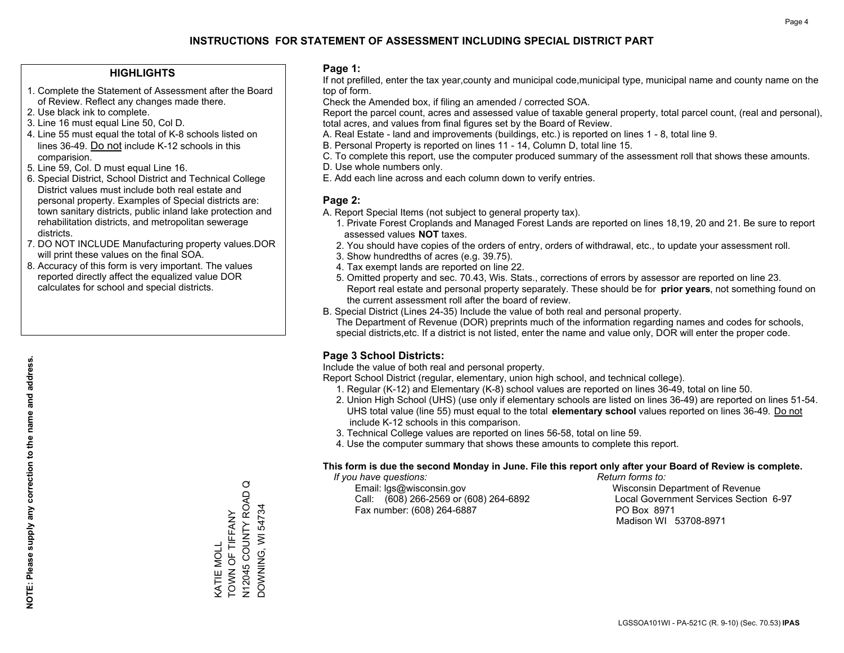## **HIGHLIGHTS**

- 1. Complete the Statement of Assessment after the Board of Review. Reflect any changes made there.
- 2. Use black ink to complete.
- 3. Line 16 must equal Line 50, Col D.
- 4. Line 55 must equal the total of K-8 schools listed on lines 36-49. Do not include K-12 schools in this comparision.
- 5. Line 59, Col. D must equal Line 16.
- 6. Special District, School District and Technical College District values must include both real estate and personal property. Examples of Special districts are: town sanitary districts, public inland lake protection and rehabilitation districts, and metropolitan sewerage districts.
- 7. DO NOT INCLUDE Manufacturing property values.DOR will print these values on the final SOA.
- 8. Accuracy of this form is very important. The values reported directly affect the equalized value DOR calculates for school and special districts.

### **Page 1:**

 If not prefilled, enter the tax year,county and municipal code,municipal type, municipal name and county name on the top of form.

Check the Amended box, if filing an amended / corrected SOA.

 Report the parcel count, acres and assessed value of taxable general property, total parcel count, (real and personal), total acres, and values from final figures set by the Board of Review.

- A. Real Estate land and improvements (buildings, etc.) is reported on lines 1 8, total line 9.
- B. Personal Property is reported on lines 11 14, Column D, total line 15.
- C. To complete this report, use the computer produced summary of the assessment roll that shows these amounts.
- D. Use whole numbers only.
- E. Add each line across and each column down to verify entries.

### **Page 2:**

- A. Report Special Items (not subject to general property tax).
- 1. Private Forest Croplands and Managed Forest Lands are reported on lines 18,19, 20 and 21. Be sure to report assessed values **NOT** taxes.
- 2. You should have copies of the orders of entry, orders of withdrawal, etc., to update your assessment roll.
	- 3. Show hundredths of acres (e.g. 39.75).
- 4. Tax exempt lands are reported on line 22.
- 5. Omitted property and sec. 70.43, Wis. Stats., corrections of errors by assessor are reported on line 23. Report real estate and personal property separately. These should be for **prior years**, not something found on the current assessment roll after the board of review.
- B. Special District (Lines 24-35) Include the value of both real and personal property.
- The Department of Revenue (DOR) preprints much of the information regarding names and codes for schools, special districts,etc. If a district is not listed, enter the name and value only, DOR will enter the proper code.

## **Page 3 School Districts:**

Include the value of both real and personal property.

Report School District (regular, elementary, union high school, and technical college).

- 1. Regular (K-12) and Elementary (K-8) school values are reported on lines 36-49, total on line 50.
- 2. Union High School (UHS) (use only if elementary schools are listed on lines 36-49) are reported on lines 51-54. UHS total value (line 55) must equal to the total **elementary school** values reported on lines 36-49. Do notinclude K-12 schools in this comparison.
- 3. Technical College values are reported on lines 56-58, total on line 59.
- 4. Use the computer summary that shows these amounts to complete this report.

#### **This form is due the second Monday in June. File this report only after your Board of Review is complete.**

 *If you have questions: Return forms to:*

 Email: lgs@wisconsin.gov Wisconsin Department of RevenueCall:  $(608)$  266-2569 or  $(608)$  264-6892 Fax number: (608) 264-6887 PO Box 8971

Local Government Services Section 6-97 Madison WI 53708-8971

N12045 COUNTY ROAD Q N12045 COUNTY ROAD<br>DOWNING, WI 54734 DOWNING, WI 54734 TOWN OF TIFFANY KATIE MOLL<br>TOWN OF TIFFANY KATIE MOLL

 $\circ$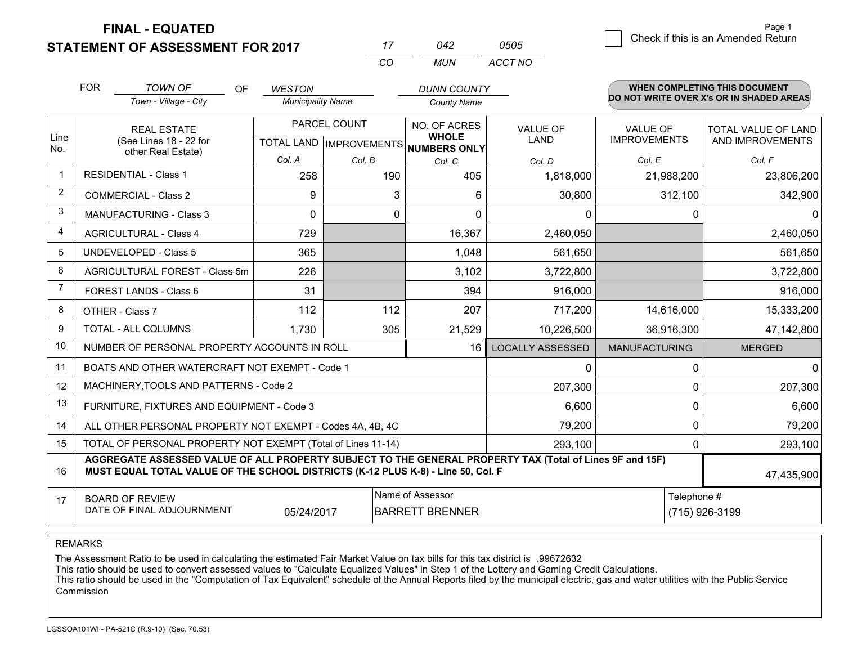**FINAL - EQUATED**

**STATEMENT OF ASSESSMENT FOR 2017** 

|   | Page 1                             |
|---|------------------------------------|
| 5 | Check if this is an Amended Return |
|   |                                    |

| 17  | 042 | 0505    |
|-----|-----|---------|
| ΓO. | MUN | ACCT NO |

|                | <b>FOR</b>                                                                                                      | <b>TOWN OF</b><br><b>OF</b>                                                                                                                                                                  | <b>WESTON</b>            |              | <b>DUNN COUNTY</b>                                   |                         |                               | <b>WHEN COMPLETING THIS DOCUMENT</b><br>DO NOT WRITE OVER X's OR IN SHADED AREAS |         |
|----------------|-----------------------------------------------------------------------------------------------------------------|----------------------------------------------------------------------------------------------------------------------------------------------------------------------------------------------|--------------------------|--------------|------------------------------------------------------|-------------------------|-------------------------------|----------------------------------------------------------------------------------|---------|
|                |                                                                                                                 | Town - Village - City                                                                                                                                                                        | <b>Municipality Name</b> |              | <b>County Name</b>                                   |                         |                               |                                                                                  |         |
|                |                                                                                                                 | <b>REAL ESTATE</b>                                                                                                                                                                           |                          | PARCEL COUNT | NO. OF ACRES                                         | <b>VALUE OF</b>         | <b>VALUE OF</b>               | <b>TOTAL VALUE OF LAND</b>                                                       |         |
| Line<br>No.    |                                                                                                                 | (See Lines 18 - 22 for<br>other Real Estate)                                                                                                                                                 |                          |              | <b>WHOLE</b><br>TOTAL LAND IMPROVEMENTS NUMBERS ONLY | <b>LAND</b>             | <b>IMPROVEMENTS</b>           | AND IMPROVEMENTS                                                                 |         |
|                |                                                                                                                 |                                                                                                                                                                                              | Col. A                   | Col. B       | Col. C                                               | Col. D                  | Col. E                        | Col. F                                                                           |         |
| $\mathbf 1$    |                                                                                                                 | <b>RESIDENTIAL - Class 1</b>                                                                                                                                                                 | 258                      | 190          | 405                                                  | 1,818,000               | 21,988,200                    | 23,806,200                                                                       |         |
| $\overline{2}$ |                                                                                                                 | <b>COMMERCIAL - Class 2</b>                                                                                                                                                                  | 9                        | 3            | 6                                                    | 30,800                  | 312,100                       |                                                                                  | 342,900 |
| 3              |                                                                                                                 | MANUFACTURING - Class 3                                                                                                                                                                      | $\Omega$                 | 0            | $\Omega$                                             | $\mathbf 0$             |                               | 0                                                                                | 0       |
| 4              |                                                                                                                 | <b>AGRICULTURAL - Class 4</b>                                                                                                                                                                | 729                      |              | 16,367                                               | 2,460,050               |                               | 2,460,050                                                                        |         |
| 5              |                                                                                                                 | <b>UNDEVELOPED - Class 5</b>                                                                                                                                                                 | 365                      |              | 1,048                                                | 561,650                 |                               |                                                                                  | 561,650 |
| 6              |                                                                                                                 | AGRICULTURAL FOREST - Class 5m                                                                                                                                                               | 226                      |              | 3,102                                                | 3,722,800               |                               | 3,722,800                                                                        |         |
| 7              |                                                                                                                 | FOREST LANDS - Class 6                                                                                                                                                                       | 31                       |              | 394                                                  | 916,000                 |                               |                                                                                  | 916,000 |
| 8              |                                                                                                                 | OTHER - Class 7                                                                                                                                                                              | 112                      | 112          | 207                                                  | 717,200                 | 14,616,000                    | 15,333,200                                                                       |         |
| 9              |                                                                                                                 | TOTAL - ALL COLUMNS                                                                                                                                                                          | 1,730                    | 305          | 21,529                                               | 10,226,500              | 36,916,300                    | 47,142,800                                                                       |         |
| 10             |                                                                                                                 | NUMBER OF PERSONAL PROPERTY ACCOUNTS IN ROLL                                                                                                                                                 |                          |              | 16                                                   | <b>LOCALLY ASSESSED</b> | <b>MANUFACTURING</b>          | <b>MERGED</b>                                                                    |         |
| 11             |                                                                                                                 | BOATS AND OTHER WATERCRAFT NOT EXEMPT - Code 1                                                                                                                                               |                          |              |                                                      | 0                       |                               | $\Omega$                                                                         | 0       |
| 12             |                                                                                                                 | MACHINERY, TOOLS AND PATTERNS - Code 2                                                                                                                                                       |                          |              |                                                      | 207,300                 |                               | $\mathbf 0$                                                                      | 207,300 |
| 13             |                                                                                                                 | FURNITURE, FIXTURES AND EQUIPMENT - Code 3                                                                                                                                                   |                          |              |                                                      | 6,600                   |                               | 0                                                                                | 6,600   |
| 14             |                                                                                                                 | ALL OTHER PERSONAL PROPERTY NOT EXEMPT - Codes 4A, 4B, 4C                                                                                                                                    |                          |              |                                                      | 79,200                  |                               | $\Omega$                                                                         | 79,200  |
| 15             | TOTAL OF PERSONAL PROPERTY NOT EXEMPT (Total of Lines 11-14)<br>293,100                                         |                                                                                                                                                                                              |                          |              |                                                      |                         | 0                             | 293,100                                                                          |         |
| 16             |                                                                                                                 | AGGREGATE ASSESSED VALUE OF ALL PROPERTY SUBJECT TO THE GENERAL PROPERTY TAX (Total of Lines 9F and 15F)<br>MUST EQUAL TOTAL VALUE OF THE SCHOOL DISTRICTS (K-12 PLUS K-8) - Line 50, Col. F |                          |              |                                                      |                         |                               | 47,435,900                                                                       |         |
| 17             | Name of Assessor<br><b>BOARD OF REVIEW</b><br>DATE OF FINAL ADJOURNMENT<br><b>BARRETT BRENNER</b><br>05/24/2017 |                                                                                                                                                                                              |                          |              |                                                      |                         | Telephone #<br>(715) 926-3199 |                                                                                  |         |

REMARKS

The Assessment Ratio to be used in calculating the estimated Fair Market Value on tax bills for this tax district is .99672632<br>This ratio should be used to convert assessed values to "Calculate Equalized Values" in Step 1 Commission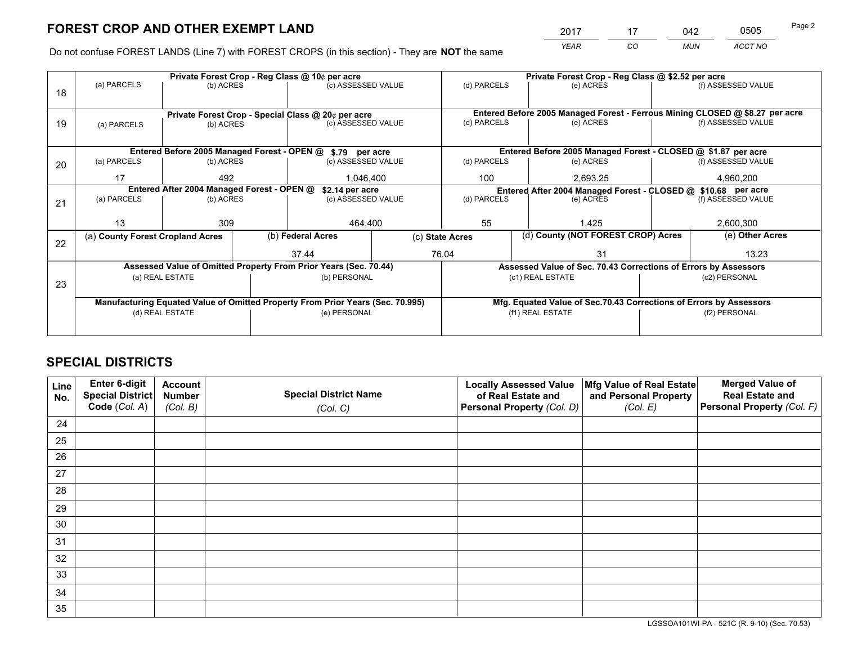*YEAR CO MUN ACCT NO* <sup>2017</sup> <sup>17</sup> <sup>042</sup> <sup>0505</sup>

Do not confuse FOREST LANDS (Line 7) with FOREST CROPS (in this section) - They are **NOT** the same

|    |                                                                        |                 |  | Private Forest Crop - Reg Class @ 10¢ per acre                                 |                 | Private Forest Crop - Reg Class @ \$2.52 per acre             |  |                                                                    |  |                                                                              |
|----|------------------------------------------------------------------------|-----------------|--|--------------------------------------------------------------------------------|-----------------|---------------------------------------------------------------|--|--------------------------------------------------------------------|--|------------------------------------------------------------------------------|
| 18 | (a) PARCELS                                                            | (b) ACRES       |  | (c) ASSESSED VALUE                                                             |                 | (d) PARCELS                                                   |  | (e) ACRES                                                          |  | (f) ASSESSED VALUE                                                           |
|    |                                                                        |                 |  |                                                                                |                 |                                                               |  |                                                                    |  |                                                                              |
|    |                                                                        |                 |  | Private Forest Crop - Special Class @ 20¢ per acre                             |                 |                                                               |  |                                                                    |  | Entered Before 2005 Managed Forest - Ferrous Mining CLOSED @ \$8.27 per acre |
| 19 | (a) PARCELS                                                            | (b) ACRES       |  | (c) ASSESSED VALUE                                                             |                 | (d) PARCELS                                                   |  | (e) ACRES                                                          |  | (f) ASSESSED VALUE                                                           |
|    |                                                                        |                 |  |                                                                                |                 |                                                               |  |                                                                    |  |                                                                              |
|    |                                                                        |                 |  | Entered Before 2005 Managed Forest - OPEN @ \$.79 per acre                     |                 |                                                               |  | Entered Before 2005 Managed Forest - CLOSED @ \$1.87 per acre      |  |                                                                              |
| 20 | (a) PARCELS                                                            | (b) ACRES       |  | (c) ASSESSED VALUE                                                             |                 | (d) PARCELS                                                   |  | (e) ACRES                                                          |  | (f) ASSESSED VALUE                                                           |
|    | 17                                                                     | 492             |  | 1,046,400                                                                      |                 | 100                                                           |  | 2,693.25                                                           |  | 4,960,200                                                                    |
|    |                                                                        |                 |  |                                                                                |                 |                                                               |  |                                                                    |  |                                                                              |
|    | Entered After 2004 Managed Forest - OPEN @<br>(a) PARCELS<br>(b) ACRES |                 |  | \$2.14 per acre<br>(c) ASSESSED VALUE                                          |                 | Entered After 2004 Managed Forest - CLOSED @ \$10.68 per acre |  |                                                                    |  |                                                                              |
| 21 |                                                                        |                 |  |                                                                                | (d) PARCELS     |                                                               |  | (e) ACRES                                                          |  | (f) ASSESSED VALUE                                                           |
|    |                                                                        |                 |  |                                                                                |                 |                                                               |  |                                                                    |  |                                                                              |
|    | 13                                                                     | 309             |  | 464.400                                                                        |                 | 55                                                            |  | 1.425                                                              |  | 2,600,300                                                                    |
|    | (a) County Forest Cropland Acres                                       |                 |  | (b) Federal Acres                                                              | (c) State Acres |                                                               |  | (d) County (NOT FOREST CROP) Acres                                 |  | (e) Other Acres                                                              |
| 22 |                                                                        |                 |  | 37.44                                                                          |                 | 76.04                                                         |  | 31                                                                 |  | 13.23                                                                        |
|    |                                                                        |                 |  | Assessed Value of Omitted Property From Prior Years (Sec. 70.44)               |                 |                                                               |  | Assessed Value of Sec. 70.43 Corrections of Errors by Assessors    |  |                                                                              |
|    |                                                                        | (a) REAL ESTATE |  |                                                                                |                 |                                                               |  |                                                                    |  |                                                                              |
| 23 |                                                                        |                 |  | (b) PERSONAL                                                                   |                 |                                                               |  | (c1) REAL ESTATE                                                   |  | (c2) PERSONAL                                                                |
|    |                                                                        |                 |  |                                                                                |                 |                                                               |  |                                                                    |  |                                                                              |
|    |                                                                        |                 |  | Manufacturing Equated Value of Omitted Property From Prior Years (Sec. 70.995) |                 |                                                               |  | Mfg. Equated Value of Sec.70.43 Corrections of Errors by Assessors |  |                                                                              |
|    |                                                                        | (d) REAL ESTATE |  | (e) PERSONAL                                                                   |                 |                                                               |  | (f1) REAL ESTATE                                                   |  | (f2) PERSONAL                                                                |
|    |                                                                        |                 |  |                                                                                |                 |                                                               |  |                                                                    |  |                                                                              |
|    |                                                                        |                 |  |                                                                                |                 |                                                               |  |                                                                    |  |                                                                              |

# **SPECIAL DISTRICTS**

| Line<br>No. | Enter 6-digit<br>Special District<br>Code (Col. A) | <b>Account</b><br><b>Number</b> | <b>Special District Name</b> | <b>Locally Assessed Value</b><br>of Real Estate and | Mfg Value of Real Estate<br>and Personal Property | <b>Merged Value of</b><br><b>Real Estate and</b><br>Personal Property (Col. F) |
|-------------|----------------------------------------------------|---------------------------------|------------------------------|-----------------------------------------------------|---------------------------------------------------|--------------------------------------------------------------------------------|
|             |                                                    | (Col. B)                        | (Col. C)                     | Personal Property (Col. D)                          | (Col. E)                                          |                                                                                |
| 24          |                                                    |                                 |                              |                                                     |                                                   |                                                                                |
| 25          |                                                    |                                 |                              |                                                     |                                                   |                                                                                |
| 26          |                                                    |                                 |                              |                                                     |                                                   |                                                                                |
| 27          |                                                    |                                 |                              |                                                     |                                                   |                                                                                |
| 28          |                                                    |                                 |                              |                                                     |                                                   |                                                                                |
| 29          |                                                    |                                 |                              |                                                     |                                                   |                                                                                |
| 30          |                                                    |                                 |                              |                                                     |                                                   |                                                                                |
| 31          |                                                    |                                 |                              |                                                     |                                                   |                                                                                |
| 32          |                                                    |                                 |                              |                                                     |                                                   |                                                                                |
| 33          |                                                    |                                 |                              |                                                     |                                                   |                                                                                |
| 34          |                                                    |                                 |                              |                                                     |                                                   |                                                                                |
| 35          |                                                    |                                 |                              |                                                     |                                                   |                                                                                |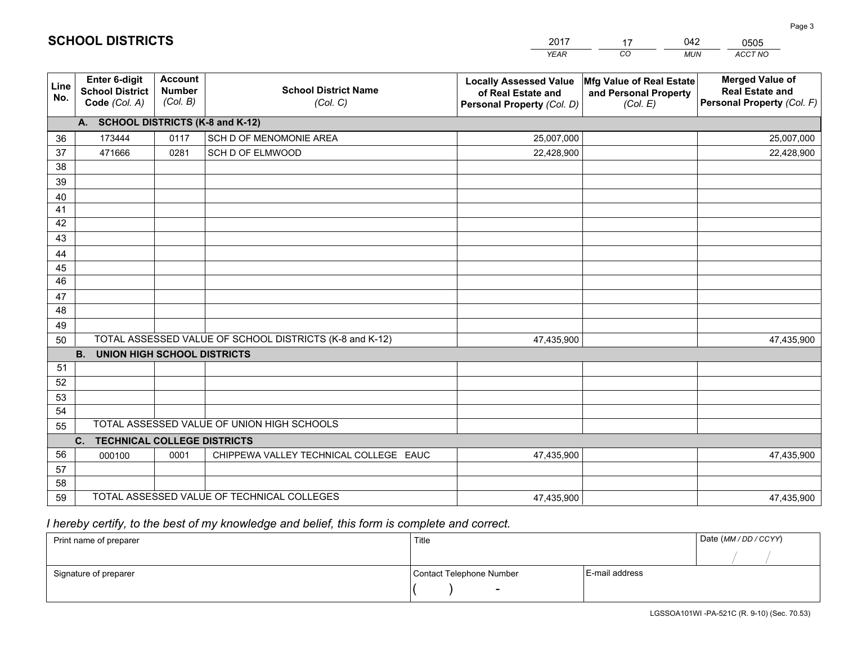|             |                                                                 |                                             |                                                         | <b>YEAR</b>                                                                       | CO<br><b>MUN</b>                                              | ACCT NO                                                                        |
|-------------|-----------------------------------------------------------------|---------------------------------------------|---------------------------------------------------------|-----------------------------------------------------------------------------------|---------------------------------------------------------------|--------------------------------------------------------------------------------|
| Line<br>No. | <b>Enter 6-digit</b><br><b>School District</b><br>Code (Col. A) | <b>Account</b><br><b>Number</b><br>(Col. B) | <b>School District Name</b><br>(Col. C)                 | <b>Locally Assessed Value</b><br>of Real Estate and<br>Personal Property (Col. D) | Mfg Value of Real Estate<br>and Personal Property<br>(Col. E) | <b>Merged Value of</b><br><b>Real Estate and</b><br>Personal Property (Col. F) |
|             | A. SCHOOL DISTRICTS (K-8 and K-12)                              |                                             |                                                         |                                                                                   |                                                               |                                                                                |
| 36          | 173444                                                          | 0117                                        | SCH D OF MENOMONIE AREA                                 | 25,007,000                                                                        |                                                               | 25,007,000                                                                     |
| 37          | 471666                                                          | 0281                                        | SCH D OF ELMWOOD                                        | 22,428,900                                                                        |                                                               | 22,428,900                                                                     |
| 38          |                                                                 |                                             |                                                         |                                                                                   |                                                               |                                                                                |
| 39          |                                                                 |                                             |                                                         |                                                                                   |                                                               |                                                                                |
| 40          |                                                                 |                                             |                                                         |                                                                                   |                                                               |                                                                                |
| 41          |                                                                 |                                             |                                                         |                                                                                   |                                                               |                                                                                |
| 42          |                                                                 |                                             |                                                         |                                                                                   |                                                               |                                                                                |
| 43          |                                                                 |                                             |                                                         |                                                                                   |                                                               |                                                                                |
| 44          |                                                                 |                                             |                                                         |                                                                                   |                                                               |                                                                                |
| 45<br>46    |                                                                 |                                             |                                                         |                                                                                   |                                                               |                                                                                |
|             |                                                                 |                                             |                                                         |                                                                                   |                                                               |                                                                                |
| 47<br>48    |                                                                 |                                             |                                                         |                                                                                   |                                                               |                                                                                |
| 49          |                                                                 |                                             |                                                         |                                                                                   |                                                               |                                                                                |
| 50          |                                                                 |                                             | TOTAL ASSESSED VALUE OF SCHOOL DISTRICTS (K-8 and K-12) | 47,435,900                                                                        |                                                               | 47,435,900                                                                     |
|             | <b>B.</b><br><b>UNION HIGH SCHOOL DISTRICTS</b>                 |                                             |                                                         |                                                                                   |                                                               |                                                                                |
| 51          |                                                                 |                                             |                                                         |                                                                                   |                                                               |                                                                                |
| 52          |                                                                 |                                             |                                                         |                                                                                   |                                                               |                                                                                |
| 53          |                                                                 |                                             |                                                         |                                                                                   |                                                               |                                                                                |
| 54          |                                                                 |                                             |                                                         |                                                                                   |                                                               |                                                                                |
| 55          |                                                                 |                                             | TOTAL ASSESSED VALUE OF UNION HIGH SCHOOLS              |                                                                                   |                                                               |                                                                                |
|             | C.<br><b>TECHNICAL COLLEGE DISTRICTS</b>                        |                                             |                                                         |                                                                                   |                                                               |                                                                                |
| 56          | 000100                                                          | 0001                                        | CHIPPEWA VALLEY TECHNICAL COLLEGE EAUC                  | 47,435,900                                                                        |                                                               | 47,435,900                                                                     |
| 57          |                                                                 |                                             |                                                         |                                                                                   |                                                               |                                                                                |
| 58          |                                                                 |                                             |                                                         |                                                                                   |                                                               |                                                                                |
| 59          |                                                                 |                                             | TOTAL ASSESSED VALUE OF TECHNICAL COLLEGES              | 47,435,900                                                                        |                                                               | 47,435,900                                                                     |

17

042

 *I hereby certify, to the best of my knowledge and belief, this form is complete and correct.*

**SCHOOL DISTRICTS**

| Print name of preparer | Title                    |                | Date (MM / DD / CCYY) |
|------------------------|--------------------------|----------------|-----------------------|
|                        |                          |                |                       |
| Signature of preparer  | Contact Telephone Number | E-mail address |                       |
|                        | $\overline{\phantom{0}}$ |                |                       |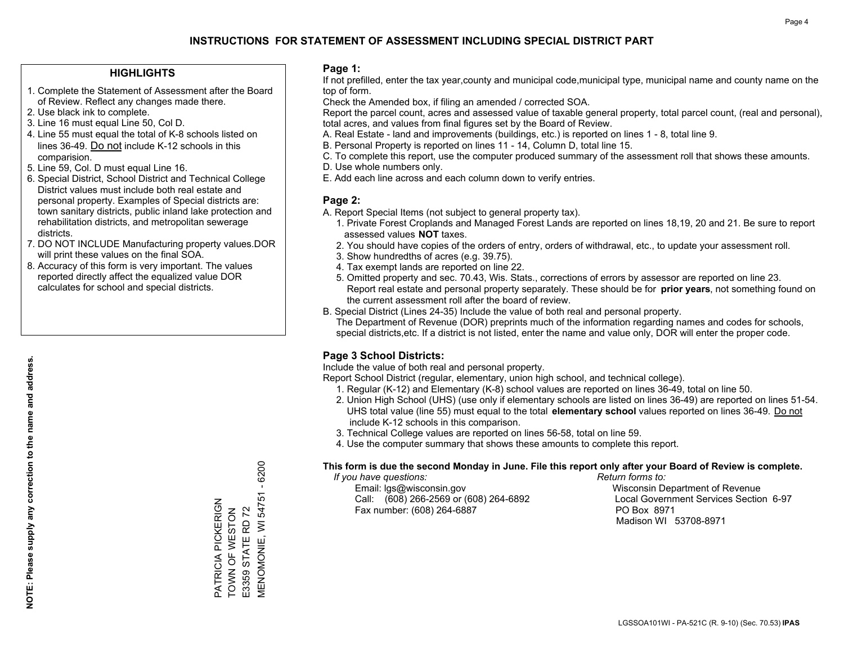## **HIGHLIGHTS**

- 1. Complete the Statement of Assessment after the Board of Review. Reflect any changes made there.
- 2. Use black ink to complete.
- 3. Line 16 must equal Line 50, Col D.
- 4. Line 55 must equal the total of K-8 schools listed on lines 36-49. Do not include K-12 schools in this comparision.
- 5. Line 59, Col. D must equal Line 16.
- 6. Special District, School District and Technical College District values must include both real estate and personal property. Examples of Special districts are: town sanitary districts, public inland lake protection and rehabilitation districts, and metropolitan sewerage districts.
- 7. DO NOT INCLUDE Manufacturing property values.DOR will print these values on the final SOA.

PATRICIA PICKERIGN TOWN OF WESTON E3359 STATE RD 72

PATRICIA PICKERIGN<br>TOWN OF WESTON E3359 STATE RD 72 MENOMONIE, WI 54751 - 6200

VIENOMONIE, WI 54751

 $-6200$ 

 8. Accuracy of this form is very important. The values reported directly affect the equalized value DOR calculates for school and special districts.

### **Page 1:**

 If not prefilled, enter the tax year,county and municipal code,municipal type, municipal name and county name on the top of form.

Check the Amended box, if filing an amended / corrected SOA.

 Report the parcel count, acres and assessed value of taxable general property, total parcel count, (real and personal), total acres, and values from final figures set by the Board of Review.

- A. Real Estate land and improvements (buildings, etc.) is reported on lines 1 8, total line 9.
- B. Personal Property is reported on lines 11 14, Column D, total line 15.
- C. To complete this report, use the computer produced summary of the assessment roll that shows these amounts.
- D. Use whole numbers only.
- E. Add each line across and each column down to verify entries.

## **Page 2:**

- A. Report Special Items (not subject to general property tax).
- 1. Private Forest Croplands and Managed Forest Lands are reported on lines 18,19, 20 and 21. Be sure to report assessed values **NOT** taxes.
- 2. You should have copies of the orders of entry, orders of withdrawal, etc., to update your assessment roll.
	- 3. Show hundredths of acres (e.g. 39.75).
- 4. Tax exempt lands are reported on line 22.
- 5. Omitted property and sec. 70.43, Wis. Stats., corrections of errors by assessor are reported on line 23. Report real estate and personal property separately. These should be for **prior years**, not something found on the current assessment roll after the board of review.
- B. Special District (Lines 24-35) Include the value of both real and personal property.

 The Department of Revenue (DOR) preprints much of the information regarding names and codes for schools, special districts,etc. If a district is not listed, enter the name and value only, DOR will enter the proper code.

## **Page 3 School Districts:**

Include the value of both real and personal property.

Report School District (regular, elementary, union high school, and technical college).

- 1. Regular (K-12) and Elementary (K-8) school values are reported on lines 36-49, total on line 50.
- 2. Union High School (UHS) (use only if elementary schools are listed on lines 36-49) are reported on lines 51-54. UHS total value (line 55) must equal to the total **elementary school** values reported on lines 36-49. Do notinclude K-12 schools in this comparison.
- 3. Technical College values are reported on lines 56-58, total on line 59.
- 4. Use the computer summary that shows these amounts to complete this report.

#### **This form is due the second Monday in June. File this report only after your Board of Review is complete.**

 *If you have questions: Return forms to:*

 Email: lgs@wisconsin.gov Wisconsin Department of RevenueCall:  $(608)$  266-2569 or  $(608)$  264-6892 Fax number: (608) 264-6887 PO Box 8971

Local Government Services Section 6-97 Madison WI 53708-8971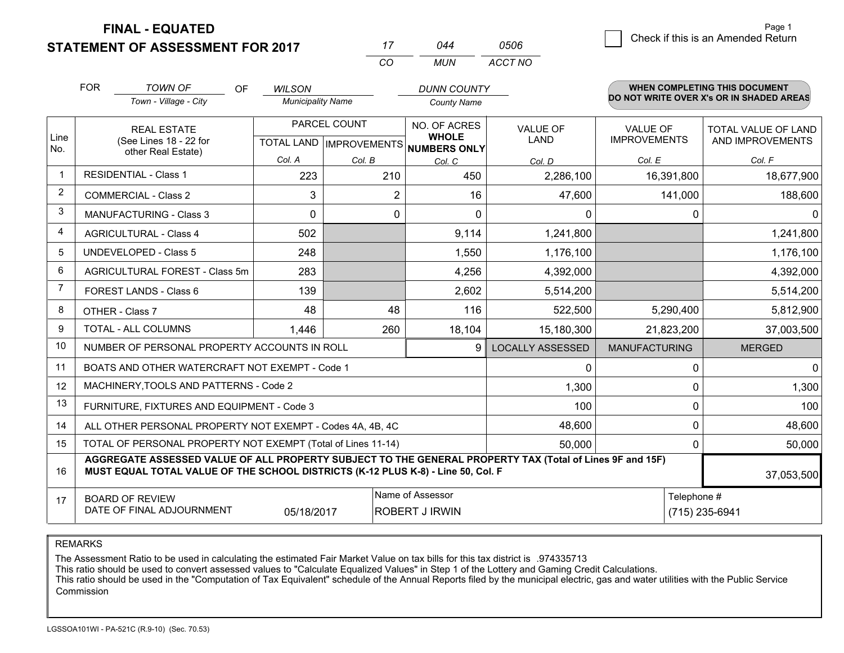**FINAL - EQUATED**

**STATEMENT OF ASSESSMENT FOR 2017** 

|   |                                    | Page 1 |
|---|------------------------------------|--------|
| 6 | Check if this is an Amended Return |        |

|                | <b>FOR</b><br><b>TOWN OF</b><br><b>OF</b><br>Town - Village - City                                                                                                                           | <b>WILSON</b><br><b>Municipality Name</b> |                                           | <b>DUNN COUNTY</b><br><b>County Name</b>                             |                                |                                        | <b>WHEN COMPLETING THIS DOCUMENT</b><br>DO NOT WRITE OVER X's OR IN SHADED AREAS |
|----------------|----------------------------------------------------------------------------------------------------------------------------------------------------------------------------------------------|-------------------------------------------|-------------------------------------------|----------------------------------------------------------------------|--------------------------------|----------------------------------------|----------------------------------------------------------------------------------|
| Line<br>No.    | <b>REAL ESTATE</b><br>(See Lines 18 - 22 for                                                                                                                                                 |                                           | PARCEL COUNT                              | NO. OF ACRES<br><b>WHOLE</b><br>TOTAL LAND IMPROVEMENTS NUMBERS ONLY | <b>VALUE OF</b><br><b>LAND</b> | <b>VALUE OF</b><br><b>IMPROVEMENTS</b> | TOTAL VALUE OF LAND<br>AND IMPROVEMENTS                                          |
|                | other Real Estate)                                                                                                                                                                           | Col. A                                    | Col. B                                    | Col. C                                                               | Col. D                         | Col. E                                 | Col. F                                                                           |
|                | <b>RESIDENTIAL - Class 1</b>                                                                                                                                                                 | 223                                       | 210                                       | 450                                                                  | 2,286,100                      | 16,391,800                             | 18,677,900                                                                       |
| 2              | <b>COMMERCIAL - Class 2</b>                                                                                                                                                                  | 3                                         | $\overline{2}$                            | 16                                                                   | 47,600                         | 141,000                                | 188,600                                                                          |
| 3              | <b>MANUFACTURING - Class 3</b>                                                                                                                                                               | 0                                         | 0                                         | 0                                                                    | 0                              | 0                                      | 0                                                                                |
| 4              | <b>AGRICULTURAL - Class 4</b>                                                                                                                                                                | 502                                       |                                           | 9,114                                                                | 1,241,800                      |                                        | 1,241,800                                                                        |
| 5              | <b>UNDEVELOPED - Class 5</b>                                                                                                                                                                 | 248                                       |                                           | 1,550                                                                | 1,176,100                      |                                        | 1,176,100                                                                        |
| 6              | AGRICULTURAL FOREST - Class 5m                                                                                                                                                               | 283                                       |                                           | 4,256                                                                | 4,392,000                      |                                        | 4,392,000                                                                        |
| $\overline{7}$ | FOREST LANDS - Class 6                                                                                                                                                                       | 139                                       |                                           | 2,602                                                                | 5,514,200                      |                                        | 5,514,200                                                                        |
| 8              | OTHER - Class 7                                                                                                                                                                              | 48                                        | 48                                        | 116                                                                  | 522,500                        | 5,290,400                              | 5,812,900                                                                        |
| 9              | TOTAL - ALL COLUMNS                                                                                                                                                                          | 1,446                                     | 260                                       | 18,104                                                               | 15,180,300                     | 21,823,200                             | 37,003,500                                                                       |
| 10             | NUMBER OF PERSONAL PROPERTY ACCOUNTS IN ROLL                                                                                                                                                 |                                           |                                           | 9                                                                    | <b>LOCALLY ASSESSED</b>        | <b>MANUFACTURING</b>                   | <b>MERGED</b>                                                                    |
| 11             | BOATS AND OTHER WATERCRAFT NOT EXEMPT - Code 1                                                                                                                                               |                                           |                                           |                                                                      | 0                              | 0                                      | $\overline{0}$                                                                   |
| 12             | MACHINERY, TOOLS AND PATTERNS - Code 2                                                                                                                                                       |                                           |                                           |                                                                      | 1,300                          | 0                                      | 1,300                                                                            |
| 13             | FURNITURE, FIXTURES AND EQUIPMENT - Code 3                                                                                                                                                   |                                           |                                           |                                                                      | 100                            | 0                                      | 100                                                                              |
| 14             | ALL OTHER PERSONAL PROPERTY NOT EXEMPT - Codes 4A, 4B, 4C                                                                                                                                    |                                           |                                           |                                                                      | 48,600                         | 0                                      | 48,600                                                                           |
| 15             | TOTAL OF PERSONAL PROPERTY NOT EXEMPT (Total of Lines 11-14)                                                                                                                                 |                                           | 50,000                                    | $\Omega$                                                             | 50,000                         |                                        |                                                                                  |
| 16             | AGGREGATE ASSESSED VALUE OF ALL PROPERTY SUBJECT TO THE GENERAL PROPERTY TAX (Total of Lines 9F and 15F)<br>MUST EQUAL TOTAL VALUE OF THE SCHOOL DISTRICTS (K-12 PLUS K-8) - Line 50, Col. F |                                           |                                           |                                                                      |                                |                                        | 37,053,500                                                                       |
| 17             | <b>BOARD OF REVIEW</b><br>DATE OF FINAL ADJOURNMENT                                                                                                                                          | 05/18/2017                                | Name of Assessor<br><b>ROBERT J IRWIN</b> |                                                                      | Telephone #                    | (715) 235-6941                         |                                                                                  |

*CO*

*MUN*

*ACCT NO0506*

*<sup>17</sup> <sup>044</sup>*

REMARKS

The Assessment Ratio to be used in calculating the estimated Fair Market Value on tax bills for this tax district is .974335713<br>This ratio should be used to convert assessed values to "Calculate Equalized Values" in Step 1 Commission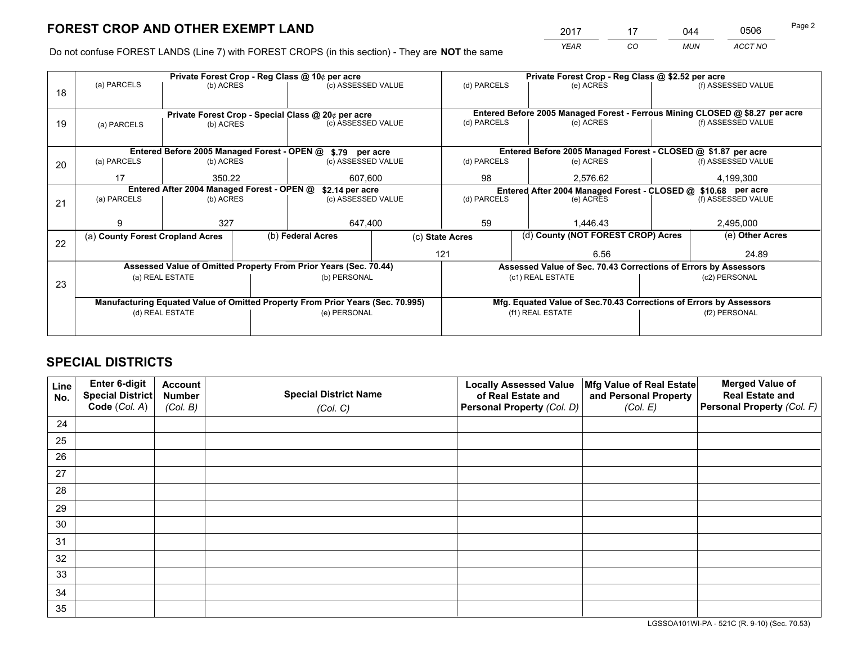*YEAR CO MUN ACCT NO* <sup>2017</sup> <sup>17</sup> <sup>044</sup> <sup>0506</sup>

Do not confuse FOREST LANDS (Line 7) with FOREST CROPS (in this section) - They are **NOT** the same

|    |                                            |                 |  | Private Forest Crop - Reg Class @ 10¢ per acre                                 |  | Private Forest Crop - Reg Class @ \$2.52 per acre             |                                                                              |  |                    |  |
|----|--------------------------------------------|-----------------|--|--------------------------------------------------------------------------------|--|---------------------------------------------------------------|------------------------------------------------------------------------------|--|--------------------|--|
| 18 | (a) PARCELS                                | (b) ACRES       |  | (c) ASSESSED VALUE                                                             |  | (d) PARCELS                                                   | (e) ACRES                                                                    |  | (f) ASSESSED VALUE |  |
|    |                                            |                 |  |                                                                                |  |                                                               |                                                                              |  |                    |  |
|    |                                            |                 |  | Private Forest Crop - Special Class @ 20¢ per acre                             |  |                                                               | Entered Before 2005 Managed Forest - Ferrous Mining CLOSED @ \$8.27 per acre |  |                    |  |
| 19 | (a) PARCELS                                | (b) ACRES       |  | (c) ASSESSED VALUE                                                             |  | (d) PARCELS                                                   | (e) ACRES                                                                    |  | (f) ASSESSED VALUE |  |
|    |                                            |                 |  |                                                                                |  |                                                               |                                                                              |  |                    |  |
|    |                                            |                 |  | Entered Before 2005 Managed Forest - OPEN @ \$.79 per acre                     |  |                                                               | Entered Before 2005 Managed Forest - CLOSED @ \$1.87 per acre                |  |                    |  |
| 20 | (a) PARCELS                                | (b) ACRES       |  | (c) ASSESSED VALUE                                                             |  | (d) PARCELS                                                   | (e) ACRES                                                                    |  | (f) ASSESSED VALUE |  |
|    | 17                                         | 350.22          |  | 607.600                                                                        |  | 98                                                            | 2.576.62                                                                     |  | 4,199,300          |  |
|    | Entered After 2004 Managed Forest - OPEN @ |                 |  | \$2.14 per acre                                                                |  | Entered After 2004 Managed Forest - CLOSED @ \$10.68 per acre |                                                                              |  |                    |  |
| 21 | (a) PARCELS                                | (b) ACRES       |  | (c) ASSESSED VALUE                                                             |  | (d) PARCELS<br>(e) ACRES                                      |                                                                              |  | (f) ASSESSED VALUE |  |
|    |                                            |                 |  |                                                                                |  |                                                               |                                                                              |  |                    |  |
|    | 9                                          | 327             |  | 647,400                                                                        |  | 59                                                            | 1.446.43                                                                     |  | 2,495,000          |  |
| 22 | (a) County Forest Cropland Acres           |                 |  | (b) Federal Acres                                                              |  | (c) State Acres                                               | (d) County (NOT FOREST CROP) Acres                                           |  | (e) Other Acres    |  |
|    |                                            |                 |  |                                                                                |  | 121                                                           | 6.56                                                                         |  | 24.89              |  |
|    |                                            |                 |  | Assessed Value of Omitted Property From Prior Years (Sec. 70.44)               |  |                                                               | Assessed Value of Sec. 70.43 Corrections of Errors by Assessors              |  |                    |  |
|    |                                            | (a) REAL ESTATE |  | (b) PERSONAL                                                                   |  |                                                               | (c1) REAL ESTATE                                                             |  | (c2) PERSONAL      |  |
| 23 |                                            |                 |  |                                                                                |  |                                                               |                                                                              |  |                    |  |
|    |                                            |                 |  | Manufacturing Equated Value of Omitted Property From Prior Years (Sec. 70.995) |  |                                                               | Mfg. Equated Value of Sec.70.43 Corrections of Errors by Assessors           |  |                    |  |
|    | (d) REAL ESTATE                            |                 |  | (e) PERSONAL                                                                   |  |                                                               | (f1) REAL ESTATE                                                             |  | (f2) PERSONAL      |  |
|    |                                            |                 |  |                                                                                |  |                                                               |                                                                              |  |                    |  |

# **SPECIAL DISTRICTS**

| Line<br>No. | Enter 6-digit<br><b>Special District</b> | <b>Account</b><br><b>Number</b> | <b>Special District Name</b> | <b>Locally Assessed Value</b><br>of Real Estate and | Mfg Value of Real Estate<br>and Personal Property | <b>Merged Value of</b><br><b>Real Estate and</b> |
|-------------|------------------------------------------|---------------------------------|------------------------------|-----------------------------------------------------|---------------------------------------------------|--------------------------------------------------|
|             | Code (Col. A)                            | (Col. B)                        | (Col. C)                     | Personal Property (Col. D)                          | (Col. E)                                          | Personal Property (Col. F)                       |
| 24          |                                          |                                 |                              |                                                     |                                                   |                                                  |
| 25          |                                          |                                 |                              |                                                     |                                                   |                                                  |
| 26          |                                          |                                 |                              |                                                     |                                                   |                                                  |
| 27          |                                          |                                 |                              |                                                     |                                                   |                                                  |
| 28          |                                          |                                 |                              |                                                     |                                                   |                                                  |
| 29          |                                          |                                 |                              |                                                     |                                                   |                                                  |
| 30          |                                          |                                 |                              |                                                     |                                                   |                                                  |
| 31          |                                          |                                 |                              |                                                     |                                                   |                                                  |
| 32          |                                          |                                 |                              |                                                     |                                                   |                                                  |
| 33          |                                          |                                 |                              |                                                     |                                                   |                                                  |
| 34          |                                          |                                 |                              |                                                     |                                                   |                                                  |
| 35          |                                          |                                 |                              |                                                     |                                                   |                                                  |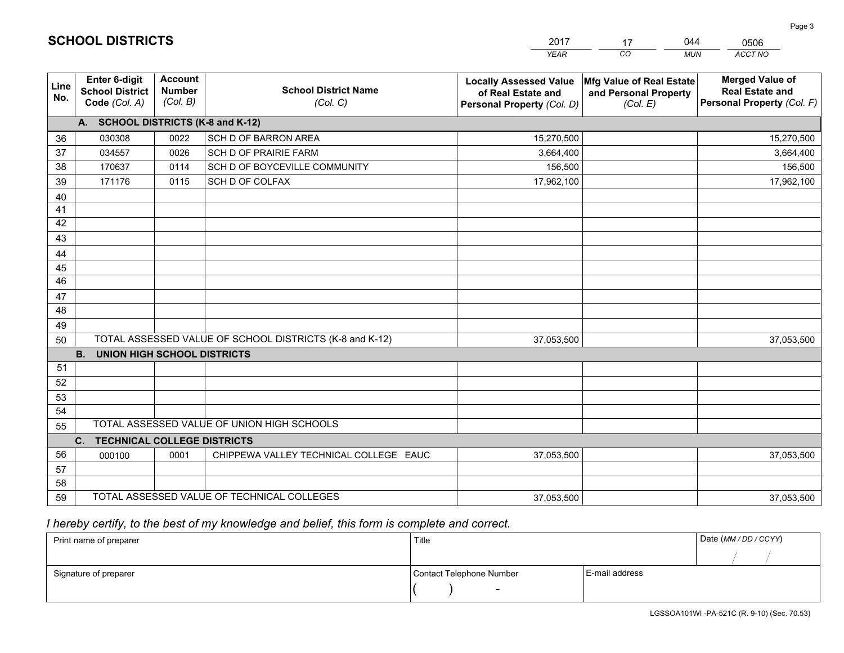|             |                                                          |                                             |                                                         | YEAR                                                                              | CO.<br><b>MUN</b>                                             | ACCT NO                                                                        |
|-------------|----------------------------------------------------------|---------------------------------------------|---------------------------------------------------------|-----------------------------------------------------------------------------------|---------------------------------------------------------------|--------------------------------------------------------------------------------|
| Line<br>No. | Enter 6-digit<br><b>School District</b><br>Code (Col. A) | <b>Account</b><br><b>Number</b><br>(Col. B) | <b>School District Name</b><br>(Col. C)                 | <b>Locally Assessed Value</b><br>of Real Estate and<br>Personal Property (Col. D) | Mfg Value of Real Estate<br>and Personal Property<br>(Col. E) | <b>Merged Value of</b><br><b>Real Estate and</b><br>Personal Property (Col. F) |
|             | A. SCHOOL DISTRICTS (K-8 and K-12)                       |                                             |                                                         |                                                                                   |                                                               |                                                                                |
| 36          | 030308                                                   | 0022                                        | SCH D OF BARRON AREA                                    | 15,270,500                                                                        |                                                               | 15,270,500                                                                     |
| 37          | 034557                                                   | 0026                                        | <b>SCH D OF PRAIRIE FARM</b>                            | 3,664,400                                                                         |                                                               | 3,664,400                                                                      |
| 38          | 170637                                                   | 0114                                        | SCH D OF BOYCEVILLE COMMUNITY                           | 156,500                                                                           |                                                               | 156,500                                                                        |
| 39          | 171176                                                   | 0115                                        | SCH D OF COLFAX                                         | 17,962,100                                                                        |                                                               | 17,962,100                                                                     |
| 40          |                                                          |                                             |                                                         |                                                                                   |                                                               |                                                                                |
| 41          |                                                          |                                             |                                                         |                                                                                   |                                                               |                                                                                |
| 42          |                                                          |                                             |                                                         |                                                                                   |                                                               |                                                                                |
| 43          |                                                          |                                             |                                                         |                                                                                   |                                                               |                                                                                |
| 44          |                                                          |                                             |                                                         |                                                                                   |                                                               |                                                                                |
| 45          |                                                          |                                             |                                                         |                                                                                   |                                                               |                                                                                |
| 46          |                                                          |                                             |                                                         |                                                                                   |                                                               |                                                                                |
| 47          |                                                          |                                             |                                                         |                                                                                   |                                                               |                                                                                |
| 48          |                                                          |                                             |                                                         |                                                                                   |                                                               |                                                                                |
| 49          |                                                          |                                             |                                                         |                                                                                   |                                                               |                                                                                |
| 50          |                                                          |                                             | TOTAL ASSESSED VALUE OF SCHOOL DISTRICTS (K-8 and K-12) | 37,053,500                                                                        |                                                               | 37,053,500                                                                     |
|             | <b>B.</b><br><b>UNION HIGH SCHOOL DISTRICTS</b>          |                                             |                                                         |                                                                                   |                                                               |                                                                                |
| 51          |                                                          |                                             |                                                         |                                                                                   |                                                               |                                                                                |
| 52          |                                                          |                                             |                                                         |                                                                                   |                                                               |                                                                                |
| 53          |                                                          |                                             |                                                         |                                                                                   |                                                               |                                                                                |
| 54          |                                                          |                                             |                                                         |                                                                                   |                                                               |                                                                                |
| 55          |                                                          |                                             | TOTAL ASSESSED VALUE OF UNION HIGH SCHOOLS              |                                                                                   |                                                               |                                                                                |
|             | C.<br><b>TECHNICAL COLLEGE DISTRICTS</b>                 |                                             |                                                         |                                                                                   |                                                               |                                                                                |
| 56          | 000100                                                   | 0001                                        | CHIPPEWA VALLEY TECHNICAL COLLEGE EAUC                  | 37,053,500                                                                        |                                                               | 37,053,500                                                                     |
| 57          |                                                          |                                             |                                                         |                                                                                   |                                                               |                                                                                |
| 58          |                                                          |                                             |                                                         |                                                                                   |                                                               |                                                                                |
| 59          |                                                          |                                             | TOTAL ASSESSED VALUE OF TECHNICAL COLLEGES              | 37,053,500                                                                        |                                                               | 37,053,500                                                                     |

17

044

 *I hereby certify, to the best of my knowledge and belief, this form is complete and correct.*

**SCHOOL DISTRICTS**

| Print name of preparer | Title                    |                | Date (MM / DD / CCYY) |
|------------------------|--------------------------|----------------|-----------------------|
|                        |                          |                |                       |
| Signature of preparer  | Contact Telephone Number | E-mail address |                       |
|                        | $\sim$                   |                |                       |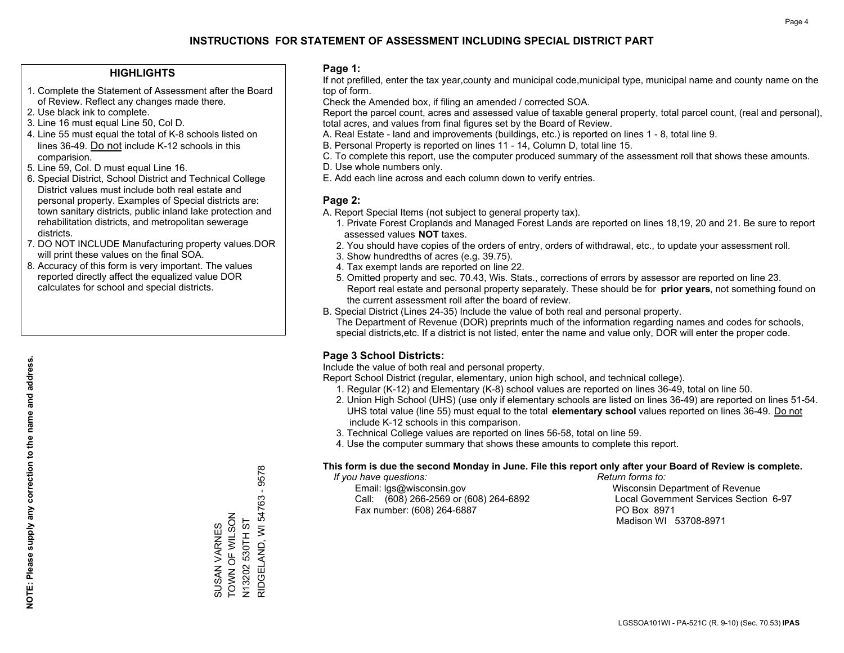## **HIGHLIGHTS**

- 1. Complete the Statement of Assessment after the Board of Review. Reflect any changes made there.
- 2. Use black ink to complete.
- 3. Line 16 must equal Line 50, Col D.
- 4. Line 55 must equal the total of K-8 schools listed on lines 36-49. Do not include K-12 schools in this comparision.
- 5. Line 59, Col. D must equal Line 16.
- 6. Special District, School District and Technical College District values must include both real estate and personal property. Examples of Special districts are: town sanitary districts, public inland lake protection and rehabilitation districts, and metropolitan sewerage districts.
- 7. DO NOT INCLUDE Manufacturing property values.DOR will print these values on the final SOA.

SUSAN VARNES TOWN OF WILSON N13202 530TH ST

SUSAN VARNES<br>TOWN OF WILSON

RIDGELAND, WI 54763 - 9578

N13202 530TH ST<br>RIDGELAND, WI 54763 - 9578

 8. Accuracy of this form is very important. The values reported directly affect the equalized value DOR calculates for school and special districts.

### **Page 1:**

 If not prefilled, enter the tax year,county and municipal code,municipal type, municipal name and county name on the top of form.

Check the Amended box, if filing an amended / corrected SOA.

 Report the parcel count, acres and assessed value of taxable general property, total parcel count, (real and personal), total acres, and values from final figures set by the Board of Review.

- A. Real Estate land and improvements (buildings, etc.) is reported on lines 1 8, total line 9.
- B. Personal Property is reported on lines 11 14, Column D, total line 15.
- C. To complete this report, use the computer produced summary of the assessment roll that shows these amounts.
- D. Use whole numbers only.
- E. Add each line across and each column down to verify entries.

### **Page 2:**

- A. Report Special Items (not subject to general property tax).
- 1. Private Forest Croplands and Managed Forest Lands are reported on lines 18,19, 20 and 21. Be sure to report assessed values **NOT** taxes.
- 2. You should have copies of the orders of entry, orders of withdrawal, etc., to update your assessment roll.
	- 3. Show hundredths of acres (e.g. 39.75).
- 4. Tax exempt lands are reported on line 22.
- 5. Omitted property and sec. 70.43, Wis. Stats., corrections of errors by assessor are reported on line 23. Report real estate and personal property separately. These should be for **prior years**, not something found on the current assessment roll after the board of review.
- B. Special District (Lines 24-35) Include the value of both real and personal property.
- The Department of Revenue (DOR) preprints much of the information regarding names and codes for schools, special districts,etc. If a district is not listed, enter the name and value only, DOR will enter the proper code.

## **Page 3 School Districts:**

Include the value of both real and personal property.

Report School District (regular, elementary, union high school, and technical college).

- 1. Regular (K-12) and Elementary (K-8) school values are reported on lines 36-49, total on line 50.
- 2. Union High School (UHS) (use only if elementary schools are listed on lines 36-49) are reported on lines 51-54. UHS total value (line 55) must equal to the total **elementary school** values reported on lines 36-49. Do notinclude K-12 schools in this comparison.
- 3. Technical College values are reported on lines 56-58, total on line 59.
- 4. Use the computer summary that shows these amounts to complete this report.

#### **This form is due the second Monday in June. File this report only after your Board of Review is complete.**

 *If you have questions: Return forms to:*

 Email: lgs@wisconsin.gov Wisconsin Department of RevenueCall:  $(608)$  266-2569 or  $(608)$  264-6892 Fax number: (608) 264-6887 PO Box 8971

Local Government Services Section 6-97 Madison WI 53708-8971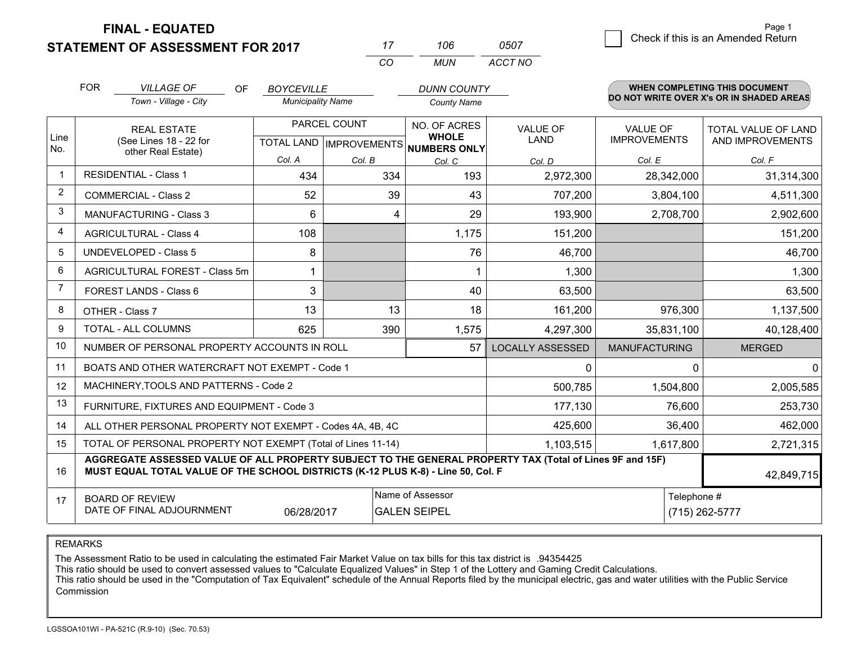**STATEMENT OF ASSESSMENT FOR 2017** 

**FINAL - EQUATED**

|             | <b>FOR</b>                                                                                                   | <b>VILLAGE OF</b><br><b>OF</b><br>Town - Village - City                                                                                                                                      | <b>BOYCEVILLE</b><br><b>Municipality Name</b> |              | <b>DUNN COUNTY</b><br><b>County Name</b>                                 |                                |                                        | WHEN COMPLETING THIS DOCUMENT<br>DO NOT WRITE OVER X's OR IN SHADED AREAS |
|-------------|--------------------------------------------------------------------------------------------------------------|----------------------------------------------------------------------------------------------------------------------------------------------------------------------------------------------|-----------------------------------------------|--------------|--------------------------------------------------------------------------|--------------------------------|----------------------------------------|---------------------------------------------------------------------------|
| Line<br>No. |                                                                                                              | <b>REAL ESTATE</b><br>(See Lines 18 - 22 for                                                                                                                                                 |                                               | PARCEL COUNT | NO. OF ACRES<br><b>WHOLE</b><br>TOTAL LAND   IMPROVEMENTS   NUMBERS ONLY | <b>VALUE OF</b><br><b>LAND</b> | <b>VALUE OF</b><br><b>IMPROVEMENTS</b> | <b>TOTAL VALUE OF LAND</b><br>AND IMPROVEMENTS                            |
|             |                                                                                                              | other Real Estate)                                                                                                                                                                           | Col. A                                        | Col. B       | Col. C                                                                   | Col. D                         | Col. E                                 | Col. F                                                                    |
|             |                                                                                                              | <b>RESIDENTIAL - Class 1</b>                                                                                                                                                                 | 434                                           | 334          | 193                                                                      | 2,972,300                      | 28,342,000                             | 31,314,300                                                                |
| 2           |                                                                                                              | <b>COMMERCIAL - Class 2</b>                                                                                                                                                                  | 52                                            | 39           | 43                                                                       | 707,200                        | 3,804,100                              | 4,511,300                                                                 |
| 3           |                                                                                                              | <b>MANUFACTURING - Class 3</b>                                                                                                                                                               | 6                                             |              | 29<br>4                                                                  | 193,900                        | 2,708,700                              | 2,902,600                                                                 |
| 4           |                                                                                                              | <b>AGRICULTURAL - Class 4</b>                                                                                                                                                                | 108                                           |              | 1,175                                                                    | 151,200                        |                                        | 151,200                                                                   |
| 5           |                                                                                                              | <b>UNDEVELOPED - Class 5</b>                                                                                                                                                                 | 8                                             |              | 76                                                                       | 46,700                         |                                        | 46,700                                                                    |
| 6           | AGRICULTURAL FOREST - Class 5m                                                                               |                                                                                                                                                                                              | 1                                             |              |                                                                          | 1,300                          |                                        | 1,300                                                                     |
| 7           |                                                                                                              | FOREST LANDS - Class 6                                                                                                                                                                       | 3                                             |              | 40                                                                       | 63,500                         |                                        | 63,500                                                                    |
| 8           |                                                                                                              | OTHER - Class 7                                                                                                                                                                              | 13                                            | 13           | 18                                                                       | 161,200                        | 976,300                                | 1,137,500                                                                 |
| 9           |                                                                                                              | <b>TOTAL - ALL COLUMNS</b>                                                                                                                                                                   | 625                                           | 390          | 1,575                                                                    | 4,297,300                      | 35,831,100                             | 40,128,400                                                                |
| 10          |                                                                                                              | NUMBER OF PERSONAL PROPERTY ACCOUNTS IN ROLL                                                                                                                                                 |                                               |              | 57                                                                       | <b>LOCALLY ASSESSED</b>        | <b>MANUFACTURING</b>                   | <b>MERGED</b>                                                             |
| 11          |                                                                                                              | BOATS AND OTHER WATERCRAFT NOT EXEMPT - Code 1                                                                                                                                               |                                               |              |                                                                          | 0                              | $\Omega$                               | $\Omega$                                                                  |
| 12          |                                                                                                              | MACHINERY, TOOLS AND PATTERNS - Code 2                                                                                                                                                       |                                               |              |                                                                          | 500,785                        | 1,504,800                              | 2,005,585                                                                 |
| 13          |                                                                                                              | FURNITURE, FIXTURES AND EQUIPMENT - Code 3                                                                                                                                                   |                                               |              |                                                                          | 177,130                        | 76,600                                 | 253,730                                                                   |
| 14          |                                                                                                              | ALL OTHER PERSONAL PROPERTY NOT EXEMPT - Codes 4A, 4B, 4C                                                                                                                                    |                                               |              |                                                                          | 425,600                        | 36,400                                 | 462,000                                                                   |
| 15          |                                                                                                              | TOTAL OF PERSONAL PROPERTY NOT EXEMPT (Total of Lines 11-14)                                                                                                                                 |                                               |              |                                                                          | 1,103,515                      | 1,617,800                              | 2,721,315                                                                 |
| 16          |                                                                                                              | AGGREGATE ASSESSED VALUE OF ALL PROPERTY SUBJECT TO THE GENERAL PROPERTY TAX (Total of Lines 9F and 15F)<br>MUST EQUAL TOTAL VALUE OF THE SCHOOL DISTRICTS (K-12 PLUS K-8) - Line 50, Col. F |                                               |              |                                                                          |                                |                                        | 42,849,715                                                                |
| 17          | Name of Assessor<br><b>BOARD OF REVIEW</b><br>DATE OF FINAL ADJOURNMENT<br>06/28/2017<br><b>GALEN SEIPEL</b> |                                                                                                                                                                                              |                                               |              |                                                                          |                                | Telephone #                            | (715) 262-5777                                                            |

*CO*

*MUN*

*ACCT NO0507*

*<sup>17</sup> <sup>106</sup>*

REMARKS

The Assessment Ratio to be used in calculating the estimated Fair Market Value on tax bills for this tax district is .94354425<br>This ratio should be used to convert assessed values to "Calculate Equalized Values" in Step 1 Commission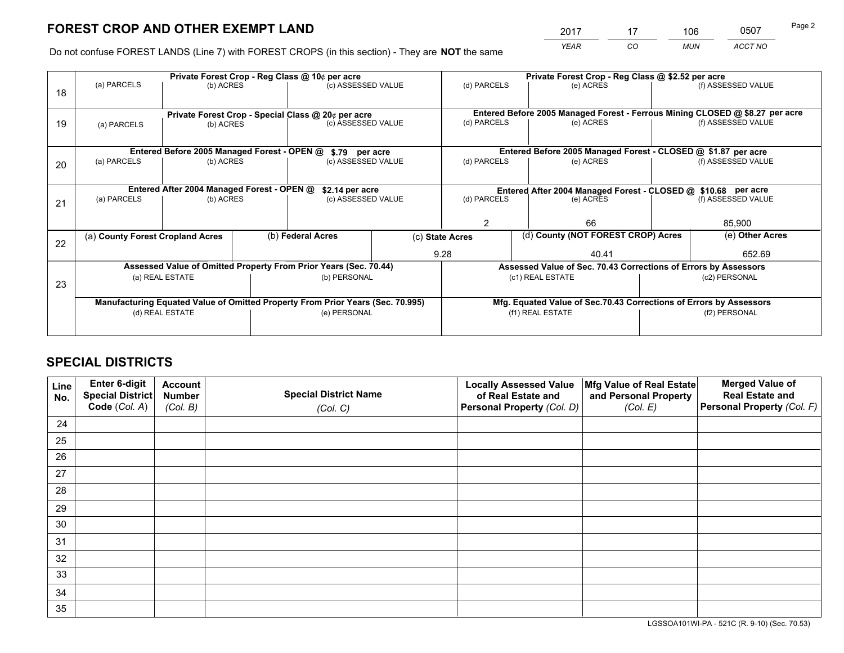*YEAR CO MUN ACCT NO* <u>2017 - 17 106 - 0507</u>

Do not confuse FOREST LANDS (Line 7) with FOREST CROPS (in this section) - They are **NOT** the same

|    |                                                                                |                                             |  | Private Forest Crop - Reg Class @ 10¢ per acre                   |                                   | Private Forest Crop - Reg Class @ \$2.52 per acre                  |                                                                                                    |               |                    |  |
|----|--------------------------------------------------------------------------------|---------------------------------------------|--|------------------------------------------------------------------|-----------------------------------|--------------------------------------------------------------------|----------------------------------------------------------------------------------------------------|---------------|--------------------|--|
| 18 | (a) PARCELS                                                                    | (b) ACRES                                   |  | (c) ASSESSED VALUE                                               |                                   | (d) PARCELS                                                        | (e) ACRES                                                                                          |               | (f) ASSESSED VALUE |  |
|    |                                                                                |                                             |  |                                                                  |                                   |                                                                    |                                                                                                    |               |                    |  |
|    |                                                                                |                                             |  | Private Forest Crop - Special Class @ 20¢ per acre               |                                   | (d) PARCELS                                                        | Entered Before 2005 Managed Forest - Ferrous Mining CLOSED @ \$8.27 per acre<br>(f) ASSESSED VALUE |               |                    |  |
| 19 | (a) PARCELS                                                                    | (b) ACRES                                   |  | (c) ASSESSED VALUE                                               |                                   |                                                                    | (e) ACRES                                                                                          |               |                    |  |
|    |                                                                                |                                             |  |                                                                  |                                   |                                                                    |                                                                                                    |               |                    |  |
|    |                                                                                | Entered Before 2005 Managed Forest - OPEN @ |  | \$.79 per acre                                                   |                                   |                                                                    | Entered Before 2005 Managed Forest - CLOSED @ \$1.87 per acre                                      |               |                    |  |
| 20 | (a) PARCELS                                                                    | (b) ACRES                                   |  | (c) ASSESSED VALUE                                               |                                   | (d) PARCELS                                                        | (e) ACRES                                                                                          |               | (f) ASSESSED VALUE |  |
|    |                                                                                |                                             |  |                                                                  |                                   |                                                                    |                                                                                                    |               |                    |  |
|    | Entered After 2004 Managed Forest - OPEN @<br>\$2.14 per acre                  |                                             |  |                                                                  |                                   |                                                                    |                                                                                                    |               |                    |  |
|    | (a) PARCELS                                                                    | (b) ACRES                                   |  |                                                                  | (c) ASSESSED VALUE<br>(d) PARCELS |                                                                    | Entered After 2004 Managed Forest - CLOSED @ \$10.68 per acre<br>(f) ASSESSED VALUE<br>(e) ACRES   |               |                    |  |
| 21 |                                                                                |                                             |  |                                                                  |                                   |                                                                    |                                                                                                    |               |                    |  |
|    |                                                                                |                                             |  |                                                                  |                                   | 2<br>66                                                            |                                                                                                    |               | 85,900             |  |
|    | (a) County Forest Cropland Acres                                               |                                             |  | (b) Federal Acres                                                |                                   | (d) County (NOT FOREST CROP) Acres<br>(c) State Acres              |                                                                                                    |               | (e) Other Acres    |  |
| 22 |                                                                                |                                             |  |                                                                  |                                   |                                                                    |                                                                                                    |               |                    |  |
|    |                                                                                |                                             |  |                                                                  |                                   | 9.28                                                               | 40.41                                                                                              |               | 652.69             |  |
|    |                                                                                |                                             |  | Assessed Value of Omitted Property From Prior Years (Sec. 70.44) |                                   |                                                                    | Assessed Value of Sec. 70.43 Corrections of Errors by Assessors                                    |               |                    |  |
| 23 |                                                                                | (a) REAL ESTATE                             |  | (b) PERSONAL                                                     |                                   |                                                                    | (c1) REAL ESTATE                                                                                   |               | (c2) PERSONAL      |  |
|    |                                                                                |                                             |  |                                                                  |                                   |                                                                    |                                                                                                    |               |                    |  |
|    | Manufacturing Equated Value of Omitted Property From Prior Years (Sec. 70.995) |                                             |  |                                                                  |                                   | Mfg. Equated Value of Sec.70.43 Corrections of Errors by Assessors |                                                                                                    |               |                    |  |
|    |                                                                                | (d) REAL ESTATE                             |  | (e) PERSONAL                                                     |                                   | (f1) REAL ESTATE                                                   |                                                                                                    | (f2) PERSONAL |                    |  |
|    |                                                                                |                                             |  |                                                                  |                                   |                                                                    |                                                                                                    |               |                    |  |
|    |                                                                                |                                             |  |                                                                  |                                   |                                                                    |                                                                                                    |               |                    |  |

# **SPECIAL DISTRICTS**

| Line<br>No. | Enter 6-digit<br><b>Special District</b> | <b>Account</b><br><b>Number</b> | <b>Special District Name</b> | <b>Locally Assessed Value</b><br>of Real Estate and | Mfg Value of Real Estate<br>and Personal Property | <b>Merged Value of</b><br><b>Real Estate and</b> |
|-------------|------------------------------------------|---------------------------------|------------------------------|-----------------------------------------------------|---------------------------------------------------|--------------------------------------------------|
|             | Code (Col. A)                            | (Col. B)                        | (Col. C)                     | Personal Property (Col. D)                          | (Col. E)                                          | Personal Property (Col. F)                       |
| 24          |                                          |                                 |                              |                                                     |                                                   |                                                  |
| 25          |                                          |                                 |                              |                                                     |                                                   |                                                  |
| 26          |                                          |                                 |                              |                                                     |                                                   |                                                  |
| 27          |                                          |                                 |                              |                                                     |                                                   |                                                  |
| 28          |                                          |                                 |                              |                                                     |                                                   |                                                  |
| 29          |                                          |                                 |                              |                                                     |                                                   |                                                  |
| 30          |                                          |                                 |                              |                                                     |                                                   |                                                  |
| 31          |                                          |                                 |                              |                                                     |                                                   |                                                  |
| 32          |                                          |                                 |                              |                                                     |                                                   |                                                  |
| 33          |                                          |                                 |                              |                                                     |                                                   |                                                  |
| 34          |                                          |                                 |                              |                                                     |                                                   |                                                  |
| 35          |                                          |                                 |                              |                                                     |                                                   |                                                  |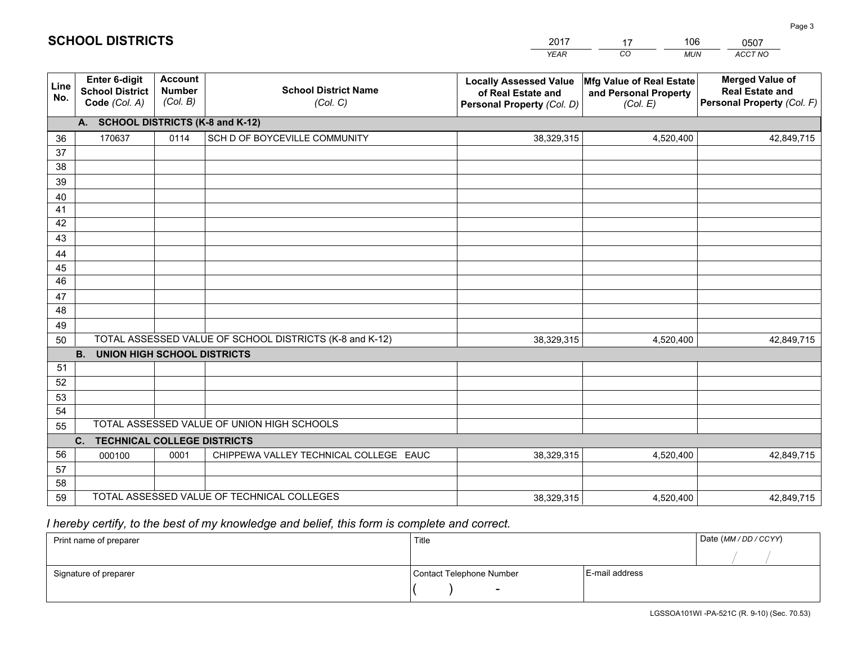|             |                                                          |                                             |                                                         | YEAR                                                                              | CO.<br><b>MUN</b>                                             | ACCT NO                                                                        |  |  |
|-------------|----------------------------------------------------------|---------------------------------------------|---------------------------------------------------------|-----------------------------------------------------------------------------------|---------------------------------------------------------------|--------------------------------------------------------------------------------|--|--|
| Line<br>No. | Enter 6-digit<br><b>School District</b><br>Code (Col. A) | <b>Account</b><br><b>Number</b><br>(Col. B) | <b>School District Name</b><br>(Col. C)                 | <b>Locally Assessed Value</b><br>of Real Estate and<br>Personal Property (Col. D) | Mfg Value of Real Estate<br>and Personal Property<br>(Col. E) | <b>Merged Value of</b><br><b>Real Estate and</b><br>Personal Property (Col. F) |  |  |
|             | A. SCHOOL DISTRICTS (K-8 and K-12)                       |                                             |                                                         |                                                                                   |                                                               |                                                                                |  |  |
| 36          | 170637                                                   | 0114                                        | SCH D OF BOYCEVILLE COMMUNITY                           | 38,329,315                                                                        | 4,520,400                                                     | 42,849,715                                                                     |  |  |
| 37          |                                                          |                                             |                                                         |                                                                                   |                                                               |                                                                                |  |  |
| 38          |                                                          |                                             |                                                         |                                                                                   |                                                               |                                                                                |  |  |
| 39          |                                                          |                                             |                                                         |                                                                                   |                                                               |                                                                                |  |  |
| 40          |                                                          |                                             |                                                         |                                                                                   |                                                               |                                                                                |  |  |
| 41<br>42    |                                                          |                                             |                                                         |                                                                                   |                                                               |                                                                                |  |  |
| 43          |                                                          |                                             |                                                         |                                                                                   |                                                               |                                                                                |  |  |
| 44          |                                                          |                                             |                                                         |                                                                                   |                                                               |                                                                                |  |  |
| 45          |                                                          |                                             |                                                         |                                                                                   |                                                               |                                                                                |  |  |
| 46          |                                                          |                                             |                                                         |                                                                                   |                                                               |                                                                                |  |  |
| 47          |                                                          |                                             |                                                         |                                                                                   |                                                               |                                                                                |  |  |
| 48          |                                                          |                                             |                                                         |                                                                                   |                                                               |                                                                                |  |  |
| 49          |                                                          |                                             |                                                         |                                                                                   |                                                               |                                                                                |  |  |
| 50          |                                                          |                                             | TOTAL ASSESSED VALUE OF SCHOOL DISTRICTS (K-8 and K-12) | 38,329,315                                                                        | 4,520,400                                                     | 42,849,715                                                                     |  |  |
|             | <b>B. UNION HIGH SCHOOL DISTRICTS</b>                    |                                             |                                                         |                                                                                   |                                                               |                                                                                |  |  |
| 51<br>52    |                                                          |                                             |                                                         |                                                                                   |                                                               |                                                                                |  |  |
| 53          |                                                          |                                             |                                                         |                                                                                   |                                                               |                                                                                |  |  |
| 54          |                                                          |                                             |                                                         |                                                                                   |                                                               |                                                                                |  |  |
| 55          |                                                          |                                             | TOTAL ASSESSED VALUE OF UNION HIGH SCHOOLS              |                                                                                   |                                                               |                                                                                |  |  |
|             | C.<br><b>TECHNICAL COLLEGE DISTRICTS</b>                 |                                             |                                                         |                                                                                   |                                                               |                                                                                |  |  |
| 56          | 000100                                                   | 0001                                        | CHIPPEWA VALLEY TECHNICAL COLLEGE EAUC                  | 38,329,315                                                                        | 4,520,400                                                     | 42,849,715                                                                     |  |  |
| 57          |                                                          |                                             |                                                         |                                                                                   |                                                               |                                                                                |  |  |
| 58          |                                                          |                                             |                                                         |                                                                                   |                                                               |                                                                                |  |  |
| 59          |                                                          |                                             | TOTAL ASSESSED VALUE OF TECHNICAL COLLEGES              | 38,329,315                                                                        | 4,520,400                                                     | 42,849,715                                                                     |  |  |

17

106

 *I hereby certify, to the best of my knowledge and belief, this form is complete and correct.*

**SCHOOL DISTRICTS**

| Print name of preparer | Title                    |                | Date (MM/DD/CCYY) |
|------------------------|--------------------------|----------------|-------------------|
|                        |                          |                |                   |
| Signature of preparer  | Contact Telephone Number | E-mail address |                   |
|                        | $\overline{\phantom{a}}$ |                |                   |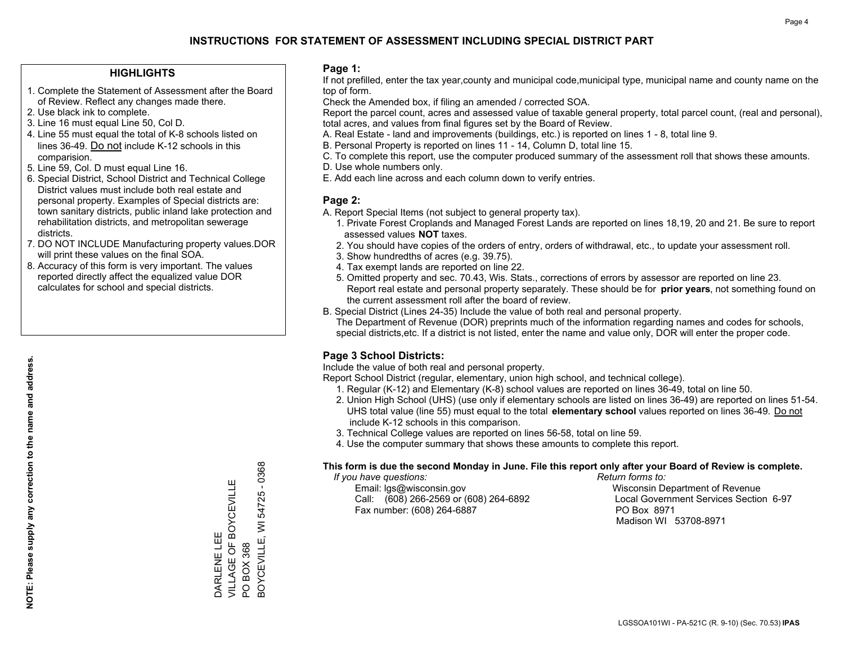## **HIGHLIGHTS**

- 1. Complete the Statement of Assessment after the Board of Review. Reflect any changes made there.
- 2. Use black ink to complete.
- 3. Line 16 must equal Line 50, Col D.
- 4. Line 55 must equal the total of K-8 schools listed on lines 36-49. Do not include K-12 schools in this comparision.
- 5. Line 59, Col. D must equal Line 16.
- 6. Special District, School District and Technical College District values must include both real estate and personal property. Examples of Special districts are: town sanitary districts, public inland lake protection and rehabilitation districts, and metropolitan sewerage districts.
- 7. DO NOT INCLUDE Manufacturing property values.DOR will print these values on the final SOA.

DARLENE LEE

DARLENE LEE

VILLAGE OF BOYCEVILLE

VILLAGE OF BOYCEVILLE

PO BOX 368

 $\overline{S}$ 

BOX 368

BOYCEVILLE, WI 54725 - 0368

3OYCEVILLE, WI 54725

 $-0368$ 

 8. Accuracy of this form is very important. The values reported directly affect the equalized value DOR calculates for school and special districts.

### **Page 1:**

 If not prefilled, enter the tax year,county and municipal code,municipal type, municipal name and county name on the top of form.

Check the Amended box, if filing an amended / corrected SOA.

 Report the parcel count, acres and assessed value of taxable general property, total parcel count, (real and personal), total acres, and values from final figures set by the Board of Review.

- A. Real Estate land and improvements (buildings, etc.) is reported on lines 1 8, total line 9.
- B. Personal Property is reported on lines 11 14, Column D, total line 15.
- C. To complete this report, use the computer produced summary of the assessment roll that shows these amounts.
- D. Use whole numbers only.
- E. Add each line across and each column down to verify entries.

## **Page 2:**

- A. Report Special Items (not subject to general property tax).
- 1. Private Forest Croplands and Managed Forest Lands are reported on lines 18,19, 20 and 21. Be sure to report assessed values **NOT** taxes.
- 2. You should have copies of the orders of entry, orders of withdrawal, etc., to update your assessment roll.
	- 3. Show hundredths of acres (e.g. 39.75).
- 4. Tax exempt lands are reported on line 22.
- 5. Omitted property and sec. 70.43, Wis. Stats., corrections of errors by assessor are reported on line 23. Report real estate and personal property separately. These should be for **prior years**, not something found on the current assessment roll after the board of review.
- B. Special District (Lines 24-35) Include the value of both real and personal property.

 The Department of Revenue (DOR) preprints much of the information regarding names and codes for schools, special districts,etc. If a district is not listed, enter the name and value only, DOR will enter the proper code.

## **Page 3 School Districts:**

Include the value of both real and personal property.

Report School District (regular, elementary, union high school, and technical college).

- 1. Regular (K-12) and Elementary (K-8) school values are reported on lines 36-49, total on line 50.
- 2. Union High School (UHS) (use only if elementary schools are listed on lines 36-49) are reported on lines 51-54. UHS total value (line 55) must equal to the total **elementary school** values reported on lines 36-49. Do notinclude K-12 schools in this comparison.
- 3. Technical College values are reported on lines 56-58, total on line 59.
- 4. Use the computer summary that shows these amounts to complete this report.

#### **This form is due the second Monday in June. File this report only after your Board of Review is complete.**

 *If you have questions: Return forms to:*

 Email: lgs@wisconsin.gov Wisconsin Department of RevenueCall:  $(608)$  266-2569 or  $(608)$  264-6892 Fax number: (608) 264-6887 PO Box 8971

Local Government Services Section 6-97 Madison WI 53708-8971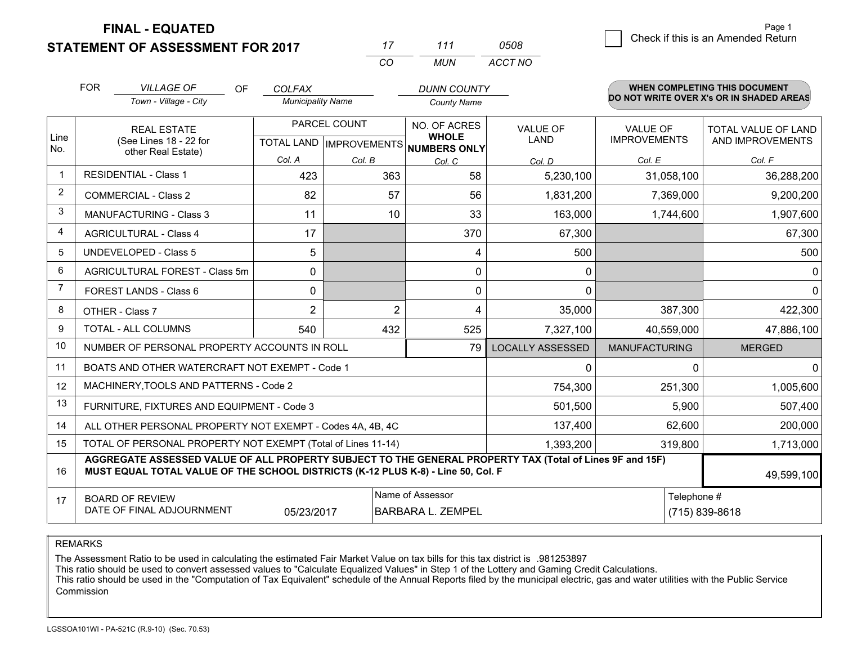**FINAL - EQUATED**

# **STATEMENT OF ASSESSMENT FOR 2017**

| 17  | 111 | 0508    |
|-----|-----|---------|
| CO. | MUN | ACCT NO |

|                | <b>FOR</b>                                                                                                                                         | <b>VILLAGE OF</b><br>OF                                                                                                                                                                      | <b>COLFAX</b>            |                | <b>DUNN COUNTY</b>                                   |                         |                      | <b>WHEN COMPLETING THIS DOCUMENT</b><br>DO NOT WRITE OVER X's OR IN SHADED AREAS |
|----------------|----------------------------------------------------------------------------------------------------------------------------------------------------|----------------------------------------------------------------------------------------------------------------------------------------------------------------------------------------------|--------------------------|----------------|------------------------------------------------------|-------------------------|----------------------|----------------------------------------------------------------------------------|
|                |                                                                                                                                                    | Town - Village - City                                                                                                                                                                        | <b>Municipality Name</b> |                | <b>County Name</b>                                   |                         |                      |                                                                                  |
|                |                                                                                                                                                    | <b>REAL ESTATE</b>                                                                                                                                                                           |                          | PARCEL COUNT   | NO. OF ACRES                                         | <b>VALUE OF</b>         | <b>VALUE OF</b>      | TOTAL VALUE OF LAND                                                              |
| Line<br>No.    |                                                                                                                                                    | (See Lines 18 - 22 for<br>other Real Estate)                                                                                                                                                 |                          |                | <b>WHOLE</b><br>TOTAL LAND IMPROVEMENTS NUMBERS ONLY | <b>LAND</b>             | <b>IMPROVEMENTS</b>  | AND IMPROVEMENTS                                                                 |
|                |                                                                                                                                                    |                                                                                                                                                                                              | Col. A                   | Col. B         | Col. C                                               | Col. D                  | Col. E               | Col. F                                                                           |
| $\mathbf 1$    |                                                                                                                                                    | <b>RESIDENTIAL - Class 1</b>                                                                                                                                                                 | 423                      | 363            | 58                                                   | 5,230,100               | 31,058,100           | 36,288,200                                                                       |
| $\overline{2}$ |                                                                                                                                                    | <b>COMMERCIAL - Class 2</b>                                                                                                                                                                  | 82                       | 57             | 56                                                   | 1,831,200               | 7,369,000            | 9,200,200                                                                        |
| 3              |                                                                                                                                                    | <b>MANUFACTURING - Class 3</b>                                                                                                                                                               | 11                       | 10             | 33                                                   | 163,000                 | 1,744,600            | 1,907,600                                                                        |
| $\overline{4}$ |                                                                                                                                                    | <b>AGRICULTURAL - Class 4</b>                                                                                                                                                                | 17                       |                | 370                                                  | 67,300                  |                      | 67,300                                                                           |
| 5              |                                                                                                                                                    | <b>UNDEVELOPED - Class 5</b>                                                                                                                                                                 | 5                        |                | 4                                                    | 500                     |                      | 500                                                                              |
| 6              |                                                                                                                                                    | AGRICULTURAL FOREST - Class 5m                                                                                                                                                               | 0                        |                | 0                                                    | 0                       |                      | 0                                                                                |
| $\overline{7}$ |                                                                                                                                                    | FOREST LANDS - Class 6                                                                                                                                                                       | 0                        |                | 0                                                    | 0                       |                      |                                                                                  |
| 8              |                                                                                                                                                    | OTHER - Class 7                                                                                                                                                                              | $\overline{2}$           | $\overline{2}$ | 4                                                    | 35,000                  | 387,300              | 422,300                                                                          |
| 9              |                                                                                                                                                    | TOTAL - ALL COLUMNS                                                                                                                                                                          | 540                      | 432            | 525                                                  | 7,327,100               | 40,559,000           | 47,886,100                                                                       |
| 10             |                                                                                                                                                    | NUMBER OF PERSONAL PROPERTY ACCOUNTS IN ROLL                                                                                                                                                 |                          |                | 79                                                   | <b>LOCALLY ASSESSED</b> | <b>MANUFACTURING</b> | <b>MERGED</b>                                                                    |
| 11             |                                                                                                                                                    | BOATS AND OTHER WATERCRAFT NOT EXEMPT - Code 1                                                                                                                                               |                          |                |                                                      | 0                       | 0                    |                                                                                  |
| 12             |                                                                                                                                                    | MACHINERY, TOOLS AND PATTERNS - Code 2                                                                                                                                                       |                          |                |                                                      | 754,300                 | 251,300              | 1,005,600                                                                        |
| 13             |                                                                                                                                                    | FURNITURE, FIXTURES AND EQUIPMENT - Code 3                                                                                                                                                   |                          |                |                                                      | 501,500                 | 5,900                | 507,400                                                                          |
| 14             |                                                                                                                                                    | ALL OTHER PERSONAL PROPERTY NOT EXEMPT - Codes 4A, 4B, 4C                                                                                                                                    |                          |                |                                                      | 137,400                 | 62,600               | 200,000                                                                          |
| 15             |                                                                                                                                                    | TOTAL OF PERSONAL PROPERTY NOT EXEMPT (Total of Lines 11-14)                                                                                                                                 |                          |                |                                                      | 1,393,200               | 319,800              | 1,713,000                                                                        |
| 16             |                                                                                                                                                    | AGGREGATE ASSESSED VALUE OF ALL PROPERTY SUBJECT TO THE GENERAL PROPERTY TAX (Total of Lines 9F and 15F)<br>MUST EQUAL TOTAL VALUE OF THE SCHOOL DISTRICTS (K-12 PLUS K-8) - Line 50, Col. F |                          |                |                                                      |                         |                      | 49,599,100                                                                       |
| 17             | Name of Assessor<br>Telephone #<br><b>BOARD OF REVIEW</b><br>DATE OF FINAL ADJOURNMENT<br><b>BARBARA L. ZEMPEL</b><br>(715) 839-8618<br>05/23/2017 |                                                                                                                                                                                              |                          |                |                                                      |                         |                      |                                                                                  |

REMARKS

The Assessment Ratio to be used in calculating the estimated Fair Market Value on tax bills for this tax district is .981253897<br>This ratio should be used to convert assessed values to "Calculate Equalized Values" in Step 1 Commission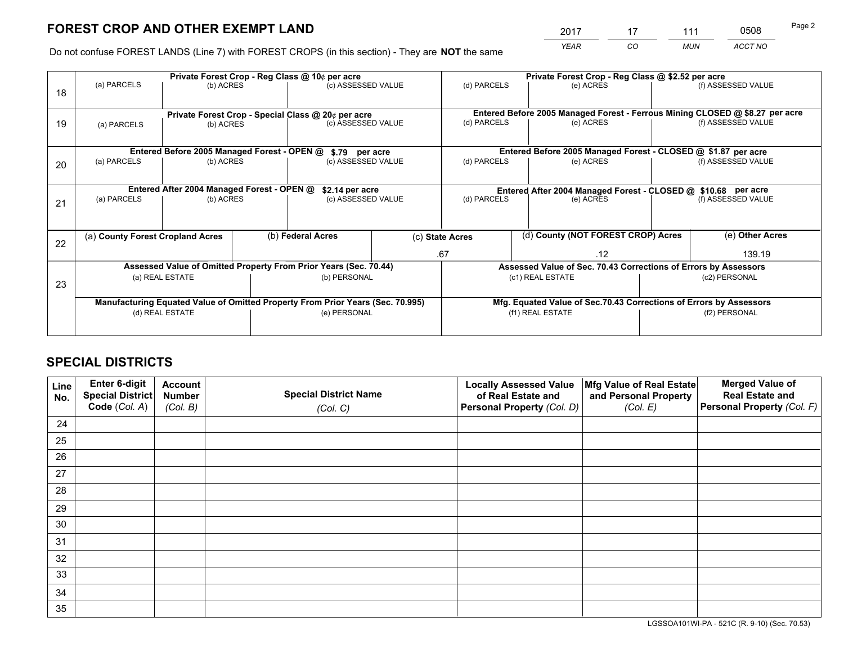*YEAR CO MUN ACCT NO* <sup>2017</sup> <sup>17</sup> <sup>111</sup> <sup>0508</sup>

Do not confuse FOREST LANDS (Line 7) with FOREST CROPS (in this section) - They are **NOT** the same

|    |                                                               |                                             |  | Private Forest Crop - Reg Class @ 10¢ per acre                                 |  | Private Forest Crop - Reg Class @ \$2.52 per acre |                                                                              |  |                    |  |
|----|---------------------------------------------------------------|---------------------------------------------|--|--------------------------------------------------------------------------------|--|---------------------------------------------------|------------------------------------------------------------------------------|--|--------------------|--|
| 18 | (a) PARCELS                                                   | (b) ACRES                                   |  | (c) ASSESSED VALUE                                                             |  | (d) PARCELS                                       | (e) ACRES                                                                    |  | (f) ASSESSED VALUE |  |
|    |                                                               |                                             |  |                                                                                |  |                                                   |                                                                              |  |                    |  |
|    |                                                               |                                             |  | Private Forest Crop - Special Class @ 20¢ per acre                             |  |                                                   | Entered Before 2005 Managed Forest - Ferrous Mining CLOSED @ \$8.27 per acre |  |                    |  |
| 19 | (a) PARCELS                                                   | (b) ACRES                                   |  | (c) ASSESSED VALUE                                                             |  | (d) PARCELS                                       | (e) ACRES                                                                    |  | (f) ASSESSED VALUE |  |
|    |                                                               |                                             |  |                                                                                |  |                                                   |                                                                              |  |                    |  |
|    |                                                               | Entered Before 2005 Managed Forest - OPEN @ |  | \$.79 per acre                                                                 |  |                                                   | Entered Before 2005 Managed Forest - CLOSED @ \$1.87 per acre                |  |                    |  |
| 20 | (a) PARCELS                                                   | (b) ACRES                                   |  | (c) ASSESSED VALUE                                                             |  | (d) PARCELS                                       | (e) ACRES                                                                    |  | (f) ASSESSED VALUE |  |
|    |                                                               |                                             |  |                                                                                |  |                                                   |                                                                              |  |                    |  |
|    | Entered After 2004 Managed Forest - OPEN @<br>\$2.14 per acre |                                             |  |                                                                                |  |                                                   | Entered After 2004 Managed Forest - CLOSED @ \$10.68 per acre                |  |                    |  |
| 21 | (a) PARCELS                                                   | (b) ACRES                                   |  | (c) ASSESSED VALUE                                                             |  | (d) PARCELS<br>(e) ACRES                          |                                                                              |  | (f) ASSESSED VALUE |  |
|    |                                                               |                                             |  |                                                                                |  |                                                   |                                                                              |  |                    |  |
|    |                                                               |                                             |  |                                                                                |  |                                                   | (d) County (NOT FOREST CROP) Acres                                           |  |                    |  |
| 22 | (a) County Forest Cropland Acres                              |                                             |  | (b) Federal Acres                                                              |  | (c) State Acres                                   |                                                                              |  | (e) Other Acres    |  |
|    |                                                               |                                             |  |                                                                                |  | .67                                               | .12                                                                          |  | 139.19             |  |
|    |                                                               |                                             |  | Assessed Value of Omitted Property From Prior Years (Sec. 70.44)               |  |                                                   | Assessed Value of Sec. 70.43 Corrections of Errors by Assessors              |  |                    |  |
| 23 |                                                               | (a) REAL ESTATE                             |  | (b) PERSONAL                                                                   |  |                                                   | (c1) REAL ESTATE                                                             |  | (c2) PERSONAL      |  |
|    |                                                               |                                             |  |                                                                                |  |                                                   |                                                                              |  |                    |  |
|    |                                                               |                                             |  | Manufacturing Equated Value of Omitted Property From Prior Years (Sec. 70.995) |  |                                                   | Mfg. Equated Value of Sec.70.43 Corrections of Errors by Assessors           |  |                    |  |
|    |                                                               | (d) REAL ESTATE                             |  | (e) PERSONAL                                                                   |  | (f1) REAL ESTATE                                  |                                                                              |  | (f2) PERSONAL      |  |
|    |                                                               |                                             |  |                                                                                |  |                                                   |                                                                              |  |                    |  |

# **SPECIAL DISTRICTS**

| Line<br>No. | Enter 6-digit<br>Special District<br>Code (Col. A) | <b>Account</b><br><b>Number</b> | <b>Special District Name</b> | <b>Locally Assessed Value</b><br>of Real Estate and | Mfg Value of Real Estate<br>and Personal Property | <b>Merged Value of</b><br><b>Real Estate and</b><br>Personal Property (Col. F) |
|-------------|----------------------------------------------------|---------------------------------|------------------------------|-----------------------------------------------------|---------------------------------------------------|--------------------------------------------------------------------------------|
|             |                                                    | (Col. B)                        | (Col. C)                     | Personal Property (Col. D)                          | (Col. E)                                          |                                                                                |
| 24          |                                                    |                                 |                              |                                                     |                                                   |                                                                                |
| 25          |                                                    |                                 |                              |                                                     |                                                   |                                                                                |
| 26          |                                                    |                                 |                              |                                                     |                                                   |                                                                                |
| 27          |                                                    |                                 |                              |                                                     |                                                   |                                                                                |
| 28          |                                                    |                                 |                              |                                                     |                                                   |                                                                                |
| 29          |                                                    |                                 |                              |                                                     |                                                   |                                                                                |
| 30          |                                                    |                                 |                              |                                                     |                                                   |                                                                                |
| 31          |                                                    |                                 |                              |                                                     |                                                   |                                                                                |
| 32          |                                                    |                                 |                              |                                                     |                                                   |                                                                                |
| 33          |                                                    |                                 |                              |                                                     |                                                   |                                                                                |
| 34          |                                                    |                                 |                              |                                                     |                                                   |                                                                                |
| 35          |                                                    |                                 |                              |                                                     |                                                   |                                                                                |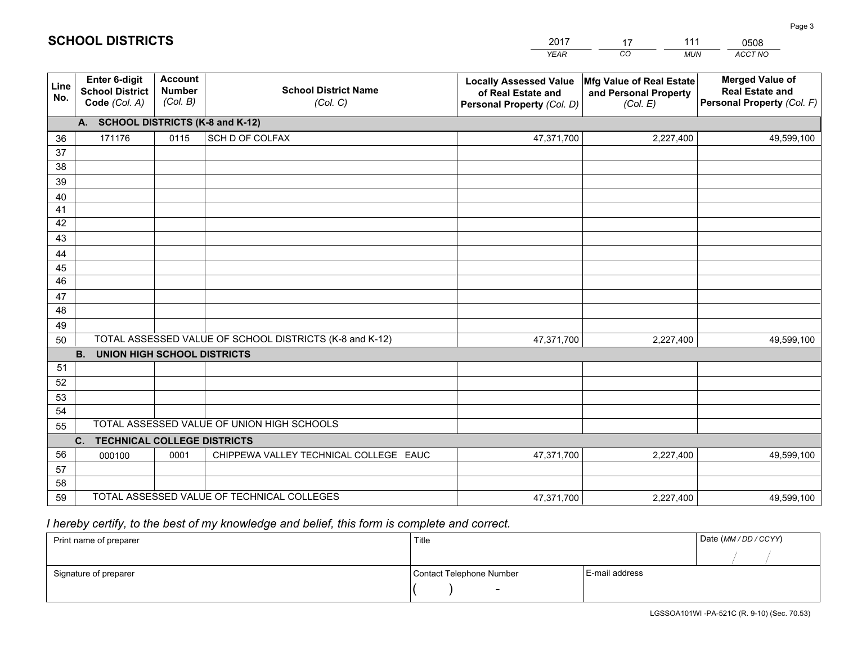| <b>Account</b><br><b>Merged Value of</b><br>Enter 6-digit<br><b>Locally Assessed Value</b><br>Mfg Value of Real Estate<br>Line<br><b>School District Name</b><br><b>Number</b><br><b>School District</b><br><b>Real Estate and</b><br>of Real Estate and<br>and Personal Property<br>No.<br>(Col. B)<br>Personal Property (Col. F)<br>Code (Col. A)<br>(Col. C)<br>Personal Property (Col. D)<br>(Col. E)<br>A. SCHOOL DISTRICTS (K-8 and K-12)<br>SCH D OF COLFAX<br>171176<br>0115<br>47,371,700<br>2,227,400<br>36<br>49,599,100<br>37<br>38<br>39<br>40<br>41<br>42<br>43<br>44<br>45<br>46<br>47<br>48<br>49<br>TOTAL ASSESSED VALUE OF SCHOOL DISTRICTS (K-8 and K-12)<br>50<br>47,371,700<br>2,227,400<br>49,599,100<br><b>B. UNION HIGH SCHOOL DISTRICTS</b><br>51<br>52<br>53<br>54<br>TOTAL ASSESSED VALUE OF UNION HIGH SCHOOLS<br>55<br>$C_{1}$<br><b>TECHNICAL COLLEGE DISTRICTS</b><br>56<br>CHIPPEWA VALLEY TECHNICAL COLLEGE EAUC<br>0001<br>47,371,700<br>2,227,400<br>000100<br>49,599,100<br>57<br>58<br>TOTAL ASSESSED VALUE OF TECHNICAL COLLEGES<br>59 |  |  | YEAR       | CO.<br><b>MUN</b> | ACCT NO    |
|------------------------------------------------------------------------------------------------------------------------------------------------------------------------------------------------------------------------------------------------------------------------------------------------------------------------------------------------------------------------------------------------------------------------------------------------------------------------------------------------------------------------------------------------------------------------------------------------------------------------------------------------------------------------------------------------------------------------------------------------------------------------------------------------------------------------------------------------------------------------------------------------------------------------------------------------------------------------------------------------------------------------------------------------------------------------------|--|--|------------|-------------------|------------|
|                                                                                                                                                                                                                                                                                                                                                                                                                                                                                                                                                                                                                                                                                                                                                                                                                                                                                                                                                                                                                                                                              |  |  |            |                   |            |
|                                                                                                                                                                                                                                                                                                                                                                                                                                                                                                                                                                                                                                                                                                                                                                                                                                                                                                                                                                                                                                                                              |  |  |            |                   |            |
|                                                                                                                                                                                                                                                                                                                                                                                                                                                                                                                                                                                                                                                                                                                                                                                                                                                                                                                                                                                                                                                                              |  |  |            |                   |            |
|                                                                                                                                                                                                                                                                                                                                                                                                                                                                                                                                                                                                                                                                                                                                                                                                                                                                                                                                                                                                                                                                              |  |  |            |                   |            |
|                                                                                                                                                                                                                                                                                                                                                                                                                                                                                                                                                                                                                                                                                                                                                                                                                                                                                                                                                                                                                                                                              |  |  |            |                   |            |
|                                                                                                                                                                                                                                                                                                                                                                                                                                                                                                                                                                                                                                                                                                                                                                                                                                                                                                                                                                                                                                                                              |  |  |            |                   |            |
|                                                                                                                                                                                                                                                                                                                                                                                                                                                                                                                                                                                                                                                                                                                                                                                                                                                                                                                                                                                                                                                                              |  |  |            |                   |            |
|                                                                                                                                                                                                                                                                                                                                                                                                                                                                                                                                                                                                                                                                                                                                                                                                                                                                                                                                                                                                                                                                              |  |  |            |                   |            |
|                                                                                                                                                                                                                                                                                                                                                                                                                                                                                                                                                                                                                                                                                                                                                                                                                                                                                                                                                                                                                                                                              |  |  |            |                   |            |
|                                                                                                                                                                                                                                                                                                                                                                                                                                                                                                                                                                                                                                                                                                                                                                                                                                                                                                                                                                                                                                                                              |  |  |            |                   |            |
|                                                                                                                                                                                                                                                                                                                                                                                                                                                                                                                                                                                                                                                                                                                                                                                                                                                                                                                                                                                                                                                                              |  |  |            |                   |            |
|                                                                                                                                                                                                                                                                                                                                                                                                                                                                                                                                                                                                                                                                                                                                                                                                                                                                                                                                                                                                                                                                              |  |  |            |                   |            |
|                                                                                                                                                                                                                                                                                                                                                                                                                                                                                                                                                                                                                                                                                                                                                                                                                                                                                                                                                                                                                                                                              |  |  |            |                   |            |
|                                                                                                                                                                                                                                                                                                                                                                                                                                                                                                                                                                                                                                                                                                                                                                                                                                                                                                                                                                                                                                                                              |  |  |            |                   |            |
|                                                                                                                                                                                                                                                                                                                                                                                                                                                                                                                                                                                                                                                                                                                                                                                                                                                                                                                                                                                                                                                                              |  |  |            |                   |            |
|                                                                                                                                                                                                                                                                                                                                                                                                                                                                                                                                                                                                                                                                                                                                                                                                                                                                                                                                                                                                                                                                              |  |  |            |                   |            |
|                                                                                                                                                                                                                                                                                                                                                                                                                                                                                                                                                                                                                                                                                                                                                                                                                                                                                                                                                                                                                                                                              |  |  |            |                   |            |
|                                                                                                                                                                                                                                                                                                                                                                                                                                                                                                                                                                                                                                                                                                                                                                                                                                                                                                                                                                                                                                                                              |  |  |            |                   |            |
|                                                                                                                                                                                                                                                                                                                                                                                                                                                                                                                                                                                                                                                                                                                                                                                                                                                                                                                                                                                                                                                                              |  |  |            |                   |            |
|                                                                                                                                                                                                                                                                                                                                                                                                                                                                                                                                                                                                                                                                                                                                                                                                                                                                                                                                                                                                                                                                              |  |  |            |                   |            |
|                                                                                                                                                                                                                                                                                                                                                                                                                                                                                                                                                                                                                                                                                                                                                                                                                                                                                                                                                                                                                                                                              |  |  |            |                   |            |
|                                                                                                                                                                                                                                                                                                                                                                                                                                                                                                                                                                                                                                                                                                                                                                                                                                                                                                                                                                                                                                                                              |  |  |            |                   |            |
|                                                                                                                                                                                                                                                                                                                                                                                                                                                                                                                                                                                                                                                                                                                                                                                                                                                                                                                                                                                                                                                                              |  |  |            |                   |            |
|                                                                                                                                                                                                                                                                                                                                                                                                                                                                                                                                                                                                                                                                                                                                                                                                                                                                                                                                                                                                                                                                              |  |  |            |                   |            |
|                                                                                                                                                                                                                                                                                                                                                                                                                                                                                                                                                                                                                                                                                                                                                                                                                                                                                                                                                                                                                                                                              |  |  |            |                   |            |
|                                                                                                                                                                                                                                                                                                                                                                                                                                                                                                                                                                                                                                                                                                                                                                                                                                                                                                                                                                                                                                                                              |  |  | 47,371,700 | 2,227,400         | 49,599,100 |

17

111

 *I hereby certify, to the best of my knowledge and belief, this form is complete and correct.*

**SCHOOL DISTRICTS**

| Print name of preparer | Title                    |                | Date (MM / DD / CCYY) |
|------------------------|--------------------------|----------------|-----------------------|
|                        |                          |                |                       |
| Signature of preparer  | Contact Telephone Number | E-mail address |                       |
|                        | $\sim$                   |                |                       |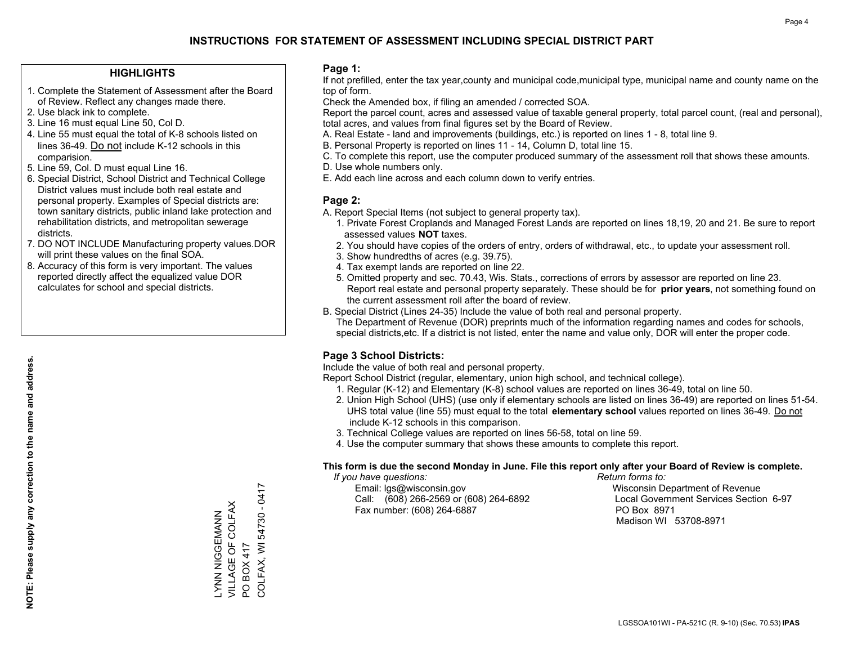## **HIGHLIGHTS**

- 1. Complete the Statement of Assessment after the Board of Review. Reflect any changes made there.
- 2. Use black ink to complete.
- 3. Line 16 must equal Line 50, Col D.
- 4. Line 55 must equal the total of K-8 schools listed on lines 36-49. Do not include K-12 schools in this comparision.
- 5. Line 59, Col. D must equal Line 16.
- 6. Special District, School District and Technical College District values must include both real estate and personal property. Examples of Special districts are: town sanitary districts, public inland lake protection and rehabilitation districts, and metropolitan sewerage districts.
- 7. DO NOT INCLUDE Manufacturing property values.DOR will print these values on the final SOA.
- 8. Accuracy of this form is very important. The values reported directly affect the equalized value DOR calculates for school and special districts.

### **Page 1:**

 If not prefilled, enter the tax year,county and municipal code,municipal type, municipal name and county name on the top of form.

Check the Amended box, if filing an amended / corrected SOA.

 Report the parcel count, acres and assessed value of taxable general property, total parcel count, (real and personal), total acres, and values from final figures set by the Board of Review.

- A. Real Estate land and improvements (buildings, etc.) is reported on lines 1 8, total line 9.
- B. Personal Property is reported on lines 11 14, Column D, total line 15.
- C. To complete this report, use the computer produced summary of the assessment roll that shows these amounts.
- D. Use whole numbers only.
- E. Add each line across and each column down to verify entries.

## **Page 2:**

- A. Report Special Items (not subject to general property tax).
- 1. Private Forest Croplands and Managed Forest Lands are reported on lines 18,19, 20 and 21. Be sure to report assessed values **NOT** taxes.
- 2. You should have copies of the orders of entry, orders of withdrawal, etc., to update your assessment roll.
	- 3. Show hundredths of acres (e.g. 39.75).
- 4. Tax exempt lands are reported on line 22.
- 5. Omitted property and sec. 70.43, Wis. Stats., corrections of errors by assessor are reported on line 23. Report real estate and personal property separately. These should be for **prior years**, not something found on the current assessment roll after the board of review.
- B. Special District (Lines 24-35) Include the value of both real and personal property.
- The Department of Revenue (DOR) preprints much of the information regarding names and codes for schools, special districts,etc. If a district is not listed, enter the name and value only, DOR will enter the proper code.

## **Page 3 School Districts:**

Include the value of both real and personal property.

Report School District (regular, elementary, union high school, and technical college).

- 1. Regular (K-12) and Elementary (K-8) school values are reported on lines 36-49, total on line 50.
- 2. Union High School (UHS) (use only if elementary schools are listed on lines 36-49) are reported on lines 51-54. UHS total value (line 55) must equal to the total **elementary school** values reported on lines 36-49. Do notinclude K-12 schools in this comparison.
- 3. Technical College values are reported on lines 56-58, total on line 59.
- 4. Use the computer summary that shows these amounts to complete this report.

#### **This form is due the second Monday in June. File this report only after your Board of Review is complete.**

 *If you have questions: Return forms to:*

 Email: lgs@wisconsin.gov Wisconsin Department of RevenueCall:  $(608)$  266-2569 or  $(608)$  264-6892 Fax number: (608) 264-6887 PO Box 8971

Local Government Services Section 6-97 Madison WI 53708-8971

COLFAX, WI 54730 - 0417 COLFAX, WI 54730 - 0417 VILLAGE OF COLFAX LYNN NIGGEMANN<br>VILLAGE OF COLFAX ZZYMIUGUN ZZYJ PO BOX 417 PO BOX 417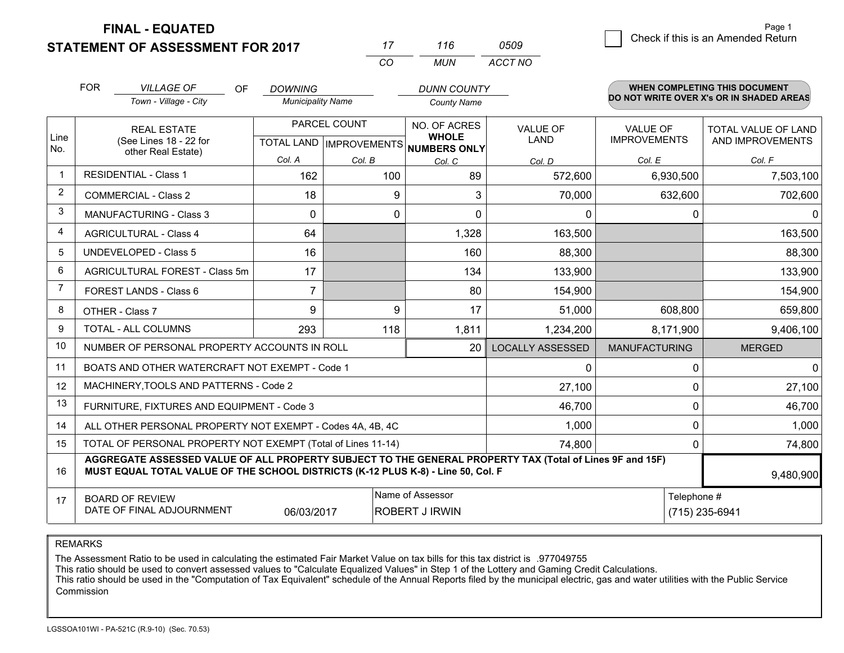**STATEMENT OF ASSESSMENT FOR 2017 FINAL - EQUATED**

|                | <b>FOR</b>                                                                         | <b>VILLAGE OF</b><br>OF.                                                                                                                                                                     | <b>DOWNING</b>           |                           | <b>DUNN COUNTY</b>                  |                         |                      | WHEN COMPLETING THIS DOCUMENT            |
|----------------|------------------------------------------------------------------------------------|----------------------------------------------------------------------------------------------------------------------------------------------------------------------------------------------|--------------------------|---------------------------|-------------------------------------|-------------------------|----------------------|------------------------------------------|
|                |                                                                                    | Town - Village - City                                                                                                                                                                        | <b>Municipality Name</b> |                           | <b>County Name</b>                  |                         |                      | DO NOT WRITE OVER X's OR IN SHADED AREAS |
|                |                                                                                    | <b>REAL ESTATE</b>                                                                                                                                                                           |                          | PARCEL COUNT              | NO. OF ACRES                        | <b>VALUE OF</b>         | <b>VALUE OF</b>      | TOTAL VALUE OF LAND                      |
| Line<br>No.    |                                                                                    | (See Lines 18 - 22 for<br>other Real Estate)                                                                                                                                                 |                          | TOTAL LAND   IMPROVEMENTS | <b>WHOLE</b><br><b>NUMBERS ONLY</b> | <b>LAND</b>             | <b>IMPROVEMENTS</b>  | AND IMPROVEMENTS                         |
|                |                                                                                    |                                                                                                                                                                                              | Col. A                   | Col. B                    | Col. C                              | Col. D                  | Col. E               | Col. F                                   |
|                |                                                                                    | <b>RESIDENTIAL - Class 1</b>                                                                                                                                                                 | 162                      | 100                       | 89                                  | 572,600                 | 6,930,500            | 7,503,100                                |
| 2              |                                                                                    | <b>COMMERCIAL - Class 2</b>                                                                                                                                                                  | 18                       |                           | 3<br>9                              | 70,000                  | 632,600              | 702,600                                  |
| 3              |                                                                                    | <b>MANUFACTURING - Class 3</b>                                                                                                                                                               | $\Omega$                 |                           | $\Omega$<br>$\mathbf{0}$            | $\Omega$                | 0                    |                                          |
| 4              |                                                                                    | <b>AGRICULTURAL - Class 4</b>                                                                                                                                                                | 64                       |                           | 1,328                               | 163,500                 |                      | 163,500                                  |
| 5              |                                                                                    | <b>UNDEVELOPED - Class 5</b>                                                                                                                                                                 | 16                       |                           | 160                                 | 88,300                  |                      | 88,300                                   |
| 6              |                                                                                    | AGRICULTURAL FOREST - Class 5m                                                                                                                                                               | 17                       |                           | 134                                 | 133,900                 |                      | 133,900                                  |
| $\overline{7}$ |                                                                                    | FOREST LANDS - Class 6                                                                                                                                                                       | $\overline{7}$           |                           | 80                                  | 154,900                 |                      | 154,900                                  |
| 8              |                                                                                    | OTHER - Class 7                                                                                                                                                                              | 9                        |                           | 9<br>17                             | 51,000                  | 608,800              | 659,800                                  |
| 9              |                                                                                    | <b>TOTAL - ALL COLUMNS</b>                                                                                                                                                                   | 293                      | 118                       | 1,811                               | 1,234,200               | 8,171,900            | 9,406,100                                |
| 10             |                                                                                    | NUMBER OF PERSONAL PROPERTY ACCOUNTS IN ROLL                                                                                                                                                 |                          |                           | 20                                  | <b>LOCALLY ASSESSED</b> | <b>MANUFACTURING</b> | <b>MERGED</b>                            |
| 11             |                                                                                    | BOATS AND OTHER WATERCRAFT NOT EXEMPT - Code 1                                                                                                                                               |                          |                           |                                     | 0                       | 0                    |                                          |
| 12             |                                                                                    | MACHINERY, TOOLS AND PATTERNS - Code 2                                                                                                                                                       |                          |                           |                                     | 27,100                  | 0                    | 27,100                                   |
| 13             |                                                                                    | FURNITURE, FIXTURES AND EQUIPMENT - Code 3                                                                                                                                                   |                          |                           |                                     | 46,700                  | 0                    | 46,700                                   |
| 14             |                                                                                    | ALL OTHER PERSONAL PROPERTY NOT EXEMPT - Codes 4A, 4B, 4C                                                                                                                                    |                          |                           |                                     | 1,000                   | 0                    | 1,000                                    |
| 15             |                                                                                    | TOTAL OF PERSONAL PROPERTY NOT EXEMPT (Total of Lines 11-14)                                                                                                                                 |                          |                           |                                     | 74,800                  | 0                    | 74,800                                   |
| 16             |                                                                                    | AGGREGATE ASSESSED VALUE OF ALL PROPERTY SUBJECT TO THE GENERAL PROPERTY TAX (Total of Lines 9F and 15F)<br>MUST EQUAL TOTAL VALUE OF THE SCHOOL DISTRICTS (K-12 PLUS K-8) - Line 50, Col. F |                          |                           |                                     |                         |                      | 9,480,900                                |
| 17             |                                                                                    | <b>BOARD OF REVIEW</b>                                                                                                                                                                       |                          |                           | Name of Assessor                    |                         | Telephone #          |                                          |
|                | DATE OF FINAL ADJOURNMENT<br>(715) 235-6941<br>06/03/2017<br><b>ROBERT J IRWIN</b> |                                                                                                                                                                                              |                          |                           |                                     |                         |                      |                                          |

*CO*

*MUN*

*ACCT NO0509*

*<sup>17</sup> <sup>116</sup>*

REMARKS

The Assessment Ratio to be used in calculating the estimated Fair Market Value on tax bills for this tax district is .977049755<br>This ratio should be used to convert assessed values to "Calculate Equalized Values" in Step 1 Commission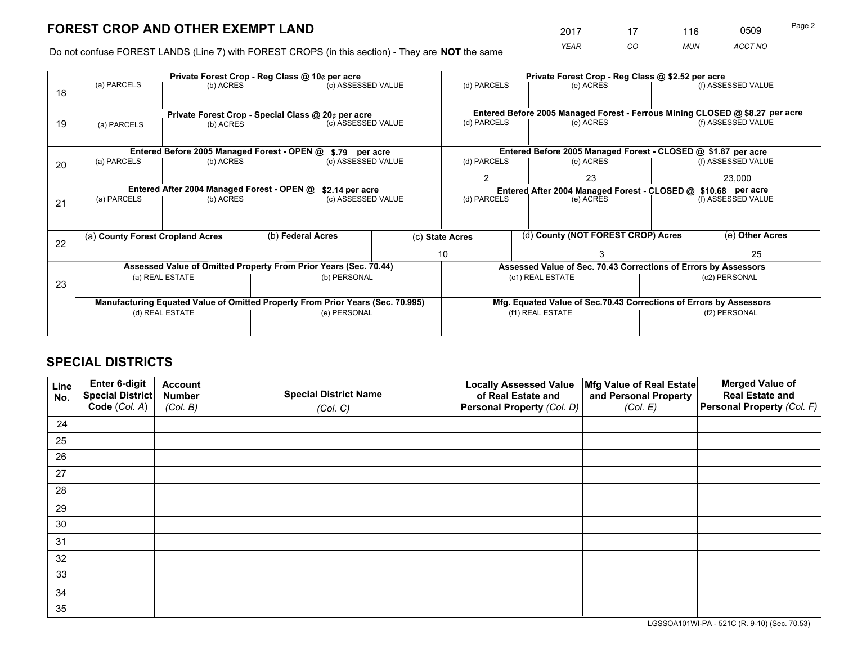*YEAR CO MUN ACCT NO* <sup>2017</sup> <sup>17</sup> <sup>116</sup> <sup>0509</sup>

Do not confuse FOREST LANDS (Line 7) with FOREST CROPS (in this section) - They are **NOT** the same

|    |                                                                                |                                                    |  | Private Forest Crop - Reg Class @ 10¢ per acre                   |                                   | Private Forest Crop - Reg Class @ \$2.52 per acre                            |  |                                                                    |               |                    |
|----|--------------------------------------------------------------------------------|----------------------------------------------------|--|------------------------------------------------------------------|-----------------------------------|------------------------------------------------------------------------------|--|--------------------------------------------------------------------|---------------|--------------------|
| 18 | (a) PARCELS                                                                    | (b) ACRES                                          |  | (c) ASSESSED VALUE                                               |                                   | (d) PARCELS                                                                  |  | (e) ACRES                                                          |               | (f) ASSESSED VALUE |
|    |                                                                                | Private Forest Crop - Special Class @ 20¢ per acre |  |                                                                  |                                   | Entered Before 2005 Managed Forest - Ferrous Mining CLOSED @ \$8.27 per acre |  |                                                                    |               |                    |
| 19 | (a) PARCELS                                                                    | (b) ACRES                                          |  | (c) ASSESSED VALUE                                               |                                   | (d) PARCELS                                                                  |  | (e) ACRES                                                          |               | (f) ASSESSED VALUE |
|    |                                                                                | Entered Before 2005 Managed Forest - OPEN @        |  | \$.79 per acre                                                   |                                   |                                                                              |  | Entered Before 2005 Managed Forest - CLOSED @ \$1.87 per acre      |               |                    |
| 20 | (a) PARCELS                                                                    | (b) ACRES                                          |  | (c) ASSESSED VALUE                                               |                                   | (d) PARCELS                                                                  |  | (e) ACRES                                                          |               | (f) ASSESSED VALUE |
|    |                                                                                |                                                    |  |                                                                  | 23<br>2                           |                                                                              |  | 23,000                                                             |               |                    |
|    | Entered After 2004 Managed Forest - OPEN @<br>\$2.14 per acre                  |                                                    |  |                                                                  |                                   |                                                                              |  | Entered After 2004 Managed Forest - CLOSED @ \$10.68 per acre      |               |                    |
| 21 | (a) PARCELS                                                                    | (b) ACRES                                          |  |                                                                  | (d) PARCELS<br>(c) ASSESSED VALUE |                                                                              |  | (e) ACRES                                                          |               | (f) ASSESSED VALUE |
|    |                                                                                |                                                    |  |                                                                  |                                   |                                                                              |  |                                                                    |               |                    |
| 22 | (a) County Forest Cropland Acres                                               |                                                    |  | (b) Federal Acres                                                |                                   | (d) County (NOT FOREST CROP) Acres<br>(c) State Acres                        |  |                                                                    |               | (e) Other Acres    |
|    |                                                                                |                                                    |  |                                                                  |                                   | 10                                                                           |  |                                                                    |               | 25                 |
|    |                                                                                |                                                    |  | Assessed Value of Omitted Property From Prior Years (Sec. 70.44) |                                   |                                                                              |  | Assessed Value of Sec. 70.43 Corrections of Errors by Assessors    |               |                    |
| 23 |                                                                                | (a) REAL ESTATE                                    |  | (b) PERSONAL                                                     |                                   |                                                                              |  | (c1) REAL ESTATE                                                   |               | (c2) PERSONAL      |
|    |                                                                                |                                                    |  |                                                                  |                                   |                                                                              |  |                                                                    |               |                    |
|    | Manufacturing Equated Value of Omitted Property From Prior Years (Sec. 70.995) |                                                    |  |                                                                  |                                   |                                                                              |  | Mfg. Equated Value of Sec.70.43 Corrections of Errors by Assessors |               |                    |
|    | (d) REAL ESTATE                                                                |                                                    |  | (e) PERSONAL                                                     |                                   |                                                                              |  | (f1) REAL ESTATE                                                   | (f2) PERSONAL |                    |
|    |                                                                                |                                                    |  |                                                                  |                                   |                                                                              |  |                                                                    |               |                    |

# **SPECIAL DISTRICTS**

| Line<br>No. | Enter 6-digit<br>Special District<br>Code (Col. A) | <b>Account</b><br><b>Number</b> | <b>Special District Name</b> | <b>Locally Assessed Value</b><br>of Real Estate and | Mfg Value of Real Estate<br>and Personal Property | <b>Merged Value of</b><br><b>Real Estate and</b><br>Personal Property (Col. F) |
|-------------|----------------------------------------------------|---------------------------------|------------------------------|-----------------------------------------------------|---------------------------------------------------|--------------------------------------------------------------------------------|
|             |                                                    | (Col. B)                        | (Col. C)                     | Personal Property (Col. D)                          | (Col. E)                                          |                                                                                |
| 24          |                                                    |                                 |                              |                                                     |                                                   |                                                                                |
| 25          |                                                    |                                 |                              |                                                     |                                                   |                                                                                |
| 26          |                                                    |                                 |                              |                                                     |                                                   |                                                                                |
| 27          |                                                    |                                 |                              |                                                     |                                                   |                                                                                |
| 28          |                                                    |                                 |                              |                                                     |                                                   |                                                                                |
| 29          |                                                    |                                 |                              |                                                     |                                                   |                                                                                |
| 30          |                                                    |                                 |                              |                                                     |                                                   |                                                                                |
| 31          |                                                    |                                 |                              |                                                     |                                                   |                                                                                |
| 32          |                                                    |                                 |                              |                                                     |                                                   |                                                                                |
| 33          |                                                    |                                 |                              |                                                     |                                                   |                                                                                |
| 34          |                                                    |                                 |                              |                                                     |                                                   |                                                                                |
| 35          |                                                    |                                 |                              |                                                     |                                                   |                                                                                |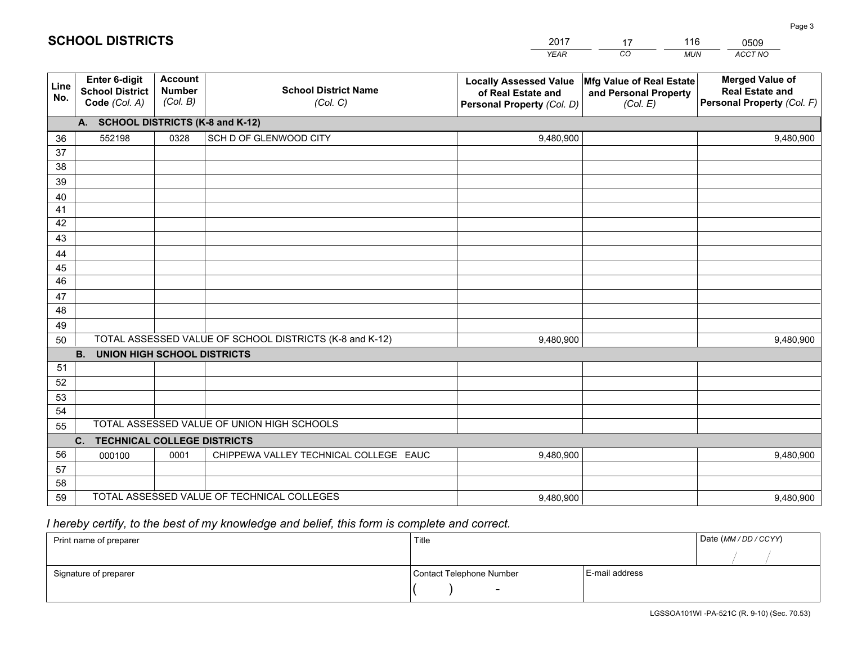|             |                                                          |                                             |                                                         | YEAR                                                                              | CO.<br><b>MUN</b>                                             | ACCT NO                                                                        |
|-------------|----------------------------------------------------------|---------------------------------------------|---------------------------------------------------------|-----------------------------------------------------------------------------------|---------------------------------------------------------------|--------------------------------------------------------------------------------|
| Line<br>No. | Enter 6-digit<br><b>School District</b><br>Code (Col. A) | <b>Account</b><br><b>Number</b><br>(Col. B) | <b>School District Name</b><br>(Col. C)                 | <b>Locally Assessed Value</b><br>of Real Estate and<br>Personal Property (Col. D) | Mfg Value of Real Estate<br>and Personal Property<br>(Col. E) | <b>Merged Value of</b><br><b>Real Estate and</b><br>Personal Property (Col. F) |
|             | A. SCHOOL DISTRICTS (K-8 and K-12)                       |                                             |                                                         |                                                                                   |                                                               |                                                                                |
| 36          | 552198                                                   | 0328                                        | SCH D OF GLENWOOD CITY                                  | 9,480,900                                                                         |                                                               | 9,480,900                                                                      |
| 37          |                                                          |                                             |                                                         |                                                                                   |                                                               |                                                                                |
| 38          |                                                          |                                             |                                                         |                                                                                   |                                                               |                                                                                |
| 39          |                                                          |                                             |                                                         |                                                                                   |                                                               |                                                                                |
| 40          |                                                          |                                             |                                                         |                                                                                   |                                                               |                                                                                |
| 41          |                                                          |                                             |                                                         |                                                                                   |                                                               |                                                                                |
| 42          |                                                          |                                             |                                                         |                                                                                   |                                                               |                                                                                |
| 43          |                                                          |                                             |                                                         |                                                                                   |                                                               |                                                                                |
| 44          |                                                          |                                             |                                                         |                                                                                   |                                                               |                                                                                |
| 45<br>46    |                                                          |                                             |                                                         |                                                                                   |                                                               |                                                                                |
| 47          |                                                          |                                             |                                                         |                                                                                   |                                                               |                                                                                |
| 48          |                                                          |                                             |                                                         |                                                                                   |                                                               |                                                                                |
| 49          |                                                          |                                             |                                                         |                                                                                   |                                                               |                                                                                |
| 50          |                                                          |                                             | TOTAL ASSESSED VALUE OF SCHOOL DISTRICTS (K-8 and K-12) | 9,480,900                                                                         |                                                               | 9,480,900                                                                      |
|             | <b>UNION HIGH SCHOOL DISTRICTS</b><br><b>B.</b>          |                                             |                                                         |                                                                                   |                                                               |                                                                                |
| 51          |                                                          |                                             |                                                         |                                                                                   |                                                               |                                                                                |
| 52          |                                                          |                                             |                                                         |                                                                                   |                                                               |                                                                                |
| 53          |                                                          |                                             |                                                         |                                                                                   |                                                               |                                                                                |
| 54          |                                                          |                                             |                                                         |                                                                                   |                                                               |                                                                                |
| 55          |                                                          |                                             | TOTAL ASSESSED VALUE OF UNION HIGH SCHOOLS              |                                                                                   |                                                               |                                                                                |
|             | C.<br><b>TECHNICAL COLLEGE DISTRICTS</b>                 |                                             |                                                         |                                                                                   |                                                               |                                                                                |
| 56          | 000100                                                   | 0001                                        | CHIPPEWA VALLEY TECHNICAL COLLEGE EAUC                  | 9,480,900                                                                         |                                                               | 9,480,900                                                                      |
| 57          |                                                          |                                             |                                                         |                                                                                   |                                                               |                                                                                |
| 58          |                                                          |                                             |                                                         |                                                                                   |                                                               |                                                                                |
| 59          |                                                          |                                             | TOTAL ASSESSED VALUE OF TECHNICAL COLLEGES              | 9,480,900                                                                         |                                                               | 9,480,900                                                                      |

17

116

 *I hereby certify, to the best of my knowledge and belief, this form is complete and correct.*

**SCHOOL DISTRICTS**

| Print name of preparer | Title                    |                | Date (MM/DD/CCYY) |
|------------------------|--------------------------|----------------|-------------------|
|                        |                          |                |                   |
| Signature of preparer  | Contact Telephone Number | E-mail address |                   |
|                        | $\overline{\phantom{0}}$ |                |                   |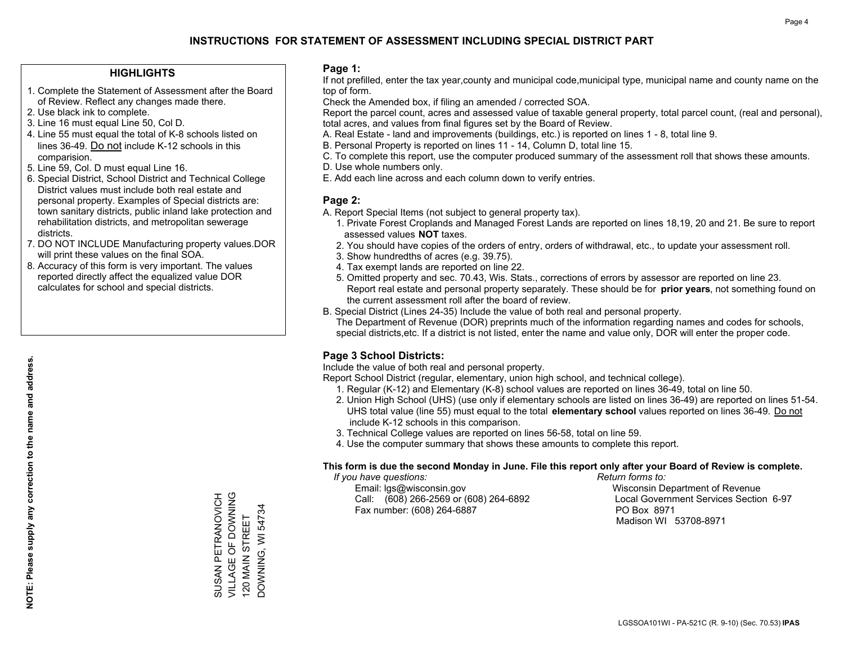## **HIGHLIGHTS**

- 1. Complete the Statement of Assessment after the Board of Review. Reflect any changes made there.
- 2. Use black ink to complete.
- 3. Line 16 must equal Line 50, Col D.
- 4. Line 55 must equal the total of K-8 schools listed on lines 36-49. Do not include K-12 schools in this comparision.
- 5. Line 59, Col. D must equal Line 16.
- 6. Special District, School District and Technical College District values must include both real estate and personal property. Examples of Special districts are: town sanitary districts, public inland lake protection and rehabilitation districts, and metropolitan sewerage districts.
- 7. DO NOT INCLUDE Manufacturing property values.DOR will print these values on the final SOA.

SUSAN PETRANOVICH VILLAGE OF DOWNING 120 MAIN STREET DOWNING, WI 54734

SUSAN PETRANOVICH<br>VILLAGE OF DOWNING<br>120 MAIN STREET

DOWNING, WI 54734

 8. Accuracy of this form is very important. The values reported directly affect the equalized value DOR calculates for school and special districts.

### **Page 1:**

 If not prefilled, enter the tax year,county and municipal code,municipal type, municipal name and county name on the top of form.

Check the Amended box, if filing an amended / corrected SOA.

 Report the parcel count, acres and assessed value of taxable general property, total parcel count, (real and personal), total acres, and values from final figures set by the Board of Review.

- A. Real Estate land and improvements (buildings, etc.) is reported on lines 1 8, total line 9.
- B. Personal Property is reported on lines 11 14, Column D, total line 15.
- C. To complete this report, use the computer produced summary of the assessment roll that shows these amounts.
- D. Use whole numbers only.
- E. Add each line across and each column down to verify entries.

## **Page 2:**

- A. Report Special Items (not subject to general property tax).
- 1. Private Forest Croplands and Managed Forest Lands are reported on lines 18,19, 20 and 21. Be sure to report assessed values **NOT** taxes.
- 2. You should have copies of the orders of entry, orders of withdrawal, etc., to update your assessment roll.
	- 3. Show hundredths of acres (e.g. 39.75).
- 4. Tax exempt lands are reported on line 22.
- 5. Omitted property and sec. 70.43, Wis. Stats., corrections of errors by assessor are reported on line 23. Report real estate and personal property separately. These should be for **prior years**, not something found on the current assessment roll after the board of review.
- B. Special District (Lines 24-35) Include the value of both real and personal property.

 The Department of Revenue (DOR) preprints much of the information regarding names and codes for schools, special districts,etc. If a district is not listed, enter the name and value only, DOR will enter the proper code.

## **Page 3 School Districts:**

Include the value of both real and personal property.

Report School District (regular, elementary, union high school, and technical college).

- 1. Regular (K-12) and Elementary (K-8) school values are reported on lines 36-49, total on line 50.
- 2. Union High School (UHS) (use only if elementary schools are listed on lines 36-49) are reported on lines 51-54. UHS total value (line 55) must equal to the total **elementary school** values reported on lines 36-49. Do notinclude K-12 schools in this comparison.
- 3. Technical College values are reported on lines 56-58, total on line 59.
- 4. Use the computer summary that shows these amounts to complete this report.

#### **This form is due the second Monday in June. File this report only after your Board of Review is complete.**

 *If you have questions: Return forms to:*

 Email: lgs@wisconsin.gov Wisconsin Department of RevenueCall:  $(608)$  266-2569 or  $(608)$  264-6892 Fax number: (608) 264-6887 PO Box 8971

Local Government Services Section 6-97

Madison WI 53708-8971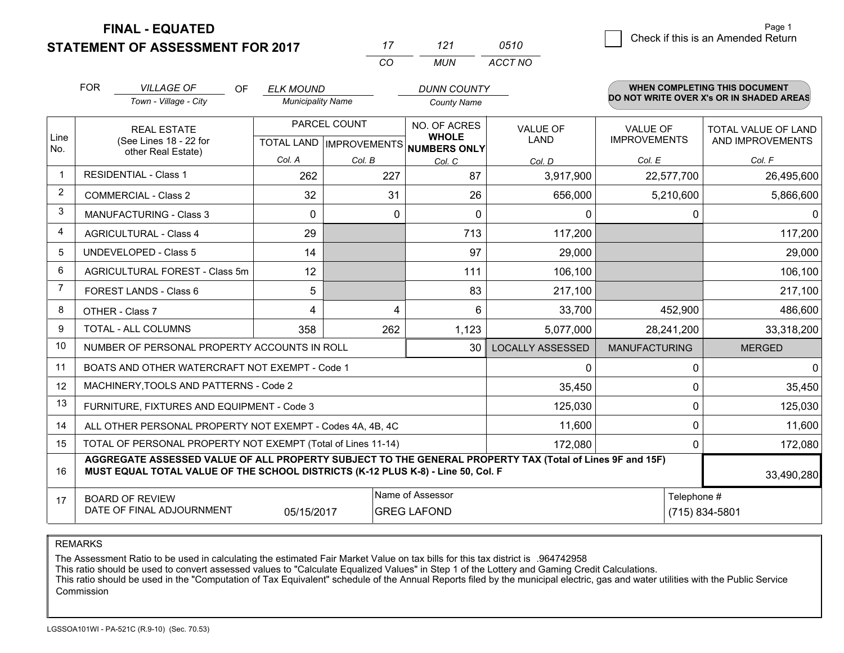**STATEMENT OF ASSESSMENT FOR 2017 FINAL - EQUATED**

|   |                                    | Page 1 |
|---|------------------------------------|--------|
| 0 | Check if this is an Amended Return |        |
|   |                                    |        |

|                | <b>FOR</b>                                                        | <b>VILLAGE OF</b><br><b>OF</b><br>Town - Village - City                                                                                                                                      | <b>ELK MOUND</b><br><b>Municipality Name</b> |                                                | <b>DUNN COUNTY</b><br><b>County Name</b>     |                         |                                        | <b>WHEN COMPLETING THIS DOCUMENT</b><br>DO NOT WRITE OVER X's OR IN SHADED AREAS |
|----------------|-------------------------------------------------------------------|----------------------------------------------------------------------------------------------------------------------------------------------------------------------------------------------|----------------------------------------------|------------------------------------------------|----------------------------------------------|-------------------------|----------------------------------------|----------------------------------------------------------------------------------|
| Line<br>No.    |                                                                   | <b>REAL ESTATE</b><br>(See Lines 18 - 22 for                                                                                                                                                 |                                              | PARCEL COUNT<br><b>TOTAL LAND IMPROVEMENTS</b> | NO. OF ACRES<br><b>WHOLE</b><br>NUMBERS ONLY | <b>VALUE OF</b><br>LAND | <b>VALUE OF</b><br><b>IMPROVEMENTS</b> | TOTAL VALUE OF LAND<br>AND IMPROVEMENTS                                          |
|                |                                                                   | other Real Estate)                                                                                                                                                                           | Col. A                                       | Col. B                                         | Col. C                                       | Col. D                  | Col. E                                 | Col. F                                                                           |
|                |                                                                   | <b>RESIDENTIAL - Class 1</b>                                                                                                                                                                 | 262                                          | 227                                            | 87                                           | 3,917,900               | 22,577,700                             | 26,495,600                                                                       |
| $\overline{2}$ |                                                                   | <b>COMMERCIAL - Class 2</b>                                                                                                                                                                  | 32                                           | 31                                             | 26                                           | 656,000                 | 5,210,600                              | 5,866,600                                                                        |
| 3              |                                                                   | <b>MANUFACTURING - Class 3</b>                                                                                                                                                               | 0                                            | $\mathbf{0}$                                   | $\mathbf{0}$                                 | 0                       | 0                                      | $\mathbf{0}$                                                                     |
| 4              |                                                                   | <b>AGRICULTURAL - Class 4</b>                                                                                                                                                                | 29                                           |                                                | 713                                          | 117,200                 |                                        | 117,200                                                                          |
| 5              |                                                                   | <b>UNDEVELOPED - Class 5</b>                                                                                                                                                                 | 14                                           |                                                | 97                                           | 29,000                  |                                        | 29,000                                                                           |
| 6              |                                                                   | AGRICULTURAL FOREST - Class 5m                                                                                                                                                               | 12                                           |                                                | 111                                          | 106,100                 |                                        | 106,100                                                                          |
| 7              |                                                                   | FOREST LANDS - Class 6                                                                                                                                                                       | 5                                            |                                                | 83                                           | 217,100                 |                                        | 217,100                                                                          |
| 8              |                                                                   | OTHER - Class 7                                                                                                                                                                              | 4                                            | 4                                              | 6                                            | 33,700                  | 452,900                                | 486,600                                                                          |
| 9              |                                                                   | TOTAL - ALL COLUMNS                                                                                                                                                                          | 358                                          | 262                                            | 1,123                                        | 5,077,000               | 28,241,200                             | 33,318,200                                                                       |
| 10             |                                                                   | NUMBER OF PERSONAL PROPERTY ACCOUNTS IN ROLL                                                                                                                                                 |                                              |                                                | 30                                           | <b>LOCALLY ASSESSED</b> | <b>MANUFACTURING</b>                   | <b>MERGED</b>                                                                    |
| 11             |                                                                   | BOATS AND OTHER WATERCRAFT NOT EXEMPT - Code 1                                                                                                                                               |                                              |                                                |                                              | 0                       | $\Omega$                               | $\Omega$                                                                         |
| 12             |                                                                   | MACHINERY, TOOLS AND PATTERNS - Code 2                                                                                                                                                       |                                              |                                                |                                              | 35,450                  | $\mathbf{0}$                           | 35,450                                                                           |
| 13             |                                                                   | FURNITURE, FIXTURES AND EQUIPMENT - Code 3                                                                                                                                                   |                                              |                                                |                                              | 125,030                 | $\mathbf 0$                            | 125,030                                                                          |
| 14             |                                                                   | ALL OTHER PERSONAL PROPERTY NOT EXEMPT - Codes 4A, 4B, 4C                                                                                                                                    |                                              |                                                |                                              | 11,600                  | $\Omega$                               | 11,600                                                                           |
| 15             |                                                                   | TOTAL OF PERSONAL PROPERTY NOT EXEMPT (Total of Lines 11-14)                                                                                                                                 |                                              |                                                |                                              | 172,080                 | $\mathbf{0}$                           | 172,080                                                                          |
| 16             |                                                                   | AGGREGATE ASSESSED VALUE OF ALL PROPERTY SUBJECT TO THE GENERAL PROPERTY TAX (Total of Lines 9F and 15F)<br>MUST EQUAL TOTAL VALUE OF THE SCHOOL DISTRICTS (K-12 PLUS K-8) - Line 50, Col. F |                                              |                                                |                                              |                         |                                        | 33,490,280                                                                       |
| 17             | <b>BOARD OF REVIEW</b><br>DATE OF FINAL ADJOURNMENT<br>05/15/2017 |                                                                                                                                                                                              |                                              |                                                | Name of Assessor<br><b>GREG LAFOND</b>       |                         | Telephone #<br>(715) 834-5801          |                                                                                  |

*CO*

*MUN*

*ACCT NO0510*

*<sup>17</sup> <sup>121</sup>*

REMARKS

The Assessment Ratio to be used in calculating the estimated Fair Market Value on tax bills for this tax district is .964742958<br>This ratio should be used to convert assessed values to "Calculate Equalized Values" in Step 1 Commission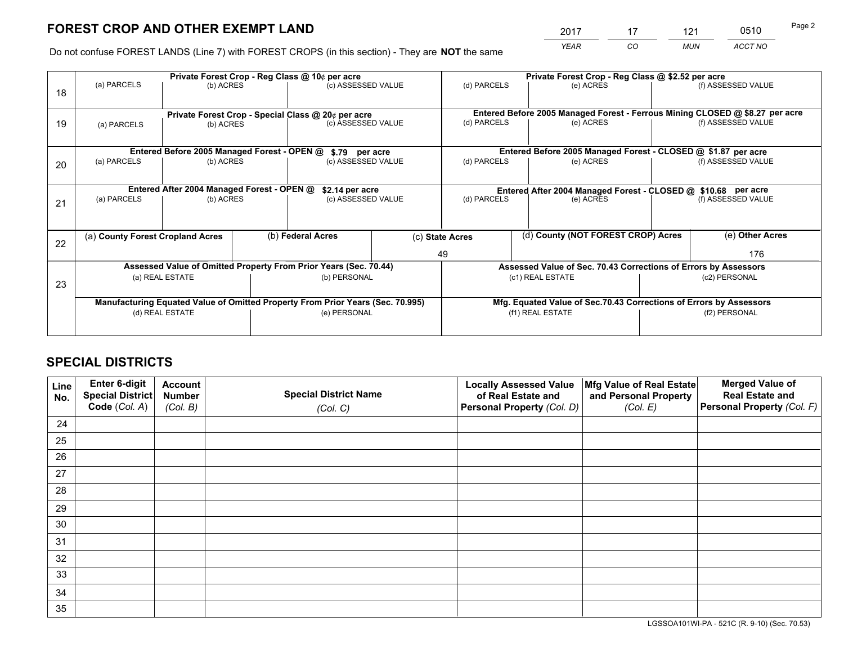*YEAR CO MUN ACCT NO* <sup>2017</sup> <sup>17</sup> <sup>121</sup> <sup>0510</sup>

Do not confuse FOREST LANDS (Line 7) with FOREST CROPS (in this section) - They are **NOT** the same

|    |                                                                                |                                                    |                 | Private Forest Crop - Reg Class @ 10¢ per acre                   |  | Private Forest Crop - Reg Class @ \$2.52 per acre                            |                                                                    |                    |                    |  |
|----|--------------------------------------------------------------------------------|----------------------------------------------------|-----------------|------------------------------------------------------------------|--|------------------------------------------------------------------------------|--------------------------------------------------------------------|--------------------|--------------------|--|
| 18 | (a) PARCELS                                                                    | (b) ACRES                                          |                 | (c) ASSESSED VALUE                                               |  | (d) PARCELS                                                                  | (e) ACRES                                                          |                    | (f) ASSESSED VALUE |  |
|    |                                                                                | Private Forest Crop - Special Class @ 20¢ per acre |                 |                                                                  |  | Entered Before 2005 Managed Forest - Ferrous Mining CLOSED @ \$8.27 per acre |                                                                    |                    |                    |  |
| 19 | (a) PARCELS                                                                    | (b) ACRES                                          |                 | (c) ASSESSED VALUE                                               |  | (d) PARCELS                                                                  | (e) ACRES                                                          |                    | (f) ASSESSED VALUE |  |
|    |                                                                                | Entered Before 2005 Managed Forest - OPEN @        |                 | \$.79 per acre                                                   |  |                                                                              | Entered Before 2005 Managed Forest - CLOSED @ \$1.87 per acre      |                    |                    |  |
| 20 | (a) PARCELS                                                                    | (b) ACRES                                          |                 | (c) ASSESSED VALUE                                               |  | (d) PARCELS<br>(e) ACRES                                                     |                                                                    |                    | (f) ASSESSED VALUE |  |
|    | Entered After 2004 Managed Forest - OPEN @                                     |                                                    |                 |                                                                  |  | Entered After 2004 Managed Forest - CLOSED @ \$10.68 per acre                |                                                                    |                    |                    |  |
|    | (a) PARCELS<br>(b) ACRES                                                       |                                                    | \$2.14 per acre | (c) ASSESSED VALUE<br>(d) PARCELS                                |  | (e) ACRES                                                                    |                                                                    | (f) ASSESSED VALUE |                    |  |
| 21 |                                                                                |                                                    |                 |                                                                  |  |                                                                              |                                                                    |                    |                    |  |
|    |                                                                                |                                                    |                 |                                                                  |  |                                                                              |                                                                    |                    |                    |  |
| 22 | (a) County Forest Cropland Acres                                               |                                                    |                 | (b) Federal Acres                                                |  | (d) County (NOT FOREST CROP) Acres<br>(c) State Acres                        |                                                                    |                    | (e) Other Acres    |  |
|    |                                                                                |                                                    |                 |                                                                  |  | 49                                                                           |                                                                    |                    | 176                |  |
|    |                                                                                |                                                    |                 | Assessed Value of Omitted Property From Prior Years (Sec. 70.44) |  |                                                                              | Assessed Value of Sec. 70.43 Corrections of Errors by Assessors    |                    |                    |  |
| 23 | (a) REAL ESTATE                                                                |                                                    |                 | (b) PERSONAL                                                     |  |                                                                              | (c1) REAL ESTATE                                                   |                    | (c2) PERSONAL      |  |
|    | Manufacturing Equated Value of Omitted Property From Prior Years (Sec. 70.995) |                                                    |                 |                                                                  |  |                                                                              | Mfg. Equated Value of Sec.70.43 Corrections of Errors by Assessors |                    |                    |  |
|    |                                                                                | (d) REAL ESTATE                                    |                 | (e) PERSONAL                                                     |  |                                                                              | (f1) REAL ESTATE                                                   |                    | (f2) PERSONAL      |  |
|    |                                                                                |                                                    |                 |                                                                  |  |                                                                              |                                                                    |                    |                    |  |
|    |                                                                                |                                                    |                 |                                                                  |  |                                                                              |                                                                    |                    |                    |  |

# **SPECIAL DISTRICTS**

| Line<br>No. | Enter 6-digit<br>Special District<br>Code (Col. A) | <b>Account</b><br><b>Number</b><br>(Col. B) | <b>Special District Name</b><br>(Col. C) | <b>Locally Assessed Value</b><br>of Real Estate and<br>Personal Property (Col. D) | Mfg Value of Real Estate<br>and Personal Property<br>(Col. E) | <b>Merged Value of</b><br><b>Real Estate and</b><br>Personal Property (Col. F) |
|-------------|----------------------------------------------------|---------------------------------------------|------------------------------------------|-----------------------------------------------------------------------------------|---------------------------------------------------------------|--------------------------------------------------------------------------------|
| 24          |                                                    |                                             |                                          |                                                                                   |                                                               |                                                                                |
| 25          |                                                    |                                             |                                          |                                                                                   |                                                               |                                                                                |
| 26          |                                                    |                                             |                                          |                                                                                   |                                                               |                                                                                |
| 27          |                                                    |                                             |                                          |                                                                                   |                                                               |                                                                                |
| 28          |                                                    |                                             |                                          |                                                                                   |                                                               |                                                                                |
| 29          |                                                    |                                             |                                          |                                                                                   |                                                               |                                                                                |
| 30          |                                                    |                                             |                                          |                                                                                   |                                                               |                                                                                |
| 31          |                                                    |                                             |                                          |                                                                                   |                                                               |                                                                                |
| 32          |                                                    |                                             |                                          |                                                                                   |                                                               |                                                                                |
| 33          |                                                    |                                             |                                          |                                                                                   |                                                               |                                                                                |
| 34          |                                                    |                                             |                                          |                                                                                   |                                                               |                                                                                |
| 35          |                                                    |                                             |                                          |                                                                                   |                                                               |                                                                                |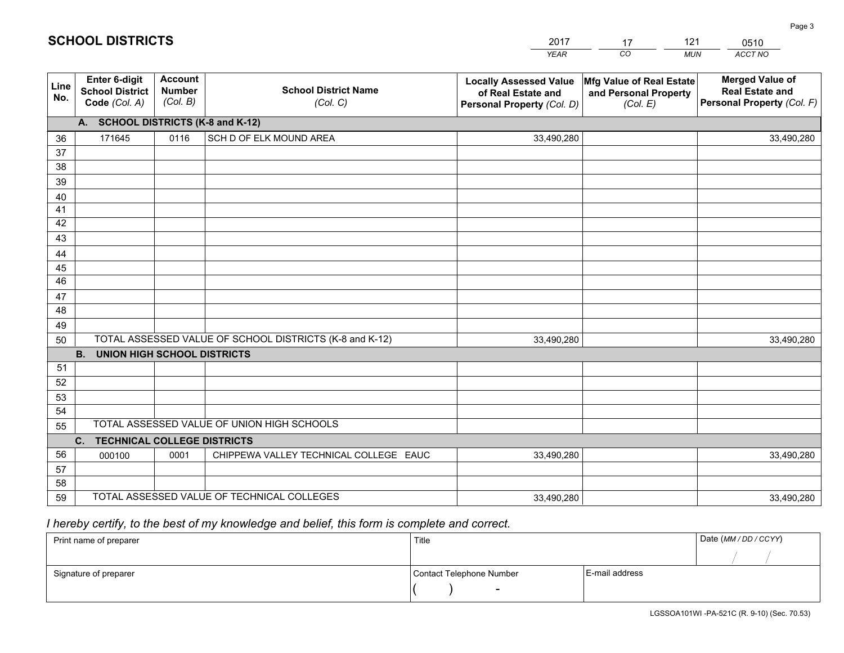|             |                                                          |                                             |                                                         | YEAR                                                                              | CO.<br><b>MUN</b>                                             | ACCT NO                                                                        |
|-------------|----------------------------------------------------------|---------------------------------------------|---------------------------------------------------------|-----------------------------------------------------------------------------------|---------------------------------------------------------------|--------------------------------------------------------------------------------|
| Line<br>No. | Enter 6-digit<br><b>School District</b><br>Code (Col. A) | <b>Account</b><br><b>Number</b><br>(Col. B) | <b>School District Name</b><br>(Col. C)                 | <b>Locally Assessed Value</b><br>of Real Estate and<br>Personal Property (Col. D) | Mfg Value of Real Estate<br>and Personal Property<br>(Col. E) | <b>Merged Value of</b><br><b>Real Estate and</b><br>Personal Property (Col. F) |
|             | A. SCHOOL DISTRICTS (K-8 and K-12)                       |                                             |                                                         |                                                                                   |                                                               |                                                                                |
| 36          | 171645                                                   | 0116                                        | SCH D OF ELK MOUND AREA                                 | 33,490,280                                                                        |                                                               | 33,490,280                                                                     |
| 37          |                                                          |                                             |                                                         |                                                                                   |                                                               |                                                                                |
| 38          |                                                          |                                             |                                                         |                                                                                   |                                                               |                                                                                |
| 39          |                                                          |                                             |                                                         |                                                                                   |                                                               |                                                                                |
| 40          |                                                          |                                             |                                                         |                                                                                   |                                                               |                                                                                |
| 41          |                                                          |                                             |                                                         |                                                                                   |                                                               |                                                                                |
| 42          |                                                          |                                             |                                                         |                                                                                   |                                                               |                                                                                |
| 43          |                                                          |                                             |                                                         |                                                                                   |                                                               |                                                                                |
| 44          |                                                          |                                             |                                                         |                                                                                   |                                                               |                                                                                |
| 45<br>46    |                                                          |                                             |                                                         |                                                                                   |                                                               |                                                                                |
| 47          |                                                          |                                             |                                                         |                                                                                   |                                                               |                                                                                |
| 48          |                                                          |                                             |                                                         |                                                                                   |                                                               |                                                                                |
| 49          |                                                          |                                             |                                                         |                                                                                   |                                                               |                                                                                |
| 50          |                                                          |                                             | TOTAL ASSESSED VALUE OF SCHOOL DISTRICTS (K-8 and K-12) | 33,490,280                                                                        |                                                               | 33,490,280                                                                     |
|             | <b>B.</b><br><b>UNION HIGH SCHOOL DISTRICTS</b>          |                                             |                                                         |                                                                                   |                                                               |                                                                                |
| 51          |                                                          |                                             |                                                         |                                                                                   |                                                               |                                                                                |
| 52          |                                                          |                                             |                                                         |                                                                                   |                                                               |                                                                                |
| 53          |                                                          |                                             |                                                         |                                                                                   |                                                               |                                                                                |
| 54          |                                                          |                                             |                                                         |                                                                                   |                                                               |                                                                                |
| 55          |                                                          |                                             | TOTAL ASSESSED VALUE OF UNION HIGH SCHOOLS              |                                                                                   |                                                               |                                                                                |
|             | C.<br><b>TECHNICAL COLLEGE DISTRICTS</b>                 |                                             |                                                         |                                                                                   |                                                               |                                                                                |
| 56          | 000100                                                   | 0001                                        | CHIPPEWA VALLEY TECHNICAL COLLEGE EAUC                  | 33,490,280                                                                        |                                                               | 33,490,280                                                                     |
| 57          |                                                          |                                             |                                                         |                                                                                   |                                                               |                                                                                |
| 58          |                                                          |                                             |                                                         |                                                                                   |                                                               |                                                                                |
| 59          |                                                          |                                             | TOTAL ASSESSED VALUE OF TECHNICAL COLLEGES              | 33,490,280                                                                        |                                                               | 33,490,280                                                                     |

17

121

 *I hereby certify, to the best of my knowledge and belief, this form is complete and correct.*

**SCHOOL DISTRICTS**

| Print name of preparer | Title                    |                | Date (MM/DD/CCYY) |
|------------------------|--------------------------|----------------|-------------------|
|                        |                          |                |                   |
| Signature of preparer  | Contact Telephone Number | E-mail address |                   |
|                        | $\overline{\phantom{a}}$ |                |                   |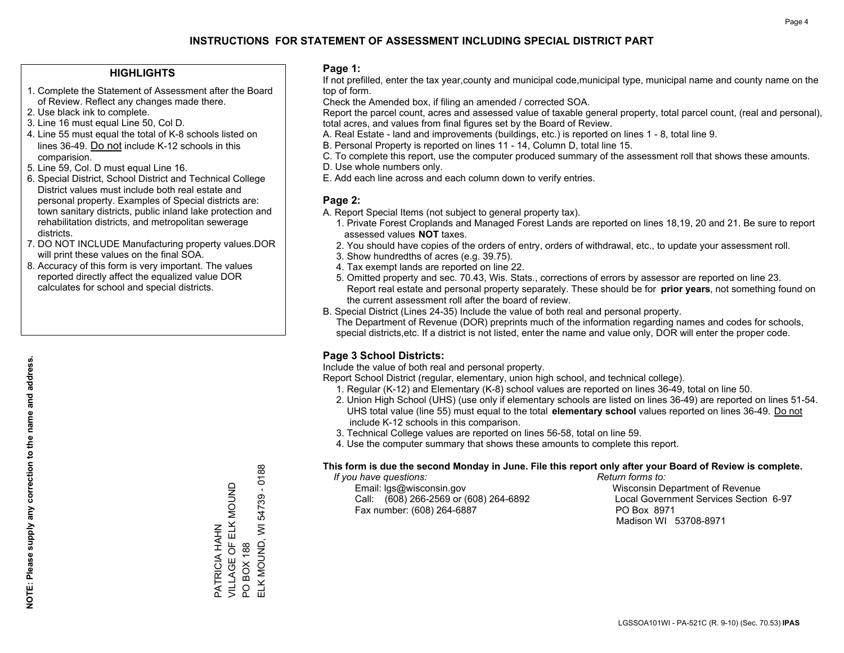## **HIGHLIGHTS**

- 1. Complete the Statement of Assessment after the Board of Review. Reflect any changes made there.
- 2. Use black ink to complete.
- 3. Line 16 must equal Line 50, Col D.
- 4. Line 55 must equal the total of K-8 schools listed on lines 36-49. Do not include K-12 schools in this comparision.
- 5. Line 59, Col. D must equal Line 16.
- 6. Special District, School District and Technical College District values must include both real estate and personal property. Examples of Special districts are: town sanitary districts, public inland lake protection and rehabilitation districts, and metropolitan sewerage districts.
- 7. DO NOT INCLUDE Manufacturing property values.DOR will print these values on the final SOA.

PATRICIA HAHN

PATRICIA HAHN

VILLAGE OF ELK MOUND

VILLAGE OF ELK MOUND

PO BOX 188

 $\overline{S}$ 

**BOX 188** 

ELK MOUND, WI 54739 - 0188

ELK MOUND, WI

54739

 $-0188$ 

 8. Accuracy of this form is very important. The values reported directly affect the equalized value DOR calculates for school and special districts.

#### **Page 1:**

 If not prefilled, enter the tax year,county and municipal code,municipal type, municipal name and county name on the top of form.

Check the Amended box, if filing an amended / corrected SOA.

 Report the parcel count, acres and assessed value of taxable general property, total parcel count, (real and personal), total acres, and values from final figures set by the Board of Review.

- A. Real Estate land and improvements (buildings, etc.) is reported on lines 1 8, total line 9.
- B. Personal Property is reported on lines 11 14, Column D, total line 15.
- C. To complete this report, use the computer produced summary of the assessment roll that shows these amounts.
- D. Use whole numbers only.
- E. Add each line across and each column down to verify entries.

## **Page 2:**

- A. Report Special Items (not subject to general property tax).
- 1. Private Forest Croplands and Managed Forest Lands are reported on lines 18,19, 20 and 21. Be sure to report assessed values **NOT** taxes.
- 2. You should have copies of the orders of entry, orders of withdrawal, etc., to update your assessment roll.
	- 3. Show hundredths of acres (e.g. 39.75).
- 4. Tax exempt lands are reported on line 22.
- 5. Omitted property and sec. 70.43, Wis. Stats., corrections of errors by assessor are reported on line 23. Report real estate and personal property separately. These should be for **prior years**, not something found on the current assessment roll after the board of review.
- B. Special District (Lines 24-35) Include the value of both real and personal property.

 The Department of Revenue (DOR) preprints much of the information regarding names and codes for schools, special districts,etc. If a district is not listed, enter the name and value only, DOR will enter the proper code.

## **Page 3 School Districts:**

Include the value of both real and personal property.

Report School District (regular, elementary, union high school, and technical college).

- 1. Regular (K-12) and Elementary (K-8) school values are reported on lines 36-49, total on line 50.
- 2. Union High School (UHS) (use only if elementary schools are listed on lines 36-49) are reported on lines 51-54. UHS total value (line 55) must equal to the total **elementary school** values reported on lines 36-49. Do notinclude K-12 schools in this comparison.
- 3. Technical College values are reported on lines 56-58, total on line 59.
- 4. Use the computer summary that shows these amounts to complete this report.

#### **This form is due the second Monday in June. File this report only after your Board of Review is complete.**

 *If you have questions: Return forms to:*

 Email: lgs@wisconsin.gov Wisconsin Department of RevenueCall:  $(608)$  266-2569 or  $(608)$  264-6892 Fax number: (608) 264-6887 PO Box 8971

Local Government Services Section 6-97 Madison WI 53708-8971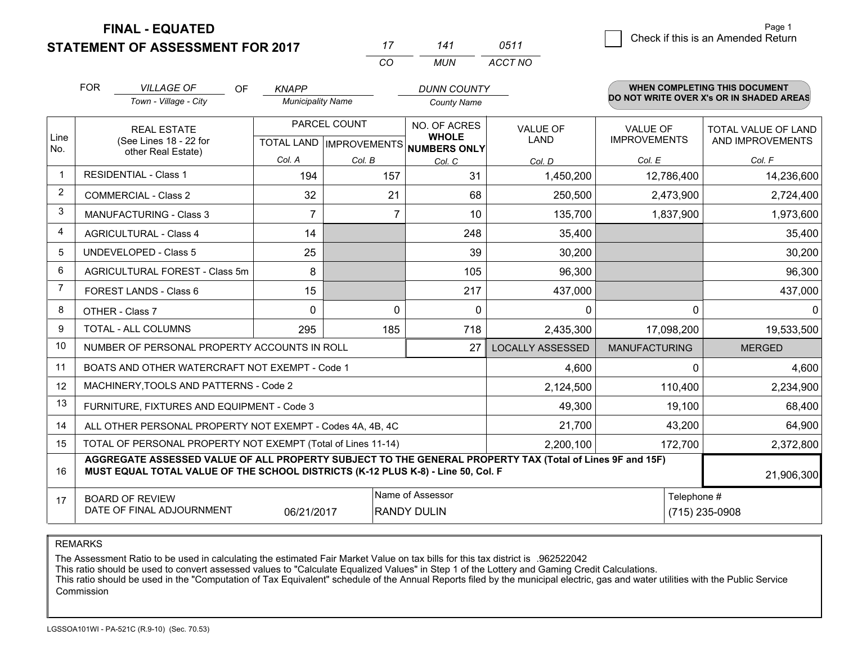**FINAL - EQUATED**

**STATEMENT OF ASSESSMENT FOR 2017** 

*CO MUN <sup>17</sup> <sup>141</sup> ACCT NO0511*

|              | <b>FOR</b>                                                                                                                                                                                                 | <b>VILLAGE OF</b><br><b>OF</b>                               | <b>KNAPP</b>             |                                           | <b>DUNN COUNTY</b>                           |                                |                                        | <b>WHEN COMPLETING THIS DOCUMENT</b>     |  |
|--------------|------------------------------------------------------------------------------------------------------------------------------------------------------------------------------------------------------------|--------------------------------------------------------------|--------------------------|-------------------------------------------|----------------------------------------------|--------------------------------|----------------------------------------|------------------------------------------|--|
|              |                                                                                                                                                                                                            | Town - Village - City                                        | <b>Municipality Name</b> |                                           | <b>County Name</b>                           |                                |                                        | DO NOT WRITE OVER X's OR IN SHADED AREAS |  |
| Line<br>No.  |                                                                                                                                                                                                            | <b>REAL ESTATE</b><br>(See Lines 18 - 22 for                 |                          | PARCEL COUNT<br>TOTAL LAND   IMPROVEMENTS | NO. OF ACRES<br><b>WHOLE</b><br>NUMBERS ONLY | <b>VALUE OF</b><br><b>LAND</b> | <b>VALUE OF</b><br><b>IMPROVEMENTS</b> | TOTAL VALUE OF LAND<br>AND IMPROVEMENTS  |  |
|              |                                                                                                                                                                                                            | other Real Estate)                                           | Col. A                   | Col. B                                    | Col. C                                       | Col. D                         | Col. E                                 | Col. F                                   |  |
| $\mathbf{1}$ |                                                                                                                                                                                                            | <b>RESIDENTIAL - Class 1</b>                                 | 194                      | 157                                       | 31                                           | 1,450,200                      | 12,786,400                             | 14,236,600                               |  |
| 2            |                                                                                                                                                                                                            | <b>COMMERCIAL - Class 2</b>                                  | 32                       | 21                                        | 68                                           | 250,500                        | 2,473,900                              | 2,724,400                                |  |
| 3            |                                                                                                                                                                                                            | <b>MANUFACTURING - Class 3</b>                               | 7                        | 7                                         | 10                                           | 135,700                        | 1,837,900                              | 1,973,600                                |  |
| 4            |                                                                                                                                                                                                            | <b>AGRICULTURAL - Class 4</b>                                | 14                       |                                           | 248                                          | 35,400                         |                                        | 35,400                                   |  |
| 5            |                                                                                                                                                                                                            | <b>UNDEVELOPED - Class 5</b>                                 | 25                       |                                           | 39                                           | 30,200                         |                                        | 30,200                                   |  |
| 6            |                                                                                                                                                                                                            | AGRICULTURAL FOREST - Class 5m                               | 8                        |                                           | 105                                          | 96,300                         |                                        | 96,300                                   |  |
| 7            |                                                                                                                                                                                                            | FOREST LANDS - Class 6                                       | 15                       |                                           | 217                                          | 437,000                        |                                        | 437,000                                  |  |
| 8            |                                                                                                                                                                                                            | OTHER - Class 7                                              | $\Omega$                 | 0                                         | 0                                            | $\mathbf{0}$                   | $\Omega$                               | 0                                        |  |
| 9            |                                                                                                                                                                                                            | TOTAL - ALL COLUMNS                                          | 295                      | 185                                       | 718                                          | 2,435,300                      | 17,098,200                             | 19,533,500                               |  |
| 10           |                                                                                                                                                                                                            | NUMBER OF PERSONAL PROPERTY ACCOUNTS IN ROLL                 |                          |                                           | 27                                           | <b>LOCALLY ASSESSED</b>        | <b>MANUFACTURING</b>                   | <b>MERGED</b>                            |  |
| 11           |                                                                                                                                                                                                            | BOATS AND OTHER WATERCRAFT NOT EXEMPT - Code 1               |                          |                                           |                                              | 4,600                          | 0                                      | 4,600                                    |  |
| 12           |                                                                                                                                                                                                            | MACHINERY, TOOLS AND PATTERNS - Code 2                       |                          |                                           |                                              | 2,124,500                      | 110,400                                | 2,234,900                                |  |
| 13           |                                                                                                                                                                                                            | FURNITURE, FIXTURES AND EQUIPMENT - Code 3                   |                          |                                           |                                              | 49,300                         | 19,100                                 | 68,400                                   |  |
| 14           |                                                                                                                                                                                                            | ALL OTHER PERSONAL PROPERTY NOT EXEMPT - Codes 4A, 4B, 4C    |                          |                                           |                                              | 21,700                         | 43,200                                 | 64,900                                   |  |
| 15           |                                                                                                                                                                                                            | TOTAL OF PERSONAL PROPERTY NOT EXEMPT (Total of Lines 11-14) |                          |                                           |                                              | 2,200,100                      | 172,700                                | 2,372,800                                |  |
| 16           | AGGREGATE ASSESSED VALUE OF ALL PROPERTY SUBJECT TO THE GENERAL PROPERTY TAX (Total of Lines 9F and 15F)<br>MUST EQUAL TOTAL VALUE OF THE SCHOOL DISTRICTS (K-12 PLUS K-8) - Line 50, Col. F<br>21,906,300 |                                                              |                          |                                           |                                              |                                |                                        |                                          |  |
| 17           | Name of Assessor<br>Telephone #<br><b>BOARD OF REVIEW</b><br>DATE OF FINAL ADJOURNMENT<br>06/21/2017<br><b>RANDY DULIN</b><br>(715) 235-0908                                                               |                                                              |                          |                                           |                                              |                                |                                        |                                          |  |

REMARKS

The Assessment Ratio to be used in calculating the estimated Fair Market Value on tax bills for this tax district is .962522042<br>This ratio should be used to convert assessed values to "Calculate Equalized Values" in Step 1 Commission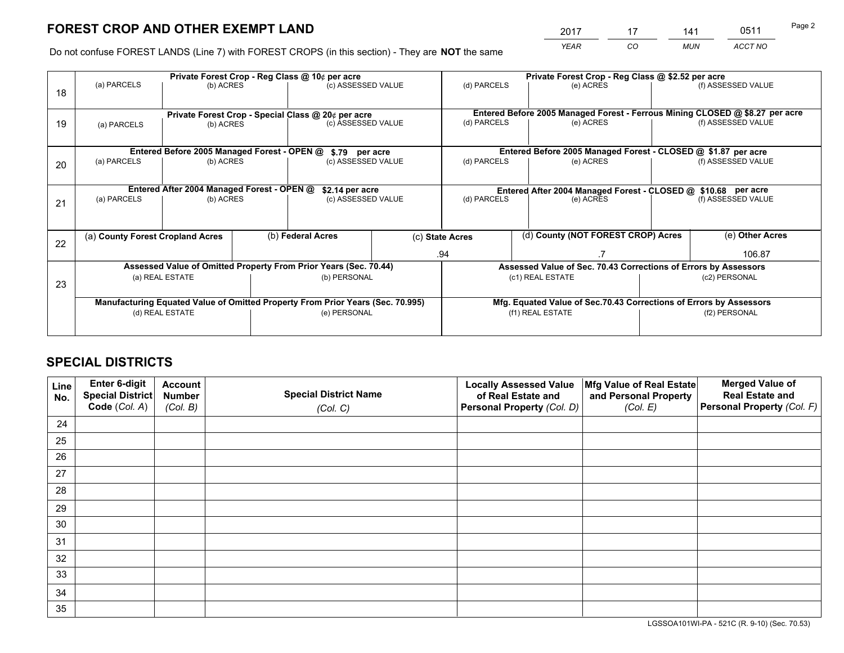*YEAR CO MUN ACCT NO* <sup>2017</sup> <sup>17</sup> <sup>141</sup> <sup>0511</sup>

Do not confuse FOREST LANDS (Line 7) with FOREST CROPS (in this section) - They are **NOT** the same

|    | Private Forest Crop - Reg Class @ 10¢ per acre                                 |                                                                 |              |                                      |                  | Private Forest Crop - Reg Class @ \$2.52 per acre                            |               |                    |                 |                    |  |
|----|--------------------------------------------------------------------------------|-----------------------------------------------------------------|--------------|--------------------------------------|------------------|------------------------------------------------------------------------------|---------------|--------------------|-----------------|--------------------|--|
| 18 | (a) PARCELS                                                                    | (b) ACRES                                                       |              | (c) ASSESSED VALUE                   |                  | (d) PARCELS                                                                  |               | (e) ACRES          |                 | (f) ASSESSED VALUE |  |
|    |                                                                                |                                                                 |              |                                      |                  | Entered Before 2005 Managed Forest - Ferrous Mining CLOSED @ \$8.27 per acre |               |                    |                 |                    |  |
| 19 | (a) PARCELS                                                                    | Private Forest Crop - Special Class @ 20¢ per acre<br>(b) ACRES |              | (c) ASSESSED VALUE                   |                  | (d) PARCELS                                                                  |               | (e) ACRES          |                 | (f) ASSESSED VALUE |  |
|    | Entered Before 2005 Managed Forest - OPEN @                                    |                                                                 |              |                                      |                  | Entered Before 2005 Managed Forest - CLOSED @ \$1.87 per acre                |               |                    |                 |                    |  |
|    | (a) PARCELS                                                                    | (b) ACRES                                                       |              | \$.79 per acre<br>(c) ASSESSED VALUE |                  | (d) PARCELS<br>(e) ACRES                                                     |               | (f) ASSESSED VALUE |                 |                    |  |
| 20 |                                                                                |                                                                 |              |                                      |                  |                                                                              |               |                    |                 |                    |  |
|    | Entered After 2004 Managed Forest - OPEN @<br>\$2.14 per acre                  |                                                                 |              |                                      |                  | Entered After 2004 Managed Forest - CLOSED @ \$10.68 per acre                |               |                    |                 |                    |  |
| 21 | (a) PARCELS                                                                    | (b) ACRES                                                       |              | (c) ASSESSED VALUE                   |                  | (d) PARCELS<br>(e) ACRES                                                     |               | (f) ASSESSED VALUE |                 |                    |  |
|    |                                                                                |                                                                 |              |                                      |                  |                                                                              |               |                    |                 |                    |  |
| 22 | (a) County Forest Cropland Acres                                               |                                                                 |              | (b) Federal Acres                    |                  | (d) County (NOT FOREST CROP) Acres<br>(c) State Acres                        |               |                    | (e) Other Acres |                    |  |
|    |                                                                                |                                                                 |              |                                      |                  | .94                                                                          |               | 106.87             |                 |                    |  |
|    | Assessed Value of Omitted Property From Prior Years (Sec. 70.44)               |                                                                 |              |                                      |                  | Assessed Value of Sec. 70.43 Corrections of Errors by Assessors              |               |                    |                 |                    |  |
| 23 | (b) PERSONAL<br>(a) REAL ESTATE                                                |                                                                 |              | (c1) REAL ESTATE                     |                  |                                                                              | (c2) PERSONAL |                    |                 |                    |  |
|    |                                                                                |                                                                 |              |                                      |                  |                                                                              |               |                    |                 |                    |  |
|    | Manufacturing Equated Value of Omitted Property From Prior Years (Sec. 70.995) |                                                                 |              |                                      |                  | Mfg. Equated Value of Sec.70.43 Corrections of Errors by Assessors           |               |                    |                 |                    |  |
|    | (d) REAL ESTATE                                                                |                                                                 | (e) PERSONAL |                                      | (f1) REAL ESTATE |                                                                              | (f2) PERSONAL |                    |                 |                    |  |
|    |                                                                                |                                                                 |              |                                      |                  |                                                                              |               |                    |                 |                    |  |

# **SPECIAL DISTRICTS**

| Line<br>No. | Enter 6-digit<br>Special District<br>Code (Col. A) | <b>Account</b><br><b>Number</b> | <b>Special District Name</b> | <b>Locally Assessed Value</b><br>of Real Estate and | Mfg Value of Real Estate<br>and Personal Property | <b>Merged Value of</b><br><b>Real Estate and</b><br>Personal Property (Col. F) |
|-------------|----------------------------------------------------|---------------------------------|------------------------------|-----------------------------------------------------|---------------------------------------------------|--------------------------------------------------------------------------------|
|             |                                                    | (Col. B)                        | (Col. C)                     | Personal Property (Col. D)                          | (Col. E)                                          |                                                                                |
| 24          |                                                    |                                 |                              |                                                     |                                                   |                                                                                |
| 25          |                                                    |                                 |                              |                                                     |                                                   |                                                                                |
| 26          |                                                    |                                 |                              |                                                     |                                                   |                                                                                |
| 27          |                                                    |                                 |                              |                                                     |                                                   |                                                                                |
| 28          |                                                    |                                 |                              |                                                     |                                                   |                                                                                |
| 29          |                                                    |                                 |                              |                                                     |                                                   |                                                                                |
| 30          |                                                    |                                 |                              |                                                     |                                                   |                                                                                |
| 31          |                                                    |                                 |                              |                                                     |                                                   |                                                                                |
| 32          |                                                    |                                 |                              |                                                     |                                                   |                                                                                |
| 33          |                                                    |                                 |                              |                                                     |                                                   |                                                                                |
| 34          |                                                    |                                 |                              |                                                     |                                                   |                                                                                |
| 35          |                                                    |                                 |                              |                                                     |                                                   |                                                                                |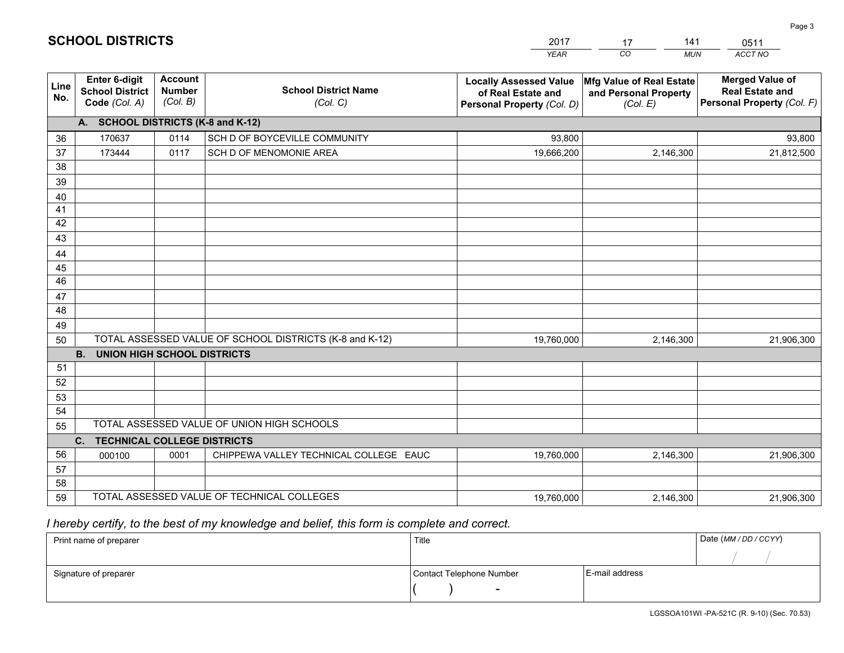|                 |                                                                                                  |                                             |                                            | YEAR                                                                              | CO.<br><b>MUN</b>                                             | ACCT NO                                                                        |  |  |  |
|-----------------|--------------------------------------------------------------------------------------------------|---------------------------------------------|--------------------------------------------|-----------------------------------------------------------------------------------|---------------------------------------------------------------|--------------------------------------------------------------------------------|--|--|--|
| Line<br>No.     | Enter 6-digit<br><b>School District</b><br>Code (Col. A)                                         | <b>Account</b><br><b>Number</b><br>(Col. B) | <b>School District Name</b><br>(Col. C)    | <b>Locally Assessed Value</b><br>of Real Estate and<br>Personal Property (Col. D) | Mfg Value of Real Estate<br>and Personal Property<br>(Col. E) | <b>Merged Value of</b><br><b>Real Estate and</b><br>Personal Property (Col. F) |  |  |  |
|                 | A. SCHOOL DISTRICTS (K-8 and K-12)                                                               |                                             |                                            |                                                                                   |                                                               |                                                                                |  |  |  |
| 36              | 170637                                                                                           | 0114                                        | SCH D OF BOYCEVILLE COMMUNITY              | 93,800                                                                            |                                                               | 93,800                                                                         |  |  |  |
| 37              | 173444                                                                                           | 0117                                        | SCH D OF MENOMONIE AREA                    | 19,666,200                                                                        | 2,146,300                                                     | 21,812,500                                                                     |  |  |  |
| 38              |                                                                                                  |                                             |                                            |                                                                                   |                                                               |                                                                                |  |  |  |
| 39              |                                                                                                  |                                             |                                            |                                                                                   |                                                               |                                                                                |  |  |  |
| 40              |                                                                                                  |                                             |                                            |                                                                                   |                                                               |                                                                                |  |  |  |
| 41<br>42        |                                                                                                  |                                             |                                            |                                                                                   |                                                               |                                                                                |  |  |  |
| 43              |                                                                                                  |                                             |                                            |                                                                                   |                                                               |                                                                                |  |  |  |
| 44              |                                                                                                  |                                             |                                            |                                                                                   |                                                               |                                                                                |  |  |  |
| 45              |                                                                                                  |                                             |                                            |                                                                                   |                                                               |                                                                                |  |  |  |
| $\overline{46}$ |                                                                                                  |                                             |                                            |                                                                                   |                                                               |                                                                                |  |  |  |
| 47              |                                                                                                  |                                             |                                            |                                                                                   |                                                               |                                                                                |  |  |  |
| 48              |                                                                                                  |                                             |                                            |                                                                                   |                                                               |                                                                                |  |  |  |
| 49              |                                                                                                  |                                             |                                            |                                                                                   |                                                               |                                                                                |  |  |  |
| 50              | TOTAL ASSESSED VALUE OF SCHOOL DISTRICTS (K-8 and K-12)<br>19,760,000<br>2,146,300<br>21,906,300 |                                             |                                            |                                                                                   |                                                               |                                                                                |  |  |  |
|                 | <b>B.</b><br><b>UNION HIGH SCHOOL DISTRICTS</b>                                                  |                                             |                                            |                                                                                   |                                                               |                                                                                |  |  |  |
| 51              |                                                                                                  |                                             |                                            |                                                                                   |                                                               |                                                                                |  |  |  |
| 52              |                                                                                                  |                                             |                                            |                                                                                   |                                                               |                                                                                |  |  |  |
| 53              |                                                                                                  |                                             |                                            |                                                                                   |                                                               |                                                                                |  |  |  |
| 54              |                                                                                                  |                                             |                                            |                                                                                   |                                                               |                                                                                |  |  |  |
|                 | TOTAL ASSESSED VALUE OF UNION HIGH SCHOOLS<br>55<br><b>TECHNICAL COLLEGE DISTRICTS</b>           |                                             |                                            |                                                                                   |                                                               |                                                                                |  |  |  |
| 56              | C.                                                                                               |                                             |                                            |                                                                                   |                                                               |                                                                                |  |  |  |
| 57              | 000100                                                                                           | 0001                                        | CHIPPEWA VALLEY TECHNICAL COLLEGE EAUC     | 19,760,000                                                                        | 2,146,300                                                     | 21,906,300                                                                     |  |  |  |
| 58              |                                                                                                  |                                             |                                            |                                                                                   |                                                               |                                                                                |  |  |  |
| 59              |                                                                                                  |                                             | TOTAL ASSESSED VALUE OF TECHNICAL COLLEGES | 19,760,000                                                                        | 2,146,300                                                     | 21,906,300                                                                     |  |  |  |
|                 |                                                                                                  |                                             |                                            |                                                                                   |                                                               |                                                                                |  |  |  |

17

141

 *I hereby certify, to the best of my knowledge and belief, this form is complete and correct.*

**SCHOOL DISTRICTS**

| Print name of preparer | Title                    | Date (MM / DD / CCYY) |  |
|------------------------|--------------------------|-----------------------|--|
|                        |                          |                       |  |
| Signature of preparer  | Contact Telephone Number | E-mail address        |  |
|                        | $\overline{\phantom{0}}$ |                       |  |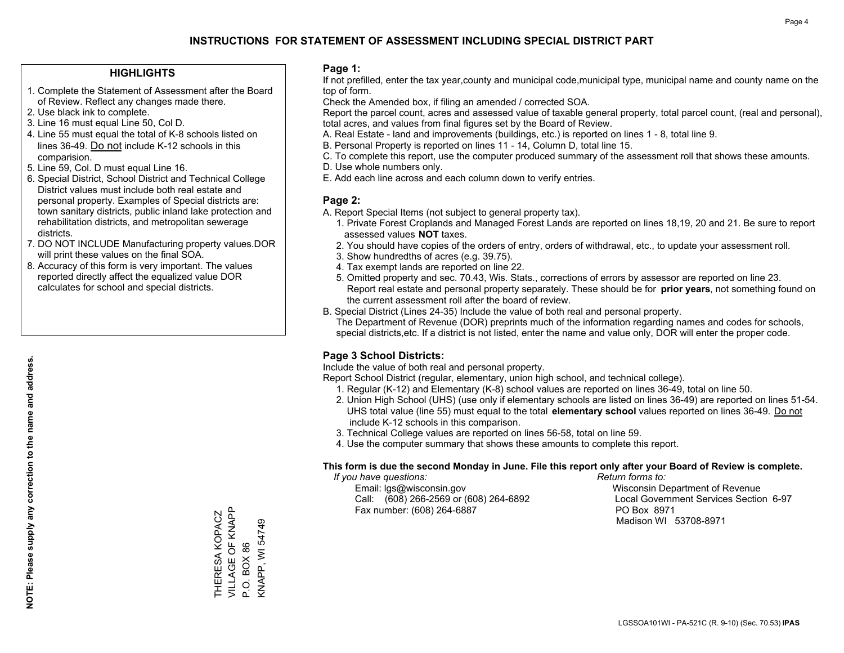## **HIGHLIGHTS**

- 1. Complete the Statement of Assessment after the Board of Review. Reflect any changes made there.
- 2. Use black ink to complete.
- 3. Line 16 must equal Line 50, Col D.
- 4. Line 55 must equal the total of K-8 schools listed on lines 36-49. Do not include K-12 schools in this comparision.
- 5. Line 59, Col. D must equal Line 16.
- 6. Special District, School District and Technical College District values must include both real estate and personal property. Examples of Special districts are: town sanitary districts, public inland lake protection and rehabilitation districts, and metropolitan sewerage districts.
- 7. DO NOT INCLUDE Manufacturing property values.DOR will print these values on the final SOA.
- 8. Accuracy of this form is very important. The values reported directly affect the equalized value DOR calculates for school and special districts.

#### **Page 1:**

 If not prefilled, enter the tax year,county and municipal code,municipal type, municipal name and county name on the top of form.

Check the Amended box, if filing an amended / corrected SOA.

 Report the parcel count, acres and assessed value of taxable general property, total parcel count, (real and personal), total acres, and values from final figures set by the Board of Review.

- A. Real Estate land and improvements (buildings, etc.) is reported on lines 1 8, total line 9.
- B. Personal Property is reported on lines 11 14, Column D, total line 15.
- C. To complete this report, use the computer produced summary of the assessment roll that shows these amounts.
- D. Use whole numbers only.
- E. Add each line across and each column down to verify entries.

## **Page 2:**

- A. Report Special Items (not subject to general property tax).
- 1. Private Forest Croplands and Managed Forest Lands are reported on lines 18,19, 20 and 21. Be sure to report assessed values **NOT** taxes.
- 2. You should have copies of the orders of entry, orders of withdrawal, etc., to update your assessment roll.
	- 3. Show hundredths of acres (e.g. 39.75).
- 4. Tax exempt lands are reported on line 22.
- 5. Omitted property and sec. 70.43, Wis. Stats., corrections of errors by assessor are reported on line 23. Report real estate and personal property separately. These should be for **prior years**, not something found on the current assessment roll after the board of review.
- B. Special District (Lines 24-35) Include the value of both real and personal property.
- The Department of Revenue (DOR) preprints much of the information regarding names and codes for schools, special districts,etc. If a district is not listed, enter the name and value only, DOR will enter the proper code.

## **Page 3 School Districts:**

Include the value of both real and personal property.

Report School District (regular, elementary, union high school, and technical college).

- 1. Regular (K-12) and Elementary (K-8) school values are reported on lines 36-49, total on line 50.
- 2. Union High School (UHS) (use only if elementary schools are listed on lines 36-49) are reported on lines 51-54. UHS total value (line 55) must equal to the total **elementary school** values reported on lines 36-49. Do notinclude K-12 schools in this comparison.
- 3. Technical College values are reported on lines 56-58, total on line 59.
- 4. Use the computer summary that shows these amounts to complete this report.

#### **This form is due the second Monday in June. File this report only after your Board of Review is complete.**

 *If you have questions: Return forms to:*

 Email: lgs@wisconsin.gov Wisconsin Department of RevenueCall:  $(608)$  266-2569 or  $(608)$  264-6892 Fax number: (608) 264-6887 PO Box 8971

Local Government Services Section 6-97

Madison WI 53708-8971

VILLAGE OF KNAPP VILLAGE OF KNAPP THERESA KOPACZ THERESA KOPACZ **KNAPP, WI 54749** KNAPP, WI 54749 P.O. BOX 86 P.O. BOX 86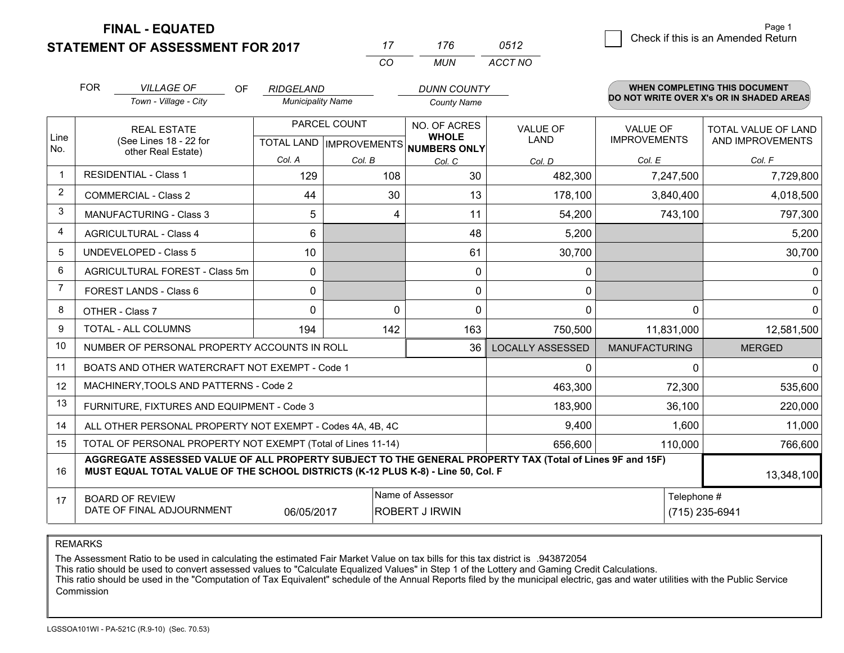**STATEMENT OF ASSESSMENT FOR 2017** 

**FINAL - EQUATED**

|                | <b>FOR</b>                                                                                                     | <b>VILLAGE OF</b><br>OF                                                                                                                                                                      | <b>RIDGELAND</b>         |              | <b>DUNN COUNTY</b>                                   |                         |                      | <b>WHEN COMPLETING THIS DOCUMENT</b>     |
|----------------|----------------------------------------------------------------------------------------------------------------|----------------------------------------------------------------------------------------------------------------------------------------------------------------------------------------------|--------------------------|--------------|------------------------------------------------------|-------------------------|----------------------|------------------------------------------|
|                |                                                                                                                | Town - Village - City                                                                                                                                                                        | <b>Municipality Name</b> |              | <b>County Name</b>                                   |                         |                      | DO NOT WRITE OVER X's OR IN SHADED AREAS |
|                |                                                                                                                | <b>REAL ESTATE</b>                                                                                                                                                                           |                          | PARCEL COUNT | NO. OF ACRES                                         | <b>VALUE OF</b>         | <b>VALUE OF</b>      | TOTAL VALUE OF LAND                      |
| Line<br>No.    |                                                                                                                | (See Lines 18 - 22 for<br>other Real Estate)                                                                                                                                                 |                          |              | <b>WHOLE</b><br>TOTAL LAND IMPROVEMENTS NUMBERS ONLY | LAND                    | <b>IMPROVEMENTS</b>  | AND IMPROVEMENTS                         |
|                |                                                                                                                |                                                                                                                                                                                              | Col. A                   | Col. B       | Col. C                                               | Col. D                  | Col. E               | Col. F                                   |
| $\mathbf 1$    |                                                                                                                | <b>RESIDENTIAL - Class 1</b>                                                                                                                                                                 | 129                      | 108          | 30                                                   | 482,300                 | 7,247,500            | 7,729,800                                |
| 2              |                                                                                                                | <b>COMMERCIAL - Class 2</b>                                                                                                                                                                  | 44                       | 30           | 13                                                   | 178,100                 | 3,840,400            | 4,018,500                                |
| 3              |                                                                                                                | <b>MANUFACTURING - Class 3</b>                                                                                                                                                               | 5                        | 4            | 11                                                   | 54,200                  | 743,100              | 797,300                                  |
| 4              |                                                                                                                | <b>AGRICULTURAL - Class 4</b>                                                                                                                                                                | 6                        |              | 48                                                   | 5,200                   |                      | 5,200                                    |
| 5              |                                                                                                                | <b>UNDEVELOPED - Class 5</b>                                                                                                                                                                 | 10                       |              | 61                                                   | 30,700                  |                      | 30,700                                   |
| 6              | AGRICULTURAL FOREST - Class 5m                                                                                 |                                                                                                                                                                                              | $\Omega$                 |              | 0                                                    | $\mathbf{0}$            |                      | $\mathbf{0}$                             |
| $\overline{7}$ |                                                                                                                | FOREST LANDS - Class 6                                                                                                                                                                       | $\Omega$                 |              | $\Omega$                                             | $\mathbf{0}$            |                      | $\mathbf{0}$                             |
| 8              |                                                                                                                | OTHER - Class 7                                                                                                                                                                              | $\Omega$                 | $\Omega$     | $\Omega$                                             | $\Omega$                | $\Omega$             | $\Omega$                                 |
| 9              |                                                                                                                | TOTAL - ALL COLUMNS                                                                                                                                                                          | 194                      | 142          | 163                                                  | 750,500                 | 11,831,000           | 12,581,500                               |
| 10             |                                                                                                                | NUMBER OF PERSONAL PROPERTY ACCOUNTS IN ROLL                                                                                                                                                 |                          |              | 36                                                   | <b>LOCALLY ASSESSED</b> | <b>MANUFACTURING</b> | <b>MERGED</b>                            |
| 11             |                                                                                                                | BOATS AND OTHER WATERCRAFT NOT EXEMPT - Code 1                                                                                                                                               |                          |              |                                                      | $\mathbf{0}$            | $\Omega$             | $\Omega$                                 |
| 12             |                                                                                                                | MACHINERY, TOOLS AND PATTERNS - Code 2                                                                                                                                                       |                          |              |                                                      | 463,300                 | 72,300               | 535,600                                  |
| 13             |                                                                                                                | FURNITURE, FIXTURES AND EQUIPMENT - Code 3                                                                                                                                                   |                          |              |                                                      | 183,900                 | 36,100               | 220,000                                  |
| 14             |                                                                                                                | ALL OTHER PERSONAL PROPERTY NOT EXEMPT - Codes 4A, 4B, 4C                                                                                                                                    |                          |              |                                                      | 9,400                   | 1,600                | 11,000                                   |
| 15             | TOTAL OF PERSONAL PROPERTY NOT EXEMPT (Total of Lines 11-14)                                                   |                                                                                                                                                                                              |                          |              |                                                      | 656,600                 | 110,000              | 766,600                                  |
| 16             |                                                                                                                | AGGREGATE ASSESSED VALUE OF ALL PROPERTY SUBJECT TO THE GENERAL PROPERTY TAX (Total of Lines 9F and 15F)<br>MUST EQUAL TOTAL VALUE OF THE SCHOOL DISTRICTS (K-12 PLUS K-8) - Line 50, Col. F |                          |              |                                                      |                         |                      | 13,348,100                               |
| 17             | Name of Assessor<br><b>BOARD OF REVIEW</b><br>DATE OF FINAL ADJOURNMENT<br>06/05/2017<br><b>ROBERT J IRWIN</b> |                                                                                                                                                                                              |                          |              |                                                      |                         | Telephone #          | (715) 235-6941                           |

*CO*

*MUN*

*ACCT NO0512*

*<sup>17</sup> <sup>176</sup>*

REMARKS

The Assessment Ratio to be used in calculating the estimated Fair Market Value on tax bills for this tax district is .943872054<br>This ratio should be used to convert assessed values to "Calculate Equalized Values" in Step 1 Commission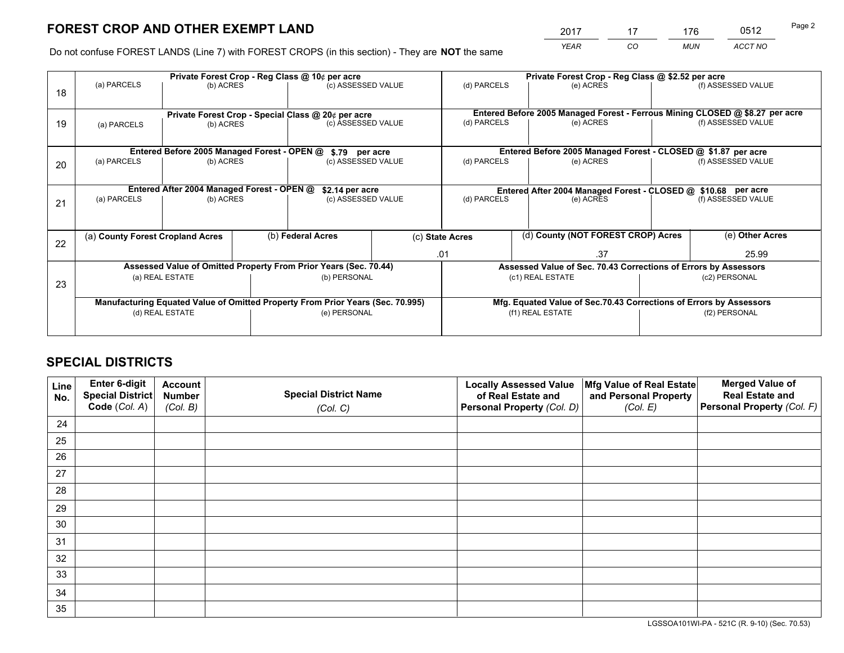# **FOREST CROP AND OTHER EXEMPT LAND**

 *YEAR CO MUN ACCT NO* <sup>2017</sup> <sup>17</sup> <sup>176</sup> <sup>0512</sup>

Do not confuse FOREST LANDS (Line 7) with FOREST CROPS (in this section) - They are **NOT** the same

|    |                                                                                |                                             |  | Private Forest Crop - Reg Class @ 10¢ per acre                           |  |                                                               | Private Forest Crop - Reg Class @ \$2.52 per acre                            |               |                    |  |
|----|--------------------------------------------------------------------------------|---------------------------------------------|--|--------------------------------------------------------------------------|--|---------------------------------------------------------------|------------------------------------------------------------------------------|---------------|--------------------|--|
| 18 | (a) PARCELS                                                                    | (b) ACRES                                   |  | (c) ASSESSED VALUE                                                       |  | (d) PARCELS                                                   | (e) ACRES                                                                    |               | (f) ASSESSED VALUE |  |
|    |                                                                                |                                             |  |                                                                          |  |                                                               |                                                                              |               |                    |  |
|    |                                                                                |                                             |  |                                                                          |  |                                                               | Entered Before 2005 Managed Forest - Ferrous Mining CLOSED @ \$8.27 per acre |               |                    |  |
| 19 | (a) PARCELS                                                                    | (b) ACRES                                   |  | Private Forest Crop - Special Class @ 20¢ per acre<br>(c) ASSESSED VALUE |  | (d) PARCELS                                                   | (e) ACRES                                                                    |               | (f) ASSESSED VALUE |  |
|    |                                                                                |                                             |  |                                                                          |  |                                                               |                                                                              |               |                    |  |
|    |                                                                                |                                             |  |                                                                          |  |                                                               |                                                                              |               |                    |  |
|    |                                                                                | Entered Before 2005 Managed Forest - OPEN @ |  | \$.79 per acre                                                           |  |                                                               | Entered Before 2005 Managed Forest - CLOSED @ \$1.87 per acre                |               |                    |  |
| 20 | (a) PARCELS                                                                    | (b) ACRES                                   |  | (c) ASSESSED VALUE                                                       |  | (d) PARCELS                                                   | (e) ACRES                                                                    |               | (f) ASSESSED VALUE |  |
|    |                                                                                |                                             |  |                                                                          |  |                                                               |                                                                              |               |                    |  |
|    |                                                                                | Entered After 2004 Managed Forest - OPEN @  |  | \$2.14 per acre                                                          |  | Entered After 2004 Managed Forest - CLOSED @ \$10.68 per acre |                                                                              |               |                    |  |
| 21 | (a) PARCELS                                                                    | (b) ACRES                                   |  | (c) ASSESSED VALUE                                                       |  | (d) PARCELS<br>(e) ACRES                                      |                                                                              |               | (f) ASSESSED VALUE |  |
|    |                                                                                |                                             |  |                                                                          |  |                                                               |                                                                              |               |                    |  |
|    |                                                                                |                                             |  |                                                                          |  |                                                               |                                                                              |               |                    |  |
|    | (a) County Forest Cropland Acres                                               |                                             |  | (b) Federal Acres                                                        |  | (c) State Acres                                               | (d) County (NOT FOREST CROP) Acres                                           |               | (e) Other Acres    |  |
| 22 |                                                                                |                                             |  |                                                                          |  |                                                               |                                                                              |               |                    |  |
|    |                                                                                |                                             |  |                                                                          |  | .37<br>.01                                                    |                                                                              |               | 25.99              |  |
|    | Assessed Value of Omitted Property From Prior Years (Sec. 70.44)               |                                             |  |                                                                          |  |                                                               | Assessed Value of Sec. 70.43 Corrections of Errors by Assessors              |               |                    |  |
| 23 | (a) REAL ESTATE                                                                |                                             |  | (b) PERSONAL                                                             |  | (c1) REAL ESTATE                                              |                                                                              | (c2) PERSONAL |                    |  |
|    |                                                                                |                                             |  |                                                                          |  |                                                               |                                                                              |               |                    |  |
|    | Manufacturing Equated Value of Omitted Property From Prior Years (Sec. 70.995) |                                             |  |                                                                          |  |                                                               | Mfg. Equated Value of Sec.70.43 Corrections of Errors by Assessors           |               |                    |  |
|    | (d) REAL ESTATE                                                                |                                             |  | (e) PERSONAL                                                             |  |                                                               | (f1) REAL ESTATE                                                             | (f2) PERSONAL |                    |  |
|    |                                                                                |                                             |  |                                                                          |  |                                                               |                                                                              |               |                    |  |
|    |                                                                                |                                             |  |                                                                          |  |                                                               |                                                                              |               |                    |  |

# **SPECIAL DISTRICTS**

| Line<br>No. | Enter 6-digit<br>Special District<br>Code (Col. A) | <b>Account</b><br><b>Number</b> | <b>Special District Name</b> | <b>Locally Assessed Value</b><br>of Real Estate and | Mfg Value of Real Estate<br>and Personal Property | <b>Merged Value of</b><br><b>Real Estate and</b><br>Personal Property (Col. F) |
|-------------|----------------------------------------------------|---------------------------------|------------------------------|-----------------------------------------------------|---------------------------------------------------|--------------------------------------------------------------------------------|
|             |                                                    | (Col. B)                        | (Col. C)                     | Personal Property (Col. D)                          | (Col. E)                                          |                                                                                |
| 24          |                                                    |                                 |                              |                                                     |                                                   |                                                                                |
| 25          |                                                    |                                 |                              |                                                     |                                                   |                                                                                |
| 26          |                                                    |                                 |                              |                                                     |                                                   |                                                                                |
| 27          |                                                    |                                 |                              |                                                     |                                                   |                                                                                |
| 28          |                                                    |                                 |                              |                                                     |                                                   |                                                                                |
| 29          |                                                    |                                 |                              |                                                     |                                                   |                                                                                |
| 30          |                                                    |                                 |                              |                                                     |                                                   |                                                                                |
| 31          |                                                    |                                 |                              |                                                     |                                                   |                                                                                |
| 32          |                                                    |                                 |                              |                                                     |                                                   |                                                                                |
| 33          |                                                    |                                 |                              |                                                     |                                                   |                                                                                |
| 34          |                                                    |                                 |                              |                                                     |                                                   |                                                                                |
| 35          |                                                    |                                 |                              |                                                     |                                                   |                                                                                |

LGSSOA101WI-PA - 521C (R. 9-10) (Sec. 70.53)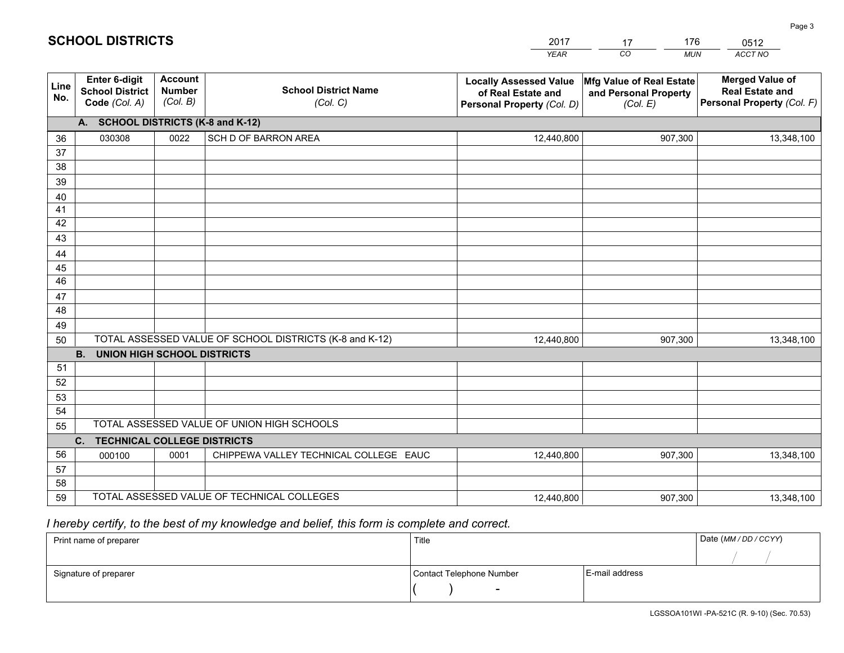|             |                                                          |                                             |                                                         | YEAR                                                                              | CO.<br><b>MUN</b>                                             | ACCT NO                                                                        |  |
|-------------|----------------------------------------------------------|---------------------------------------------|---------------------------------------------------------|-----------------------------------------------------------------------------------|---------------------------------------------------------------|--------------------------------------------------------------------------------|--|
| Line<br>No. | Enter 6-digit<br><b>School District</b><br>Code (Col. A) | <b>Account</b><br><b>Number</b><br>(Col. B) | <b>School District Name</b><br>(Col. C)                 | <b>Locally Assessed Value</b><br>of Real Estate and<br>Personal Property (Col. D) | Mfg Value of Real Estate<br>and Personal Property<br>(Col. E) | <b>Merged Value of</b><br><b>Real Estate and</b><br>Personal Property (Col. F) |  |
|             | A. SCHOOL DISTRICTS (K-8 and K-12)                       |                                             |                                                         |                                                                                   |                                                               |                                                                                |  |
| 36          | 030308                                                   | 0022                                        | SCH D OF BARRON AREA                                    | 12,440,800                                                                        | 907,300                                                       | 13,348,100                                                                     |  |
| 37          |                                                          |                                             |                                                         |                                                                                   |                                                               |                                                                                |  |
| 38          |                                                          |                                             |                                                         |                                                                                   |                                                               |                                                                                |  |
| 39          |                                                          |                                             |                                                         |                                                                                   |                                                               |                                                                                |  |
| 40          |                                                          |                                             |                                                         |                                                                                   |                                                               |                                                                                |  |
| 41          |                                                          |                                             |                                                         |                                                                                   |                                                               |                                                                                |  |
| 42<br>43    |                                                          |                                             |                                                         |                                                                                   |                                                               |                                                                                |  |
| 44          |                                                          |                                             |                                                         |                                                                                   |                                                               |                                                                                |  |
| 45          |                                                          |                                             |                                                         |                                                                                   |                                                               |                                                                                |  |
| 46          |                                                          |                                             |                                                         |                                                                                   |                                                               |                                                                                |  |
| 47          |                                                          |                                             |                                                         |                                                                                   |                                                               |                                                                                |  |
| 48          |                                                          |                                             |                                                         |                                                                                   |                                                               |                                                                                |  |
| 49          |                                                          |                                             |                                                         |                                                                                   |                                                               |                                                                                |  |
| 50          |                                                          |                                             | TOTAL ASSESSED VALUE OF SCHOOL DISTRICTS (K-8 and K-12) | 12,440,800                                                                        | 907,300                                                       | 13,348,100                                                                     |  |
|             | <b>B.</b><br>UNION HIGH SCHOOL DISTRICTS                 |                                             |                                                         |                                                                                   |                                                               |                                                                                |  |
| 51          |                                                          |                                             |                                                         |                                                                                   |                                                               |                                                                                |  |
| 52          |                                                          |                                             |                                                         |                                                                                   |                                                               |                                                                                |  |
| 53          |                                                          |                                             |                                                         |                                                                                   |                                                               |                                                                                |  |
| 54          |                                                          |                                             |                                                         |                                                                                   |                                                               |                                                                                |  |
| 55          |                                                          |                                             | TOTAL ASSESSED VALUE OF UNION HIGH SCHOOLS              |                                                                                   |                                                               |                                                                                |  |
|             | C.<br><b>TECHNICAL COLLEGE DISTRICTS</b>                 |                                             |                                                         |                                                                                   |                                                               |                                                                                |  |
| 56<br>57    | 000100                                                   | 0001                                        | CHIPPEWA VALLEY TECHNICAL COLLEGE EAUC                  | 12,440,800                                                                        | 907,300                                                       | 13,348,100                                                                     |  |
| 58          |                                                          |                                             |                                                         |                                                                                   |                                                               |                                                                                |  |
| 59          |                                                          |                                             | TOTAL ASSESSED VALUE OF TECHNICAL COLLEGES              | 12,440,800                                                                        | 907,300                                                       | 13,348,100                                                                     |  |
|             |                                                          |                                             |                                                         |                                                                                   |                                                               |                                                                                |  |

2017

17

176

 *I hereby certify, to the best of my knowledge and belief, this form is complete and correct.*

**SCHOOL DISTRICTS**

| Print name of preparer | Title                    |                | Date (MM / DD / CCYY) |
|------------------------|--------------------------|----------------|-----------------------|
|                        |                          |                |                       |
| Signature of preparer  | Contact Telephone Number | E-mail address |                       |
|                        | $\sim$                   |                |                       |

0512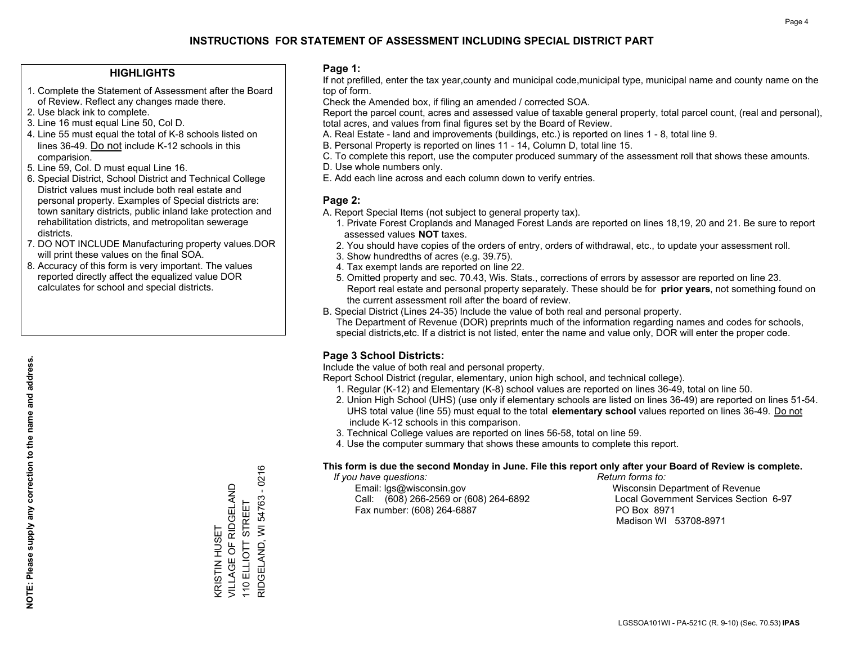## **INSTRUCTIONS FOR STATEMENT OF ASSESSMENT INCLUDING SPECIAL DISTRICT PART**

#### **HIGHLIGHTS**

- 1. Complete the Statement of Assessment after the Board of Review. Reflect any changes made there.
- 2. Use black ink to complete.
- 3. Line 16 must equal Line 50, Col D.
- 4. Line 55 must equal the total of K-8 schools listed on lines 36-49. Do not include K-12 schools in this comparision.
- 5. Line 59, Col. D must equal Line 16.
- 6. Special District, School District and Technical College District values must include both real estate and personal property. Examples of Special districts are: town sanitary districts, public inland lake protection and rehabilitation districts, and metropolitan sewerage districts.
- 7. DO NOT INCLUDE Manufacturing property values.DOR will print these values on the final SOA.

KRISTIN HUSET

**KRISTIN HUSET** 

VILLAGE OF RIDGELAND 110 ELLIOTT STREET

VILLAGE OF RIDGELAND

RIDGELAND, WI 54763 - 0216

RIDGELAND, WI 54763 110 ELLIOTT STREET

 $-0216$ 

 8. Accuracy of this form is very important. The values reported directly affect the equalized value DOR calculates for school and special districts.

#### **Page 1:**

 If not prefilled, enter the tax year,county and municipal code,municipal type, municipal name and county name on the top of form.

Check the Amended box, if filing an amended / corrected SOA.

 Report the parcel count, acres and assessed value of taxable general property, total parcel count, (real and personal), total acres, and values from final figures set by the Board of Review.

- A. Real Estate land and improvements (buildings, etc.) is reported on lines 1 8, total line 9.
- B. Personal Property is reported on lines 11 14, Column D, total line 15.
- C. To complete this report, use the computer produced summary of the assessment roll that shows these amounts.
- D. Use whole numbers only.
- E. Add each line across and each column down to verify entries.

#### **Page 2:**

- A. Report Special Items (not subject to general property tax).
- 1. Private Forest Croplands and Managed Forest Lands are reported on lines 18,19, 20 and 21. Be sure to report assessed values **NOT** taxes.
- 2. You should have copies of the orders of entry, orders of withdrawal, etc., to update your assessment roll.
	- 3. Show hundredths of acres (e.g. 39.75).
- 4. Tax exempt lands are reported on line 22.
- 5. Omitted property and sec. 70.43, Wis. Stats., corrections of errors by assessor are reported on line 23. Report real estate and personal property separately. These should be for **prior years**, not something found on the current assessment roll after the board of review.
- B. Special District (Lines 24-35) Include the value of both real and personal property.

 The Department of Revenue (DOR) preprints much of the information regarding names and codes for schools, special districts,etc. If a district is not listed, enter the name and value only, DOR will enter the proper code.

### **Page 3 School Districts:**

Include the value of both real and personal property.

Report School District (regular, elementary, union high school, and technical college).

- 1. Regular (K-12) and Elementary (K-8) school values are reported on lines 36-49, total on line 50.
- 2. Union High School (UHS) (use only if elementary schools are listed on lines 36-49) are reported on lines 51-54. UHS total value (line 55) must equal to the total **elementary school** values reported on lines 36-49. Do notinclude K-12 schools in this comparison.
- 3. Technical College values are reported on lines 56-58, total on line 59.
- 4. Use the computer summary that shows these amounts to complete this report.

#### **This form is due the second Monday in June. File this report only after your Board of Review is complete.**

 *If you have questions: Return forms to:*

 Email: lgs@wisconsin.gov Wisconsin Department of RevenueCall:  $(608)$  266-2569 or  $(608)$  264-6892 Fax number: (608) 264-6887 PO Box 8971

Local Government Services Section 6-97 Madison WI 53708-8971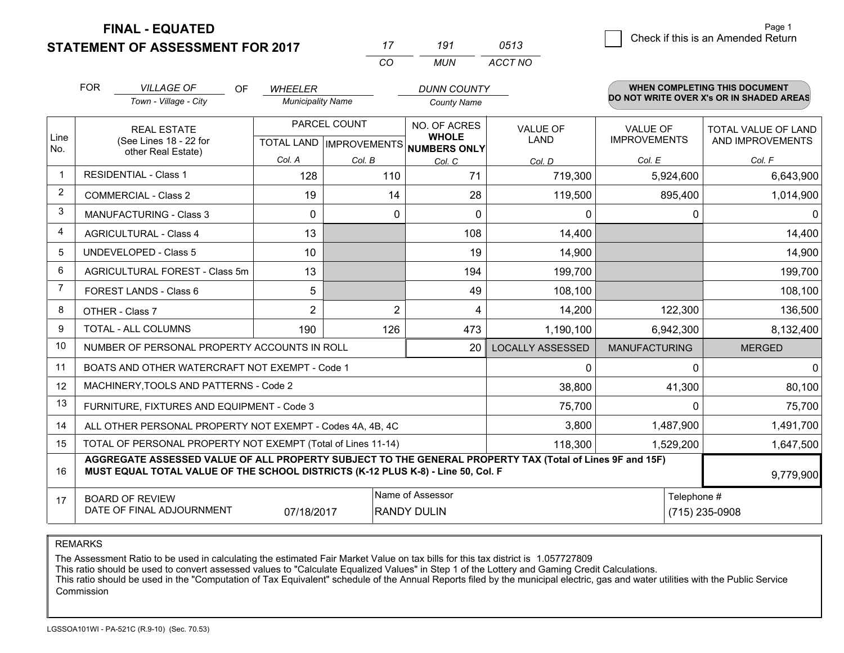**FINAL - EQUATED**

|          | 191 | 0513    |
|----------|-----|---------|
| $\cdots$ | MUN | ACCT NO |

|                | <b>FOR</b>                                                                           | <b>VILLAGE OF</b><br><b>OF</b>                                                                                                                                                               | <b>WHEELER</b>           |                           | <b>DUNN COUNTY</b>           |                                |                                        | <b>WHEN COMPLETING THIS DOCUMENT</b>     |
|----------------|--------------------------------------------------------------------------------------|----------------------------------------------------------------------------------------------------------------------------------------------------------------------------------------------|--------------------------|---------------------------|------------------------------|--------------------------------|----------------------------------------|------------------------------------------|
|                |                                                                                      | Town - Village - City                                                                                                                                                                        | <b>Municipality Name</b> |                           | <b>County Name</b>           |                                |                                        | DO NOT WRITE OVER X's OR IN SHADED AREAS |
| Line           | <b>REAL ESTATE</b><br>(See Lines 18 - 22 for                                         |                                                                                                                                                                                              |                          | PARCEL COUNT              | NO. OF ACRES<br><b>WHOLE</b> | <b>VALUE OF</b><br><b>LAND</b> | <b>VALUE OF</b><br><b>IMPROVEMENTS</b> | TOTAL VALUE OF LAND<br>AND IMPROVEMENTS  |
| No.            |                                                                                      | other Real Estate)                                                                                                                                                                           |                          | TOTAL LAND   IMPROVEMENTS | NUMBERS ONLY                 |                                |                                        |                                          |
|                |                                                                                      |                                                                                                                                                                                              | Col. A                   | Col. B                    | Col. C                       | Col. D                         | Col. E                                 | Col. F                                   |
|                |                                                                                      | <b>RESIDENTIAL - Class 1</b>                                                                                                                                                                 | 128                      | 110                       | 71                           | 719,300                        | 5,924,600                              | 6,643,900                                |
| 2              |                                                                                      | <b>COMMERCIAL - Class 2</b>                                                                                                                                                                  | 19                       | 14                        | 28                           | 119,500                        | 895,400                                | 1,014,900                                |
| 3              |                                                                                      | <b>MANUFACTURING - Class 3</b>                                                                                                                                                               | $\Omega$                 | 0                         | $\Omega$                     | 0                              | $\Omega$                               | $\Omega$                                 |
| 4              |                                                                                      | <b>AGRICULTURAL - Class 4</b>                                                                                                                                                                | 13                       |                           | 108                          | 14,400                         |                                        | 14,400                                   |
| 5              |                                                                                      | <b>UNDEVELOPED - Class 5</b>                                                                                                                                                                 | 10                       |                           | 19                           | 14,900                         |                                        | 14,900                                   |
| 6              |                                                                                      | AGRICULTURAL FOREST - Class 5m                                                                                                                                                               | 13                       |                           | 194                          | 199,700                        |                                        | 199,700                                  |
| $\overline{7}$ |                                                                                      | FOREST LANDS - Class 6                                                                                                                                                                       | 5                        |                           | 49                           | 108,100                        |                                        | 108,100                                  |
| 8              |                                                                                      | OTHER - Class 7                                                                                                                                                                              | $\overline{2}$           | $\overline{2}$            | 4                            | 14,200                         | 122,300                                | 136,500                                  |
| 9              |                                                                                      | TOTAL - ALL COLUMNS                                                                                                                                                                          | 190                      | 126                       | 473                          | 1,190,100                      | 6,942,300                              | 8,132,400                                |
| 10             |                                                                                      | NUMBER OF PERSONAL PROPERTY ACCOUNTS IN ROLL                                                                                                                                                 |                          |                           | 20                           | <b>LOCALLY ASSESSED</b>        | <b>MANUFACTURING</b>                   | <b>MERGED</b>                            |
| 11             |                                                                                      | BOATS AND OTHER WATERCRAFT NOT EXEMPT - Code 1                                                                                                                                               |                          |                           |                              | 0                              | $\Omega$                               | 0                                        |
| 12             |                                                                                      | MACHINERY, TOOLS AND PATTERNS - Code 2                                                                                                                                                       |                          |                           |                              | 38,800                         | 41,300                                 | 80,100                                   |
| 13             |                                                                                      | FURNITURE, FIXTURES AND EQUIPMENT - Code 3                                                                                                                                                   |                          |                           |                              | 75,700                         | $\Omega$                               | 75,700                                   |
| 14             | 3,800<br>1,487,900<br>ALL OTHER PERSONAL PROPERTY NOT EXEMPT - Codes 4A, 4B, 4C      |                                                                                                                                                                                              |                          |                           |                              |                                |                                        | 1,491,700                                |
| 15             | TOTAL OF PERSONAL PROPERTY NOT EXEMPT (Total of Lines 11-14)<br>118,300<br>1,529,200 |                                                                                                                                                                                              |                          |                           |                              |                                |                                        | 1,647,500                                |
| 16             |                                                                                      | AGGREGATE ASSESSED VALUE OF ALL PROPERTY SUBJECT TO THE GENERAL PROPERTY TAX (Total of Lines 9F and 15F)<br>MUST EQUAL TOTAL VALUE OF THE SCHOOL DISTRICTS (K-12 PLUS K-8) - Line 50, Col. F |                          |                           |                              |                                |                                        | 9,779,900                                |
| 17             |                                                                                      | <b>BOARD OF REVIEW</b>                                                                                                                                                                       |                          |                           | Name of Assessor             |                                | Telephone #                            |                                          |
|                | DATE OF FINAL ADJOURNMENT<br>(715) 235-0908<br>07/18/2017<br><b>RANDY DULIN</b>      |                                                                                                                                                                                              |                          |                           |                              |                                |                                        |                                          |

REMARKS

The Assessment Ratio to be used in calculating the estimated Fair Market Value on tax bills for this tax district is 1.057727809

This ratio should be used to convert assessed values to "Calculate Equalized Values" in Step 1 of the Lottery and Gaming Credit Calculations.<br>This ratio should be used in the "Computation of Tax Equivalent" schedule of the Commission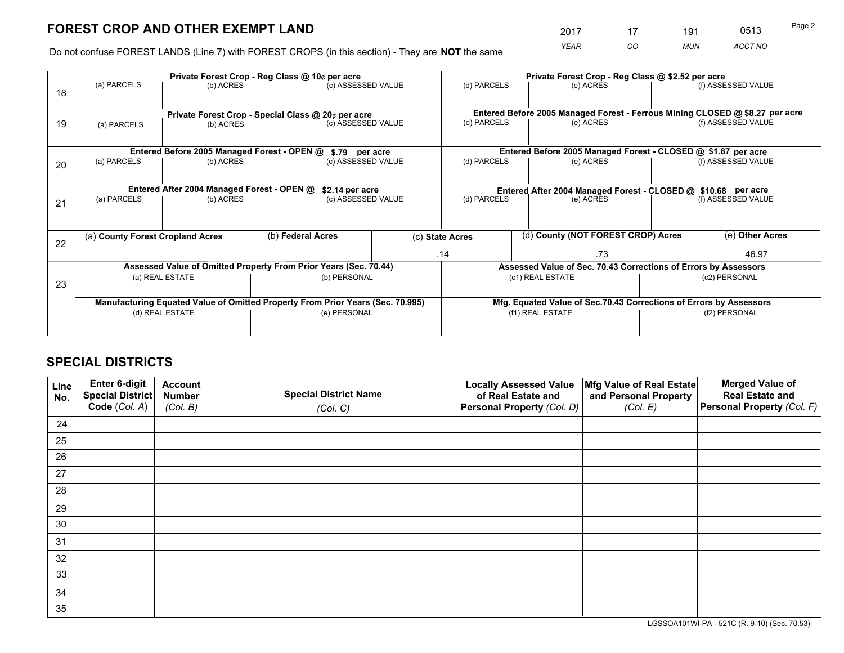# **FOREST CROP AND OTHER EXEMPT LAND**

 *YEAR CO MUN ACCT NO* <sup>2017</sup> <sup>17</sup> <sup>191</sup> <sup>0513</sup>

Do not confuse FOREST LANDS (Line 7) with FOREST CROPS (in this section) - They are **NOT** the same

|    | Private Forest Crop - Reg Class @ 10¢ per acre                                 |                                             |                    |                                                    |             |                                                                              | Private Forest Crop - Reg Class @ \$2.52 per acre               |                                                                    |                    |  |
|----|--------------------------------------------------------------------------------|---------------------------------------------|--------------------|----------------------------------------------------|-------------|------------------------------------------------------------------------------|-----------------------------------------------------------------|--------------------------------------------------------------------|--------------------|--|
| 18 | (a) PARCELS                                                                    | (b) ACRES                                   | (c) ASSESSED VALUE |                                                    | (d) PARCELS | (e) ACRES                                                                    |                                                                 | (f) ASSESSED VALUE                                                 |                    |  |
|    |                                                                                |                                             |                    |                                                    |             |                                                                              |                                                                 |                                                                    |                    |  |
|    |                                                                                |                                             |                    | Private Forest Crop - Special Class @ 20¢ per acre |             | Entered Before 2005 Managed Forest - Ferrous Mining CLOSED @ \$8.27 per acre |                                                                 |                                                                    |                    |  |
| 19 | (a) PARCELS                                                                    | (b) ACRES                                   |                    | (c) ASSESSED VALUE                                 |             | (d) PARCELS                                                                  | (e) ACRES                                                       |                                                                    | (f) ASSESSED VALUE |  |
|    |                                                                                |                                             |                    |                                                    |             |                                                                              |                                                                 |                                                                    |                    |  |
|    |                                                                                | Entered Before 2005 Managed Forest - OPEN @ |                    | \$.79 per acre                                     |             |                                                                              | Entered Before 2005 Managed Forest - CLOSED @ \$1.87 per acre   |                                                                    |                    |  |
| 20 | (a) PARCELS                                                                    | (b) ACRES                                   |                    | (c) ASSESSED VALUE                                 |             | (d) PARCELS                                                                  | (e) ACRES                                                       |                                                                    | (f) ASSESSED VALUE |  |
|    |                                                                                |                                             |                    |                                                    |             |                                                                              |                                                                 |                                                                    |                    |  |
|    | Entered After 2004 Managed Forest - OPEN @                                     |                                             |                    | \$2.14 per acre                                    |             | Entered After 2004 Managed Forest - CLOSED @ \$10.68 per acre                |                                                                 |                                                                    |                    |  |
| 21 | (a) PARCELS                                                                    | (b) ACRES                                   |                    | (c) ASSESSED VALUE                                 |             | (d) PARCELS<br>(e) ACRES                                                     |                                                                 | (f) ASSESSED VALUE                                                 |                    |  |
|    |                                                                                |                                             |                    |                                                    |             |                                                                              |                                                                 |                                                                    |                    |  |
|    | (a) County Forest Cropland Acres                                               |                                             |                    | (b) Federal Acres                                  |             | (c) State Acres                                                              | (d) County (NOT FOREST CROP) Acres                              |                                                                    | (e) Other Acres    |  |
| 22 |                                                                                |                                             |                    |                                                    |             |                                                                              |                                                                 |                                                                    |                    |  |
|    |                                                                                |                                             |                    |                                                    |             | .14<br>.73                                                                   |                                                                 |                                                                    | 46.97              |  |
|    | Assessed Value of Omitted Property From Prior Years (Sec. 70.44)               |                                             |                    |                                                    |             |                                                                              | Assessed Value of Sec. 70.43 Corrections of Errors by Assessors |                                                                    |                    |  |
| 23 | (a) REAL ESTATE                                                                |                                             |                    | (b) PERSONAL                                       |             | (c1) REAL ESTATE                                                             |                                                                 | (c2) PERSONAL                                                      |                    |  |
|    |                                                                                |                                             |                    |                                                    |             |                                                                              |                                                                 |                                                                    |                    |  |
|    | Manufacturing Equated Value of Omitted Property From Prior Years (Sec. 70.995) |                                             |                    |                                                    |             |                                                                              |                                                                 | Mfg. Equated Value of Sec.70.43 Corrections of Errors by Assessors |                    |  |
|    |                                                                                | (d) REAL ESTATE                             |                    | (e) PERSONAL                                       |             |                                                                              | (f1) REAL ESTATE                                                | (f2) PERSONAL                                                      |                    |  |
|    |                                                                                |                                             |                    |                                                    |             |                                                                              |                                                                 |                                                                    |                    |  |

# **SPECIAL DISTRICTS**

| Line<br>No. | Enter 6-digit<br>Special District<br>Code (Col. A) | <b>Account</b><br><b>Number</b> | <b>Special District Name</b> | <b>Locally Assessed Value</b><br>of Real Estate and | Mfg Value of Real Estate<br>and Personal Property | <b>Merged Value of</b><br><b>Real Estate and</b><br>Personal Property (Col. F) |
|-------------|----------------------------------------------------|---------------------------------|------------------------------|-----------------------------------------------------|---------------------------------------------------|--------------------------------------------------------------------------------|
|             |                                                    | (Col. B)                        | (Col. C)                     | Personal Property (Col. D)                          | (Col. E)                                          |                                                                                |
| 24          |                                                    |                                 |                              |                                                     |                                                   |                                                                                |
| 25          |                                                    |                                 |                              |                                                     |                                                   |                                                                                |
| 26          |                                                    |                                 |                              |                                                     |                                                   |                                                                                |
| 27          |                                                    |                                 |                              |                                                     |                                                   |                                                                                |
| 28          |                                                    |                                 |                              |                                                     |                                                   |                                                                                |
| 29          |                                                    |                                 |                              |                                                     |                                                   |                                                                                |
| 30          |                                                    |                                 |                              |                                                     |                                                   |                                                                                |
| 31          |                                                    |                                 |                              |                                                     |                                                   |                                                                                |
| 32          |                                                    |                                 |                              |                                                     |                                                   |                                                                                |
| 33          |                                                    |                                 |                              |                                                     |                                                   |                                                                                |
| 34          |                                                    |                                 |                              |                                                     |                                                   |                                                                                |
| 35          |                                                    |                                 |                              |                                                     |                                                   |                                                                                |

LGSSOA101WI-PA - 521C (R. 9-10) (Sec. 70.53)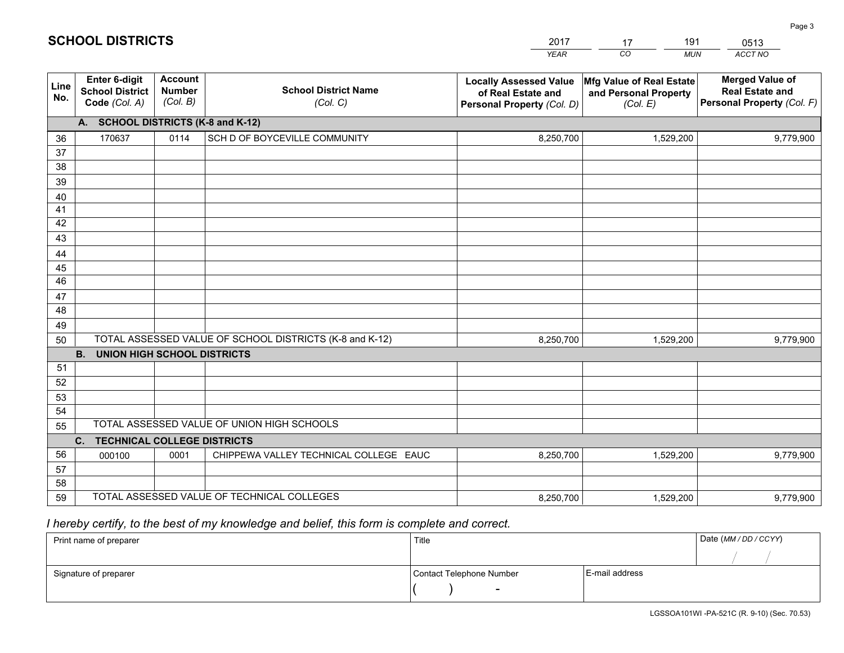|             |                                                          |                                             |                                                         | YEAR                                                                              | CO.<br><b>MUN</b>                                             | ACCT NO                                                                        |
|-------------|----------------------------------------------------------|---------------------------------------------|---------------------------------------------------------|-----------------------------------------------------------------------------------|---------------------------------------------------------------|--------------------------------------------------------------------------------|
| Line<br>No. | Enter 6-digit<br><b>School District</b><br>Code (Col. A) | <b>Account</b><br><b>Number</b><br>(Col. B) | <b>School District Name</b><br>(Col. C)                 | <b>Locally Assessed Value</b><br>of Real Estate and<br>Personal Property (Col. D) | Mfg Value of Real Estate<br>and Personal Property<br>(Col. E) | <b>Merged Value of</b><br><b>Real Estate and</b><br>Personal Property (Col. F) |
|             | A. SCHOOL DISTRICTS (K-8 and K-12)                       |                                             |                                                         |                                                                                   |                                                               |                                                                                |
| 36          | 170637                                                   | 0114                                        | SCH D OF BOYCEVILLE COMMUNITY                           | 8,250,700                                                                         | 1,529,200                                                     | 9,779,900                                                                      |
| 37          |                                                          |                                             |                                                         |                                                                                   |                                                               |                                                                                |
| 38          |                                                          |                                             |                                                         |                                                                                   |                                                               |                                                                                |
| 39          |                                                          |                                             |                                                         |                                                                                   |                                                               |                                                                                |
| 40          |                                                          |                                             |                                                         |                                                                                   |                                                               |                                                                                |
| 41<br>42    |                                                          |                                             |                                                         |                                                                                   |                                                               |                                                                                |
| 43          |                                                          |                                             |                                                         |                                                                                   |                                                               |                                                                                |
| 44          |                                                          |                                             |                                                         |                                                                                   |                                                               |                                                                                |
| 45          |                                                          |                                             |                                                         |                                                                                   |                                                               |                                                                                |
| 46          |                                                          |                                             |                                                         |                                                                                   |                                                               |                                                                                |
| 47          |                                                          |                                             |                                                         |                                                                                   |                                                               |                                                                                |
| 48          |                                                          |                                             |                                                         |                                                                                   |                                                               |                                                                                |
| 49          |                                                          |                                             |                                                         |                                                                                   |                                                               |                                                                                |
| 50          |                                                          |                                             | TOTAL ASSESSED VALUE OF SCHOOL DISTRICTS (K-8 and K-12) | 8,250,700                                                                         | 1,529,200                                                     | 9,779,900                                                                      |
|             | <b>B. UNION HIGH SCHOOL DISTRICTS</b>                    |                                             |                                                         |                                                                                   |                                                               |                                                                                |
| 51<br>52    |                                                          |                                             |                                                         |                                                                                   |                                                               |                                                                                |
| 53          |                                                          |                                             |                                                         |                                                                                   |                                                               |                                                                                |
| 54          |                                                          |                                             |                                                         |                                                                                   |                                                               |                                                                                |
| 55          |                                                          |                                             | TOTAL ASSESSED VALUE OF UNION HIGH SCHOOLS              |                                                                                   |                                                               |                                                                                |
|             | C.<br><b>TECHNICAL COLLEGE DISTRICTS</b>                 |                                             |                                                         |                                                                                   |                                                               |                                                                                |
| 56          | 000100                                                   | 0001                                        | CHIPPEWA VALLEY TECHNICAL COLLEGE EAUC                  | 8,250,700                                                                         | 1,529,200                                                     | 9,779,900                                                                      |
| 57          |                                                          |                                             |                                                         |                                                                                   |                                                               |                                                                                |
| 58          |                                                          |                                             |                                                         |                                                                                   |                                                               |                                                                                |
| 59          |                                                          |                                             | TOTAL ASSESSED VALUE OF TECHNICAL COLLEGES              | 8,250,700                                                                         | 1,529,200                                                     | 9,779,900                                                                      |

2017

17

191

 *I hereby certify, to the best of my knowledge and belief, this form is complete and correct.*

**SCHOOL DISTRICTS**

| Print name of preparer | Title                    |                | Date (MM / DD / CCYY) |
|------------------------|--------------------------|----------------|-----------------------|
|                        |                          |                |                       |
| Signature of preparer  | Contact Telephone Number | E-mail address |                       |
|                        |                          |                |                       |

0513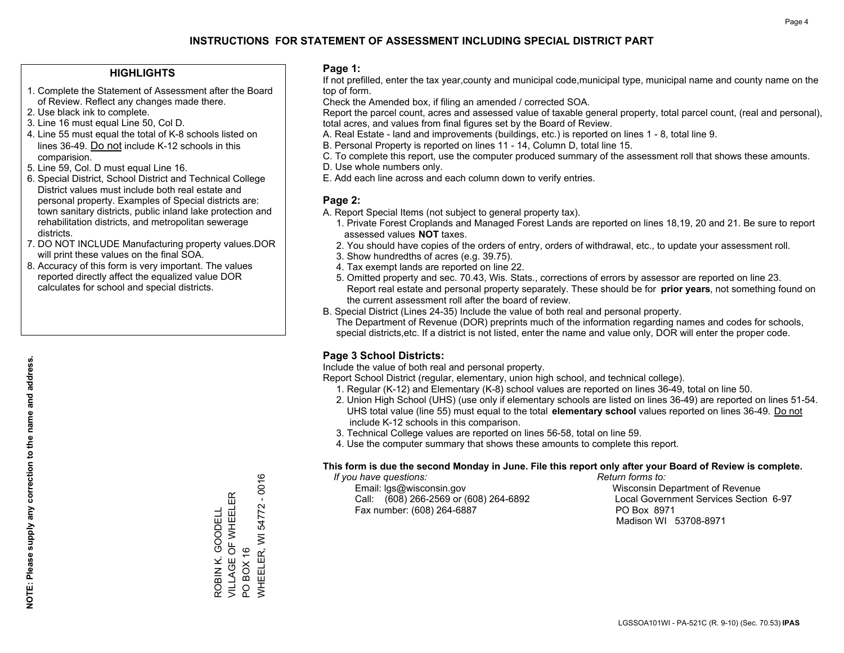## **INSTRUCTIONS FOR STATEMENT OF ASSESSMENT INCLUDING SPECIAL DISTRICT PART**

#### **HIGHLIGHTS**

- 1. Complete the Statement of Assessment after the Board of Review. Reflect any changes made there.
- 2. Use black ink to complete.
- 3. Line 16 must equal Line 50, Col D.
- 4. Line 55 must equal the total of K-8 schools listed on lines 36-49. Do not include K-12 schools in this comparision.
- 5. Line 59, Col. D must equal Line 16.
- 6. Special District, School District and Technical College District values must include both real estate and personal property. Examples of Special districts are: town sanitary districts, public inland lake protection and rehabilitation districts, and metropolitan sewerage districts.
- 7. DO NOT INCLUDE Manufacturing property values.DOR will print these values on the final SOA.

ROBIN K. GOODELL VILLAGE OF WHEELER

ROBIN K. GOODELL<br>VILLAGE OF WHEELER

PO BOX 16

 $\overline{S}$ 

WHEELER, WI 54772 - 0016

WHEELER, WI BOX 16

54772 - 0016

 8. Accuracy of this form is very important. The values reported directly affect the equalized value DOR calculates for school and special districts.

#### **Page 1:**

 If not prefilled, enter the tax year,county and municipal code,municipal type, municipal name and county name on the top of form.

Check the Amended box, if filing an amended / corrected SOA.

 Report the parcel count, acres and assessed value of taxable general property, total parcel count, (real and personal), total acres, and values from final figures set by the Board of Review.

- A. Real Estate land and improvements (buildings, etc.) is reported on lines 1 8, total line 9.
- B. Personal Property is reported on lines 11 14, Column D, total line 15.
- C. To complete this report, use the computer produced summary of the assessment roll that shows these amounts.
- D. Use whole numbers only.
- E. Add each line across and each column down to verify entries.

#### **Page 2:**

- A. Report Special Items (not subject to general property tax).
- 1. Private Forest Croplands and Managed Forest Lands are reported on lines 18,19, 20 and 21. Be sure to report assessed values **NOT** taxes.
- 2. You should have copies of the orders of entry, orders of withdrawal, etc., to update your assessment roll.
	- 3. Show hundredths of acres (e.g. 39.75).
- 4. Tax exempt lands are reported on line 22.
- 5. Omitted property and sec. 70.43, Wis. Stats., corrections of errors by assessor are reported on line 23. Report real estate and personal property separately. These should be for **prior years**, not something found on the current assessment roll after the board of review.
- B. Special District (Lines 24-35) Include the value of both real and personal property.
- The Department of Revenue (DOR) preprints much of the information regarding names and codes for schools, special districts,etc. If a district is not listed, enter the name and value only, DOR will enter the proper code.

## **Page 3 School Districts:**

Include the value of both real and personal property.

Report School District (regular, elementary, union high school, and technical college).

- 1. Regular (K-12) and Elementary (K-8) school values are reported on lines 36-49, total on line 50.
- 2. Union High School (UHS) (use only if elementary schools are listed on lines 36-49) are reported on lines 51-54. UHS total value (line 55) must equal to the total **elementary school** values reported on lines 36-49. Do notinclude K-12 schools in this comparison.
- 3. Technical College values are reported on lines 56-58, total on line 59.
- 4. Use the computer summary that shows these amounts to complete this report.

#### **This form is due the second Monday in June. File this report only after your Board of Review is complete.**

 *If you have questions: Return forms to:*

 Email: lgs@wisconsin.gov Wisconsin Department of RevenueCall:  $(608)$  266-2569 or  $(608)$  264-6892 Fax number: (608) 264-6887 PO Box 8971

Local Government Services Section 6-97 Madison WI 53708-8971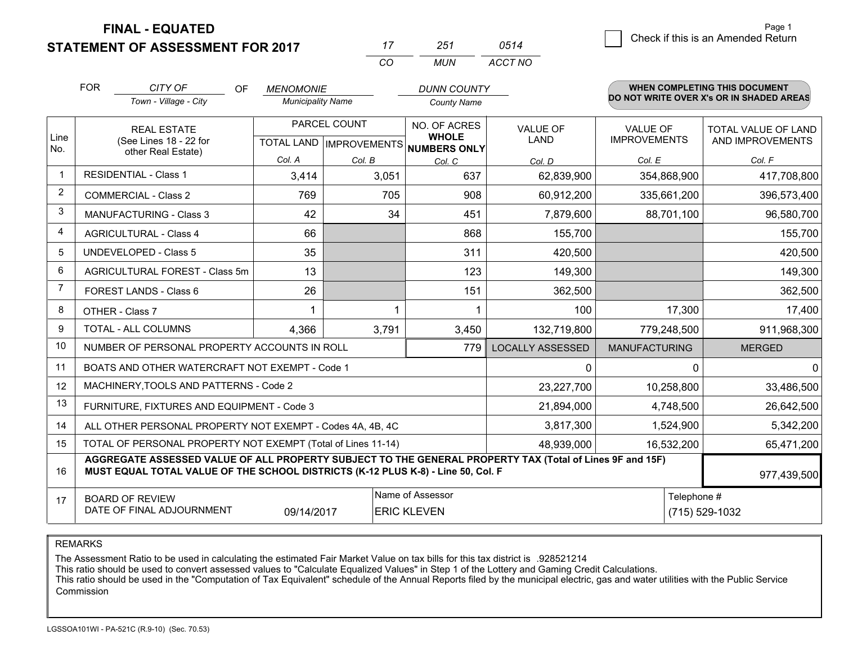**STATEMENT OF ASSESSMENT FOR 2017 FINAL - EQUATED**

|                | <b>FOR</b>                                                                                                                                                                                                  | CITY OF<br><b>OF</b><br>Town - Village - City                | <b>MENOMONIE</b><br><b>Municipality Name</b>     |        | <b>DUNN COUNTY</b><br><b>County Name</b>            |                                |                                        | <b>WHEN COMPLETING THIS DOCUMENT</b><br>DO NOT WRITE OVER X's OR IN SHADED AREAS |
|----------------|-------------------------------------------------------------------------------------------------------------------------------------------------------------------------------------------------------------|--------------------------------------------------------------|--------------------------------------------------|--------|-----------------------------------------------------|--------------------------------|----------------------------------------|----------------------------------------------------------------------------------|
| Line<br>No.    | <b>REAL ESTATE</b><br>(See Lines 18 - 22 for<br>other Real Estate)                                                                                                                                          |                                                              | PARCEL COUNT<br><b>TOTAL LAND   IMPROVEMENTS</b> |        | NO. OF ACRES<br><b>WHOLE</b><br><b>NUMBERS ONLY</b> | <b>VALUE OF</b><br><b>LAND</b> | <b>VALUE OF</b><br><b>IMPROVEMENTS</b> | TOTAL VALUE OF LAND<br>AND IMPROVEMENTS                                          |
|                |                                                                                                                                                                                                             |                                                              | Col. A                                           | Col. B | Col. C                                              | Col. D                         | Col. E                                 | Col. F                                                                           |
| 1              | <b>RESIDENTIAL - Class 1</b>                                                                                                                                                                                |                                                              | 3,414                                            | 3,051  | 637                                                 | 62,839,900                     | 354,868,900                            | 417,708,800                                                                      |
| $\overline{2}$ |                                                                                                                                                                                                             | <b>COMMERCIAL - Class 2</b>                                  | 769                                              | 705    | 908                                                 | 60,912,200                     | 335,661,200                            | 396,573,400                                                                      |
| 3              |                                                                                                                                                                                                             | <b>MANUFACTURING - Class 3</b>                               | 42                                               | 34     | 451                                                 | 7,879,600                      | 88,701,100                             | 96,580,700                                                                       |
| $\overline{4}$ |                                                                                                                                                                                                             | <b>AGRICULTURAL - Class 4</b>                                | 66                                               |        | 868                                                 | 155,700                        |                                        | 155,700                                                                          |
| 5              |                                                                                                                                                                                                             | <b>UNDEVELOPED - Class 5</b>                                 | 35                                               |        | 311                                                 | 420,500                        |                                        | 420,500                                                                          |
| 6              | AGRICULTURAL FOREST - Class 5m                                                                                                                                                                              |                                                              | 13                                               |        | 123                                                 | 149,300                        |                                        | 149,300                                                                          |
| $\overline{7}$ | FOREST LANDS - Class 6                                                                                                                                                                                      |                                                              | 26                                               |        | 151                                                 | 362,500                        |                                        | 362,500                                                                          |
| 8              | OTHER - Class 7                                                                                                                                                                                             |                                                              |                                                  |        |                                                     | 100                            | 17,300                                 | 17,400                                                                           |
| 9              | <b>TOTAL - ALL COLUMNS</b>                                                                                                                                                                                  |                                                              | 4,366                                            | 3,791  | 3,450                                               | 132,719,800                    | 779,248,500                            | 911,968,300                                                                      |
| 10             | NUMBER OF PERSONAL PROPERTY ACCOUNTS IN ROLL<br>779                                                                                                                                                         |                                                              |                                                  |        |                                                     | <b>LOCALLY ASSESSED</b>        | <b>MANUFACTURING</b>                   | <b>MERGED</b>                                                                    |
| 11             | BOATS AND OTHER WATERCRAFT NOT EXEMPT - Code 1                                                                                                                                                              |                                                              |                                                  |        |                                                     | 0                              | $\Omega$                               |                                                                                  |
| 12             |                                                                                                                                                                                                             | MACHINERY, TOOLS AND PATTERNS - Code 2                       |                                                  |        |                                                     | 23,227,700                     | 10,258,800                             | 33,486,500                                                                       |
| 13             | FURNITURE, FIXTURES AND EQUIPMENT - Code 3                                                                                                                                                                  |                                                              |                                                  |        |                                                     | 21,894,000                     | 4,748,500                              | 26,642,500                                                                       |
| 14             |                                                                                                                                                                                                             | ALL OTHER PERSONAL PROPERTY NOT EXEMPT - Codes 4A, 4B, 4C    |                                                  |        | 3,817,300                                           | 1,524,900                      | 5,342,200                              |                                                                                  |
| 15             |                                                                                                                                                                                                             | TOTAL OF PERSONAL PROPERTY NOT EXEMPT (Total of Lines 11-14) |                                                  |        | 48,939,000                                          | 16,532,200                     | 65,471,200                             |                                                                                  |
| 16             | AGGREGATE ASSESSED VALUE OF ALL PROPERTY SUBJECT TO THE GENERAL PROPERTY TAX (Total of Lines 9F and 15F)<br>MUST EQUAL TOTAL VALUE OF THE SCHOOL DISTRICTS (K-12 PLUS K-8) - Line 50, Col. F<br>977,439,500 |                                                              |                                                  |        |                                                     |                                |                                        |                                                                                  |
| 17             | Name of Assessor<br><b>BOARD OF REVIEW</b><br>DATE OF FINAL ADJOURNMENT<br>09/14/2017<br><b>ERIC KLEVEN</b>                                                                                                 |                                                              |                                                  |        |                                                     | Telephone #                    |                                        | (715) 529-1032                                                                   |

*CO*

*MUN*

*ACCT NO0514*

*<sup>17</sup> <sup>251</sup>*

REMARKS

The Assessment Ratio to be used in calculating the estimated Fair Market Value on tax bills for this tax district is .928521214<br>This ratio should be used to convert assessed values to "Calculate Equalized Values" in Step 1 Commission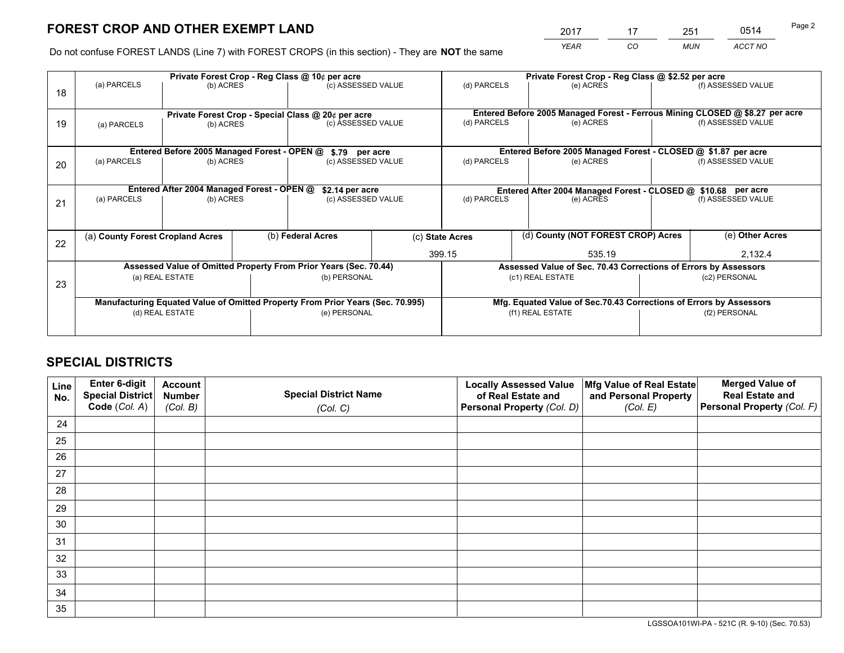# **FOREST CROP AND OTHER EXEMPT LAND**

 *YEAR CO MUN ACCT NO* <sup>2017</sup> <sup>17</sup> <sup>251</sup> <sup>0514</sup>

Do not confuse FOREST LANDS (Line 7) with FOREST CROPS (in this section) - They are **NOT** the same

|    | Private Forest Crop - Reg Class @ 10¢ per acre                                 |                                                               |                   |                                                                  |                                                                              | Private Forest Crop - Reg Class @ \$2.52 per acre                  |                                                               |                                                                 |                    |  |
|----|--------------------------------------------------------------------------------|---------------------------------------------------------------|-------------------|------------------------------------------------------------------|------------------------------------------------------------------------------|--------------------------------------------------------------------|---------------------------------------------------------------|-----------------------------------------------------------------|--------------------|--|
| 18 | (a) PARCELS<br>(b) ACRES                                                       |                                                               |                   | (c) ASSESSED VALUE                                               |                                                                              | (d) PARCELS                                                        | (e) ACRES                                                     |                                                                 | (f) ASSESSED VALUE |  |
|    |                                                                                |                                                               |                   |                                                                  |                                                                              |                                                                    |                                                               |                                                                 |                    |  |
|    | Private Forest Crop - Special Class @ 20¢ per acre                             |                                                               |                   |                                                                  | Entered Before 2005 Managed Forest - Ferrous Mining CLOSED @ \$8.27 per acre |                                                                    |                                                               |                                                                 |                    |  |
| 19 | (a) PARCELS                                                                    | (b) ACRES                                                     |                   | (c) ASSESSED VALUE                                               |                                                                              | (d) PARCELS                                                        | (e) ACRES                                                     |                                                                 | (f) ASSESSED VALUE |  |
|    |                                                                                |                                                               |                   |                                                                  |                                                                              |                                                                    |                                                               |                                                                 |                    |  |
|    |                                                                                | Entered Before 2005 Managed Forest - OPEN @                   |                   | \$.79 per acre                                                   |                                                                              | Entered Before 2005 Managed Forest - CLOSED @ \$1.87 per acre      |                                                               |                                                                 |                    |  |
| 20 | (a) PARCELS<br>(b) ACRES                                                       |                                                               |                   | (c) ASSESSED VALUE                                               |                                                                              | (d) PARCELS                                                        | (e) ACRES                                                     |                                                                 |                    |  |
|    |                                                                                |                                                               |                   |                                                                  |                                                                              |                                                                    |                                                               |                                                                 |                    |  |
|    |                                                                                | Entered After 2004 Managed Forest - OPEN @<br>\$2.14 per acre |                   |                                                                  |                                                                              |                                                                    | Entered After 2004 Managed Forest - CLOSED @ \$10.68 per acre |                                                                 |                    |  |
| 21 | (a) PARCELS                                                                    | (c) ASSESSED VALUE<br>(b) ACRES                               |                   |                                                                  | (d) PARCELS                                                                  |                                                                    | (e) ACRES                                                     |                                                                 | (f) ASSESSED VALUE |  |
|    |                                                                                |                                                               |                   |                                                                  |                                                                              |                                                                    |                                                               |                                                                 |                    |  |
|    | (a) County Forest Cropland Acres                                               |                                                               | (b) Federal Acres |                                                                  | (d) County (NOT FOREST CROP) Acres<br>(c) State Acres                        |                                                                    |                                                               | (e) Other Acres                                                 |                    |  |
| 22 |                                                                                |                                                               |                   |                                                                  |                                                                              |                                                                    |                                                               |                                                                 |                    |  |
|    |                                                                                |                                                               |                   |                                                                  |                                                                              | 399.15<br>535.19                                                   |                                                               | 2,132.4                                                         |                    |  |
|    |                                                                                |                                                               |                   | Assessed Value of Omitted Property From Prior Years (Sec. 70.44) |                                                                              |                                                                    |                                                               | Assessed Value of Sec. 70.43 Corrections of Errors by Assessors |                    |  |
| 23 | (a) REAL ESTATE                                                                |                                                               |                   | (b) PERSONAL                                                     |                                                                              | (c1) REAL ESTATE                                                   |                                                               | (c2) PERSONAL                                                   |                    |  |
|    |                                                                                |                                                               |                   |                                                                  |                                                                              |                                                                    |                                                               |                                                                 |                    |  |
|    | Manufacturing Equated Value of Omitted Property From Prior Years (Sec. 70.995) |                                                               |                   |                                                                  |                                                                              | Mfg. Equated Value of Sec.70.43 Corrections of Errors by Assessors |                                                               |                                                                 |                    |  |
|    | (d) REAL ESTATE                                                                |                                                               |                   | (e) PERSONAL                                                     |                                                                              | (f1) REAL ESTATE                                                   |                                                               | (f2) PERSONAL                                                   |                    |  |
|    |                                                                                |                                                               |                   |                                                                  |                                                                              |                                                                    |                                                               |                                                                 |                    |  |

# **SPECIAL DISTRICTS**

| Line<br>No. | Enter 6-digit<br><b>Special District</b><br>Code (Col. A) | <b>Account</b><br><b>Number</b><br>(Col. B) | <b>Special District Name</b> | <b>Locally Assessed Value</b><br>of Real Estate and<br>Personal Property (Col. D) | Mfg Value of Real Estate<br>and Personal Property<br>(Col. E) | <b>Merged Value of</b><br><b>Real Estate and</b><br>Personal Property (Col. F) |
|-------------|-----------------------------------------------------------|---------------------------------------------|------------------------------|-----------------------------------------------------------------------------------|---------------------------------------------------------------|--------------------------------------------------------------------------------|
|             |                                                           |                                             | (Col. C)                     |                                                                                   |                                                               |                                                                                |
| 24          |                                                           |                                             |                              |                                                                                   |                                                               |                                                                                |
| 25          |                                                           |                                             |                              |                                                                                   |                                                               |                                                                                |
| 26          |                                                           |                                             |                              |                                                                                   |                                                               |                                                                                |
| 27          |                                                           |                                             |                              |                                                                                   |                                                               |                                                                                |
| 28          |                                                           |                                             |                              |                                                                                   |                                                               |                                                                                |
| 29          |                                                           |                                             |                              |                                                                                   |                                                               |                                                                                |
| 30          |                                                           |                                             |                              |                                                                                   |                                                               |                                                                                |
| 31          |                                                           |                                             |                              |                                                                                   |                                                               |                                                                                |
| 32          |                                                           |                                             |                              |                                                                                   |                                                               |                                                                                |
| 33          |                                                           |                                             |                              |                                                                                   |                                                               |                                                                                |
| 34          |                                                           |                                             |                              |                                                                                   |                                                               |                                                                                |
| 35          |                                                           |                                             |                              |                                                                                   |                                                               |                                                                                |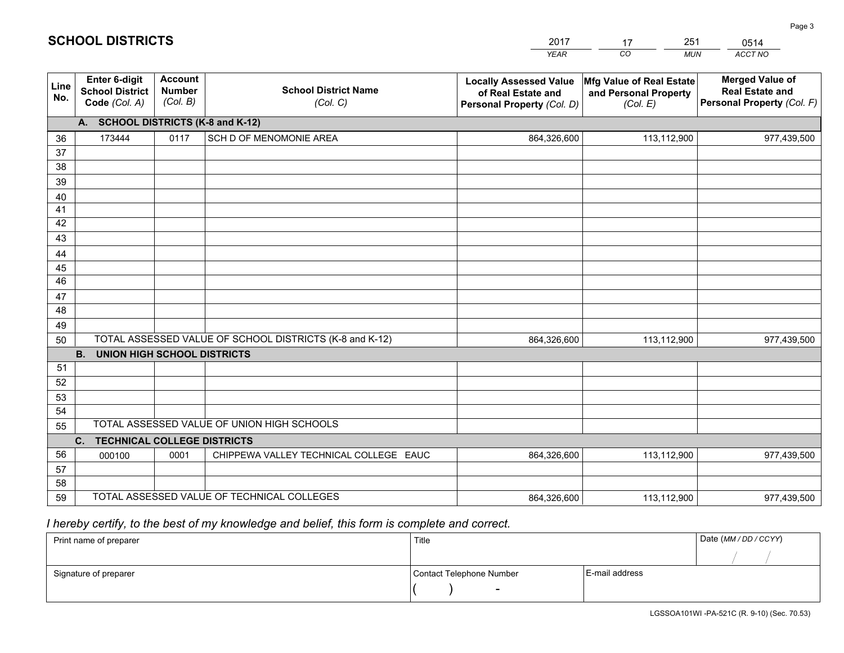|             |                                                                 |                                             |                                                         | <b>YEAR</b>                                                                       | CO<br><b>MUN</b>                                              | ACCT NO                                                                        |  |  |
|-------------|-----------------------------------------------------------------|---------------------------------------------|---------------------------------------------------------|-----------------------------------------------------------------------------------|---------------------------------------------------------------|--------------------------------------------------------------------------------|--|--|
| Line<br>No. | <b>Enter 6-digit</b><br><b>School District</b><br>Code (Col. A) | <b>Account</b><br><b>Number</b><br>(Col. B) | <b>School District Name</b><br>(Col. C)                 | <b>Locally Assessed Value</b><br>of Real Estate and<br>Personal Property (Col. D) | Mfg Value of Real Estate<br>and Personal Property<br>(Col. E) | <b>Merged Value of</b><br><b>Real Estate and</b><br>Personal Property (Col. F) |  |  |
|             | A. SCHOOL DISTRICTS (K-8 and K-12)                              |                                             |                                                         |                                                                                   |                                                               |                                                                                |  |  |
| 36          | 173444                                                          | 0117                                        | SCH D OF MENOMONIE AREA                                 | 864,326,600                                                                       | 113,112,900                                                   | 977,439,500                                                                    |  |  |
| 37          |                                                                 |                                             |                                                         |                                                                                   |                                                               |                                                                                |  |  |
| 38          |                                                                 |                                             |                                                         |                                                                                   |                                                               |                                                                                |  |  |
| 39          |                                                                 |                                             |                                                         |                                                                                   |                                                               |                                                                                |  |  |
| 40          |                                                                 |                                             |                                                         |                                                                                   |                                                               |                                                                                |  |  |
| 41<br>42    |                                                                 |                                             |                                                         |                                                                                   |                                                               |                                                                                |  |  |
| 43          |                                                                 |                                             |                                                         |                                                                                   |                                                               |                                                                                |  |  |
| 44          |                                                                 |                                             |                                                         |                                                                                   |                                                               |                                                                                |  |  |
| 45          |                                                                 |                                             |                                                         |                                                                                   |                                                               |                                                                                |  |  |
| 46          |                                                                 |                                             |                                                         |                                                                                   |                                                               |                                                                                |  |  |
| 47          |                                                                 |                                             |                                                         |                                                                                   |                                                               |                                                                                |  |  |
| 48          |                                                                 |                                             |                                                         |                                                                                   |                                                               |                                                                                |  |  |
| 49          |                                                                 |                                             |                                                         |                                                                                   |                                                               |                                                                                |  |  |
| 50          |                                                                 |                                             | TOTAL ASSESSED VALUE OF SCHOOL DISTRICTS (K-8 and K-12) | 864,326,600                                                                       | 113,112,900                                                   | 977,439,500                                                                    |  |  |
|             | <b>B. UNION HIGH SCHOOL DISTRICTS</b>                           |                                             |                                                         |                                                                                   |                                                               |                                                                                |  |  |
| 51          |                                                                 |                                             |                                                         |                                                                                   |                                                               |                                                                                |  |  |
| 52          |                                                                 |                                             |                                                         |                                                                                   |                                                               |                                                                                |  |  |
| 53<br>54    |                                                                 |                                             |                                                         |                                                                                   |                                                               |                                                                                |  |  |
| 55          |                                                                 |                                             | TOTAL ASSESSED VALUE OF UNION HIGH SCHOOLS              |                                                                                   |                                                               |                                                                                |  |  |
|             | C.<br><b>TECHNICAL COLLEGE DISTRICTS</b>                        |                                             |                                                         |                                                                                   |                                                               |                                                                                |  |  |
| 56          | 000100                                                          | 0001                                        | CHIPPEWA VALLEY TECHNICAL COLLEGE EAUC                  | 864,326,600                                                                       | 113,112,900                                                   | 977,439,500                                                                    |  |  |
| 57          |                                                                 |                                             |                                                         |                                                                                   |                                                               |                                                                                |  |  |
| 58          |                                                                 |                                             |                                                         |                                                                                   |                                                               |                                                                                |  |  |
| 59          |                                                                 |                                             | TOTAL ASSESSED VALUE OF TECHNICAL COLLEGES              | 864,326,600                                                                       | 113,112,900                                                   | 977,439,500                                                                    |  |  |

2017

17

251

 *I hereby certify, to the best of my knowledge and belief, this form is complete and correct.*

**SCHOOL DISTRICTS**

| Print name of preparer | Title                    | Date (MM / DD / CCYY) |  |
|------------------------|--------------------------|-----------------------|--|
|                        |                          |                       |  |
| Signature of preparer  | Contact Telephone Number | E-mail address        |  |
|                        | $\sim$                   |                       |  |

0514